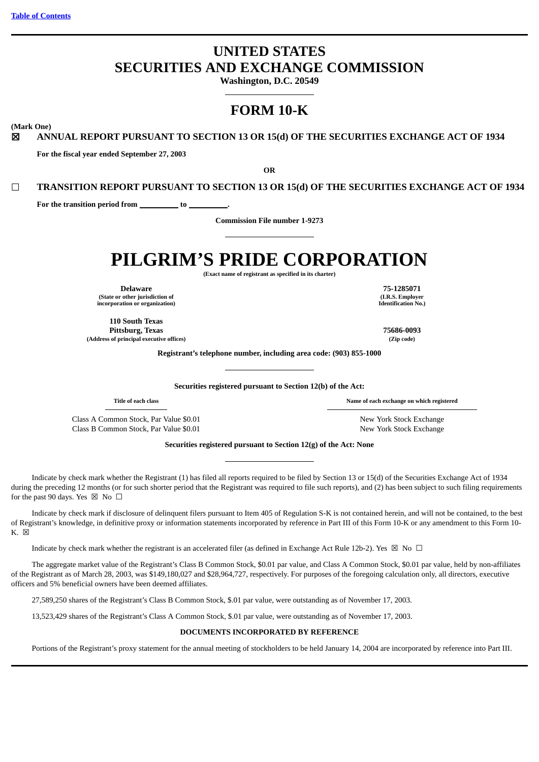# **UNITED STATES SECURITIES AND EXCHANGE COMMISSION**

**Washington, D.C. 20549**

# **FORM 10-K**

**(Mark One)**

☒ **ANNUAL REPORT PURSUANT TO SECTION 13 OR 15(d) OF THE SECURITIES EXCHANGE ACT OF 1934**

**For the fiscal year ended September 27, 2003**

**OR**

☐ **TRANSITION REPORT PURSUANT TO SECTION 13 OR 15(d) OF THE SECURITIES EXCHANGE ACT OF 1934**

For the transition period from **to** to

**Commission File number 1-9273**

# **PILGRIM'S PRIDE CORPORATION**

**(Exact name of registrant as specified in its charter)**

**Delaware 75-1285071 (State or other jurisdiction of incorporation or organization)**

**110 South Texas Pittsburg, Texas 75686-0093 (Address of principal executive offices) (Zip code)**

**(I.R.S. Employer Identification No.)**

**Registrant's telephone number, including area code: (903) 855-1000**

**Securities registered pursuant to Section 12(b) of the Act:**

**Title of each class Name of each exchange on which registered**

Class A Common Stock, Par Value \$0.01 New York Stock Exchange Class B Common Stock, Par Value \$0.01 New York Stock Exchange

**Securities registered pursuant to Section 12(g) of the Act: None**

Indicate by check mark whether the Registrant (1) has filed all reports required to be filed by Section 13 or 15(d) of the Securities Exchange Act of 1934 during the preceding 12 months (or for such shorter period that the Registrant was required to file such reports), and (2) has been subject to such filing requirements for the past 90 days. Yes  $\boxtimes$  No  $\Box$ 

Indicate by check mark if disclosure of delinquent filers pursuant to Item 405 of Regulation S-K is not contained herein, and will not be contained, to the best of Registrant's knowledge, in definitive proxy or information statements incorporated by reference in Part III of this Form 10-K or any amendment to this Form 10-  $K. \n\boxtimes$ 

Indicate by check mark whether the registrant is an accelerated filer (as defined in Exchange Act Rule 12b-2). Yes  $\boxtimes$  No  $\Box$ 

The aggregate market value of the Registrant's Class B Common Stock, \$0.01 par value, and Class A Common Stock, \$0.01 par value, held by non-affiliates of the Registrant as of March 28, 2003, was \$149,180,027 and \$28,964,727, respectively. For purposes of the foregoing calculation only, all directors, executive officers and 5% beneficial owners have been deemed affiliates.

27,589,250 shares of the Registrant's Class B Common Stock, \$.01 par value, were outstanding as of November 17, 2003.

13,523,429 shares of the Registrant's Class A Common Stock, \$.01 par value, were outstanding as of November 17, 2003.

#### **DOCUMENTS INCORPORATED BY REFERENCE**

Portions of the Registrant's proxy statement for the annual meeting of stockholders to be held January 14, 2004 are incorporated by reference into Part III.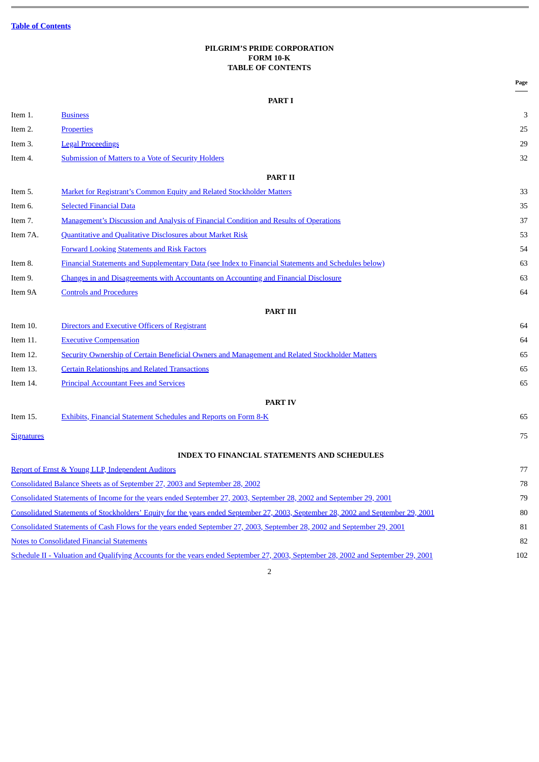# **PILGRIM'S PRIDE CORPORATION FORM 10-K TABLE OF CONTENTS**

<span id="page-1-0"></span>

|                   |                                                                                                                                   | Page |
|-------------------|-----------------------------------------------------------------------------------------------------------------------------------|------|
|                   | <b>PART I</b>                                                                                                                     |      |
| Item 1.           | <b>Business</b>                                                                                                                   | 3    |
| Item 2.           | <b>Properties</b>                                                                                                                 | 25   |
| Item 3.           | <b>Legal Proceedings</b>                                                                                                          | 29   |
| Item 4.           | <b>Submission of Matters to a Vote of Security Holders</b>                                                                        | 32   |
|                   | <b>PART II</b>                                                                                                                    |      |
| Item 5.           | <b>Market for Registrant's Common Equity and Related Stockholder Matters</b>                                                      | 33   |
| Item 6.           | <b>Selected Financial Data</b>                                                                                                    | 35   |
| Item 7.           | Management's Discussion and Analysis of Financial Condition and Results of Operations                                             | 37   |
| Item 7A.          | Quantitative and Qualitative Disclosures about Market Risk                                                                        | 53   |
|                   | <b>Forward Looking Statements and Risk Factors</b>                                                                                | 54   |
| Item 8.           | <b>Financial Statements and Supplementary Data (see Index to Financial Statements and Schedules below)</b>                        | 63   |
| Item 9.           | Changes in and Disagreements with Accountants on Accounting and Financial Disclosure                                              | 63   |
| Item 9A           | <b>Controls and Procedures</b>                                                                                                    | 64   |
|                   | <b>PART III</b>                                                                                                                   |      |
| Item 10.          | Directors and Executive Officers of Registrant                                                                                    | 64   |
| Item 11.          | <b>Executive Compensation</b>                                                                                                     | 64   |
| Item 12.          | <b>Security Ownership of Certain Beneficial Owners and Management and Related Stockholder Matters</b>                             | 65   |
| Item 13.          | <b>Certain Relationships and Related Transactions</b>                                                                             | 65   |
| Item 14.          | <b>Principal Accountant Fees and Services</b>                                                                                     | 65   |
|                   | <b>PART IV</b>                                                                                                                    |      |
| Item 15.          | Exhibits, Financial Statement Schedules and Reports on Form 8-K                                                                   | 65   |
| <b>Signatures</b> |                                                                                                                                   | 75   |
|                   | <b>INDEX TO FINANCIAL STATEMENTS AND SCHEDULES</b>                                                                                |      |
|                   | Report of Ernst & Young LLP, Independent Auditors                                                                                 | 77   |
|                   | Consolidated Balance Sheets as of September 27, 2003 and September 28, 2002                                                       | 78   |
|                   | Consolidated Statements of Income for the years ended September 27, 2003, September 28, 2002 and September 29, 2001               | 79   |
|                   | Consolidated Statements of Stockholders' Equity for the years ended September 27, 2003, September 28, 2002 and September 29, 2001 | 80   |
|                   | Consolidated Statements of Cash Flows for the years ended September 27, 2003, September 28, 2002 and September 29, 2001           | 81   |
|                   | <b>Notes to Consolidated Financial Statements</b>                                                                                 | 82   |
|                   | Schedule II - Valuation and Qualifying Accounts for the years ended September 27, 2003, September 28, 2002 and September 29, 2001 | 102  |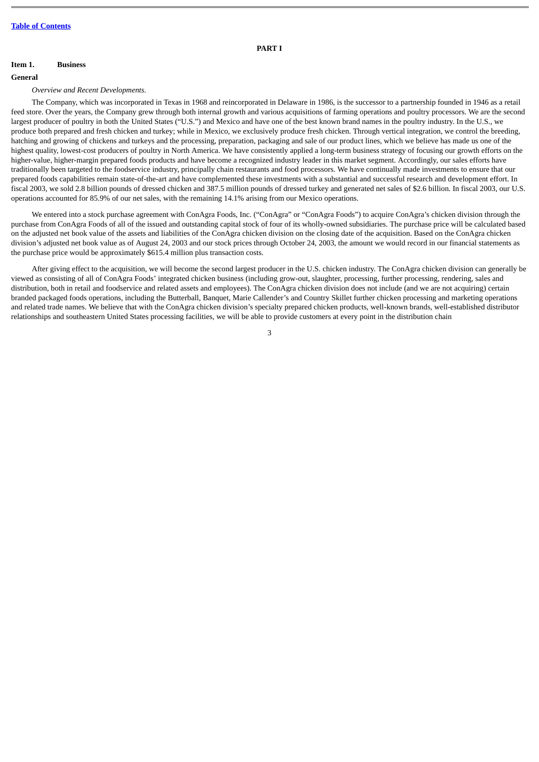#### **PART I**

# <span id="page-2-0"></span>**Item 1. Business**

#### **General**

*Overview and Recent Developments.*

The Company, which was incorporated in Texas in 1968 and reincorporated in Delaware in 1986, is the successor to a partnership founded in 1946 as a retail feed store. Over the years, the Company grew through both internal growth and various acquisitions of farming operations and poultry processors. We are the second largest producer of poultry in both the United States ("U.S.") and Mexico and have one of the best known brand names in the poultry industry. In the U.S., we produce both prepared and fresh chicken and turkey; while in Mexico, we exclusively produce fresh chicken. Through vertical integration, we control the breeding, hatching and growing of chickens and turkeys and the processing, preparation, packaging and sale of our product lines, which we believe has made us one of the highest quality, lowest-cost producers of poultry in North America. We have consistently applied a long-term business strategy of focusing our growth efforts on the higher-value, higher-margin prepared foods products and have become a recognized industry leader in this market segment. Accordingly, our sales efforts have traditionally been targeted to the foodservice industry, principally chain restaurants and food processors. We have continually made investments to ensure that our prepared foods capabilities remain state-of-the-art and have complemented these investments with a substantial and successful research and development effort. In fiscal 2003, we sold 2.8 billion pounds of dressed chicken and 387.5 million pounds of dressed turkey and generated net sales of \$2.6 billion. In fiscal 2003, our U.S. operations accounted for 85.9% of our net sales, with the remaining 14.1% arising from our Mexico operations.

We entered into a stock purchase agreement with ConAgra Foods, Inc. ("ConAgra" or "ConAgra Foods") to acquire ConAgra's chicken division through the purchase from ConAgra Foods of all of the issued and outstanding capital stock of four of its wholly-owned subsidiaries. The purchase price will be calculated based on the adjusted net book value of the assets and liabilities of the ConAgra chicken division on the closing date of the acquisition. Based on the ConAgra chicken division's adjusted net book value as of August 24, 2003 and our stock prices through October 24, 2003, the amount we would record in our financial statements as the purchase price would be approximately \$615.4 million plus transaction costs.

After giving effect to the acquisition, we will become the second largest producer in the U.S. chicken industry. The ConAgra chicken division can generally be viewed as consisting of all of ConAgra Foods' integrated chicken business (including grow-out, slaughter, processing, further processing, rendering, sales and distribution, both in retail and foodservice and related assets and employees). The ConAgra chicken division does not include (and we are not acquiring) certain branded packaged foods operations, including the Butterball, Banquet, Marie Callender's and Country Skillet further chicken processing and marketing operations and related trade names. We believe that with the ConAgra chicken division's specialty prepared chicken products, well-known brands, well-established distributor relationships and southeastern United States processing facilities, we will be able to provide customers at every point in the distribution chain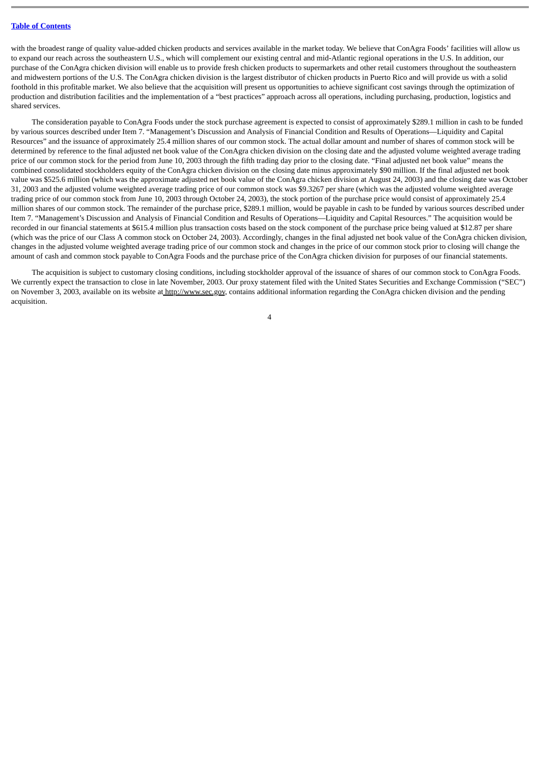with the broadest range of quality value-added chicken products and services available in the market today. We believe that ConAgra Foods' facilities will allow us to expand our reach across the southeastern U.S., which will complement our existing central and mid-Atlantic regional operations in the U.S. In addition, our purchase of the ConAgra chicken division will enable us to provide fresh chicken products to supermarkets and other retail customers throughout the southeastern and midwestern portions of the U.S. The ConAgra chicken division is the largest distributor of chicken products in Puerto Rico and will provide us with a solid foothold in this profitable market. We also believe that the acquisition will present us opportunities to achieve significant cost savings through the optimization of production and distribution facilities and the implementation of a "best practices" approach across all operations, including purchasing, production, logistics and shared services.

The consideration payable to ConAgra Foods under the stock purchase agreement is expected to consist of approximately \$289.1 million in cash to be funded by various sources described under Item 7. "Management's Discussion and Analysis of Financial Condition and Results of Operations—Liquidity and Capital Resources" and the issuance of approximately 25.4 million shares of our common stock. The actual dollar amount and number of shares of common stock will be determined by reference to the final adjusted net book value of the ConAgra chicken division on the closing date and the adjusted volume weighted average trading price of our common stock for the period from June 10, 2003 through the fifth trading day prior to the closing date. "Final adjusted net book value" means the combined consolidated stockholders equity of the ConAgra chicken division on the closing date minus approximately \$90 million. If the final adjusted net book value was \$525.6 million (which was the approximate adjusted net book value of the ConAgra chicken division at August 24, 2003) and the closing date was October 31, 2003 and the adjusted volume weighted average trading price of our common stock was \$9.3267 per share (which was the adjusted volume weighted average trading price of our common stock from June 10, 2003 through October 24, 2003), the stock portion of the purchase price would consist of approximately 25.4 million shares of our common stock. The remainder of the purchase price, \$289.1 million, would be payable in cash to be funded by various sources described under Item 7. "Management's Discussion and Analysis of Financial Condition and Results of Operations—Liquidity and Capital Resources." The acquisition would be recorded in our financial statements at \$615.4 million plus transaction costs based on the stock component of the purchase price being valued at \$12.87 per share (which was the price of our Class A common stock on October 24, 2003). Accordingly, changes in the final adjusted net book value of the ConAgra chicken division, changes in the adjusted volume weighted average trading price of our common stock and changes in the price of our common stock prior to closing will change the amount of cash and common stock payable to ConAgra Foods and the purchase price of the ConAgra chicken division for purposes of our financial statements.

The acquisition is subject to customary closing conditions, including stockholder approval of the issuance of shares of our common stock to ConAgra Foods. We currently expect the transaction to close in late November, 2003. Our proxy statement filed with the United States Securities and Exchange Commission ("SEC") on November 3, 2003, available on its website at http://www.sec.gov, contains additional information regarding the ConAgra chicken division and the pending acquisition.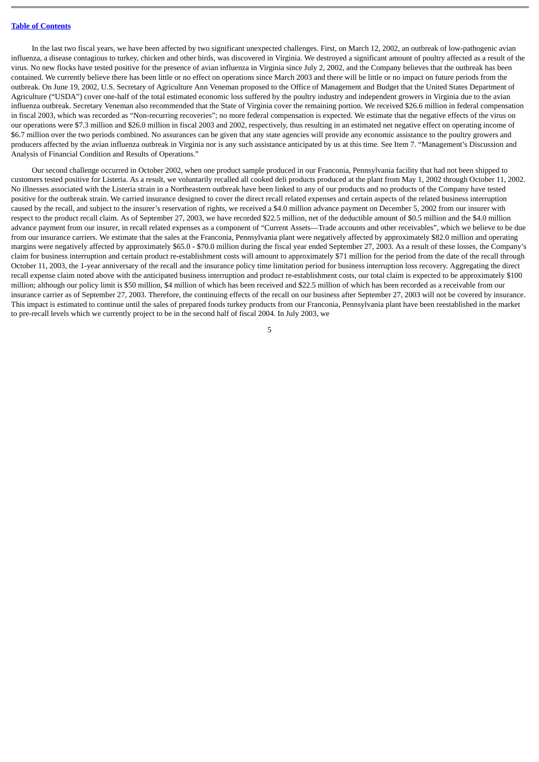In the last two fiscal years, we have been affected by two significant unexpected challenges. First, on March 12, 2002, an outbreak of low-pathogenic avian influenza, a disease contagious to turkey, chicken and other birds, was discovered in Virginia. We destroyed a significant amount of poultry affected as a result of the virus. No new flocks have tested positive for the presence of avian influenza in Virginia since July 2, 2002, and the Company believes that the outbreak has been contained. We currently believe there has been little or no effect on operations since March 2003 and there will be little or no impact on future periods from the outbreak. On June 19, 2002, U.S. Secretary of Agriculture Ann Veneman proposed to the Office of Management and Budget that the United States Department of Agriculture ("USDA") cover one-half of the total estimated economic loss suffered by the poultry industry and independent growers in Virginia due to the avian influenza outbreak. Secretary Veneman also recommended that the State of Virginia cover the remaining portion. We received \$26.6 million in federal compensation in fiscal 2003, which was recorded as "Non-recurring recoveries"; no more federal compensation is expected. We estimate that the negative effects of the virus on our operations were \$7.3 million and \$26.0 million in fiscal 2003 and 2002, respectively, thus resulting in an estimated net negative effect on operating income of \$6.7 million over the two periods combined. No assurances can be given that any state agencies will provide any economic assistance to the poultry growers and producers affected by the avian influenza outbreak in Virginia nor is any such assistance anticipated by us at this time. See Item 7. "Management's Discussion and Analysis of Financial Condition and Results of Operations."

Our second challenge occurred in October 2002, when one product sample produced in our Franconia, Pennsylvania facility that had not been shipped to customers tested positive for Listeria. As a result, we voluntarily recalled all cooked deli products produced at the plant from May 1, 2002 through October 11, 2002. No illnesses associated with the Listeria strain in a Northeastern outbreak have been linked to any of our products and no products of the Company have tested positive for the outbreak strain. We carried insurance designed to cover the direct recall related expenses and certain aspects of the related business interruption caused by the recall, and subject to the insurer's reservation of rights, we received a \$4.0 million advance payment on December 5, 2002 from our insurer with respect to the product recall claim. As of September 27, 2003, we have recorded \$22.5 million, net of the deductible amount of \$0.5 million and the \$4.0 million advance payment from our insurer, in recall related expenses as a component of "Current Assets—Trade accounts and other receivables", which we believe to be due from our insurance carriers. We estimate that the sales at the Franconia, Pennsylvania plant were negatively affected by approximately \$82.0 million and operating margins were negatively affected by approximately \$65.0 - \$70.0 million during the fiscal year ended September 27, 2003. As a result of these losses, the Company's claim for business interruption and certain product re-establishment costs will amount to approximately \$71 million for the period from the date of the recall through October 11, 2003, the 1-year anniversary of the recall and the insurance policy time limitation period for business interruption loss recovery. Aggregating the direct recall expense claim noted above with the anticipated business interruption and product re-establishment costs, our total claim is expected to be approximately \$100 million; although our policy limit is \$50 million, \$4 million of which has been received and \$22.5 million of which has been recorded as a receivable from our insurance carrier as of September 27, 2003. Therefore, the continuing effects of the recall on our business after September 27, 2003 will not be covered by insurance. This impact is estimated to continue until the sales of prepared foods turkey products from our Franconia, Pennsylvania plant have been reestablished in the market to pre-recall levels which we currently project to be in the second half of fiscal 2004. In July 2003, we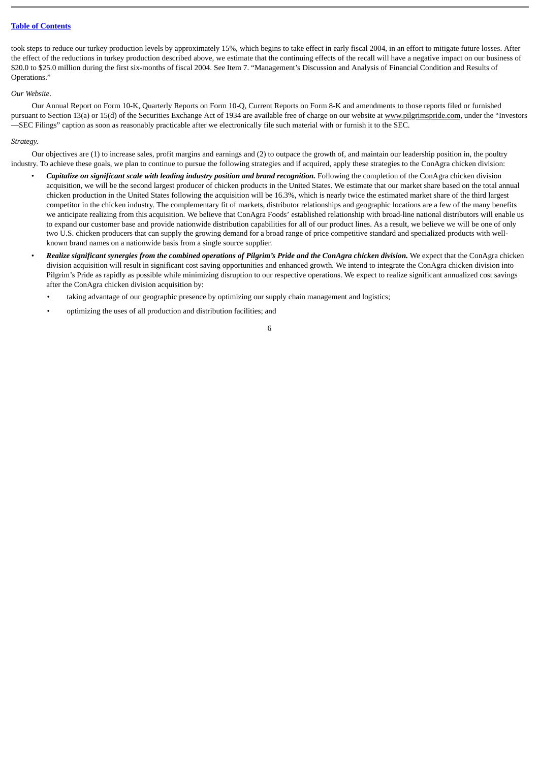took steps to reduce our turkey production levels by approximately 15%, which begins to take effect in early fiscal 2004, in an effort to mitigate future losses. After the effect of the reductions in turkey production described above, we estimate that the continuing effects of the recall will have a negative impact on our business of \$20.0 to \$25.0 million during the first six-months of fiscal 2004. See Item 7. "Management's Discussion and Analysis of Financial Condition and Results of Operations."

#### *Our Website.*

Our Annual Report on Form 10-K, Quarterly Reports on Form 10-Q, Current Reports on Form 8-K and amendments to those reports filed or furnished pursuant to Section 13(a) or 15(d) of the Securities Exchange Act of 1934 are available free of charge on our website at www.pilgrimspride.com, under the "Investors —SEC Filings" caption as soon as reasonably practicable after we electronically file such material with or furnish it to the SEC.

#### *Strategy.*

Our objectives are (1) to increase sales, profit margins and earnings and (2) to outpace the growth of, and maintain our leadership position in, the poultry industry. To achieve these goals, we plan to continue to pursue the following strategies and if acquired, apply these strategies to the ConAgra chicken division:

- *Capitalize on significant scale with leading industry position and brand recognition.* Following the completion of the ConAgra chicken division acquisition, we will be the second largest producer of chicken products in the United States. We estimate that our market share based on the total annual chicken production in the United States following the acquisition will be 16.3%, which is nearly twice the estimated market share of the third largest competitor in the chicken industry. The complementary fit of markets, distributor relationships and geographic locations are a few of the many benefits we anticipate realizing from this acquisition. We believe that ConAgra Foods' established relationship with broad-line national distributors will enable us to expand our customer base and provide nationwide distribution capabilities for all of our product lines. As a result, we believe we will be one of only two U.S. chicken producers that can supply the growing demand for a broad range of price competitive standard and specialized products with wellknown brand names on a nationwide basis from a single source supplier.
- *Realize significant synergies from the combined operations of Pilgrim's Pride and the ConAgra chicken division.* We expect that the ConAgra chicken division acquisition will result in significant cost saving opportunities and enhanced growth. We intend to integrate the ConAgra chicken division into Pilgrim's Pride as rapidly as possible while minimizing disruption to our respective operations. We expect to realize significant annualized cost savings after the ConAgra chicken division acquisition by:
	- taking advantage of our geographic presence by optimizing our supply chain management and logistics;
	- optimizing the uses of all production and distribution facilities; and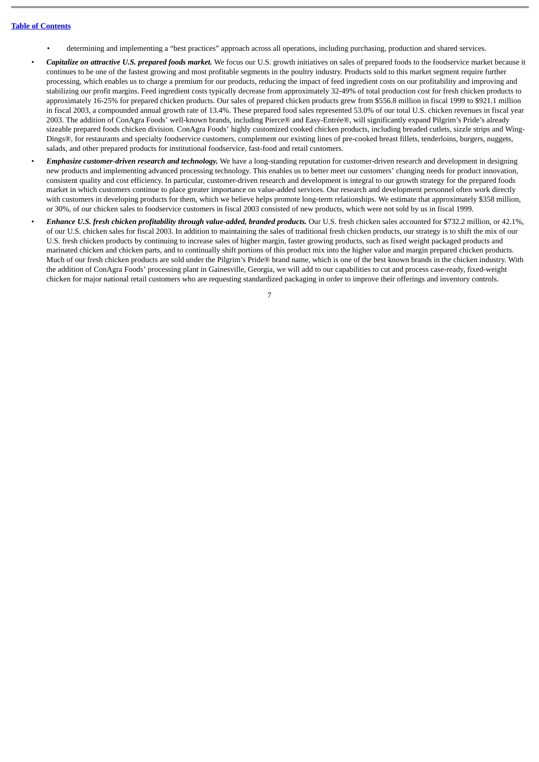- determining and implementing a "best practices" approach across all operations, including purchasing, production and shared services.
- *Capitalize on attractive U.S. prepared foods market.* We focus our U.S. growth initiatives on sales of prepared foods to the foodservice market because it continues to be one of the fastest growing and most profitable segments in the poultry industry. Products sold to this market segment require further processing, which enables us to charge a premium for our products, reducing the impact of feed ingredient costs on our profitability and improving and stabilizing our profit margins. Feed ingredient costs typically decrease from approximately 32-49% of total production cost for fresh chicken products to approximately 16-25% for prepared chicken products. Our sales of prepared chicken products grew from \$556.8 million in fiscal 1999 to \$921.1 million in fiscal 2003, a compounded annual growth rate of 13.4%. These prepared food sales represented 53.0% of our total U.S. chicken revenues in fiscal year 2003. The addition of ConAgra Foods' well-known brands, including Pierce® and Easy-Entrée®, will significantly expand Pilgrim's Pride's already sizeable prepared foods chicken division. ConAgra Foods' highly customized cooked chicken products, including breaded cutlets, sizzle strips and Wing-Dings®, for restaurants and specialty foodservice customers, complement our existing lines of pre-cooked breast fillets, tenderloins, burgers, nuggets, salads, and other prepared products for institutional foodservice, fast-food and retail customers.
- *Emphasize customer-driven research and technology.* We have a long-standing reputation for customer-driven research and development in designing new products and implementing advanced processing technology. This enables us to better meet our customers' changing needs for product innovation, consistent quality and cost efficiency. In particular, customer-driven research and development is integral to our growth strategy for the prepared foods market in which customers continue to place greater importance on value-added services. Our research and development personnel often work directly with customers in developing products for them, which we believe helps promote long-term relationships. We estimate that approximately \$358 million, or 30%, of our chicken sales to foodservice customers in fiscal 2003 consisted of new products, which were not sold by us in fiscal 1999.
- *Enhance U.S. fresh chicken profitability through value-added, branded products.* Our U.S. fresh chicken sales accounted for \$732.2 million, or 42.1%, of our U.S. chicken sales for fiscal 2003. In addition to maintaining the sales of traditional fresh chicken products, our strategy is to shift the mix of our U.S. fresh chicken products by continuing to increase sales of higher margin, faster growing products, such as fixed weight packaged products and marinated chicken and chicken parts, and to continually shift portions of this product mix into the higher value and margin prepared chicken products. Much of our fresh chicken products are sold under the Pilgrim's Pride® brand name, which is one of the best known brands in the chicken industry. With the addition of ConAgra Foods' processing plant in Gainesville, Georgia, we will add to our capabilities to cut and process case-ready, fixed-weight chicken for major national retail customers who are requesting standardized packaging in order to improve their offerings and inventory controls.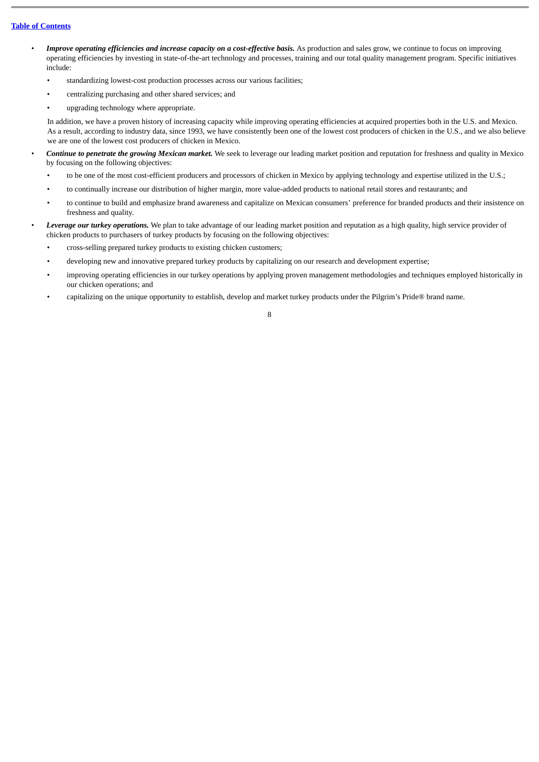- Improve operating efficiencies and increase capacity on a cost-effective basis. As production and sales grow, we continue to focus on improving operating efficiencies by investing in state-of-the-art technology and processes, training and our total quality management program. Specific initiatives include:
	- standardizing lowest-cost production processes across our various facilities;
	- centralizing purchasing and other shared services; and
	- upgrading technology where appropriate.

In addition, we have a proven history of increasing capacity while improving operating efficiencies at acquired properties both in the U.S. and Mexico. As a result, according to industry data, since 1993, we have consistently been one of the lowest cost producers of chicken in the U.S., and we also believe we are one of the lowest cost producers of chicken in Mexico.

- *Continue to penetrate the growing Mexican market.* We seek to leverage our leading market position and reputation for freshness and quality in Mexico by focusing on the following objectives:
	- to be one of the most cost-efficient producers and processors of chicken in Mexico by applying technology and expertise utilized in the U.S.;
	- to continually increase our distribution of higher margin, more value-added products to national retail stores and restaurants; and
	- to continue to build and emphasize brand awareness and capitalize on Mexican consumers' preference for branded products and their insistence on freshness and quality.
- *Leverage our turkey operations.* We plan to take advantage of our leading market position and reputation as a high quality, high service provider of chicken products to purchasers of turkey products by focusing on the following objectives:
	- cross-selling prepared turkey products to existing chicken customers;
	- developing new and innovative prepared turkey products by capitalizing on our research and development expertise;
	- improving operating efficiencies in our turkey operations by applying proven management methodologies and techniques employed historically in our chicken operations; and
	- capitalizing on the unique opportunity to establish, develop and market turkey products under the Pilgrim's Pride® brand name.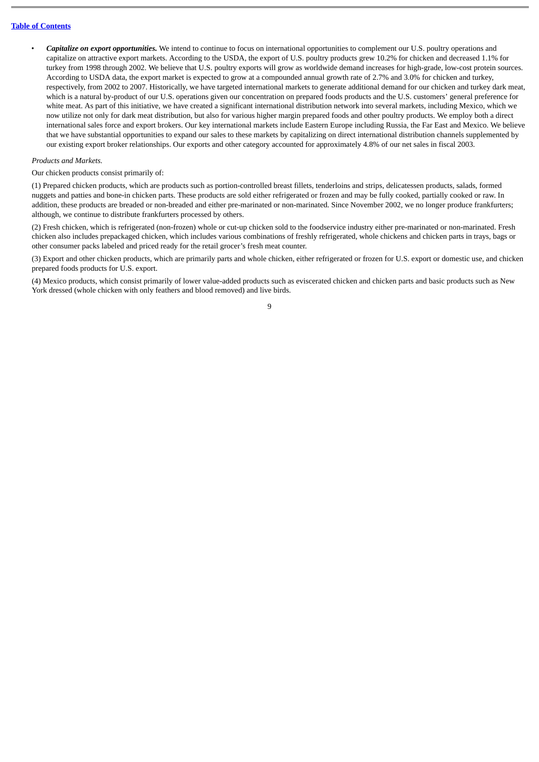• *Capitalize on export opportunities.* We intend to continue to focus on international opportunities to complement our U.S. poultry operations and capitalize on attractive export markets. According to the USDA, the export of U.S. poultry products grew 10.2% for chicken and decreased 1.1% for turkey from 1998 through 2002. We believe that U.S. poultry exports will grow as worldwide demand increases for high-grade, low-cost protein sources. According to USDA data, the export market is expected to grow at a compounded annual growth rate of 2.7% and 3.0% for chicken and turkey, respectively, from 2002 to 2007. Historically, we have targeted international markets to generate additional demand for our chicken and turkey dark meat, which is a natural by-product of our U.S. operations given our concentration on prepared foods products and the U.S. customers' general preference for white meat. As part of this initiative, we have created a significant international distribution network into several markets, including Mexico, which we now utilize not only for dark meat distribution, but also for various higher margin prepared foods and other poultry products. We employ both a direct international sales force and export brokers. Our key international markets include Eastern Europe including Russia, the Far East and Mexico. We believe that we have substantial opportunities to expand our sales to these markets by capitalizing on direct international distribution channels supplemented by our existing export broker relationships. Our exports and other category accounted for approximately 4.8% of our net sales in fiscal 2003.

#### *Products and Markets.*

Our chicken products consist primarily of:

(1) Prepared chicken products, which are products such as portion-controlled breast fillets, tenderloins and strips, delicatessen products, salads, formed nuggets and patties and bone-in chicken parts. These products are sold either refrigerated or frozen and may be fully cooked, partially cooked or raw. In addition, these products are breaded or non-breaded and either pre-marinated or non-marinated. Since November 2002, we no longer produce frankfurters; although, we continue to distribute frankfurters processed by others.

(2) Fresh chicken, which is refrigerated (non-frozen) whole or cut-up chicken sold to the foodservice industry either pre-marinated or non-marinated. Fresh chicken also includes prepackaged chicken, which includes various combinations of freshly refrigerated, whole chickens and chicken parts in trays, bags or other consumer packs labeled and priced ready for the retail grocer's fresh meat counter.

(3) Export and other chicken products, which are primarily parts and whole chicken, either refrigerated or frozen for U.S. export or domestic use, and chicken prepared foods products for U.S. export.

(4) Mexico products, which consist primarily of lower value-added products such as eviscerated chicken and chicken parts and basic products such as New York dressed (whole chicken with only feathers and blood removed) and live birds.

 $\overline{Q}$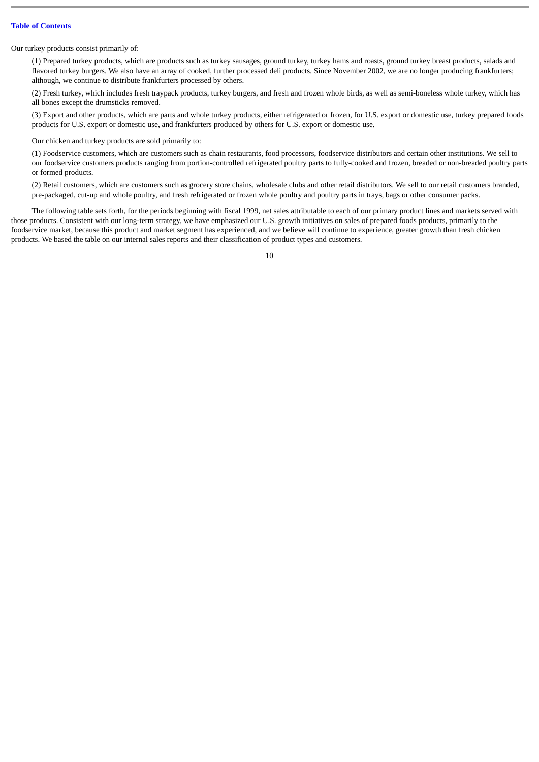Our turkey products consist primarily of:

(1) Prepared turkey products, which are products such as turkey sausages, ground turkey, turkey hams and roasts, ground turkey breast products, salads and flavored turkey burgers. We also have an array of cooked, further processed deli products. Since November 2002, we are no longer producing frankfurters; although, we continue to distribute frankfurters processed by others.

(2) Fresh turkey, which includes fresh traypack products, turkey burgers, and fresh and frozen whole birds, as well as semi-boneless whole turkey, which has all bones except the drumsticks removed.

(3) Export and other products, which are parts and whole turkey products, either refrigerated or frozen, for U.S. export or domestic use, turkey prepared foods products for U.S. export or domestic use, and frankfurters produced by others for U.S. export or domestic use.

Our chicken and turkey products are sold primarily to:

(1) Foodservice customers, which are customers such as chain restaurants, food processors, foodservice distributors and certain other institutions. We sell to our foodservice customers products ranging from portion-controlled refrigerated poultry parts to fully-cooked and frozen, breaded or non-breaded poultry parts or formed products.

(2) Retail customers, which are customers such as grocery store chains, wholesale clubs and other retail distributors. We sell to our retail customers branded, pre-packaged, cut-up and whole poultry, and fresh refrigerated or frozen whole poultry and poultry parts in trays, bags or other consumer packs.

The following table sets forth, for the periods beginning with fiscal 1999, net sales attributable to each of our primary product lines and markets served with those products. Consistent with our long-term strategy, we have emphasized our U.S. growth initiatives on sales of prepared foods products, primarily to the foodservice market, because this product and market segment has experienced, and we believe will continue to experience, greater growth than fresh chicken products. We based the table on our internal sales reports and their classification of product types and customers.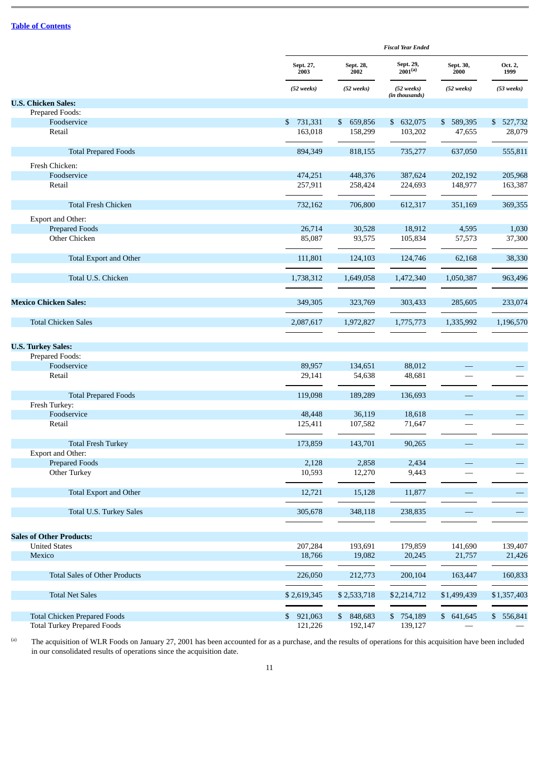|                                                                           |                          | <b>Fiscal Year Ended</b>           |                              |                     |                      |  |  |  |  |
|---------------------------------------------------------------------------|--------------------------|------------------------------------|------------------------------|---------------------|----------------------|--|--|--|--|
|                                                                           | Sept. 27,<br>2003        | Sept. 28,<br>2002                  | Sept. 29,<br>$2001^{(a)}$    | Sept. 30,<br>2000   | Oct. 2,<br>1999      |  |  |  |  |
|                                                                           | (52 weeks)               | (52 weeks)                         | (52 weeks)<br>(in thousands) | (52 weeks)          | $(53$ weeks)         |  |  |  |  |
| <b>U.S. Chicken Sales:</b>                                                |                          |                                    |                              |                     |                      |  |  |  |  |
| Prepared Foods:                                                           |                          |                                    |                              |                     |                      |  |  |  |  |
| Foodservice<br>Retail                                                     | 731,331<br>\$<br>163,018 | $\mathbb{S}$<br>659,856<br>158,299 | \$ 632,075<br>103,202        | \$589,395<br>47,655 | \$ 527,732<br>28,079 |  |  |  |  |
|                                                                           |                          |                                    |                              |                     |                      |  |  |  |  |
| <b>Total Prepared Foods</b>                                               | 894,349                  | 818,155                            | 735,277                      | 637,050             | 555,811              |  |  |  |  |
| Fresh Chicken:                                                            |                          |                                    |                              |                     |                      |  |  |  |  |
| Foodservice                                                               | 474,251                  | 448,376                            | 387,624                      | 202,192             | 205,968              |  |  |  |  |
| Retail                                                                    | 257,911                  | 258,424                            | 224,693                      | 148,977             | 163,387              |  |  |  |  |
| <b>Total Fresh Chicken</b>                                                | 732,162                  | 706,800                            | 612,317                      | 351,169             | 369,355              |  |  |  |  |
| Export and Other:                                                         |                          |                                    |                              |                     |                      |  |  |  |  |
| <b>Prepared Foods</b>                                                     | 26,714                   | 30,528                             | 18,912                       | 4,595               | 1,030                |  |  |  |  |
| Other Chicken                                                             | 85,087                   | 93,575                             | 105,834                      | 57,573              | 37,300               |  |  |  |  |
|                                                                           |                          |                                    |                              |                     |                      |  |  |  |  |
| <b>Total Export and Other</b>                                             | 111,801                  | 124,103                            | 124,746                      | 62,168              | 38,330               |  |  |  |  |
| Total U.S. Chicken                                                        | 1,738,312                | 1,649,058                          | 1,472,340                    | 1,050,387           | 963,496              |  |  |  |  |
| <b>Mexico Chicken Sales:</b>                                              | 349,305                  | 323,769                            | 303,433                      | 285,605             | 233,074              |  |  |  |  |
| <b>Total Chicken Sales</b>                                                | 2,087,617                | 1,972,827                          | 1,775,773                    | 1,335,992           | 1,196,570            |  |  |  |  |
|                                                                           |                          |                                    |                              |                     |                      |  |  |  |  |
| <b>U.S. Turkey Sales:</b>                                                 |                          |                                    |                              |                     |                      |  |  |  |  |
| Prepared Foods:                                                           |                          |                                    |                              |                     |                      |  |  |  |  |
| Foodservice                                                               | 89,957                   | 134,651                            | 88,012                       |                     |                      |  |  |  |  |
| Retail                                                                    | 29,141                   | 54,638                             | 48,681                       |                     |                      |  |  |  |  |
| <b>Total Prepared Foods</b>                                               | 119,098                  | 189,289                            | 136,693                      |                     |                      |  |  |  |  |
| Fresh Turkey:                                                             |                          |                                    |                              |                     |                      |  |  |  |  |
| Foodservice                                                               | 48,448                   | 36,119                             | 18,618                       |                     |                      |  |  |  |  |
| Retail                                                                    | 125,411                  | 107,582                            | 71,647                       |                     |                      |  |  |  |  |
| <b>Total Fresh Turkey</b>                                                 | 173,859                  | 143,701                            | 90,265                       |                     |                      |  |  |  |  |
| Export and Other:                                                         |                          |                                    |                              |                     |                      |  |  |  |  |
| <b>Prepared Foods</b>                                                     | 2,128                    | 2,858                              | 2,434                        |                     |                      |  |  |  |  |
| Other Turkey                                                              | 10,593                   | 12,270                             | 9,443                        |                     |                      |  |  |  |  |
| <b>Total Export and Other</b>                                             | 12,721                   | 15,128                             | 11,877                       |                     | —                    |  |  |  |  |
| Total U.S. Turkey Sales                                                   | 305,678                  | 348,118                            | 238,835                      |                     | $\qquad \qquad -$    |  |  |  |  |
|                                                                           |                          |                                    |                              |                     |                      |  |  |  |  |
| <b>Sales of Other Products:</b>                                           |                          |                                    |                              |                     |                      |  |  |  |  |
| <b>United States</b>                                                      | 207,284                  | 193,691                            | 179,859                      | 141,690             | 139,407              |  |  |  |  |
| Mexico                                                                    | 18,766                   | 19,082                             | 20,245                       | 21,757              | 21,426               |  |  |  |  |
| <b>Total Sales of Other Products</b>                                      | 226,050                  | 212,773                            | 200,104                      | 163,447             | 160,833              |  |  |  |  |
| <b>Total Net Sales</b>                                                    | \$2,619,345              | \$2,533,718                        | \$2,214,712                  | \$1,499,439         | \$1,357,403          |  |  |  |  |
|                                                                           |                          |                                    |                              |                     |                      |  |  |  |  |
| <b>Total Chicken Prepared Foods</b><br><b>Total Turkey Prepared Foods</b> | \$921,063<br>121,226     | \$ 848,683<br>192,147              | \$754,189<br>139,127         | \$641,645           | \$556,841            |  |  |  |  |
|                                                                           |                          |                                    |                              |                     |                      |  |  |  |  |

(a) The acquisition of WLR Foods on January 27, 2001 has been accounted for as a purchase, and the results of operations for this acquisition have been included in our consolidated results of operations since the acquisition date.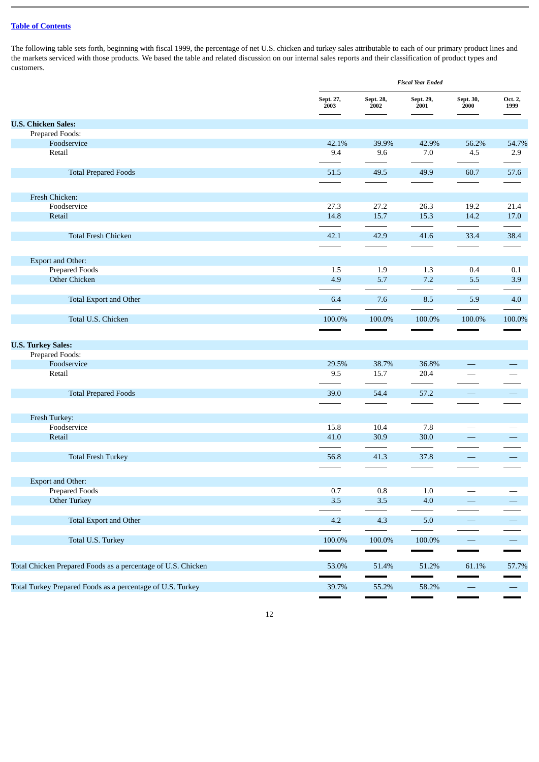The following table sets forth, beginning with fiscal 1999, the percentage of net U.S. chicken and turkey sales attributable to each of our primary product lines and the markets serviced with those products. We based the table and related discussion on our internal sales reports and their classification of product types and customers.

|                                                              |                   | <b>Fiscal Year Ended</b> |                   |                          |                          |  |  |  |  |
|--------------------------------------------------------------|-------------------|--------------------------|-------------------|--------------------------|--------------------------|--|--|--|--|
|                                                              | Sept. 27,<br>2003 | Sept. 28,<br>2002        | Sept. 29,<br>2001 | Sept. 30,<br>2000        | Oct. 2,<br>1999          |  |  |  |  |
| <b>U.S. Chicken Sales:</b>                                   |                   |                          |                   |                          |                          |  |  |  |  |
| Prepared Foods:                                              |                   |                          |                   |                          |                          |  |  |  |  |
| Foodservice                                                  | 42.1%             | 39.9%                    | 42.9%             | 56.2%                    | 54.7%                    |  |  |  |  |
| Retail                                                       | 9.4               | 9.6                      | 7.0               | 4.5                      | 2.9                      |  |  |  |  |
| <b>Total Prepared Foods</b>                                  | 51.5              | 49.5                     | 49.9              | 60.7                     | 57.6                     |  |  |  |  |
| Fresh Chicken:                                               |                   |                          |                   |                          |                          |  |  |  |  |
| Foodservice                                                  | 27.3              | 27.2                     | 26.3              | 19.2                     | 21.4                     |  |  |  |  |
| Retail                                                       | 14.8              | 15.7                     | 15.3              | 14.2                     | 17.0                     |  |  |  |  |
| <b>Total Fresh Chicken</b>                                   | 42.1              | 42.9                     | 41.6              | 33.4                     | 38.4                     |  |  |  |  |
| Export and Other:                                            |                   |                          |                   |                          |                          |  |  |  |  |
| <b>Prepared Foods</b>                                        | 1.5               | 1.9                      | 1.3               | 0.4                      | 0.1                      |  |  |  |  |
| <b>Other Chicken</b>                                         | 4.9               | 5.7                      | 7.2               | 5.5                      | 3.9                      |  |  |  |  |
| <b>Total Export and Other</b>                                | 6.4               | 7.6                      | 8.5               | 5.9                      | 4.0                      |  |  |  |  |
| Total U.S. Chicken                                           | 100.0%            | 100.0%                   | 100.0%            | 100.0%                   | 100.0%                   |  |  |  |  |
| <b>U.S. Turkey Sales:</b>                                    |                   |                          |                   |                          |                          |  |  |  |  |
| Prepared Foods:                                              |                   |                          |                   |                          |                          |  |  |  |  |
| Foodservice                                                  | 29.5%             | 38.7%                    | 36.8%             |                          |                          |  |  |  |  |
| Retail                                                       | 9.5               | 15.7                     | 20.4              |                          |                          |  |  |  |  |
| <b>Total Prepared Foods</b>                                  | 39.0              | 54.4                     | 57.2              | $\hspace{0.05cm}$        |                          |  |  |  |  |
| Fresh Turkey:                                                |                   |                          |                   |                          |                          |  |  |  |  |
| Foodservice                                                  | 15.8              | 10.4                     | 7.8               | $\overline{\phantom{0}}$ |                          |  |  |  |  |
| Retail                                                       | 41.0              | 30.9                     | 30.0              | $\qquad \qquad -$        |                          |  |  |  |  |
| <b>Total Fresh Turkey</b>                                    | 56.8              | 41.3                     | 37.8              | $\overline{\phantom{m}}$ |                          |  |  |  |  |
|                                                              |                   |                          |                   |                          |                          |  |  |  |  |
| Export and Other:                                            |                   |                          |                   |                          |                          |  |  |  |  |
| <b>Prepared Foods</b>                                        | $0.7\,$           | $\rm 0.8$                | $1.0\,$           |                          |                          |  |  |  |  |
| Other Turkey                                                 | 3.5               | $3.5\,$                  | 4.0               |                          |                          |  |  |  |  |
| Total Export and Other                                       | $4.2\,$           | 4.3                      | $5.0\,$           | $\overline{\phantom{0}}$ |                          |  |  |  |  |
| Total U.S. Turkey                                            | 100.0%            | 100.0%                   | $100.0\%$         | $\overline{\phantom{m}}$ | $\overline{\phantom{0}}$ |  |  |  |  |
| Total Chicken Prepared Foods as a percentage of U.S. Chicken | 53.0%             | 51.4%                    | 51.2%             | 61.1%                    | 57.7%                    |  |  |  |  |
|                                                              |                   |                          |                   |                          |                          |  |  |  |  |
| Total Turkey Prepared Foods as a percentage of U.S. Turkey   | 39.7%             | 55.2%                    | 58.2%             |                          |                          |  |  |  |  |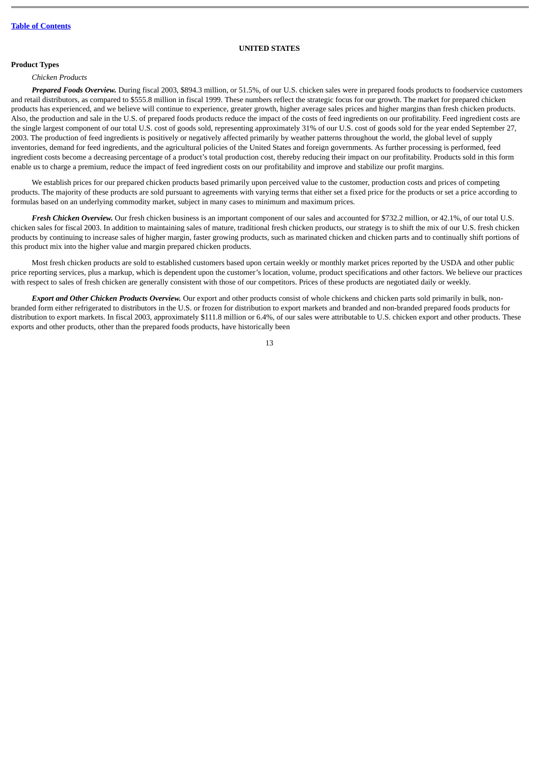## **UNITED STATES**

# **Product Types**

#### *Chicken Products*

*Prepared Foods Overview.* During fiscal 2003, \$894.3 million, or 51.5%, of our U.S. chicken sales were in prepared foods products to foodservice customers and retail distributors, as compared to \$555.8 million in fiscal 1999. These numbers reflect the strategic focus for our growth. The market for prepared chicken products has experienced, and we believe will continue to experience, greater growth, higher average sales prices and higher margins than fresh chicken products. Also, the production and sale in the U.S. of prepared foods products reduce the impact of the costs of feed ingredients on our profitability. Feed ingredient costs are the single largest component of our total U.S. cost of goods sold, representing approximately 31% of our U.S. cost of goods sold for the year ended September 27, 2003. The production of feed ingredients is positively or negatively affected primarily by weather patterns throughout the world, the global level of supply inventories, demand for feed ingredients, and the agricultural policies of the United States and foreign governments. As further processing is performed, feed ingredient costs become a decreasing percentage of a product's total production cost, thereby reducing their impact on our profitability. Products sold in this form enable us to charge a premium, reduce the impact of feed ingredient costs on our profitability and improve and stabilize our profit margins.

We establish prices for our prepared chicken products based primarily upon perceived value to the customer, production costs and prices of competing products. The majority of these products are sold pursuant to agreements with varying terms that either set a fixed price for the products or set a price according to formulas based on an underlying commodity market, subject in many cases to minimum and maximum prices.

*Fresh Chicken Overview.* Our fresh chicken business is an important component of our sales and accounted for \$732.2 million, or 42.1%, of our total U.S. chicken sales for fiscal 2003. In addition to maintaining sales of mature, traditional fresh chicken products, our strategy is to shift the mix of our U.S. fresh chicken products by continuing to increase sales of higher margin, faster growing products, such as marinated chicken and chicken parts and to continually shift portions of this product mix into the higher value and margin prepared chicken products.

Most fresh chicken products are sold to established customers based upon certain weekly or monthly market prices reported by the USDA and other public price reporting services, plus a markup, which is dependent upon the customer's location, volume, product specifications and other factors. We believe our practices with respect to sales of fresh chicken are generally consistent with those of our competitors. Prices of these products are negotiated daily or weekly.

*Export and Other Chicken Products Overview.* Our export and other products consist of whole chickens and chicken parts sold primarily in bulk, nonbranded form either refrigerated to distributors in the U.S. or frozen for distribution to export markets and branded and non-branded prepared foods products for distribution to export markets. In fiscal 2003, approximately \$111.8 million or 6.4%, of our sales were attributable to U.S. chicken export and other products. These exports and other products, other than the prepared foods products, have historically been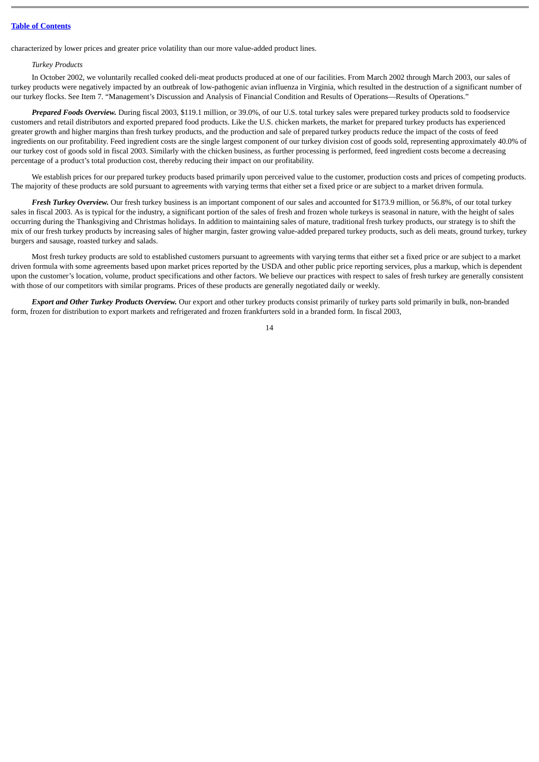characterized by lower prices and greater price volatility than our more value-added product lines.

# *Turkey Products*

In October 2002, we voluntarily recalled cooked deli-meat products produced at one of our facilities. From March 2002 through March 2003, our sales of turkey products were negatively impacted by an outbreak of low-pathogenic avian influenza in Virginia, which resulted in the destruction of a significant number of our turkey flocks. See Item 7. "Management's Discussion and Analysis of Financial Condition and Results of Operations—Results of Operations."

*Prepared Foods Overview.* During fiscal 2003, \$119.1 million, or 39.0%, of our U.S. total turkey sales were prepared turkey products sold to foodservice customers and retail distributors and exported prepared food products. Like the U.S. chicken markets, the market for prepared turkey products has experienced greater growth and higher margins than fresh turkey products, and the production and sale of prepared turkey products reduce the impact of the costs of feed ingredients on our profitability. Feed ingredient costs are the single largest component of our turkey division cost of goods sold, representing approximately 40.0% of our turkey cost of goods sold in fiscal 2003. Similarly with the chicken business, as further processing is performed, feed ingredient costs become a decreasing percentage of a product's total production cost, thereby reducing their impact on our profitability.

We establish prices for our prepared turkey products based primarily upon perceived value to the customer, production costs and prices of competing products. The majority of these products are sold pursuant to agreements with varying terms that either set a fixed price or are subject to a market driven formula.

*Fresh Turkey Overview.* Our fresh turkey business is an important component of our sales and accounted for \$173.9 million, or 56.8%, of our total turkey sales in fiscal 2003. As is typical for the industry, a significant portion of the sales of fresh and frozen whole turkeys is seasonal in nature, with the height of sales occurring during the Thanksgiving and Christmas holidays. In addition to maintaining sales of mature, traditional fresh turkey products, our strategy is to shift the mix of our fresh turkey products by increasing sales of higher margin, faster growing value-added prepared turkey products, such as deli meats, ground turkey, turkey burgers and sausage, roasted turkey and salads.

Most fresh turkey products are sold to established customers pursuant to agreements with varying terms that either set a fixed price or are subject to a market driven formula with some agreements based upon market prices reported by the USDA and other public price reporting services, plus a markup, which is dependent upon the customer's location, volume, product specifications and other factors. We believe our practices with respect to sales of fresh turkey are generally consistent with those of our competitors with similar programs. Prices of these products are generally negotiated daily or weekly.

*Export and Other Turkey Products Overview.* Our export and other turkey products consist primarily of turkey parts sold primarily in bulk, non-branded form, frozen for distribution to export markets and refrigerated and frozen frankfurters sold in a branded form. In fiscal 2003,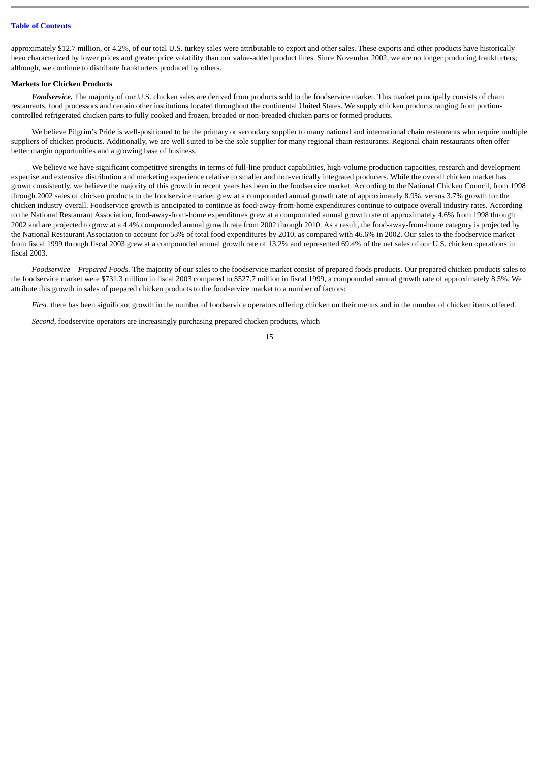approximately \$12.7 million, or 4.2%, of our total U.S. turkey sales were attributable to export and other sales. These exports and other products have historically been characterized by lower prices and greater price volatility than our value-added product lines. Since November 2002, we are no longer producing frankfurters; although, we continue to distribute frankfurters produced by others.

### **Markets for Chicken Products**

*Foodservice.* The majority of our U.S. chicken sales are derived from products sold to the foodservice market. This market principally consists of chain restaurants, food processors and certain other institutions located throughout the continental United States. We supply chicken products ranging from portioncontrolled refrigerated chicken parts to fully cooked and frozen, breaded or non-breaded chicken parts or formed products.

We believe Pilgrim's Pride is well-positioned to be the primary or secondary supplier to many national and international chain restaurants who require multiple suppliers of chicken products. Additionally, we are well suited to be the sole supplier for many regional chain restaurants. Regional chain restaurants often offer better margin opportunities and a growing base of business.

We believe we have significant competitive strengths in terms of full-line product capabilities, high-volume production capacities, research and development expertise and extensive distribution and marketing experience relative to smaller and non-vertically integrated producers. While the overall chicken market has grown consistently, we believe the majority of this growth in recent years has been in the foodservice market. According to the National Chicken Council, from 1998 through 2002 sales of chicken products to the foodservice market grew at a compounded annual growth rate of approximately 8.9%, versus 3.7% growth for the chicken industry overall. Foodservice growth is anticipated to continue as food-away-from-home expenditures continue to outpace overall industry rates. According to the National Restaurant Association, food-away-from-home expenditures grew at a compounded annual growth rate of approximately 4.6% from 1998 through 2002 and are projected to grow at a 4.4% compounded annual growth rate from 2002 through 2010. As a result, the food-away-from-home category is projected by the National Restaurant Association to account for 53% of total food expenditures by 2010, as compared with 46.6% in 2002. Our sales to the foodservice market from fiscal 1999 through fiscal 2003 grew at a compounded annual growth rate of 13.2% and represented 69.4% of the net sales of our U.S. chicken operations in fiscal 2003.

*Foodservice – Prepared Foods.* The majority of our sales to the foodservice market consist of prepared foods products. Our prepared chicken products sales to the foodservice market were \$731.3 million in fiscal 2003 compared to \$527.7 million in fiscal 1999, a compounded annual growth rate of approximately 8.5%. We attribute this growth in sales of prepared chicken products to the foodservice market to a number of factors:

*First,* there has been significant growth in the number of foodservice operators offering chicken on their menus and in the number of chicken items offered.

15

*Second,* foodservice operators are increasingly purchasing prepared chicken products, which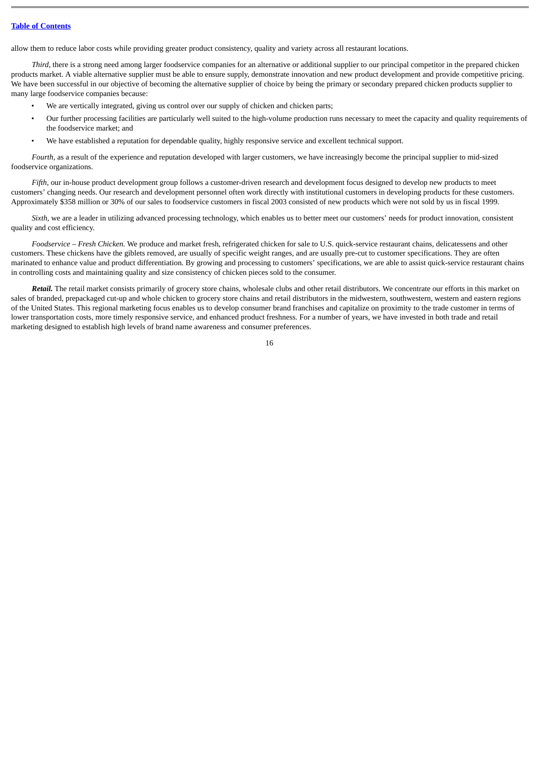allow them to reduce labor costs while providing greater product consistency, quality and variety across all restaurant locations.

*Third,* there is a strong need among larger foodservice companies for an alternative or additional supplier to our principal competitor in the prepared chicken products market. A viable alternative supplier must be able to ensure supply, demonstrate innovation and new product development and provide competitive pricing. We have been successful in our objective of becoming the alternative supplier of choice by being the primary or secondary prepared chicken products supplier to many large foodservice companies because:

- We are vertically integrated, giving us control over our supply of chicken and chicken parts;
- Our further processing facilities are particularly well suited to the high-volume production runs necessary to meet the capacity and quality requirements of the foodservice market; and
- We have established a reputation for dependable quality, highly responsive service and excellent technical support.

*Fourth,* as a result of the experience and reputation developed with larger customers, we have increasingly become the principal supplier to mid-sized foodservice organizations.

*Fifth,* our in-house product development group follows a customer-driven research and development focus designed to develop new products to meet customers' changing needs. Our research and development personnel often work directly with institutional customers in developing products for these customers. Approximately \$358 million or 30% of our sales to foodservice customers in fiscal 2003 consisted of new products which were not sold by us in fiscal 1999.

*Sixth*, we are a leader in utilizing advanced processing technology, which enables us to better meet our customers' needs for product innovation, consistent quality and cost efficiency.

*Foodservice – Fresh Chicken.* We produce and market fresh, refrigerated chicken for sale to U.S. quick-service restaurant chains, delicatessens and other customers. These chickens have the giblets removed, are usually of specific weight ranges, and are usually pre-cut to customer specifications. They are often marinated to enhance value and product differentiation. By growing and processing to customers' specifications, we are able to assist quick-service restaurant chains in controlling costs and maintaining quality and size consistency of chicken pieces sold to the consumer.

*Retail.* The retail market consists primarily of grocery store chains, wholesale clubs and other retail distributors. We concentrate our efforts in this market on sales of branded, prepackaged cut-up and whole chicken to grocery store chains and retail distributors in the midwestern, southwestern, western and eastern regions of the United States. This regional marketing focus enables us to develop consumer brand franchises and capitalize on proximity to the trade customer in terms of lower transportation costs, more timely responsive service, and enhanced product freshness. For a number of years, we have invested in both trade and retail marketing designed to establish high levels of brand name awareness and consumer preferences.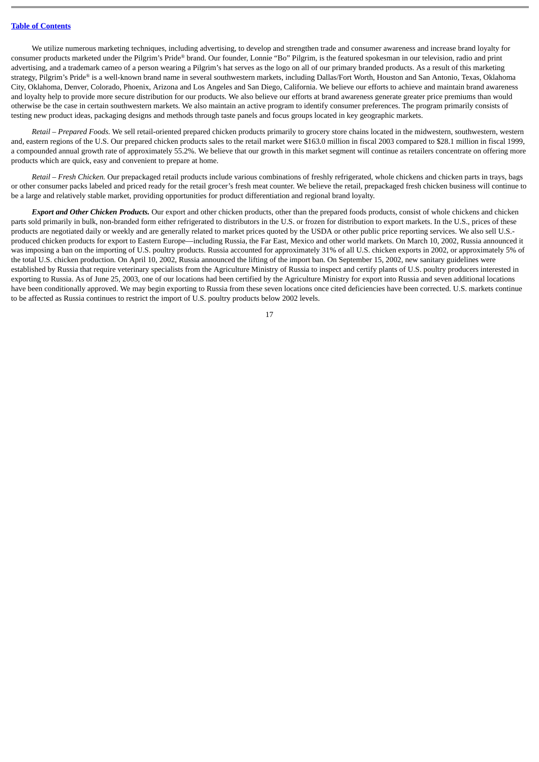We utilize numerous marketing techniques, including advertising, to develop and strengthen trade and consumer awareness and increase brand loyalty for consumer products marketed under the Pilgrim's Pride® brand. Our founder, Lonnie "Bo" Pilgrim, is the featured spokesman in our television, radio and print advertising, and a trademark cameo of a person wearing a Pilgrim's hat serves as the logo on all of our primary branded products. As a result of this marketing strategy, Pilgrim's Pride® is a well-known brand name in several southwestern markets, including Dallas/Fort Worth, Houston and San Antonio, Texas, Oklahoma City, Oklahoma, Denver, Colorado, Phoenix, Arizona and Los Angeles and San Diego, California. We believe our efforts to achieve and maintain brand awareness and loyalty help to provide more secure distribution for our products. We also believe our efforts at brand awareness generate greater price premiums than would otherwise be the case in certain southwestern markets. We also maintain an active program to identify consumer preferences. The program primarily consists of testing new product ideas, packaging designs and methods through taste panels and focus groups located in key geographic markets.

*Retail – Prepared Foods.* We sell retail-oriented prepared chicken products primarily to grocery store chains located in the midwestern, southwestern, western and, eastern regions of the U.S. Our prepared chicken products sales to the retail market were \$163.0 million in fiscal 2003 compared to \$28.1 million in fiscal 1999, a compounded annual growth rate of approximately 55.2%. We believe that our growth in this market segment will continue as retailers concentrate on offering more products which are quick, easy and convenient to prepare at home.

*Retail – Fresh Chicken.* Our prepackaged retail products include various combinations of freshly refrigerated, whole chickens and chicken parts in trays, bags or other consumer packs labeled and priced ready for the retail grocer's fresh meat counter. We believe the retail, prepackaged fresh chicken business will continue to be a large and relatively stable market, providing opportunities for product differentiation and regional brand loyalty.

*Export and Other Chicken Products.* Our export and other chicken products, other than the prepared foods products, consist of whole chickens and chicken parts sold primarily in bulk, non-branded form either refrigerated to distributors in the U.S. or frozen for distribution to export markets. In the U.S., prices of these products are negotiated daily or weekly and are generally related to market prices quoted by the USDA or other public price reporting services. We also sell U.S. produced chicken products for export to Eastern Europe—including Russia, the Far East, Mexico and other world markets. On March 10, 2002, Russia announced it was imposing a ban on the importing of U.S. poultry products. Russia accounted for approximately 31% of all U.S. chicken exports in 2002, or approximately 5% of the total U.S. chicken production. On April 10, 2002, Russia announced the lifting of the import ban. On September 15, 2002, new sanitary guidelines were established by Russia that require veterinary specialists from the Agriculture Ministry of Russia to inspect and certify plants of U.S. poultry producers interested in exporting to Russia. As of June 25, 2003, one of our locations had been certified by the Agriculture Ministry for export into Russia and seven additional locations have been conditionally approved. We may begin exporting to Russia from these seven locations once cited deficiencies have been corrected. U.S. markets continue to be affected as Russia continues to restrict the import of U.S. poultry products below 2002 levels.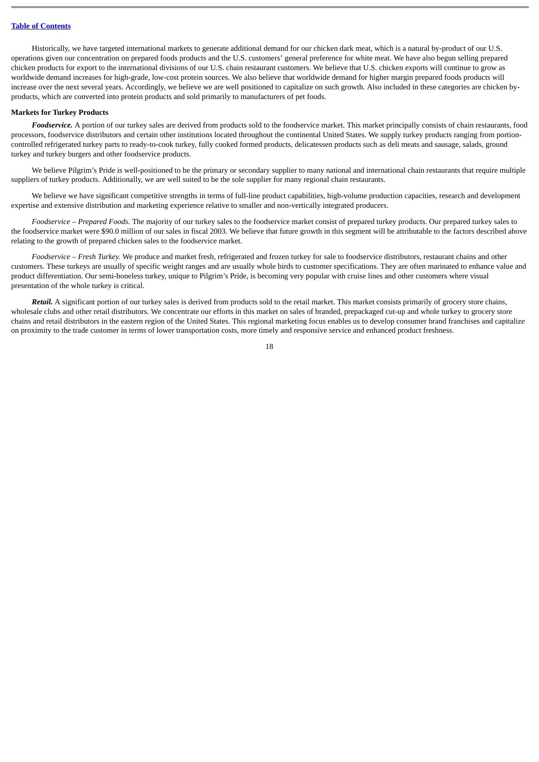Historically, we have targeted international markets to generate additional demand for our chicken dark meat, which is a natural by-product of our U.S. operations given our concentration on prepared foods products and the U.S. customers' general preference for white meat. We have also begun selling prepared chicken products for export to the international divisions of our U.S. chain restaurant customers. We believe that U.S. chicken exports will continue to grow as worldwide demand increases for high-grade, low-cost protein sources. We also believe that worldwide demand for higher margin prepared foods products will increase over the next several years. Accordingly, we believe we are well positioned to capitalize on such growth. Also included in these categories are chicken byproducts, which are converted into protein products and sold primarily to manufacturers of pet foods.

#### **Markets for Turkey Products**

*Foodservice.* A portion of our turkey sales are derived from products sold to the foodservice market. This market principally consists of chain restaurants, food processors, foodservice distributors and certain other institutions located throughout the continental United States. We supply turkey products ranging from portioncontrolled refrigerated turkey parts to ready-to-cook turkey, fully cooked formed products, delicatessen products such as deli meats and sausage, salads, ground turkey and turkey burgers and other foodservice products.

We believe Pilgrim's Pride is well-positioned to be the primary or secondary supplier to many national and international chain restaurants that require multiple suppliers of turkey products. Additionally, we are well suited to be the sole supplier for many regional chain restaurants.

We believe we have significant competitive strengths in terms of full-line product capabilities, high-volume production capacities, research and development expertise and extensive distribution and marketing experience relative to smaller and non-vertically integrated producers.

*Foodservice – Prepared Foods.* The majority of our turkey sales to the foodservice market consist of prepared turkey products. Our prepared turkey sales to the foodservice market were \$90.0 million of our sales in fiscal 2003. We believe that future growth in this segment will be attributable to the factors described above relating to the growth of prepared chicken sales to the foodservice market.

*Foodservice – Fresh Turkey.* We produce and market fresh, refrigerated and frozen turkey for sale to foodservice distributors, restaurant chains and other customers. These turkeys are usually of specific weight ranges and are usually whole birds to customer specifications. They are often marinated to enhance value and product differentiation. Our semi-boneless turkey, unique to Pilgrim's Pride, is becoming very popular with cruise lines and other customers where visual presentation of the whole turkey is critical.

*Retail.* A significant portion of our turkey sales is derived from products sold to the retail market. This market consists primarily of grocery store chains, wholesale clubs and other retail distributors. We concentrate our efforts in this market on sales of branded, prepackaged cut-up and whole turkey to grocery store chains and retail distributors in the eastern region of the United States. This regional marketing focus enables us to develop consumer brand franchises and capitalize on proximity to the trade customer in terms of lower transportation costs, more timely and responsive service and enhanced product freshness.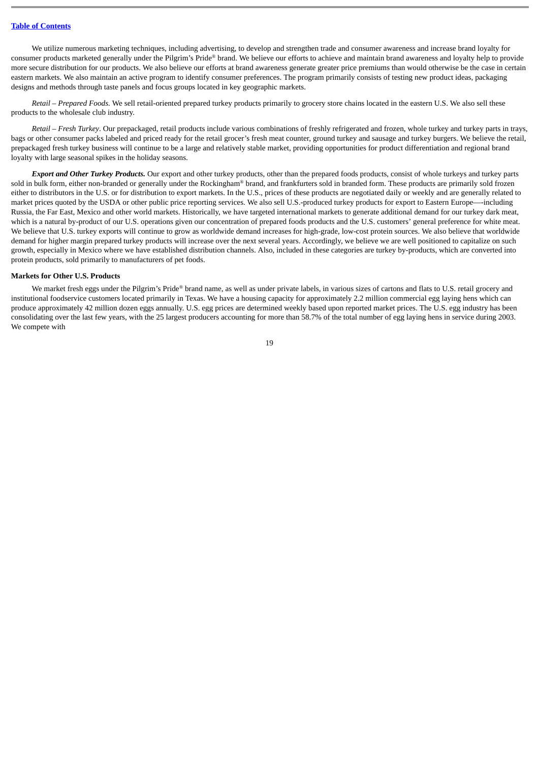We utilize numerous marketing techniques, including advertising, to develop and strengthen trade and consumer awareness and increase brand loyalty for consumer products marketed generally under the Pilgrim's Pride® brand. We believe our efforts to achieve and maintain brand awareness and loyalty help to provide more secure distribution for our products. We also believe our efforts at brand awareness generate greater price premiums than would otherwise be the case in certain eastern markets. We also maintain an active program to identify consumer preferences. The program primarily consists of testing new product ideas, packaging designs and methods through taste panels and focus groups located in key geographic markets.

*Retail – Prepared Foods.* We sell retail-oriented prepared turkey products primarily to grocery store chains located in the eastern U.S. We also sell these products to the wholesale club industry.

*Retail – Fresh Turkey*. Our prepackaged, retail products include various combinations of freshly refrigerated and frozen, whole turkey and turkey parts in trays, bags or other consumer packs labeled and priced ready for the retail grocer's fresh meat counter, ground turkey and sausage and turkey burgers. We believe the retail, prepackaged fresh turkey business will continue to be a large and relatively stable market, providing opportunities for product differentiation and regional brand loyalty with large seasonal spikes in the holiday seasons.

*Export and Other Turkey Products.* Our export and other turkey products, other than the prepared foods products, consist of whole turkeys and turkey parts sold in bulk form, either non-branded or generally under the Rockingham® brand, and frankfurters sold in branded form. These products are primarily sold frozen either to distributors in the U.S. or for distribution to export markets. In the U.S., prices of these products are negotiated daily or weekly and are generally related to market prices quoted by the USDA or other public price reporting services. We also sell U.S.-produced turkey products for export to Eastern Europe—-including Russia, the Far East, Mexico and other world markets. Historically, we have targeted international markets to generate additional demand for our turkey dark meat, which is a natural by-product of our U.S. operations given our concentration of prepared foods products and the U.S. customers' general preference for white meat. We believe that U.S. turkey exports will continue to grow as worldwide demand increases for high-grade, low-cost protein sources. We also believe that worldwide demand for higher margin prepared turkey products will increase over the next several years. Accordingly, we believe we are well positioned to capitalize on such growth, especially in Mexico where we have established distribution channels. Also, included in these categories are turkey by-products, which are converted into protein products, sold primarily to manufacturers of pet foods.

#### **Markets for Other U.S. Products**

We market fresh eggs under the Pilgrim's Pride® brand name, as well as under private labels, in various sizes of cartons and flats to U.S. retail grocery and institutional foodservice customers located primarily in Texas. We have a housing capacity for approximately 2.2 million commercial egg laying hens which can produce approximately 42 million dozen eggs annually. U.S. egg prices are determined weekly based upon reported market prices. The U.S. egg industry has been consolidating over the last few years, with the 25 largest producers accounting for more than 58.7% of the total number of egg laying hens in service during 2003. We compete with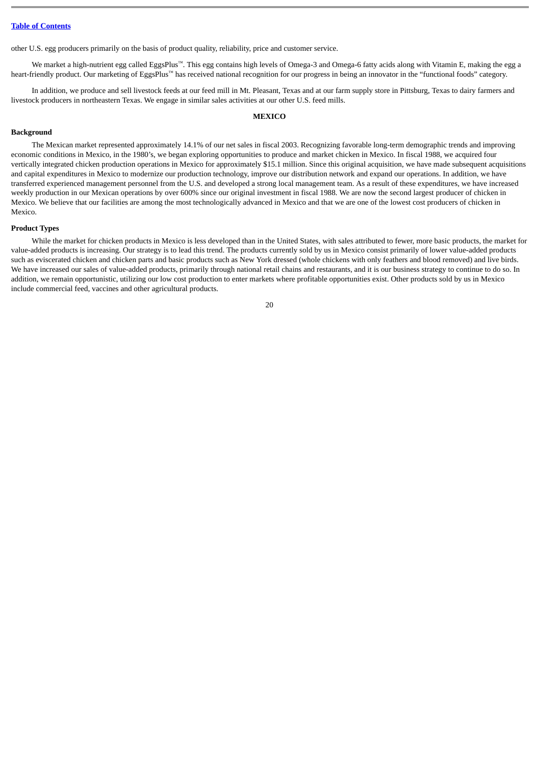other U.S. egg producers primarily on the basis of product quality, reliability, price and customer service.

We market a high-nutrient egg called EggsPlus™. This egg contains high levels of Omega-3 and Omega-6 fatty acids along with Vitamin E, making the egg a heart-friendly product. Our marketing of EggsPlus™ has received national recognition for our progress in being an innovator in the "functional foods" category.

In addition, we produce and sell livestock feeds at our feed mill in Mt. Pleasant, Texas and at our farm supply store in Pittsburg, Texas to dairy farmers and livestock producers in northeastern Texas. We engage in similar sales activities at our other U.S. feed mills.

#### **MEXICO**

#### **Background**

The Mexican market represented approximately 14.1% of our net sales in fiscal 2003. Recognizing favorable long-term demographic trends and improving economic conditions in Mexico, in the 1980's, we began exploring opportunities to produce and market chicken in Mexico. In fiscal 1988, we acquired four vertically integrated chicken production operations in Mexico for approximately \$15.1 million. Since this original acquisition, we have made subsequent acquisitions and capital expenditures in Mexico to modernize our production technology, improve our distribution network and expand our operations. In addition, we have transferred experienced management personnel from the U.S. and developed a strong local management team. As a result of these expenditures, we have increased weekly production in our Mexican operations by over 600% since our original investment in fiscal 1988. We are now the second largest producer of chicken in Mexico. We believe that our facilities are among the most technologically advanced in Mexico and that we are one of the lowest cost producers of chicken in Mexico.

#### **Product Types**

While the market for chicken products in Mexico is less developed than in the United States, with sales attributed to fewer, more basic products, the market for value-added products is increasing. Our strategy is to lead this trend. The products currently sold by us in Mexico consist primarily of lower value-added products such as eviscerated chicken and chicken parts and basic products such as New York dressed (whole chickens with only feathers and blood removed) and live birds. We have increased our sales of value-added products, primarily through national retail chains and restaurants, and it is our business strategy to continue to do so. In addition, we remain opportunistic, utilizing our low cost production to enter markets where profitable opportunities exist. Other products sold by us in Mexico include commercial feed, vaccines and other agricultural products.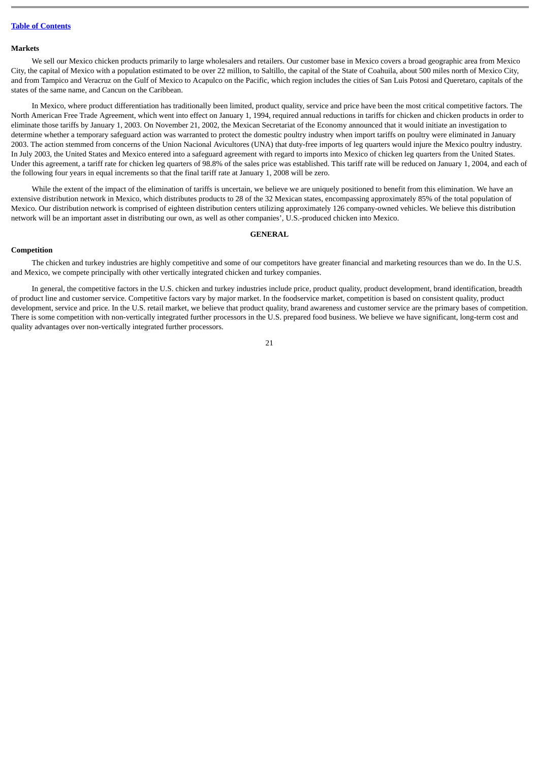#### **Markets**

We sell our Mexico chicken products primarily to large wholesalers and retailers. Our customer base in Mexico covers a broad geographic area from Mexico City, the capital of Mexico with a population estimated to be over 22 million, to Saltillo, the capital of the State of Coahuila, about 500 miles north of Mexico City, and from Tampico and Veracruz on the Gulf of Mexico to Acapulco on the Pacific, which region includes the cities of San Luis Potosi and Queretaro, capitals of the states of the same name, and Cancun on the Caribbean.

In Mexico, where product differentiation has traditionally been limited, product quality, service and price have been the most critical competitive factors. The North American Free Trade Agreement, which went into effect on January 1, 1994, required annual reductions in tariffs for chicken and chicken products in order to eliminate those tariffs by January 1, 2003. On November 21, 2002, the Mexican Secretariat of the Economy announced that it would initiate an investigation to determine whether a temporary safeguard action was warranted to protect the domestic poultry industry when import tariffs on poultry were eliminated in January 2003. The action stemmed from concerns of the Union Nacional Avicultores (UNA) that duty-free imports of leg quarters would injure the Mexico poultry industry. In July 2003, the United States and Mexico entered into a safeguard agreement with regard to imports into Mexico of chicken leg quarters from the United States. Under this agreement, a tariff rate for chicken leg quarters of 98.8% of the sales price was established. This tariff rate will be reduced on January 1, 2004, and each of the following four years in equal increments so that the final tariff rate at January 1, 2008 will be zero.

While the extent of the impact of the elimination of tariffs is uncertain, we believe we are uniquely positioned to benefit from this elimination. We have an extensive distribution network in Mexico, which distributes products to 28 of the 32 Mexican states, encompassing approximately 85% of the total population of Mexico. Our distribution network is comprised of eighteen distribution centers utilizing approximately 126 company-owned vehicles. We believe this distribution network will be an important asset in distributing our own, as well as other companies', U.S.-produced chicken into Mexico.

### **GENERAL**

#### **Competition**

The chicken and turkey industries are highly competitive and some of our competitors have greater financial and marketing resources than we do. In the U.S. and Mexico, we compete principally with other vertically integrated chicken and turkey companies.

In general, the competitive factors in the U.S. chicken and turkey industries include price, product quality, product development, brand identification, breadth of product line and customer service. Competitive factors vary by major market. In the foodservice market, competition is based on consistent quality, product development, service and price. In the U.S. retail market, we believe that product quality, brand awareness and customer service are the primary bases of competition. There is some competition with non-vertically integrated further processors in the U.S. prepared food business. We believe we have significant, long-term cost and quality advantages over non-vertically integrated further processors.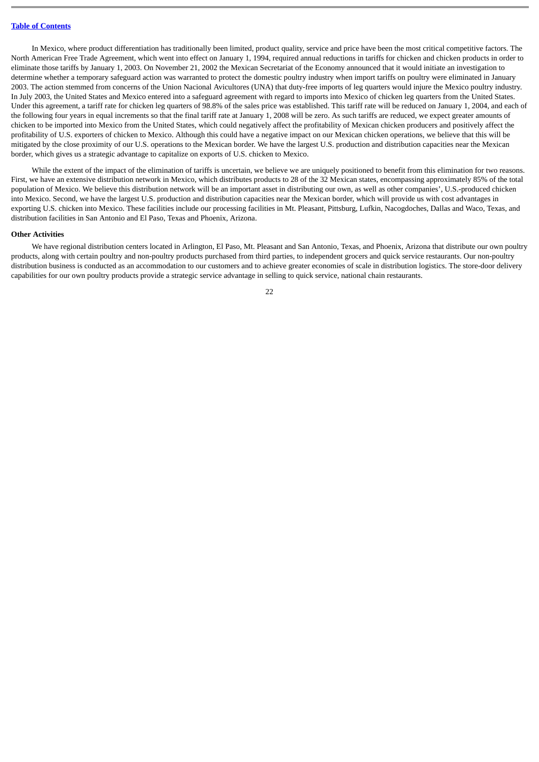In Mexico, where product differentiation has traditionally been limited, product quality, service and price have been the most critical competitive factors. The North American Free Trade Agreement, which went into effect on January 1, 1994, required annual reductions in tariffs for chicken and chicken products in order to eliminate those tariffs by January 1, 2003. On November 21, 2002 the Mexican Secretariat of the Economy announced that it would initiate an investigation to determine whether a temporary safeguard action was warranted to protect the domestic poultry industry when import tariffs on poultry were eliminated in January 2003. The action stemmed from concerns of the Union Nacional Avicultores (UNA) that duty-free imports of leg quarters would injure the Mexico poultry industry. In July 2003, the United States and Mexico entered into a safeguard agreement with regard to imports into Mexico of chicken leg quarters from the United States. Under this agreement, a tariff rate for chicken leg quarters of 98.8% of the sales price was established. This tariff rate will be reduced on January 1, 2004, and each of the following four years in equal increments so that the final tariff rate at January 1, 2008 will be zero. As such tariffs are reduced, we expect greater amounts of chicken to be imported into Mexico from the United States, which could negatively affect the profitability of Mexican chicken producers and positively affect the profitability of U.S. exporters of chicken to Mexico. Although this could have a negative impact on our Mexican chicken operations, we believe that this will be mitigated by the close proximity of our U.S. operations to the Mexican border. We have the largest U.S. production and distribution capacities near the Mexican border, which gives us a strategic advantage to capitalize on exports of U.S. chicken to Mexico.

While the extent of the impact of the elimination of tariffs is uncertain, we believe we are uniquely positioned to benefit from this elimination for two reasons. First, we have an extensive distribution network in Mexico, which distributes products to 28 of the 32 Mexican states, encompassing approximately 85% of the total population of Mexico. We believe this distribution network will be an important asset in distributing our own, as well as other companies', U.S.-produced chicken into Mexico. Second, we have the largest U.S. production and distribution capacities near the Mexican border, which will provide us with cost advantages in exporting U.S. chicken into Mexico. These facilities include our processing facilities in Mt. Pleasant, Pittsburg, Lufkin, Nacogdoches, Dallas and Waco, Texas, and distribution facilities in San Antonio and El Paso, Texas and Phoenix, Arizona.

### **Other Activities**

We have regional distribution centers located in Arlington, El Paso, Mt. Pleasant and San Antonio, Texas, and Phoenix, Arizona that distribute our own poultry products, along with certain poultry and non-poultry products purchased from third parties, to independent grocers and quick service restaurants. Our non-poultry distribution business is conducted as an accommodation to our customers and to achieve greater economies of scale in distribution logistics. The store-door delivery capabilities for our own poultry products provide a strategic service advantage in selling to quick service, national chain restaurants.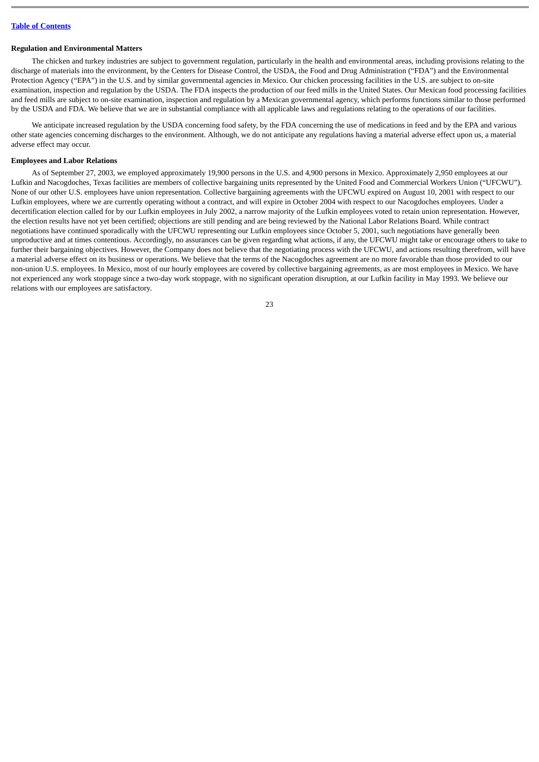# **Regulation and Environmental Matters**

The chicken and turkey industries are subject to government regulation, particularly in the health and environmental areas, including provisions relating to the discharge of materials into the environment, by the Centers for Disease Control, the USDA, the Food and Drug Administration ("FDA") and the Environmental Protection Agency ("EPA") in the U.S. and by similar governmental agencies in Mexico. Our chicken processing facilities in the U.S. are subject to on-site examination, inspection and regulation by the USDA. The FDA inspects the production of our feed mills in the United States. Our Mexican food processing facilities and feed mills are subject to on-site examination, inspection and regulation by a Mexican governmental agency, which performs functions similar to those performed by the USDA and FDA. We believe that we are in substantial compliance with all applicable laws and regulations relating to the operations of our facilities.

We anticipate increased regulation by the USDA concerning food safety, by the FDA concerning the use of medications in feed and by the EPA and various other state agencies concerning discharges to the environment. Although, we do not anticipate any regulations having a material adverse effect upon us, a material adverse effect may occur.

# **Employees and Labor Relations**

As of September 27, 2003, we employed approximately 19,900 persons in the U.S. and 4,900 persons in Mexico. Approximately 2,950 employees at our Lufkin and Nacogdoches, Texas facilities are members of collective bargaining units represented by the United Food and Commercial Workers Union ("UFCWU"). None of our other U.S. employees have union representation. Collective bargaining agreements with the UFCWU expired on August 10, 2001 with respect to our Lufkin employees, where we are currently operating without a contract, and will expire in October 2004 with respect to our Nacogdoches employees. Under a decertification election called for by our Lufkin employees in July 2002, a narrow majority of the Lufkin employees voted to retain union representation. However, the election results have not yet been certified; objections are still pending and are being reviewed by the National Labor Relations Board. While contract negotiations have continued sporadically with the UFCWU representing our Lufkin employees since October 5, 2001, such negotiations have generally been unproductive and at times contentious. Accordingly, no assurances can be given regarding what actions, if any, the UFCWU might take or encourage others to take to further their bargaining objectives. However, the Company does not believe that the negotiating process with the UFCWU, and actions resulting therefrom, will have a material adverse effect on its business or operations. We believe that the terms of the Nacogdoches agreement are no more favorable than those provided to our non-union U.S. employees. In Mexico, most of our hourly employees are covered by collective bargaining agreements, as are most employees in Mexico. We have not experienced any work stoppage since a two-day work stoppage, with no significant operation disruption, at our Lufkin facility in May 1993. We believe our relations with our employees are satisfactory.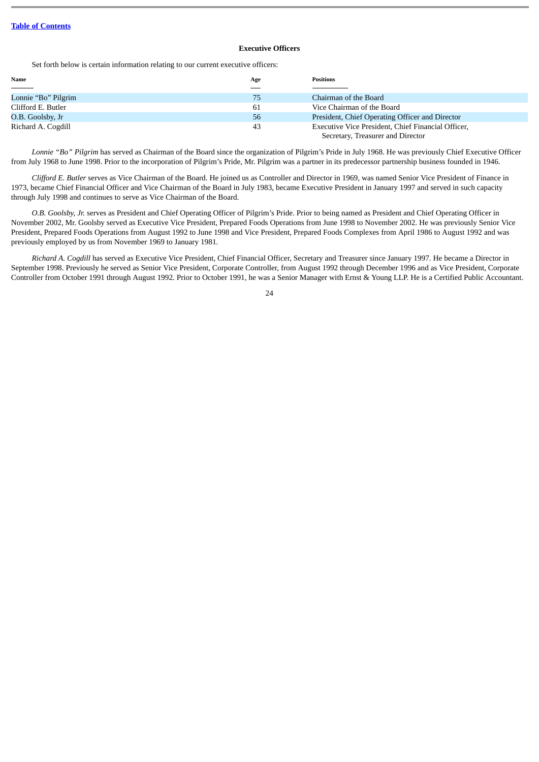# **Executive Officers**

Set forth below is certain information relating to our current executive officers:

| Name                       | Age | <b>Positions</b>                                   |
|----------------------------|-----|----------------------------------------------------|
| $\sim$ 100 $\mu$ m $^{-1}$ |     |                                                    |
| Lonnie "Bo" Pilgrim        | 75  | Chairman of the Board                              |
| Clifford E. Butler         | 61  | Vice Chairman of the Board                         |
| O.B. Goolsby, Jr           | 56  | President, Chief Operating Officer and Director    |
| Richard A. Cogdill         | 43  | Executive Vice President, Chief Financial Officer, |
|                            |     | Secretary, Treasurer and Director                  |

*Lonnie "Bo" Pilgrim* has served as Chairman of the Board since the organization of Pilgrim's Pride in July 1968. He was previously Chief Executive Officer from July 1968 to June 1998. Prior to the incorporation of Pilgrim's Pride, Mr. Pilgrim was a partner in its predecessor partnership business founded in 1946.

*Clifford E. Butler* serves as Vice Chairman of the Board. He joined us as Controller and Director in 1969, was named Senior Vice President of Finance in 1973, became Chief Financial Officer and Vice Chairman of the Board in July 1983, became Executive President in January 1997 and served in such capacity through July 1998 and continues to serve as Vice Chairman of the Board.

*O.B. Goolsby, Jr.* serves as President and Chief Operating Officer of Pilgrim's Pride. Prior to being named as President and Chief Operating Officer in November 2002, Mr. Goolsby served as Executive Vice President, Prepared Foods Operations from June 1998 to November 2002. He was previously Senior Vice President, Prepared Foods Operations from August 1992 to June 1998 and Vice President, Prepared Foods Complexes from April 1986 to August 1992 and was previously employed by us from November 1969 to January 1981.

*Richard A. Cogdill* has served as Executive Vice President, Chief Financial Officer, Secretary and Treasurer since January 1997. He became a Director in September 1998. Previously he served as Senior Vice President, Corporate Controller, from August 1992 through December 1996 and as Vice President, Corporate Controller from October 1991 through August 1992. Prior to October 1991, he was a Senior Manager with Ernst & Young LLP. He is a Certified Public Accountant.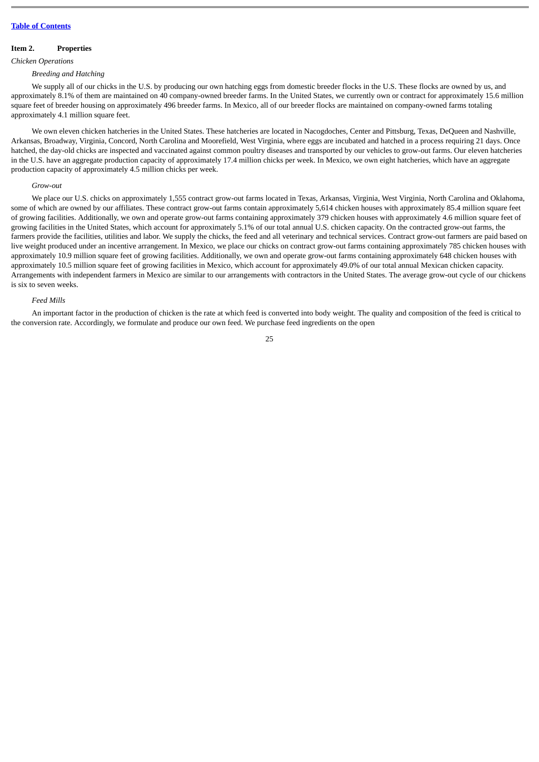# <span id="page-24-0"></span>**Item 2. Properties**

*Chicken Operations*

#### *Breeding and Hatching*

We supply all of our chicks in the U.S. by producing our own hatching eggs from domestic breeder flocks in the U.S. These flocks are owned by us, and approximately 8.1% of them are maintained on 40 company-owned breeder farms. In the United States, we currently own or contract for approximately 15.6 million square feet of breeder housing on approximately 496 breeder farms. In Mexico, all of our breeder flocks are maintained on company-owned farms totaling approximately 4.1 million square feet.

We own eleven chicken hatcheries in the United States. These hatcheries are located in Nacogdoches, Center and Pittsburg, Texas, DeQueen and Nashville, Arkansas, Broadway, Virginia, Concord, North Carolina and Moorefield, West Virginia, where eggs are incubated and hatched in a process requiring 21 days. Once hatched, the day-old chicks are inspected and vaccinated against common poultry diseases and transported by our vehicles to grow-out farms. Our eleven hatcheries in the U.S. have an aggregate production capacity of approximately 17.4 million chicks per week. In Mexico, we own eight hatcheries, which have an aggregate production capacity of approximately 4.5 million chicks per week.

#### *Grow-out*

We place our U.S. chicks on approximately 1,555 contract grow-out farms located in Texas, Arkansas, Virginia, West Virginia, North Carolina and Oklahoma, some of which are owned by our affiliates. These contract grow-out farms contain approximately 5,614 chicken houses with approximately 85.4 million square feet of growing facilities. Additionally, we own and operate grow-out farms containing approximately 379 chicken houses with approximately 4.6 million square feet of growing facilities in the United States, which account for approximately 5.1% of our total annual U.S. chicken capacity. On the contracted grow-out farms, the farmers provide the facilities, utilities and labor. We supply the chicks, the feed and all veterinary and technical services. Contract grow-out farmers are paid based on live weight produced under an incentive arrangement. In Mexico, we place our chicks on contract grow-out farms containing approximately 785 chicken houses with approximately 10.9 million square feet of growing facilities. Additionally, we own and operate grow-out farms containing approximately 648 chicken houses with approximately 10.5 million square feet of growing facilities in Mexico, which account for approximately 49.0% of our total annual Mexican chicken capacity. Arrangements with independent farmers in Mexico are similar to our arrangements with contractors in the United States. The average grow-out cycle of our chickens is six to seven weeks.

#### *Feed Mills*

An important factor in the production of chicken is the rate at which feed is converted into body weight. The quality and composition of the feed is critical to the conversion rate. Accordingly, we formulate and produce our own feed. We purchase feed ingredients on the open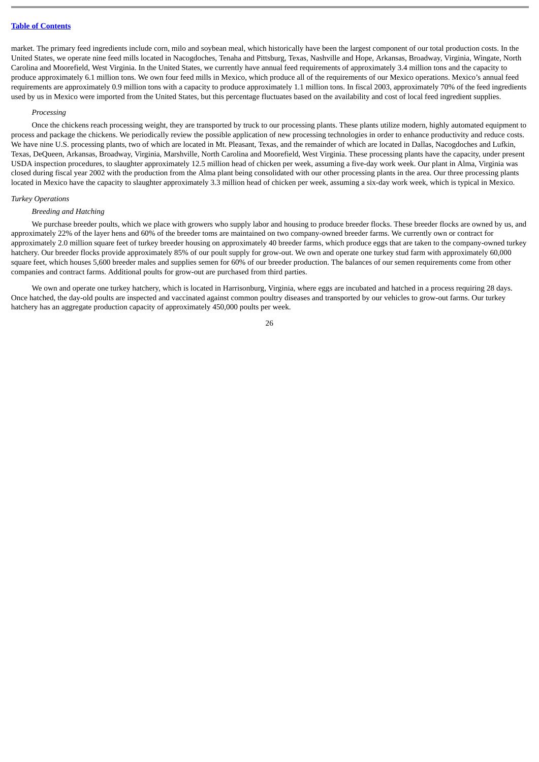market. The primary feed ingredients include corn, milo and soybean meal, which historically have been the largest component of our total production costs. In the United States, we operate nine feed mills located in Nacogdoches, Tenaha and Pittsburg, Texas, Nashville and Hope, Arkansas, Broadway, Virginia, Wingate, North Carolina and Moorefield, West Virginia. In the United States, we currently have annual feed requirements of approximately 3.4 million tons and the capacity to produce approximately 6.1 million tons. We own four feed mills in Mexico, which produce all of the requirements of our Mexico operations. Mexico's annual feed requirements are approximately 0.9 million tons with a capacity to produce approximately 1.1 million tons. In fiscal 2003, approximately 70% of the feed ingredients used by us in Mexico were imported from the United States, but this percentage fluctuates based on the availability and cost of local feed ingredient supplies.

# *Processing*

Once the chickens reach processing weight, they are transported by truck to our processing plants. These plants utilize modern, highly automated equipment to process and package the chickens. We periodically review the possible application of new processing technologies in order to enhance productivity and reduce costs. We have nine U.S. processing plants, two of which are located in Mt. Pleasant, Texas, and the remainder of which are located in Dallas, Nacogdoches and Lufkin, Texas, DeQueen, Arkansas, Broadway, Virginia, Marshville, North Carolina and Moorefield, West Virginia. These processing plants have the capacity, under present USDA inspection procedures, to slaughter approximately 12.5 million head of chicken per week, assuming a five-day work week. Our plant in Alma, Virginia was closed during fiscal year 2002 with the production from the Alma plant being consolidated with our other processing plants in the area. Our three processing plants located in Mexico have the capacity to slaughter approximately 3.3 million head of chicken per week, assuming a six-day work week, which is typical in Mexico.

# *Turkey Operations*

#### *Breeding and Hatching*

We purchase breeder poults, which we place with growers who supply labor and housing to produce breeder flocks. These breeder flocks are owned by us, and approximately 22% of the layer hens and 60% of the breeder toms are maintained on two company-owned breeder farms. We currently own or contract for approximately 2.0 million square feet of turkey breeder housing on approximately 40 breeder farms, which produce eggs that are taken to the company-owned turkey hatchery. Our breeder flocks provide approximately 85% of our poult supply for grow-out. We own and operate one turkey stud farm with approximately 60,000 square feet, which houses 5,600 breeder males and supplies semen for 60% of our breeder production. The balances of our semen requirements come from other companies and contract farms. Additional poults for grow-out are purchased from third parties.

We own and operate one turkey hatchery, which is located in Harrisonburg, Virginia, where eggs are incubated and hatched in a process requiring 28 days. Once hatched, the day-old poults are inspected and vaccinated against common poultry diseases and transported by our vehicles to grow-out farms. Our turkey hatchery has an aggregate production capacity of approximately 450,000 poults per week.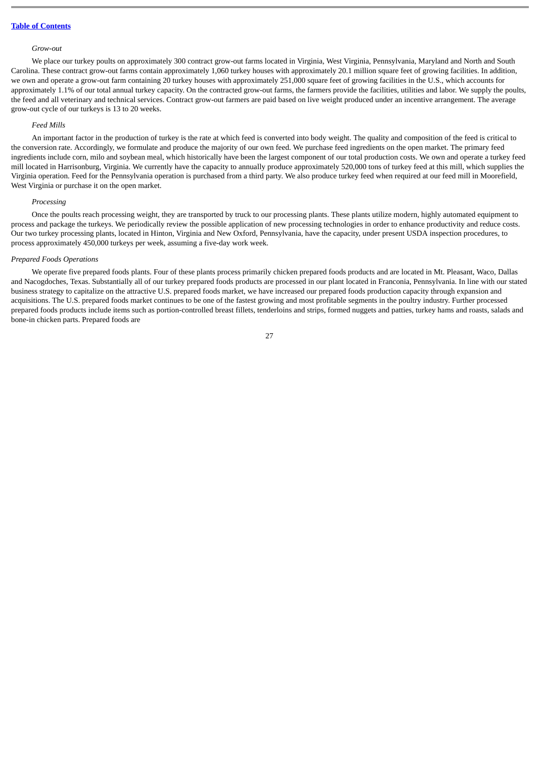#### *Grow-out*

We place our turkey poults on approximately 300 contract grow-out farms located in Virginia, West Virginia, Pennsylvania, Maryland and North and South Carolina. These contract grow-out farms contain approximately 1,060 turkey houses with approximately 20.1 million square feet of growing facilities. In addition, we own and operate a grow-out farm containing 20 turkey houses with approximately 251,000 square feet of growing facilities in the U.S., which accounts for approximately 1.1% of our total annual turkey capacity. On the contracted grow-out farms, the farmers provide the facilities, utilities and labor. We supply the poults, the feed and all veterinary and technical services. Contract grow-out farmers are paid based on live weight produced under an incentive arrangement. The average grow-out cycle of our turkeys is 13 to 20 weeks.

#### *Feed Mills*

An important factor in the production of turkey is the rate at which feed is converted into body weight. The quality and composition of the feed is critical to the conversion rate. Accordingly, we formulate and produce the majority of our own feed. We purchase feed ingredients on the open market. The primary feed ingredients include corn, milo and soybean meal, which historically have been the largest component of our total production costs. We own and operate a turkey feed mill located in Harrisonburg, Virginia. We currently have the capacity to annually produce approximately 520,000 tons of turkey feed at this mill, which supplies the Virginia operation. Feed for the Pennsylvania operation is purchased from a third party. We also produce turkey feed when required at our feed mill in Moorefield, West Virginia or purchase it on the open market.

#### *Processing*

Once the poults reach processing weight, they are transported by truck to our processing plants. These plants utilize modern, highly automated equipment to process and package the turkeys. We periodically review the possible application of new processing technologies in order to enhance productivity and reduce costs. Our two turkey processing plants, located in Hinton, Virginia and New Oxford, Pennsylvania, have the capacity, under present USDA inspection procedures, to process approximately 450,000 turkeys per week, assuming a five-day work week.

#### *Prepared Foods Operations*

We operate five prepared foods plants. Four of these plants process primarily chicken prepared foods products and are located in Mt. Pleasant, Waco, Dallas and Nacogdoches, Texas. Substantially all of our turkey prepared foods products are processed in our plant located in Franconia, Pennsylvania. In line with our stated business strategy to capitalize on the attractive U.S. prepared foods market, we have increased our prepared foods production capacity through expansion and acquisitions. The U.S. prepared foods market continues to be one of the fastest growing and most profitable segments in the poultry industry. Further processed prepared foods products include items such as portion-controlled breast fillets, tenderloins and strips, formed nuggets and patties, turkey hams and roasts, salads and bone-in chicken parts. Prepared foods are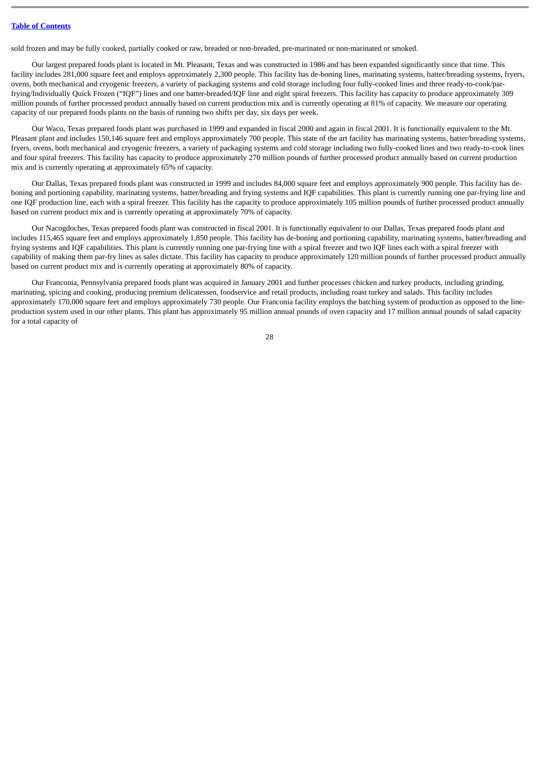sold frozen and may be fully cooked, partially cooked or raw, breaded or non-breaded, pre-marinated or non-marinated or smoked.

Our largest prepared foods plant is located in Mt. Pleasant, Texas and was constructed in 1986 and has been expanded significantly since that time. This facility includes 281,000 square feet and employs approximately 2,300 people. This facility has de-boning lines, marinating systems, batter/breading systems, fryers, ovens, both mechanical and cryogenic freezers, a variety of packaging systems and cold storage including four fully-cooked lines and three ready-to-cook/parfrying/Individually Quick Frozen ("IQF") lines and one batter-breaded/IQF line and eight spiral freezers. This facility has capacity to produce approximately 309 million pounds of further processed product annually based on current production mix and is currently operating at 81% of capacity. We measure our operating capacity of our prepared foods plants on the basis of running two shifts per day, six days per week.

Our Waco, Texas prepared foods plant was purchased in 1999 and expanded in fiscal 2000 and again in fiscal 2001. It is functionally equivalent to the Mt. Pleasant plant and includes 150,146 square feet and employs approximately 700 people. This state of the art facility has marinating systems, batter/breading systems, fryers, ovens, both mechanical and cryogenic freezers, a variety of packaging systems and cold storage including two fully-cooked lines and two ready-to-cook lines and four spiral freezers. This facility has capacity to produce approximately 270 million pounds of further processed product annually based on current production mix and is currently operating at approximately 65% of capacity.

Our Dallas, Texas prepared foods plant was constructed in 1999 and includes 84,000 square feet and employs approximately 900 people. This facility has deboning and portioning capability, marinating systems, batter/breading and frying systems and IQF capabilities. This plant is currently running one par-frying line and one IQF production line, each with a spiral freezer. This facility has the capacity to produce approximately 105 million pounds of further processed product annually based on current product mix and is currently operating at approximately 70% of capacity.

Our Nacogdoches, Texas prepared foods plant was constructed in fiscal 2001. It is functionally equivalent to our Dallas, Texas prepared foods plant and includes 115,465 square feet and employs approximately 1,850 people. This facility has de-boning and portioning capability, marinating systems, batter/breading and frying systems and IQF capabilities. This plant is currently running one par-frying line with a spiral freezer and two IQF lines each with a spiral freezer with capability of making them par-fry lines as sales dictate. This facility has capacity to produce approximately 120 million pounds of further processed product annually based on current product mix and is currently operating at approximately 80% of capacity.

Our Franconia, Pennsylvania prepared foods plant was acquired in January 2001 and further processes chicken and turkey products, including grinding, marinating, spicing and cooking, producing premium delicatessen, foodservice and retail products, including roast turkey and salads. This facility includes approximately 170,000 square feet and employs approximately 730 people. Our Franconia facility employs the batching system of production as opposed to the lineproduction system used in our other plants. This plant has approximately 95 million annual pounds of oven capacity and 17 million annual pounds of salad capacity for a total capacity of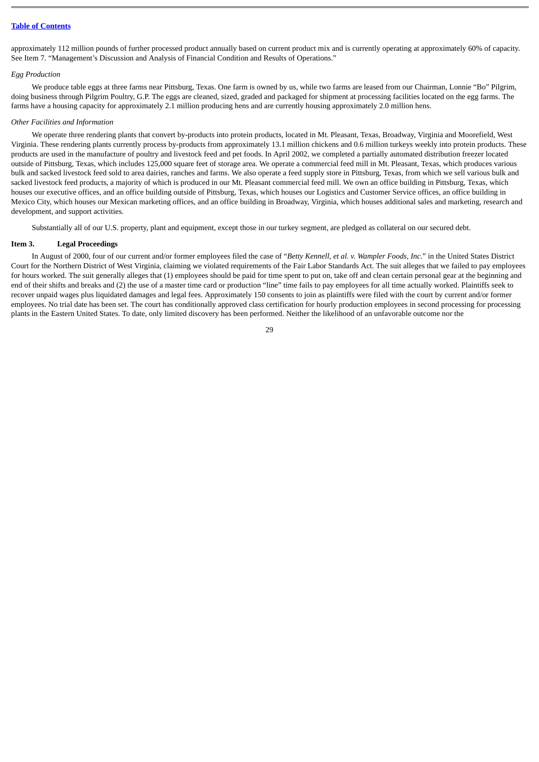approximately 112 million pounds of further processed product annually based on current product mix and is currently operating at approximately 60% of capacity. See Item 7. "Management's Discussion and Analysis of Financial Condition and Results of Operations."

# *Egg Production*

We produce table eggs at three farms near Pittsburg, Texas. One farm is owned by us, while two farms are leased from our Chairman, Lonnie "Bo" Pilgrim, doing business through Pilgrim Poultry, G.P. The eggs are cleaned, sized, graded and packaged for shipment at processing facilities located on the egg farms. The farms have a housing capacity for approximately 2.1 million producing hens and are currently housing approximately 2.0 million hens.

#### *Other Facilities and Information*

We operate three rendering plants that convert by-products into protein products, located in Mt. Pleasant, Texas, Broadway, Virginia and Moorefield, West Virginia. These rendering plants currently process by-products from approximately 13.1 million chickens and 0.6 million turkeys weekly into protein products. These products are used in the manufacture of poultry and livestock feed and pet foods. In April 2002, we completed a partially automated distribution freezer located outside of Pittsburg, Texas, which includes 125,000 square feet of storage area. We operate a commercial feed mill in Mt. Pleasant, Texas, which produces various bulk and sacked livestock feed sold to area dairies, ranches and farms. We also operate a feed supply store in Pittsburg, Texas, from which we sell various bulk and sacked livestock feed products, a majority of which is produced in our Mt. Pleasant commercial feed mill. We own an office building in Pittsburg, Texas, which houses our executive offices, and an office building outside of Pittsburg, Texas, which houses our Logistics and Customer Service offices, an office building in Mexico City, which houses our Mexican marketing offices, and an office building in Broadway, Virginia, which houses additional sales and marketing, research and development, and support activities.

Substantially all of our U.S. property, plant and equipment, except those in our turkey segment, are pledged as collateral on our secured debt.

# <span id="page-28-0"></span>**Item 3. Legal Proceedings**

In August of 2000, four of our current and/or former employees filed the case of "*Betty Kennell, et al. v. Wampler Foods, Inc*." in the United States District Court for the Northern District of West Virginia, claiming we violated requirements of the Fair Labor Standards Act. The suit alleges that we failed to pay employees for hours worked. The suit generally alleges that (1) employees should be paid for time spent to put on, take off and clean certain personal gear at the beginning and end of their shifts and breaks and (2) the use of a master time card or production "line" time fails to pay employees for all time actually worked. Plaintiffs seek to recover unpaid wages plus liquidated damages and legal fees. Approximately 150 consents to join as plaintiffs were filed with the court by current and/or former employees. No trial date has been set. The court has conditionally approved class certification for hourly production employees in second processing for processing plants in the Eastern United States. To date, only limited discovery has been performed. Neither the likelihood of an unfavorable outcome nor the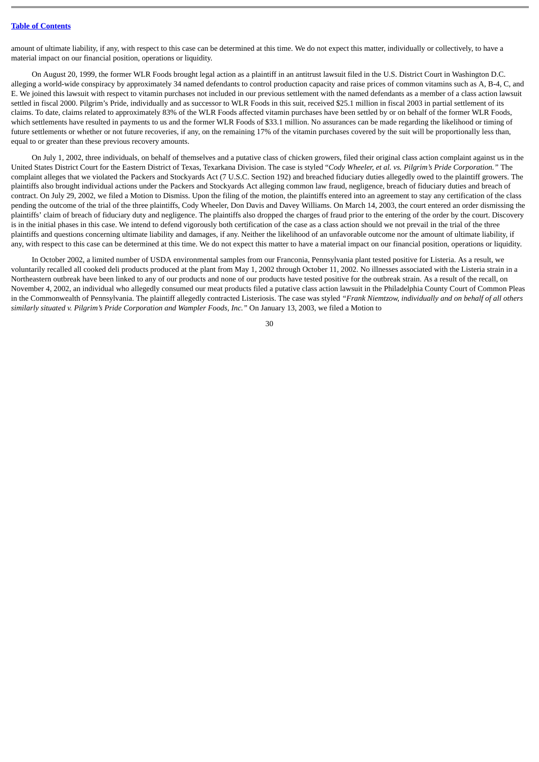amount of ultimate liability, if any, with respect to this case can be determined at this time. We do not expect this matter, individually or collectively, to have a material impact on our financial position, operations or liquidity.

On August 20, 1999, the former WLR Foods brought legal action as a plaintiff in an antitrust lawsuit filed in the U.S. District Court in Washington D.C. alleging a world-wide conspiracy by approximately 34 named defendants to control production capacity and raise prices of common vitamins such as A, B-4, C, and E. We joined this lawsuit with respect to vitamin purchases not included in our previous settlement with the named defendants as a member of a class action lawsuit settled in fiscal 2000. Pilgrim's Pride, individually and as successor to WLR Foods in this suit, received \$25.1 million in fiscal 2003 in partial settlement of its claims. To date, claims related to approximately 83% of the WLR Foods affected vitamin purchases have been settled by or on behalf of the former WLR Foods, which settlements have resulted in payments to us and the former WLR Foods of \$33.1 million. No assurances can be made regarding the likelihood or timing of future settlements or whether or not future recoveries, if any, on the remaining 17% of the vitamin purchases covered by the suit will be proportionally less than, equal to or greater than these previous recovery amounts.

On July 1, 2002, three individuals, on behalf of themselves and a putative class of chicken growers, filed their original class action complaint against us in the United States District Court for the Eastern District of Texas, Texarkana Division. The case is styled "*Cody Wheeler, et al. vs. Pilgrim's Pride Corporation."* The complaint alleges that we violated the Packers and Stockyards Act (7 U.S.C. Section 192) and breached fiduciary duties allegedly owed to the plaintiff growers. The plaintiffs also brought individual actions under the Packers and Stockyards Act alleging common law fraud, negligence, breach of fiduciary duties and breach of contract. On July 29, 2002, we filed a Motion to Dismiss. Upon the filing of the motion, the plaintiffs entered into an agreement to stay any certification of the class pending the outcome of the trial of the three plaintiffs, Cody Wheeler, Don Davis and Davey Williams. On March 14, 2003, the court entered an order dismissing the plaintiffs' claim of breach of fiduciary duty and negligence. The plaintiffs also dropped the charges of fraud prior to the entering of the order by the court. Discovery is in the initial phases in this case. We intend to defend vigorously both certification of the case as a class action should we not prevail in the trial of the three plaintiffs and questions concerning ultimate liability and damages, if any. Neither the likelihood of an unfavorable outcome nor the amount of ultimate liability, if any, with respect to this case can be determined at this time. We do not expect this matter to have a material impact on our financial position, operations or liquidity.

In October 2002, a limited number of USDA environmental samples from our Franconia, Pennsylvania plant tested positive for Listeria. As a result, we voluntarily recalled all cooked deli products produced at the plant from May 1, 2002 through October 11, 2002. No illnesses associated with the Listeria strain in a Northeastern outbreak have been linked to any of our products and none of our products have tested positive for the outbreak strain. As a result of the recall, on November 4, 2002, an individual who allegedly consumed our meat products filed a putative class action lawsuit in the Philadelphia County Court of Common Pleas in the Commonwealth of Pennsylvania. The plaintiff allegedly contracted Listeriosis. The case was styled *"Frank Niemtzow, individually and on behalf of all others similarly situated v. Pilgrim's Pride Corporation and Wampler Foods, Inc."* On January 13, 2003, we filed a Motion to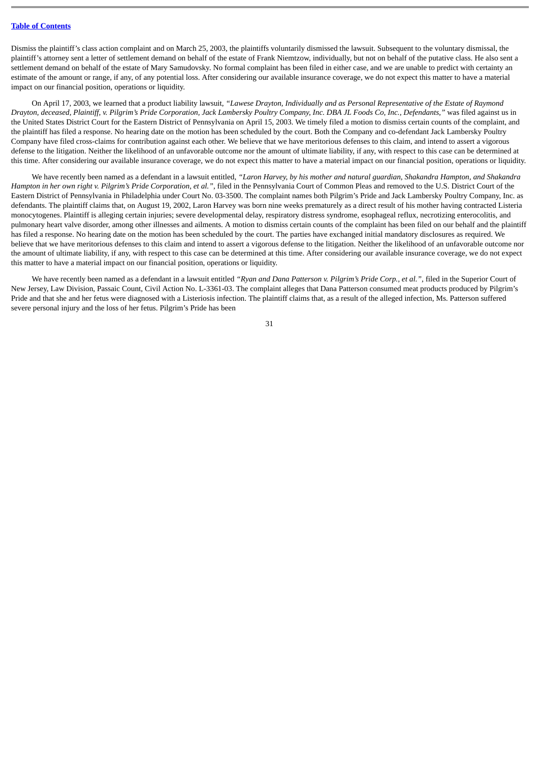Dismiss the plaintiff's class action complaint and on March 25, 2003, the plaintiffs voluntarily dismissed the lawsuit. Subsequent to the voluntary dismissal, the plaintiff's attorney sent a letter of settlement demand on behalf of the estate of Frank Niemtzow, individually, but not on behalf of the putative class. He also sent a settlement demand on behalf of the estate of Mary Samudovsky. No formal complaint has been filed in either case, and we are unable to predict with certainty an estimate of the amount or range, if any, of any potential loss. After considering our available insurance coverage, we do not expect this matter to have a material impact on our financial position, operations or liquidity.

On April 17, 2003, we learned that a product liability lawsuit, *"Lawese Drayton, Individually and as Personal Representative of the Estate of Raymond Drayton, deceased, Plaintiff, v. Pilgrim's Pride Corporation, Jack Lambersky Poultry Company, Inc. DBA JL Foods Co, Inc., Defendants,"* was filed against us in the United States District Court for the Eastern District of Pennsylvania on April 15, 2003. We timely filed a motion to dismiss certain counts of the complaint, and the plaintiff has filed a response. No hearing date on the motion has been scheduled by the court. Both the Company and co-defendant Jack Lambersky Poultry Company have filed cross-claims for contribution against each other. We believe that we have meritorious defenses to this claim, and intend to assert a vigorous defense to the litigation. Neither the likelihood of an unfavorable outcome nor the amount of ultimate liability, if any, with respect to this case can be determined at this time. After considering our available insurance coverage, we do not expect this matter to have a material impact on our financial position, operations or liquidity.

We have recently been named as a defendant in a lawsuit entitled, *"Laron Harvey, by his mother and natural guardian, Shakandra Hampton, and Shakandra Hampton in her own right v. Pilgrim's Pride Corporation, et al."*, filed in the Pennsylvania Court of Common Pleas and removed to the U.S. District Court of the Eastern District of Pennsylvania in Philadelphia under Court No. 03-3500. The complaint names both Pilgrim's Pride and Jack Lambersky Poultry Company, Inc. as defendants. The plaintiff claims that, on August 19, 2002, Laron Harvey was born nine weeks prematurely as a direct result of his mother having contracted Listeria monocytogenes. Plaintiff is alleging certain injuries; severe developmental delay, respiratory distress syndrome, esophageal reflux, necrotizing enterocolitis, and pulmonary heart valve disorder, among other illnesses and ailments. A motion to dismiss certain counts of the complaint has been filed on our behalf and the plaintiff has filed a response. No hearing date on the motion has been scheduled by the court. The parties have exchanged initial mandatory disclosures as required. We believe that we have meritorious defenses to this claim and intend to assert a vigorous defense to the litigation. Neither the likelihood of an unfavorable outcome nor the amount of ultimate liability, if any, with respect to this case can be determined at this time. After considering our available insurance coverage, we do not expect this matter to have a material impact on our financial position, operations or liquidity.

We have recently been named as a defendant in a lawsuit entitled "Ryan and Dana Patterson v. Pilgrim's Pride Corp., et al.", filed in the Superior Court of New Jersey, Law Division, Passaic Count, Civil Action No. L-3361-03. The complaint alleges that Dana Patterson consumed meat products produced by Pilgrim's Pride and that she and her fetus were diagnosed with a Listeriosis infection. The plaintiff claims that, as a result of the alleged infection, Ms. Patterson suffered severe personal injury and the loss of her fetus. Pilgrim's Pride has been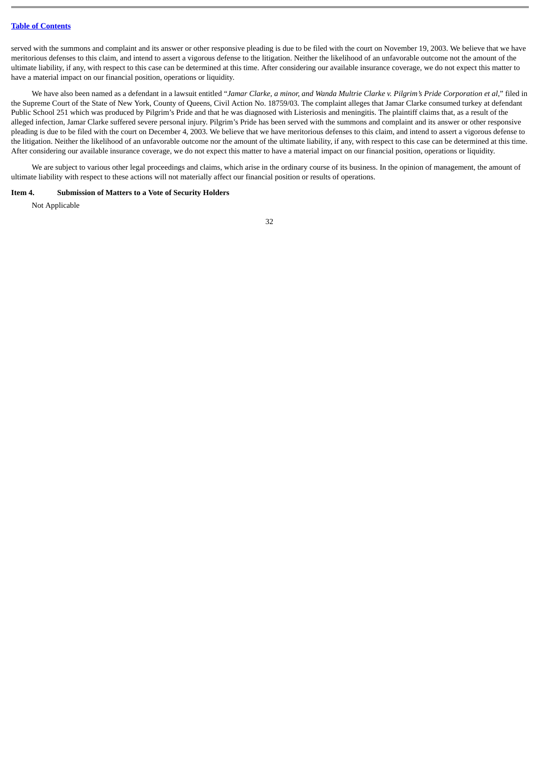served with the summons and complaint and its answer or other responsive pleading is due to be filed with the court on November 19, 2003. We believe that we have meritorious defenses to this claim, and intend to assert a vigorous defense to the litigation. Neither the likelihood of an unfavorable outcome not the amount of the ultimate liability, if any, with respect to this case can be determined at this time. After considering our available insurance coverage, we do not expect this matter to have a material impact on our financial position, operations or liquidity.

We have also been named as a defendant in a lawsuit entitled "*Jamar Clarke, a minor, and Wanda Multrie Clarke v. Pilgrim's Pride Corporation et al*," filed in the Supreme Court of the State of New York, County of Queens, Civil Action No. 18759/03. The complaint alleges that Jamar Clarke consumed turkey at defendant Public School 251 which was produced by Pilgrim's Pride and that he was diagnosed with Listeriosis and meningitis. The plaintiff claims that, as a result of the alleged infection, Jamar Clarke suffered severe personal injury. Pilgrim's Pride has been served with the summons and complaint and its answer or other responsive pleading is due to be filed with the court on December 4, 2003. We believe that we have meritorious defenses to this claim, and intend to assert a vigorous defense to the litigation. Neither the likelihood of an unfavorable outcome nor the amount of the ultimate liability, if any, with respect to this case can be determined at this time. After considering our available insurance coverage, we do not expect this matter to have a material impact on our financial position, operations or liquidity.

We are subject to various other legal proceedings and claims, which arise in the ordinary course of its business. In the opinion of management, the amount of ultimate liability with respect to these actions will not materially affect our financial position or results of operations.

# <span id="page-31-0"></span>**Item 4. Submission of Matters to a Vote of Security Holders**

Not Applicable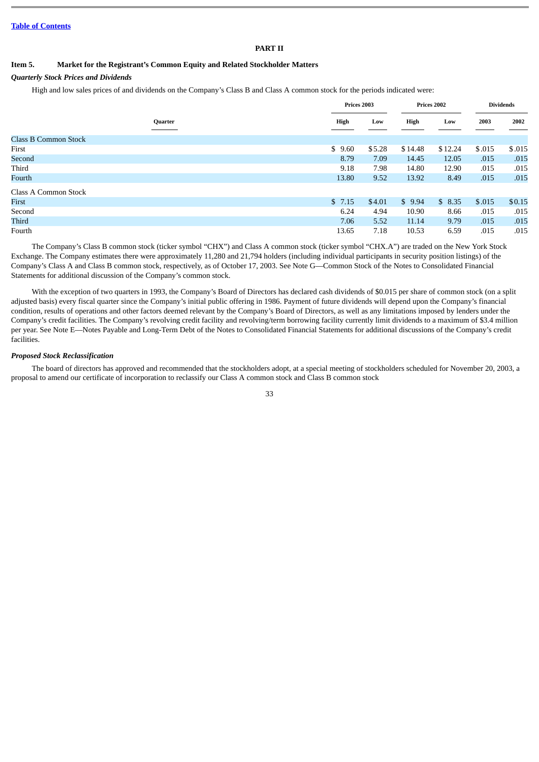# **PART II**

# <span id="page-32-0"></span>**Item 5. Market for the Registrant's Common Equity and Related Stockholder Matters**

# *Quarterly Stock Prices and Dividends*

High and low sales prices of and dividends on the Company's Class B and Class A common stock for the periods indicated were:

|                             |         | Prices 2003 |        |         | Prices 2002 | <b>Dividends</b> |        |  |
|-----------------------------|---------|-------------|--------|---------|-------------|------------------|--------|--|
|                             | Quarter | High        | Low    | High    | Low         | 2003             | 2002   |  |
| <b>Class B Common Stock</b> |         |             |        |         |             |                  |        |  |
| First                       |         | \$9.60      | \$5.28 | \$14.48 | \$12.24     | \$.015           | \$.015 |  |
| Second                      |         | 8.79        | 7.09   | 14.45   | 12.05       | .015             | .015   |  |
| Third                       |         | 9.18        | 7.98   | 14.80   | 12.90       | .015             | .015   |  |
| Fourth                      |         | 13.80       | 9.52   | 13.92   | 8.49        | .015             | .015   |  |
| Class A Common Stock        |         |             |        |         |             |                  |        |  |
| First                       |         | \$7.15      | \$4.01 | \$9.94  | \$8.35      | \$.015           | \$0.15 |  |
| Second                      |         | 6.24        | 4.94   | 10.90   | 8.66        | .015             | .015   |  |
| Third                       |         | 7.06        | 5.52   | 11.14   | 9.79        | .015             | .015   |  |
| Fourth                      |         | 13.65       | 7.18   | 10.53   | 6.59        | .015             | .015   |  |

The Company's Class B common stock (ticker symbol "CHX") and Class A common stock (ticker symbol "CHX.A") are traded on the New York Stock Exchange. The Company estimates there were approximately 11,280 and 21,794 holders (including individual participants in security position listings) of the Company's Class A and Class B common stock, respectively, as of October 17, 2003. See Note G—Common Stock of the Notes to Consolidated Financial Statements for additional discussion of the Company's common stock.

With the exception of two quarters in 1993, the Company's Board of Directors has declared cash dividends of \$0.015 per share of common stock (on a split adjusted basis) every fiscal quarter since the Company's initial public offering in 1986. Payment of future dividends will depend upon the Company's financial condition, results of operations and other factors deemed relevant by the Company's Board of Directors, as well as any limitations imposed by lenders under the Company's credit facilities. The Company's revolving credit facility and revolving/term borrowing facility currently limit dividends to a maximum of \$3.4 million per year. See Note E—Notes Payable and Long-Term Debt of the Notes to Consolidated Financial Statements for additional discussions of the Company's credit facilities.

# *Proposed Stock Reclassification*

The board of directors has approved and recommended that the stockholders adopt, at a special meeting of stockholders scheduled for November 20, 2003, a proposal to amend our certificate of incorporation to reclassify our Class A common stock and Class B common stock

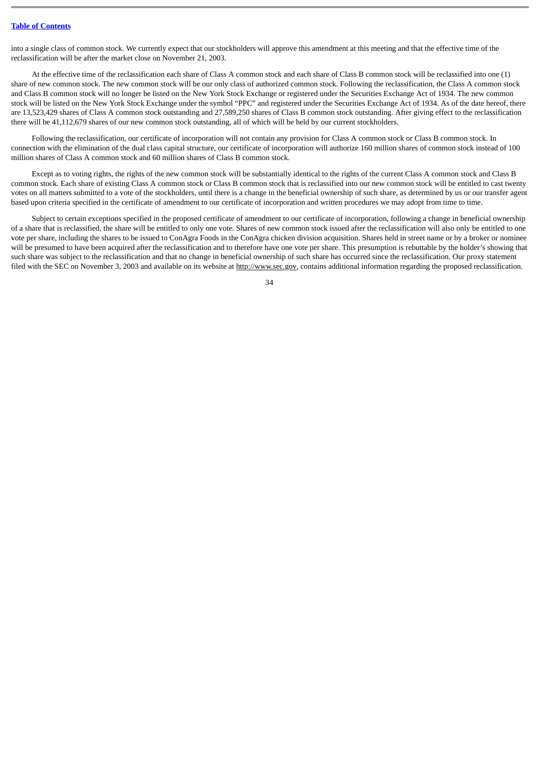into a single class of common stock. We currently expect that our stockholders will approve this amendment at this meeting and that the effective time of the reclassification will be after the market close on November 21, 2003.

At the effective time of the reclassification each share of Class A common stock and each share of Class B common stock will be reclassified into one (1) share of new common stock. The new common stock will be our only class of authorized common stock. Following the reclassification, the Class A common stock and Class B common stock will no longer be listed on the New York Stock Exchange or registered under the Securities Exchange Act of 1934. The new common stock will be listed on the New York Stock Exchange under the symbol "PPC" and registered under the Securities Exchange Act of 1934. As of the date hereof, there are 13,523,429 shares of Class A common stock outstanding and 27,589,250 shares of Class B common stock outstanding. After giving effect to the reclassification there will be 41,112,679 shares of our new common stock outstanding, all of which will be held by our current stockholders.

Following the reclassification, our certificate of incorporation will not contain any provision for Class A common stock or Class B common stock. In connection with the elimination of the dual class capital structure, our certificate of incorporation will authorize 160 million shares of common stock instead of 100 million shares of Class A common stock and 60 million shares of Class B common stock.

Except as to voting rights, the rights of the new common stock will be substantially identical to the rights of the current Class A common stock and Class B common stock. Each share of existing Class A common stock or Class B common stock that is reclassified into our new common stock will be entitled to cast twenty votes on all matters submitted to a vote of the stockholders, until there is a change in the beneficial ownership of such share, as determined by us or our transfer agent based upon criteria specified in the certificate of amendment to our certificate of incorporation and written procedures we may adopt from time to time.

Subject to certain exceptions specified in the proposed certificate of amendment to our certificate of incorporation, following a change in beneficial ownership of a share that is reclassified, the share will be entitled to only one vote. Shares of new common stock issued after the reclassification will also only be entitled to one vote per share, including the shares to be issued to ConAgra Foods in the ConAgra chicken division acquisition. Shares held in street name or by a broker or nominee will be presumed to have been acquired after the reclassification and to therefore have one vote per share. This presumption is rebuttable by the holder's showing that such share was subject to the reclassification and that no change in beneficial ownership of such share has occurred since the reclassification. Our proxy statement filed with the SEC on November 3, 2003 and available on its website at http://www.sec.gov, contains additional information regarding the proposed reclassification.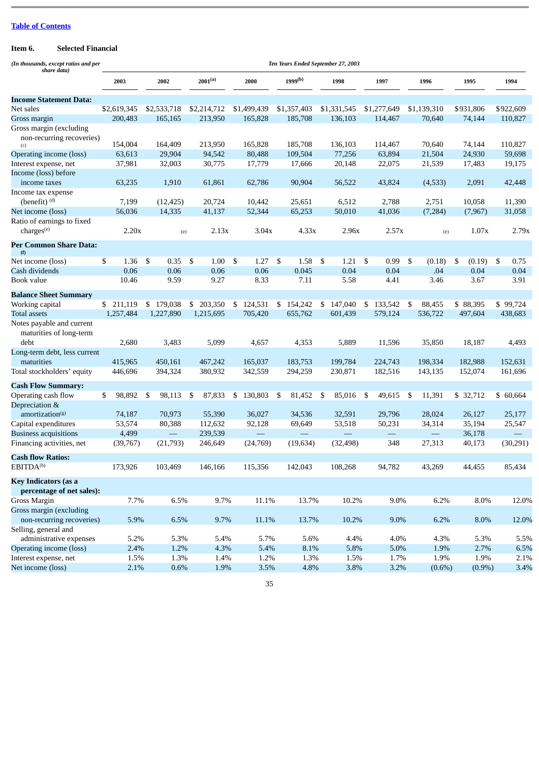# <span id="page-34-0"></span>**Item 6. Selected Financial**

| (In thousands, except ratios and per<br>share data)  | Ten Years Ended September 27, 2003 |    |                          |      |                         |    |                      |     |                       |    |                      |     |                          |     |                   |    |                     |                     |
|------------------------------------------------------|------------------------------------|----|--------------------------|------|-------------------------|----|----------------------|-----|-----------------------|----|----------------------|-----|--------------------------|-----|-------------------|----|---------------------|---------------------|
|                                                      | 2003                               |    | 2002                     |      | $2001^{(a)}$            |    | 2000                 |     | $1999^{(b)}$          |    | 1998                 |     | 1997                     |     | 1996              |    | 1995                | 1994                |
| Income Statement Data:                               |                                    |    |                          |      |                         |    |                      |     |                       |    |                      |     |                          |     |                   |    |                     |                     |
| Net sales                                            | \$2,619,345                        |    | \$2,533,718              |      | \$2,214,712             |    | \$1,499,439          |     | \$1,357,403           |    | \$1,331,545          |     | \$1,277,649              |     | \$1,139,310       |    | \$931,806           | \$922,609           |
| Gross margin                                         | 200,483                            |    | 165,165                  |      | 213,950                 |    | 165,828              |     | 185,708               |    | 136,103              |     | 114,467                  |     | 70,640            |    | 74,144              | 110,827             |
| Gross margin (excluding<br>non-recurring recoveries) |                                    |    |                          |      |                         |    |                      |     |                       |    |                      |     |                          |     |                   |    |                     |                     |
| (c)                                                  | 154,004                            |    | 164,409                  |      | 213,950                 |    | 165,828              |     | 185,708               |    | 136,103              |     | 114,467                  |     | 70,640            |    | 74,144              | 110,827             |
| Operating income (loss)                              | 63,613                             |    | 29,904                   |      | 94,542                  |    | 80,488               |     | 109,504               |    | 77,256               |     | 63,894                   |     | 21,504            |    | 24,930              | 59,698              |
| Interest expense, net                                | 37,981                             |    | 32,003                   |      | 30,775                  |    | 17,779               |     | 17,666                |    | 20,148               |     | 22,075                   |     | 21,539            |    | 17,483              | 19,175              |
| Income (loss) before                                 |                                    |    |                          |      |                         |    |                      |     |                       |    |                      |     |                          |     |                   |    |                     |                     |
| income taxes                                         | 63,235                             |    | 1,910                    |      | 61,861                  |    | 62,786               |     | 90,904                |    | 56,522               |     | 43,824                   |     | (4,533)           |    | 2,091               | 42,448              |
| Income tax expense                                   |                                    |    |                          |      |                         |    |                      |     |                       |    |                      |     |                          |     |                   |    |                     |                     |
| (benefit) <sup>(d)</sup>                             | 7,199                              |    | (12, 425)                |      | 20,724                  |    | 10,442               |     | 25,651                |    | 6,512                |     | 2,788                    |     | 2,751             |    | 10,058              | 11,390              |
| Net income (loss)                                    | 56,036                             |    | 14,335                   |      | 41,137                  |    | 52,344               |     | 65,253                |    | 50,010               |     | 41,036                   |     | (7, 284)          |    | (7, 967)            | 31,058              |
| Ratio of earnings to fixed                           |                                    |    |                          |      |                         |    |                      |     |                       |    |                      |     |                          |     |                   |    |                     |                     |
| charges <sup>(e)</sup>                               | 2.20x                              |    | (e)                      |      | 2.13x                   |    | 3.04x                |     | 4.33x                 |    | 2.96x                |     | 2.57x                    |     | (e)               |    | 1.07x               | 2.79x               |
| Per Common Share Data:<br>(f)                        |                                    |    |                          |      |                         |    |                      |     |                       |    |                      |     |                          |     |                   |    |                     |                     |
| Net income (loss)                                    | 1.36<br>\$                         | \$ | 0.35                     | - \$ | $1.00 \quad$ \$         |    | 1.27S                |     | 1.58                  | \$ | 1.21                 | -S  | 0.99                     | \$  | (0.18)            | S. | (0.19)              | \$<br>0.75          |
| Cash dividends                                       | 0.06                               |    | 0.06                     |      | 0.06                    |    | 0.06                 |     | 0.045                 |    | 0.04                 |     | 0.04                     |     | .04               |    | 0.04                | 0.04                |
| Book value                                           | 10.46                              |    | 9.59                     |      | 9.27                    |    | 8.33                 |     | 7.11                  |    | 5.58                 |     | 4.41                     |     | 3.46              |    | 3.67                | 3.91                |
| <b>Balance Sheet Summary</b>                         |                                    |    |                          |      |                         |    |                      |     |                       |    |                      |     |                          |     |                   |    |                     |                     |
|                                                      |                                    |    |                          |      |                         |    |                      |     |                       |    |                      |     |                          |     |                   |    |                     |                     |
| Working capital<br>Total assets                      | \$211,119<br>1,257,484             |    | \$179,038<br>1,227,890   |      | \$ 203,350<br>1,215,695 |    | \$124,531<br>705,420 |     | \$ 154,242<br>655,762 |    | \$147,040<br>601,439 |     | $$133,542$ \$<br>579,124 |     | 88,455<br>536,722 |    | \$88,395<br>497,604 | \$99,724<br>438,683 |
| Notes payable and current<br>maturities of long-term |                                    |    |                          |      |                         |    |                      |     |                       |    |                      |     |                          |     |                   |    |                     |                     |
| debt                                                 | 2,680                              |    | 3,483                    |      | 5,099                   |    | 4,657                |     | 4,353                 |    | 5,889                |     | 11,596                   |     | 35,850            |    | 18,187              | 4,493               |
| Long-term debt, less current                         |                                    |    |                          |      |                         |    |                      |     |                       |    |                      |     |                          |     |                   |    |                     |                     |
| maturities                                           | 415,965                            |    | 450,161                  |      | 467,242                 |    | 165,037              |     | 183,753               |    | 199,784              |     | 224,743                  |     | 198,334           |    | 182,988             | 152,631             |
| Total stockholders' equity                           | 446,696                            |    | 394,324                  |      | 380,932                 |    | 342,559              |     | 294,259               |    | 230,871              |     | 182,516                  |     | 143,135           |    | 152,074             | 161,696             |
| <b>Cash Flow Summary:</b>                            |                                    |    |                          |      |                         |    |                      |     |                       |    |                      |     |                          |     |                   |    |                     |                     |
| Operating cash flow<br>Depreciation &                | 98,892<br>\$                       | \$ | 98,113                   | -\$  | 87,833                  | \$ | 130,803              | -\$ | 81,452                | \$ | 85,016               | -\$ | 49,615                   | -\$ | 11,391            |    | \$ 32,712           | \$ 60,664           |
| amortization <sup>(g)</sup>                          | 74,187                             |    | 70,973                   |      | 55,390                  |    | 36,027               |     | 34,536                |    | 32,591               |     | 29,796                   |     | 28,024            |    | 26,127              | 25,177              |
| Capital expenditures                                 | 53,574                             |    | 80,388                   |      | 112,632                 |    | 92,128               |     | 69,649                |    | 53,518               |     | 50,231                   |     | 34,314            |    | 35,194              | 25,547              |
| <b>Business acquisitions</b>                         | 4,499                              |    | $\overline{\phantom{0}}$ |      | 239,539                 |    |                      |     |                       |    |                      |     |                          |     | $\qquad \qquad -$ |    | 36,178              |                     |
| Financing activities, net                            | (39,767)                           |    | (21,793)                 |      | 246,649                 |    | (24,769)             |     | (19, 634)             |    | (32, 498)            |     | 348                      |     | 27,313            |    | 40,173              | (30, 291)           |
| <b>Cash flow Ratios:</b>                             |                                    |    |                          |      |                         |    |                      |     |                       |    |                      |     |                          |     |                   |    |                     |                     |
| EBITDA <sup>(h)</sup>                                | 173,926                            |    | 103,469                  |      | 146,166                 |    | 115,356              |     | 142,043               |    | 108,268              |     | 94,782                   |     | 43,269            |    | 44,455              | 85,434              |
| Key Indicators (as a<br>percentage of net sales):    |                                    |    |                          |      |                         |    |                      |     |                       |    |                      |     |                          |     |                   |    |                     |                     |
| Gross Margin                                         | 7.7%                               |    | 6.5%                     |      | 9.7%                    |    | $11.1\%$             |     | 13.7%                 |    | 10.2%                |     | $9.0\%$                  |     | 6.2%              |    | $8.0\%$             | 12.0%               |
| Gross margin (excluding                              |                                    |    |                          |      |                         |    |                      |     |                       |    |                      |     |                          |     |                   |    |                     |                     |
| non-recurring recoveries)                            | 5.9%                               |    | 6.5%                     |      | 9.7%                    |    |                      |     | 13.7%                 |    |                      |     | $9.0\%$                  |     |                   |    |                     |                     |
| Selling, general and                                 |                                    |    |                          |      |                         |    | 11.1%                |     |                       |    | 10.2%                |     |                          |     | 6.2%              |    | 8.0%                | 12.0%               |
| administrative expenses                              |                                    |    |                          |      |                         |    |                      |     |                       |    |                      |     |                          |     |                   |    |                     |                     |
| <b>Operating income (loss)</b>                       | 5.2%                               |    | 5.3%<br>1.2%             |      | 5.4%                    |    | 5.7%                 |     | 5.6%                  |    | 4.4%                 |     | 4.0%                     |     | 4.3%<br>1.9%      |    | 5.3%                | 5.5%<br>6.5%        |
|                                                      | 2.4%                               |    |                          |      | 4.3%                    |    | 5.4%                 |     | 8.1%                  |    | 5.8%                 |     | 5.0%                     |     |                   |    | 2.7%                |                     |
| Interest expense, net                                | 1.5%                               |    | 1.3%                     |      | 1.4%                    |    | 1.2%                 |     | 1.3%                  |    | 1.5%                 |     | 1.7%                     |     | 1.9%              |    | 1.9%                | 2.1%                |
| Net income (loss)                                    | 2.1%                               |    | 0.6%                     |      | 1.9%                    |    | 3.5%                 |     | 4.8%                  |    | 3.8%                 |     | 3.2%                     |     | $(0.6\%)$         |    | $(0.9\%)$           | 3.4%                |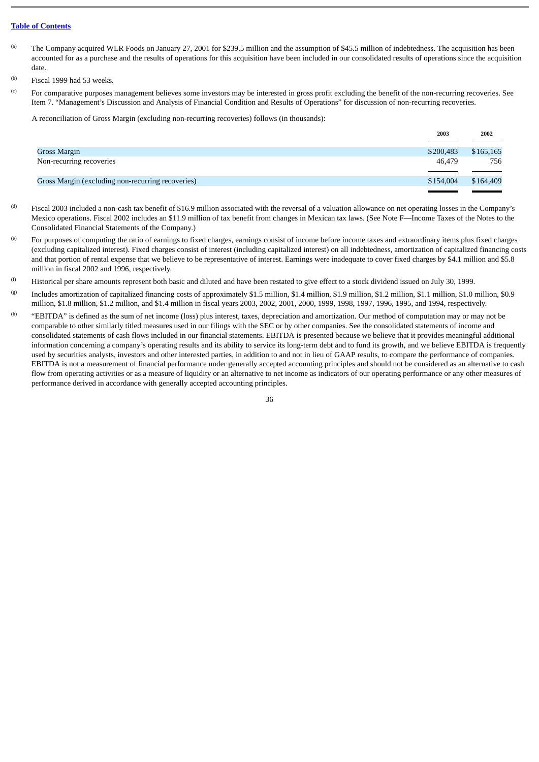- (a) The Company acquired WLR Foods on January 27, 2001 for \$239.5 million and the assumption of \$45.5 million of indebtedness. The acquisition has been accounted for as a purchase and the results of operations for this acquisition have been included in our consolidated results of operations since the acquisition date.
- (b) Fiscal 1999 had 53 weeks.
- (c) For comparative purposes management believes some investors may be interested in gross profit excluding the benefit of the non-recurring recoveries. See Item 7. "Management's Discussion and Analysis of Financial Condition and Results of Operations" for discussion of non-recurring recoveries.

A reconciliation of Gross Margin (excluding non-recurring recoveries) follows (in thousands):

|                                                   | 2003      | 2002      |
|---------------------------------------------------|-----------|-----------|
|                                                   |           |           |
| Gross Margin                                      | \$200,483 | \$165,165 |
| Non-recurring recoveries                          | 46.479    | 756       |
| Gross Margin (excluding non-recurring recoveries) | \$154,004 | \$164,409 |
|                                                   |           |           |

- $^{(d)}$  Fiscal 2003 included a non-cash tax benefit of \$16.9 million associated with the reversal of a valuation allowance on net operating losses in the Company's Mexico operations. Fiscal 2002 includes an \$11.9 million of tax benefit from changes in Mexican tax laws. (See Note F—Income Taxes of the Notes to the Consolidated Financial Statements of the Company.)
- (e) For purposes of computing the ratio of earnings to fixed charges, earnings consist of income before income taxes and extraordinary items plus fixed charges (excluding capitalized interest). Fixed charges consist of interest (including capitalized interest) on all indebtedness, amortization of capitalized financing costs and that portion of rental expense that we believe to be representative of interest. Earnings were inadequate to cover fixed charges by \$4.1 million and \$5.8 million in fiscal 2002 and 1996, respectively.
- <sup>(f)</sup> Historical per share amounts represent both basic and diluted and have been restated to give effect to a stock dividend issued on July 30, 1999.
- (g) Includes amortization of capitalized financing costs of approximately \$1.5 million, \$1.4 million, \$1.9 million, \$1.2 million, \$1.1 million, \$1.0 million, \$0.9 million, \$1.8 million, \$1.2 million, and \$1.4 million in fiscal years 2003, 2002, 2001, 2000, 1999, 1998, 1997, 1996, 1995, and 1994, respectively.
- (h) "EBITDA" is defined as the sum of net income (loss) plus interest, taxes, depreciation and amortization. Our method of computation may or may not be comparable to other similarly titled measures used in our filings with the SEC or by other companies. See the consolidated statements of income and consolidated statements of cash flows included in our financial statements. EBITDA is presented because we believe that it provides meaningful additional information concerning a company's operating results and its ability to service its long-term debt and to fund its growth, and we believe EBITDA is frequently used by securities analysts, investors and other interested parties, in addition to and not in lieu of GAAP results, to compare the performance of companies. EBITDA is not a measurement of financial performance under generally accepted accounting principles and should not be considered as an alternative to cash flow from operating activities or as a measure of liquidity or an alternative to net income as indicators of our operating performance or any other measures of performance derived in accordance with generally accepted accounting principles.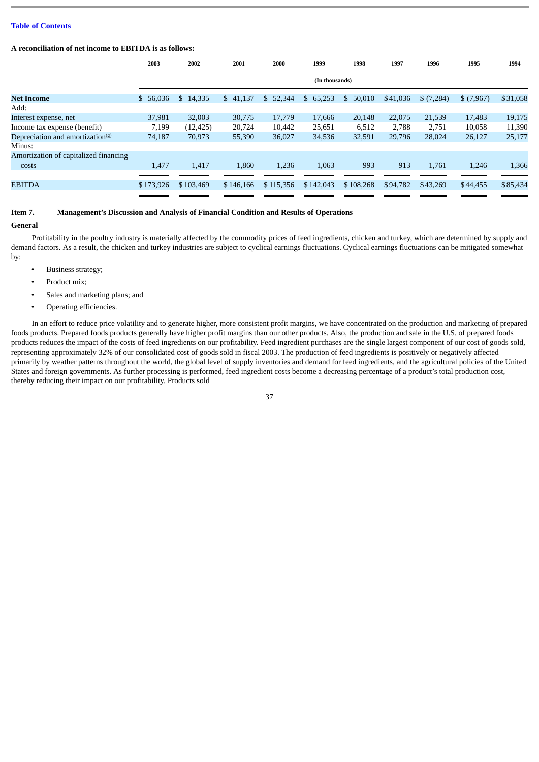#### **A reconciliation of net income to EBITDA is as follows:**

|                                              | 2003      | 2002      | 2001      | 2000      | 1999           | 1998      | 1997     | 1996      | 1995      | 1994     |
|----------------------------------------------|-----------|-----------|-----------|-----------|----------------|-----------|----------|-----------|-----------|----------|
|                                              |           |           |           |           | (In thousands) |           |          |           |           |          |
| Net Income                                   | \$56,036  | \$14,335  | \$41,137  | \$52,344  | \$65,253       | \$50,010  | \$41,036 | \$(7,284) | \$(7,967) | \$31,058 |
| Add:                                         |           |           |           |           |                |           |          |           |           |          |
| Interest expense, net                        | 37,981    | 32,003    | 30,775    | 17,779    | 17,666         | 20,148    | 22,075   | 21,539    | 17,483    | 19,175   |
| Income tax expense (benefit)                 | 7,199     | (12, 425) | 20,724    | 10,442    | 25,651         | 6,512     | 2,788    | 2,751     | 10,058    | 11,390   |
| Depreciation and amortization <sup>(g)</sup> | 74,187    | 70,973    | 55,390    | 36,027    | 34,536         | 32,591    | 29,796   | 28,024    | 26,127    | 25,177   |
| Minus:                                       |           |           |           |           |                |           |          |           |           |          |
| Amortization of capitalized financing        |           |           |           |           |                |           |          |           |           |          |
| costs                                        | 1,477     | 1,417     | 1,860     | 1,236     | 1,063          | 993       | 913      | 1,761     | 1,246     | 1,366    |
|                                              |           |           |           |           |                |           |          |           |           |          |
| <b>EBITDA</b>                                | \$173,926 | \$103,469 | \$146,166 | \$115,356 | \$142,043      | \$108,268 | \$94,782 | \$43,269  | \$44,455  | \$85,434 |
|                                              |           |           |           |           |                |           |          |           |           |          |

# **Item 7. Management's Discussion and Analysis of Financial Condition and Results of Operations**

#### **General**

Profitability in the poultry industry is materially affected by the commodity prices of feed ingredients, chicken and turkey, which are determined by supply and demand factors. As a result, the chicken and turkey industries are subject to cyclical earnings fluctuations. Cyclical earnings fluctuations can be mitigated somewhat by:

- Business strategy;
- Product mix;
- Sales and marketing plans; and
- Operating efficiencies.

In an effort to reduce price volatility and to generate higher, more consistent profit margins, we have concentrated on the production and marketing of prepared foods products. Prepared foods products generally have higher profit margins than our other products. Also, the production and sale in the U.S. of prepared foods products reduces the impact of the costs of feed ingredients on our profitability. Feed ingredient purchases are the single largest component of our cost of goods sold, representing approximately 32% of our consolidated cost of goods sold in fiscal 2003. The production of feed ingredients is positively or negatively affected primarily by weather patterns throughout the world, the global level of supply inventories and demand for feed ingredients, and the agricultural policies of the United States and foreign governments. As further processing is performed, feed ingredient costs become a decreasing percentage of a product's total production cost, thereby reducing their impact on our profitability. Products sold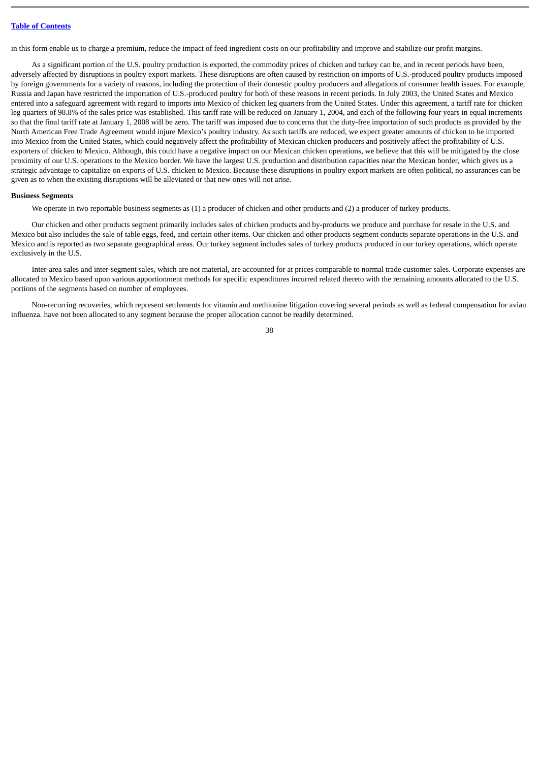in this form enable us to charge a premium, reduce the impact of feed ingredient costs on our profitability and improve and stabilize our profit margins.

As a significant portion of the U.S. poultry production is exported, the commodity prices of chicken and turkey can be, and in recent periods have been, adversely affected by disruptions in poultry export markets. These disruptions are often caused by restriction on imports of U.S.-produced poultry products imposed by foreign governments for a variety of reasons, including the protection of their domestic poultry producers and allegations of consumer health issues. For example, Russia and Japan have restricted the importation of U.S.-produced poultry for both of these reasons in recent periods. In July 2003, the United States and Mexico entered into a safeguard agreement with regard to imports into Mexico of chicken leg quarters from the United States. Under this agreement, a tariff rate for chicken leg quarters of 98.8% of the sales price was established. This tariff rate will be reduced on January 1, 2004, and each of the following four years in equal increments so that the final tariff rate at January 1, 2008 will be zero. The tariff was imposed due to concerns that the duty-free importation of such products as provided by the North American Free Trade Agreement would injure Mexico's poultry industry. As such tariffs are reduced, we expect greater amounts of chicken to be imported into Mexico from the United States, which could negatively affect the profitability of Mexican chicken producers and positively affect the profitability of U.S. exporters of chicken to Mexico. Although, this could have a negative impact on our Mexican chicken operations, we believe that this will be mitigated by the close proximity of our U.S. operations to the Mexico border. We have the largest U.S. production and distribution capacities near the Mexican border, which gives us a strategic advantage to capitalize on exports of U.S. chicken to Mexico. Because these disruptions in poultry export markets are often political, no assurances can be given as to when the existing disruptions will be alleviated or that new ones will not arise.

#### **Business Segments**

We operate in two reportable business segments as (1) a producer of chicken and other products and (2) a producer of turkey products.

Our chicken and other products segment primarily includes sales of chicken products and by-products we produce and purchase for resale in the U.S. and Mexico but also includes the sale of table eggs, feed, and certain other items. Our chicken and other products segment conducts separate operations in the U.S. and Mexico and is reported as two separate geographical areas. Our turkey segment includes sales of turkey products produced in our turkey operations, which operate exclusively in the U.S.

Inter-area sales and inter-segment sales, which are not material, are accounted for at prices comparable to normal trade customer sales. Corporate expenses are allocated to Mexico based upon various apportionment methods for specific expenditures incurred related thereto with the remaining amounts allocated to the U.S. portions of the segments based on number of employees.

Non-recurring recoveries, which represent settlements for vitamin and methionine litigation covering several periods as well as federal compensation for avian influenza. have not been allocated to any segment because the proper allocation cannot be readily determined.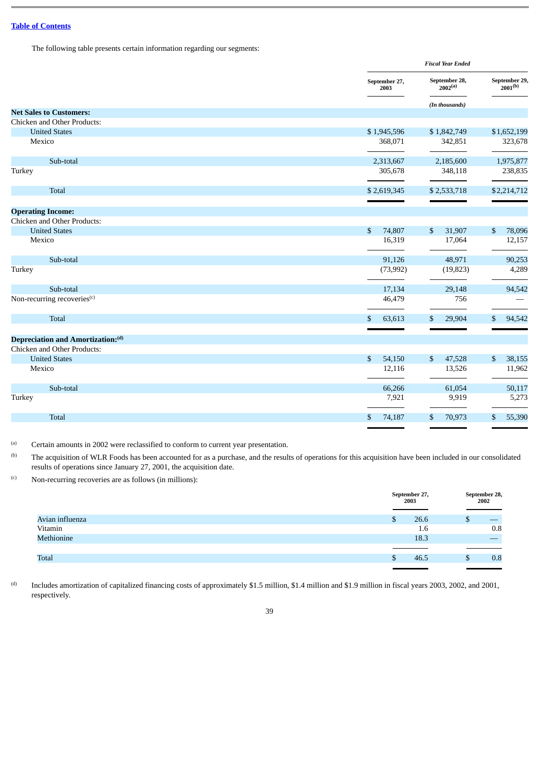The following table presents certain information regarding our segments:

|                                         |                          | <b>Fiscal Year Ended</b>             |                               |  |  |
|-----------------------------------------|--------------------------|--------------------------------------|-------------------------------|--|--|
|                                         | September 27,<br>2003    | September 28,<br>2002 <sup>(a)</sup> | September 29,<br>$2001^{(b)}$ |  |  |
|                                         |                          | (In thousands)                       |                               |  |  |
| <b>Net Sales to Customers:</b>          |                          |                                      |                               |  |  |
| Chicken and Other Products:             |                          |                                      |                               |  |  |
| <b>United States</b>                    | \$1,945,596              | \$1,842,749                          | \$1,652,199                   |  |  |
| Mexico                                  | 368,071                  | 342,851                              | 323,678                       |  |  |
| Sub-total                               | 2,313,667                | 2,185,600                            | 1,975,877                     |  |  |
| Turkey                                  | 305,678                  | 348,118                              | 238,835                       |  |  |
| <b>Total</b>                            | \$2,619,345              | \$2,533,718                          | \$2,214,712                   |  |  |
|                                         |                          |                                      |                               |  |  |
| <b>Operating Income:</b>                |                          |                                      |                               |  |  |
| Chicken and Other Products:             |                          |                                      |                               |  |  |
| <b>United States</b>                    | \$<br>74,807             | \$<br>31,907                         | 78,096<br>\$                  |  |  |
| Mexico                                  | 16,319                   | 17,064                               | 12,157                        |  |  |
| Sub-total                               | 91,126                   | 48,971                               | 90,253                        |  |  |
| Turkey                                  | (73,992)                 | (19, 823)                            | 4,289                         |  |  |
| Sub-total                               | 17,134                   | 29,148                               | 94,542                        |  |  |
| Non-recurring recoveries <sup>(c)</sup> | 46,479                   | 756                                  |                               |  |  |
| Total                                   | 63,613<br>$\mathfrak{F}$ | \$<br>29,904                         | 94,542<br>\$                  |  |  |
|                                         |                          |                                      |                               |  |  |
| Depreciation and Amortization:(d)       |                          |                                      |                               |  |  |
| Chicken and Other Products:             |                          |                                      |                               |  |  |
| <b>United States</b>                    | \$<br>54,150             | \$<br>47,528                         | \$<br>38,155                  |  |  |
| Mexico                                  | 12,116                   | 13,526                               | 11,962                        |  |  |
| Sub-total                               | 66,266                   | 61,054                               | 50,117                        |  |  |
| Turkey                                  | 7,921                    | 9,919                                | 5,273                         |  |  |
| <b>Total</b>                            | 74,187<br>\$             | \$<br>70,973                         | 55,390<br>\$                  |  |  |
|                                         |                          |                                      |                               |  |  |

(a) Certain amounts in 2002 were reclassified to conform to current year presentation.

(b) The acquisition of WLR Foods has been accounted for as a purchase, and the results of operations for this acquisition have been included in our consolidated results of operations since January 27, 2001, the acquisition date.

 $(0)$  Non-recurring recoveries are as follows (in millions):

|                 |   | September 27,<br>2003 |    | September 28,<br>2002 |
|-----------------|---|-----------------------|----|-----------------------|
| Avian influenza | ъ | 26.6                  | ل∪ |                       |
| Vitamin         |   | 1.6                   |    | 0.8                   |
| Methionine      |   | 18.3                  |    |                       |
|                 |   |                       |    |                       |
| <b>Total</b>    |   | 46.5                  |    | 0.8                   |
|                 |   |                       |    |                       |

(d) Includes amortization of capitalized financing costs of approximately \$1.5 million, \$1.4 million and \$1.9 million in fiscal years 2003, 2002, and 2001, respectively.

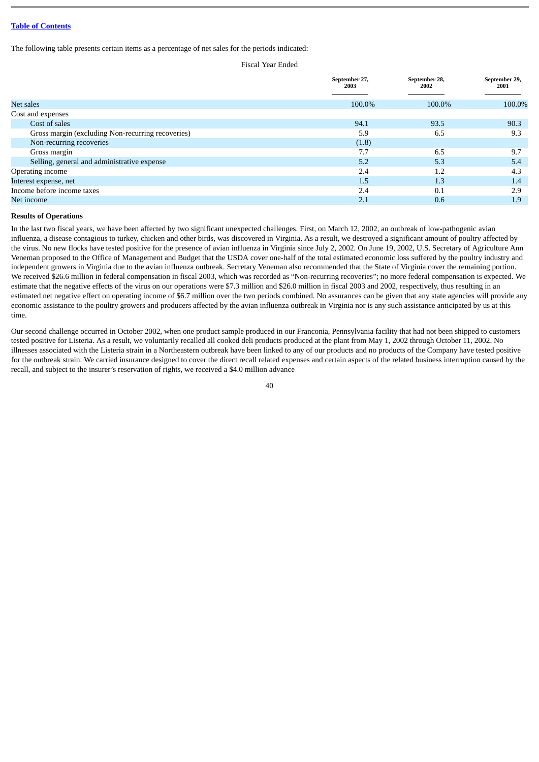The following table presents certain items as a percentage of net sales for the periods indicated:

Fiscal Year Ended

|                                                   | September 27,<br>2003 | September 28,<br>2002 | September 29,<br>2001 |
|---------------------------------------------------|-----------------------|-----------------------|-----------------------|
|                                                   |                       |                       |                       |
| Net sales                                         | 100.0%                | 100.0%                | 100.0%                |
| Cost and expenses                                 |                       |                       |                       |
| Cost of sales                                     | 94.1                  | 93.5                  | 90.3                  |
| Gross margin (excluding Non-recurring recoveries) | 5.9                   | 6.5                   | 9.3                   |
| Non-recurring recoveries                          | (1.8)                 | __                    | __                    |
| Gross margin                                      | 7.7                   | 6.5                   | 9.7                   |
| Selling, general and administrative expense       | 5.2                   | 5.3                   | 5.4                   |
| Operating income                                  | 2.4                   | 1.2                   | 4.3                   |
| Interest expense, net                             | 1.5                   | 1.3                   | 1.4                   |
| Income before income taxes                        | 2.4                   | 0.1                   | 2.9                   |
| Net income                                        | 2.1                   | 0.6                   | 1.9                   |

## **Results of Operations**

In the last two fiscal years, we have been affected by two significant unexpected challenges. First, on March 12, 2002, an outbreak of low-pathogenic avian influenza, a disease contagious to turkey, chicken and other birds, was discovered in Virginia. As a result, we destroyed a significant amount of poultry affected by the virus. No new flocks have tested positive for the presence of avian influenza in Virginia since July 2, 2002. On June 19, 2002, U.S. Secretary of Agriculture Ann Veneman proposed to the Office of Management and Budget that the USDA cover one-half of the total estimated economic loss suffered by the poultry industry and independent growers in Virginia due to the avian influenza outbreak. Secretary Veneman also recommended that the State of Virginia cover the remaining portion. We received \$26.6 million in federal compensation in fiscal 2003, which was recorded as "Non-recurring recoveries"; no more federal compensation is expected. We estimate that the negative effects of the virus on our operations were \$7.3 million and \$26.0 million in fiscal 2003 and 2002, respectively, thus resulting in an estimated net negative effect on operating income of \$6.7 million over the two periods combined. No assurances can be given that any state agencies will provide any economic assistance to the poultry growers and producers affected by the avian influenza outbreak in Virginia nor is any such assistance anticipated by us at this time.

Our second challenge occurred in October 2002, when one product sample produced in our Franconia, Pennsylvania facility that had not been shipped to customers tested positive for Listeria. As a result, we voluntarily recalled all cooked deli products produced at the plant from May 1, 2002 through October 11, 2002. No illnesses associated with the Listeria strain in a Northeastern outbreak have been linked to any of our products and no products of the Company have tested positive for the outbreak strain. We carried insurance designed to cover the direct recall related expenses and certain aspects of the related business interruption caused by the recall, and subject to the insurer's reservation of rights, we received a \$4.0 million advance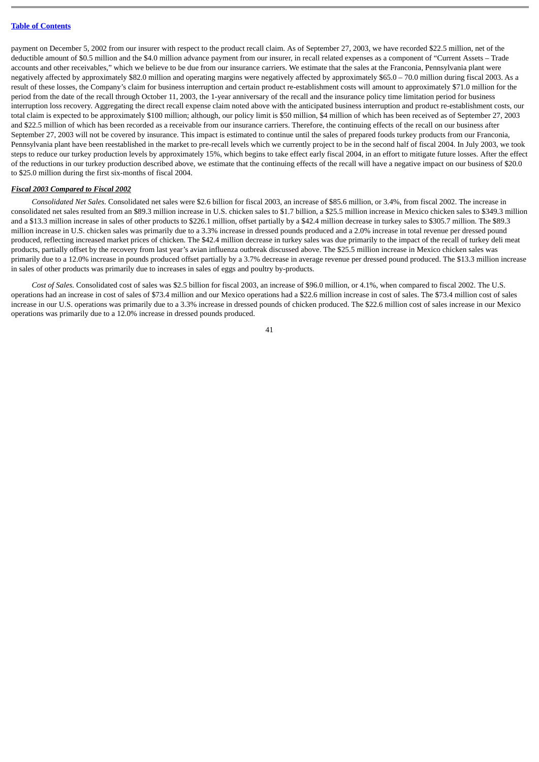payment on December 5, 2002 from our insurer with respect to the product recall claim. As of September 27, 2003, we have recorded \$22.5 million, net of the deductible amount of \$0.5 million and the \$4.0 million advance payment from our insurer, in recall related expenses as a component of "Current Assets – Trade accounts and other receivables," which we believe to be due from our insurance carriers. We estimate that the sales at the Franconia, Pennsylvania plant were negatively affected by approximately \$82.0 million and operating margins were negatively affected by approximately \$65.0 – 70.0 million during fiscal 2003. As a result of these losses, the Company's claim for business interruption and certain product re-establishment costs will amount to approximately \$71.0 million for the period from the date of the recall through October 11, 2003, the 1-year anniversary of the recall and the insurance policy time limitation period for business interruption loss recovery. Aggregating the direct recall expense claim noted above with the anticipated business interruption and product re-establishment costs, our total claim is expected to be approximately \$100 million; although, our policy limit is \$50 million, \$4 million of which has been received as of September 27, 2003 and \$22.5 million of which has been recorded as a receivable from our insurance carriers. Therefore, the continuing effects of the recall on our business after September 27, 2003 will not be covered by insurance. This impact is estimated to continue until the sales of prepared foods turkey products from our Franconia, Pennsylvania plant have been reestablished in the market to pre-recall levels which we currently project to be in the second half of fiscal 2004. In July 2003, we took steps to reduce our turkey production levels by approximately 15%, which begins to take effect early fiscal 2004, in an effort to mitigate future losses. After the effect of the reductions in our turkey production described above, we estimate that the continuing effects of the recall will have a negative impact on our business of \$20.0 to \$25.0 million during the first six-months of fiscal 2004.

#### *Fiscal 2003 Compared to Fiscal 2002*

*Consolidated Net Sales.* Consolidated net sales were \$2.6 billion for fiscal 2003, an increase of \$85.6 million, or 3.4%, from fiscal 2002. The increase in consolidated net sales resulted from an \$89.3 million increase in U.S. chicken sales to \$1.7 billion, a \$25.5 million increase in Mexico chicken sales to \$349.3 million and a \$13.3 million increase in sales of other products to \$226.1 million, offset partially by a \$42.4 million decrease in turkey sales to \$305.7 million. The \$89.3 million increase in U.S. chicken sales was primarily due to a 3.3% increase in dressed pounds produced and a 2.0% increase in total revenue per dressed pound produced, reflecting increased market prices of chicken. The \$42.4 million decrease in turkey sales was due primarily to the impact of the recall of turkey deli meat products, partially offset by the recovery from last year's avian influenza outbreak discussed above. The \$25.5 million increase in Mexico chicken sales was primarily due to a 12.0% increase in pounds produced offset partially by a 3.7% decrease in average revenue per dressed pound produced. The \$13.3 million increase in sales of other products was primarily due to increases in sales of eggs and poultry by-products.

*Cost of Sales.* Consolidated cost of sales was \$2.5 billion for fiscal 2003, an increase of \$96.0 million, or 4.1%, when compared to fiscal 2002. The U.S. operations had an increase in cost of sales of \$73.4 million and our Mexico operations had a \$22.6 million increase in cost of sales. The \$73.4 million cost of sales increase in our U.S. operations was primarily due to a 3.3% increase in dressed pounds of chicken produced. The \$22.6 million cost of sales increase in our Mexico operations was primarily due to a 12.0% increase in dressed pounds produced.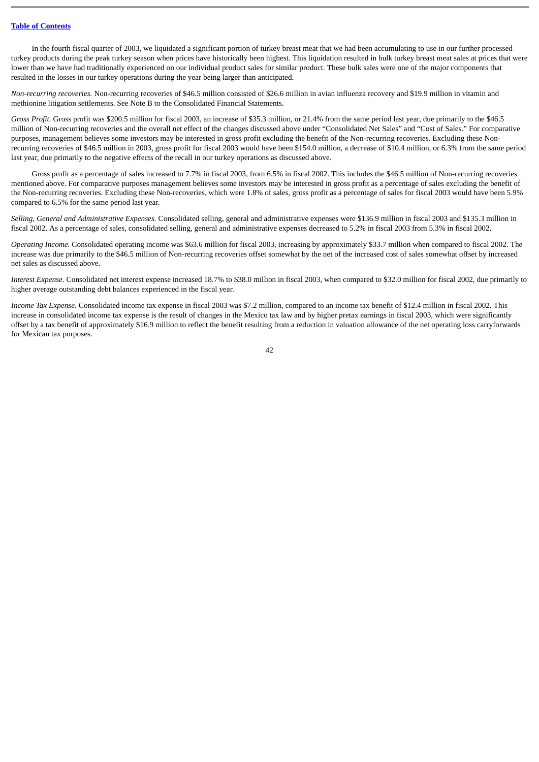In the fourth fiscal quarter of 2003, we liquidated a significant portion of turkey breast meat that we had been accumulating to use in our further processed turkey products during the peak turkey season when prices have historically been highest. This liquidation resulted in bulk turkey breast meat sales at prices that were lower than we have had traditionally experienced on our individual product sales for similar product. These bulk sales were one of the major components that resulted in the losses in our turkey operations during the year being larger than anticipated.

*Non-recurring recoveries.* Non-recurring recoveries of \$46.5 million consisted of \$26.6 million in avian influenza recovery and \$19.9 million in vitamin and methionine litigation settlements. See Note B to the Consolidated Financial Statements.

*Gross Profit.* Gross profit was \$200.5 million for fiscal 2003, an increase of \$35.3 million, or 21.4% from the same period last year, due primarily to the \$46.5 million of Non-recurring recoveries and the overall net effect of the changes discussed above under "Consolidated Net Sales" and "Cost of Sales." For comparative purposes, management believes some investors may be interested in gross profit excluding the benefit of the Non-recurring recoveries. Excluding these Nonrecurring recoveries of \$46.5 million in 2003, gross profit for fiscal 2003 would have been \$154.0 million, a decrease of \$10.4 million, or 6.3% from the same period last year, due primarily to the negative effects of the recall in our turkey operations as discussed above.

Gross profit as a percentage of sales increased to 7.7% in fiscal 2003, from 6.5% in fiscal 2002. This includes the \$46.5 million of Non-recurring recoveries mentioned above. For comparative purposes management believes some investors may be interested in gross profit as a percentage of sales excluding the benefit of the Non-recurring recoveries. Excluding these Non-recoveries, which were 1.8% of sales, gross profit as a percentage of sales for fiscal 2003 would have been 5.9% compared to 6.5% for the same period last year.

*Selling, General and Administrative Expenses.* Consolidated selling, general and administrative expenses were \$136.9 million in fiscal 2003 and \$135.3 million in fiscal 2002. As a percentage of sales, consolidated selling, general and administrative expenses decreased to 5.2% in fiscal 2003 from 5.3% in fiscal 2002.

*Operating Income.* Consolidated operating income was \$63.6 million for fiscal 2003, increasing by approximately \$33.7 million when compared to fiscal 2002. The increase was due primarily to the \$46.5 million of Non-recurring recoveries offset somewhat by the net of the increased cost of sales somewhat offset by increased net sales as discussed above.

*Interest Expense*. Consolidated net interest expense increased 18.7% to \$38.0 million in fiscal 2003, when compared to \$32.0 million for fiscal 2002, due primarily to higher average outstanding debt balances experienced in the fiscal year.

*Income Tax Expense*. Consolidated income tax expense in fiscal 2003 was \$7.2 million, compared to an income tax benefit of \$12.4 million in fiscal 2002. This increase in consolidated income tax expense is the result of changes in the Mexico tax law and by higher pretax earnings in fiscal 2003, which were significantly offset by a tax benefit of approximately \$16.9 million to reflect the benefit resulting from a reduction in valuation allowance of the net operating loss carryforwards for Mexican tax purposes.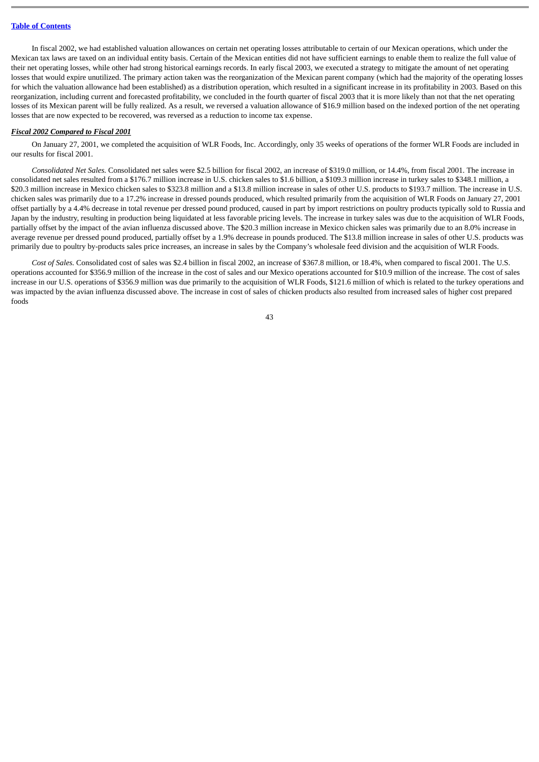In fiscal 2002, we had established valuation allowances on certain net operating losses attributable to certain of our Mexican operations, which under the Mexican tax laws are taxed on an individual entity basis. Certain of the Mexican entities did not have sufficient earnings to enable them to realize the full value of their net operating losses, while other had strong historical earnings records. In early fiscal 2003, we executed a strategy to mitigate the amount of net operating losses that would expire unutilized. The primary action taken was the reorganization of the Mexican parent company (which had the majority of the operating losses for which the valuation allowance had been established) as a distribution operation, which resulted in a significant increase in its profitability in 2003. Based on this reorganization, including current and forecasted profitability, we concluded in the fourth quarter of fiscal 2003 that it is more likely than not that the net operating losses of its Mexican parent will be fully realized. As a result, we reversed a valuation allowance of \$16.9 million based on the indexed portion of the net operating losses that are now expected to be recovered, was reversed as a reduction to income tax expense.

#### *Fiscal 2002 Compared to Fiscal 2001*

On January 27, 2001, we completed the acquisition of WLR Foods, Inc. Accordingly, only 35 weeks of operations of the former WLR Foods are included in our results for fiscal 2001.

*Consolidated Net Sales.* Consolidated net sales were \$2.5 billion for fiscal 2002, an increase of \$319.0 million, or 14.4%, from fiscal 2001. The increase in consolidated net sales resulted from a \$176.7 million increase in U.S. chicken sales to \$1.6 billion, a \$109.3 million increase in turkey sales to \$348.1 million, a \$20.3 million increase in Mexico chicken sales to \$323.8 million and a \$13.8 million increase in sales of other U.S. products to \$193.7 million. The increase in U.S. chicken sales was primarily due to a 17.2% increase in dressed pounds produced, which resulted primarily from the acquisition of WLR Foods on January 27, 2001 offset partially by a 4.4% decrease in total revenue per dressed pound produced, caused in part by import restrictions on poultry products typically sold to Russia and Japan by the industry, resulting in production being liquidated at less favorable pricing levels. The increase in turkey sales was due to the acquisition of WLR Foods, partially offset by the impact of the avian influenza discussed above. The \$20.3 million increase in Mexico chicken sales was primarily due to an 8.0% increase in average revenue per dressed pound produced, partially offset by a 1.9% decrease in pounds produced. The \$13.8 million increase in sales of other U.S. products was primarily due to poultry by-products sales price increases, an increase in sales by the Company's wholesale feed division and the acquisition of WLR Foods.

*Cost of Sales.* Consolidated cost of sales was \$2.4 billion in fiscal 2002, an increase of \$367.8 million, or 18.4%, when compared to fiscal 2001. The U.S. operations accounted for \$356.9 million of the increase in the cost of sales and our Mexico operations accounted for \$10.9 million of the increase. The cost of sales increase in our U.S. operations of \$356.9 million was due primarily to the acquisition of WLR Foods, \$121.6 million of which is related to the turkey operations and was impacted by the avian influenza discussed above. The increase in cost of sales of chicken products also resulted from increased sales of higher cost prepared foods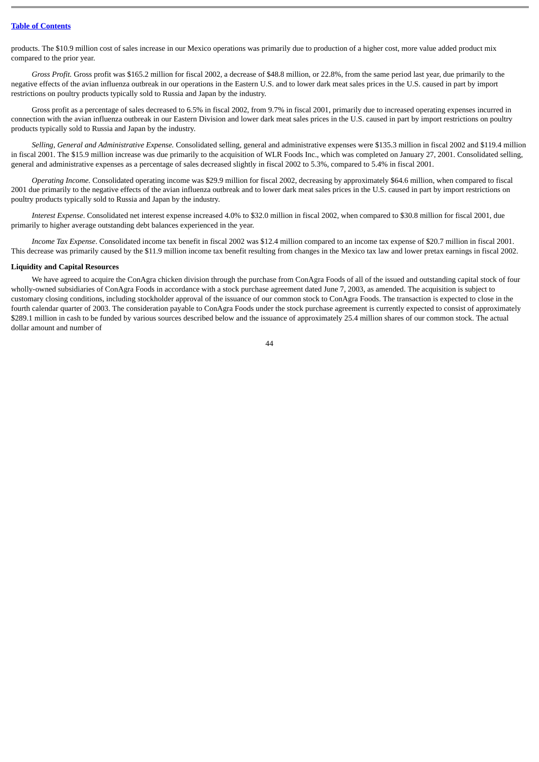products. The \$10.9 million cost of sales increase in our Mexico operations was primarily due to production of a higher cost, more value added product mix compared to the prior year.

*Gross Profit.* Gross profit was \$165.2 million for fiscal 2002, a decrease of \$48.8 million, or 22.8%, from the same period last year, due primarily to the negative effects of the avian influenza outbreak in our operations in the Eastern U.S. and to lower dark meat sales prices in the U.S. caused in part by import restrictions on poultry products typically sold to Russia and Japan by the industry.

Gross profit as a percentage of sales decreased to 6.5% in fiscal 2002, from 9.7% in fiscal 2001, primarily due to increased operating expenses incurred in connection with the avian influenza outbreak in our Eastern Division and lower dark meat sales prices in the U.S. caused in part by import restrictions on poultry products typically sold to Russia and Japan by the industry.

*Selling, General and Administrative Expense.* Consolidated selling, general and administrative expenses were \$135.3 million in fiscal 2002 and \$119.4 million in fiscal 2001. The \$15.9 million increase was due primarily to the acquisition of WLR Foods Inc., which was completed on January 27, 2001. Consolidated selling, general and administrative expenses as a percentage of sales decreased slightly in fiscal 2002 to 5.3%, compared to 5.4% in fiscal 2001.

*Operating Income.* Consolidated operating income was \$29.9 million for fiscal 2002, decreasing by approximately \$64.6 million, when compared to fiscal 2001 due primarily to the negative effects of the avian influenza outbreak and to lower dark meat sales prices in the U.S. caused in part by import restrictions on poultry products typically sold to Russia and Japan by the industry.

*Interest Expense*. Consolidated net interest expense increased 4.0% to \$32.0 million in fiscal 2002, when compared to \$30.8 million for fiscal 2001, due primarily to higher average outstanding debt balances experienced in the year.

*Income Tax Expense*. Consolidated income tax benefit in fiscal 2002 was \$12.4 million compared to an income tax expense of \$20.7 million in fiscal 2001. This decrease was primarily caused by the \$11.9 million income tax benefit resulting from changes in the Mexico tax law and lower pretax earnings in fiscal 2002.

#### **Liquidity and Capital Resources**

We have agreed to acquire the ConAgra chicken division through the purchase from ConAgra Foods of all of the issued and outstanding capital stock of four wholly-owned subsidiaries of ConAgra Foods in accordance with a stock purchase agreement dated June 7, 2003, as amended. The acquisition is subject to customary closing conditions, including stockholder approval of the issuance of our common stock to ConAgra Foods. The transaction is expected to close in the fourth calendar quarter of 2003. The consideration payable to ConAgra Foods under the stock purchase agreement is currently expected to consist of approximately \$289.1 million in cash to be funded by various sources described below and the issuance of approximately 25.4 million shares of our common stock. The actual dollar amount and number of

 $\overline{44}$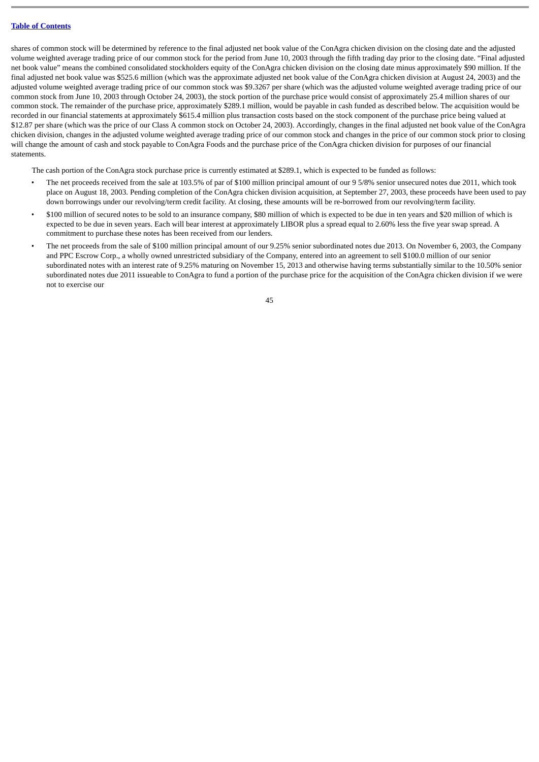shares of common stock will be determined by reference to the final adjusted net book value of the ConAgra chicken division on the closing date and the adjusted volume weighted average trading price of our common stock for the period from June 10, 2003 through the fifth trading day prior to the closing date. "Final adjusted net book value" means the combined consolidated stockholders equity of the ConAgra chicken division on the closing date minus approximately \$90 million. If the final adjusted net book value was \$525.6 million (which was the approximate adjusted net book value of the ConAgra chicken division at August 24, 2003) and the adjusted volume weighted average trading price of our common stock was \$9.3267 per share (which was the adjusted volume weighted average trading price of our common stock from June 10, 2003 through October 24, 2003), the stock portion of the purchase price would consist of approximately 25.4 million shares of our common stock. The remainder of the purchase price, approximately \$289.1 million, would be payable in cash funded as described below. The acquisition would be recorded in our financial statements at approximately \$615.4 million plus transaction costs based on the stock component of the purchase price being valued at \$12.87 per share (which was the price of our Class A common stock on October 24, 2003). Accordingly, changes in the final adjusted net book value of the ConAgra chicken division, changes in the adjusted volume weighted average trading price of our common stock and changes in the price of our common stock prior to closing will change the amount of cash and stock payable to ConAgra Foods and the purchase price of the ConAgra chicken division for purposes of our financial statements.

The cash portion of the ConAgra stock purchase price is currently estimated at \$289.1, which is expected to be funded as follows:

- The net proceeds received from the sale at 103.5% of par of \$100 million principal amount of our 9 5/8% senior unsecured notes due 2011, which took place on August 18, 2003. Pending completion of the ConAgra chicken division acquisition, at September 27, 2003, these proceeds have been used to pay down borrowings under our revolving/term credit facility. At closing, these amounts will be re-borrowed from our revolving/term facility.
- \$100 million of secured notes to be sold to an insurance company, \$80 million of which is expected to be due in ten years and \$20 million of which is expected to be due in seven years. Each will bear interest at approximately LIBOR plus a spread equal to 2.60% less the five year swap spread. A commitment to purchase these notes has been received from our lenders.
- The net proceeds from the sale of \$100 million principal amount of our 9.25% senior subordinated notes due 2013. On November 6, 2003, the Company and PPC Escrow Corp., a wholly owned unrestricted subsidiary of the Company, entered into an agreement to sell \$100.0 million of our senior subordinated notes with an interest rate of 9.25% maturing on November 15, 2013 and otherwise having terms substantially similar to the 10.50% senior subordinated notes due 2011 issueable to ConAgra to fund a portion of the purchase price for the acquisition of the ConAgra chicken division if we were not to exercise our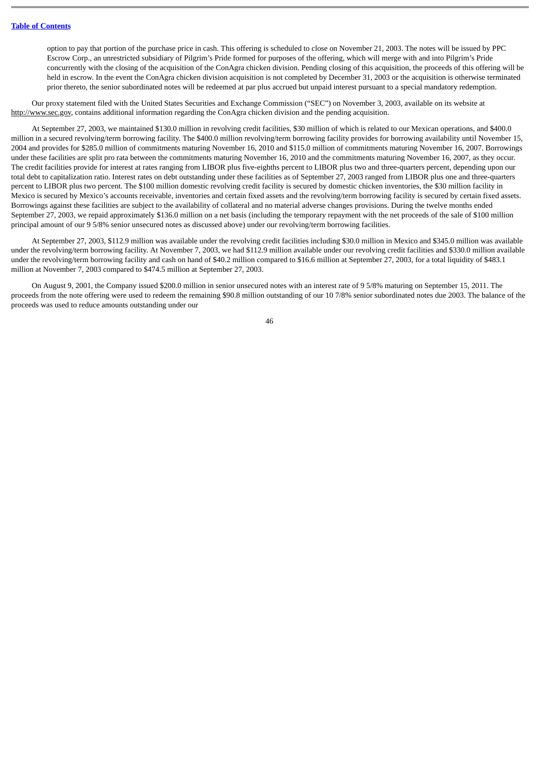option to pay that portion of the purchase price in cash. This offering is scheduled to close on November 21, 2003. The notes will be issued by PPC Escrow Corp., an unrestricted subsidiary of Pilgrim's Pride formed for purposes of the offering, which will merge with and into Pilgrim's Pride concurrently with the closing of the acquisition of the ConAgra chicken division. Pending closing of this acquisition, the proceeds of this offering will be held in escrow. In the event the ConAgra chicken division acquisition is not completed by December 31, 2003 or the acquisition is otherwise terminated prior thereto, the senior subordinated notes will be redeemed at par plus accrued but unpaid interest pursuant to a special mandatory redemption.

Our proxy statement filed with the United States Securities and Exchange Commission ("SEC") on November 3, 2003, available on its website at http://www.sec.gov, contains additional information regarding the ConAgra chicken division and the pending acquisition.

At September 27, 2003, we maintained \$130.0 million in revolving credit facilities, \$30 million of which is related to our Mexican operations, and \$400.0 million in a secured revolving/term borrowing facility. The \$400.0 million revolving/term borrowing facility provides for borrowing availability until November 15, 2004 and provides for \$285.0 million of commitments maturing November 16, 2010 and \$115.0 million of commitments maturing November 16, 2007. Borrowings under these facilities are split pro rata between the commitments maturing November 16, 2010 and the commitments maturing November 16, 2007, as they occur. The credit facilities provide for interest at rates ranging from LIBOR plus five-eighths percent to LIBOR plus two and three-quarters percent, depending upon our total debt to capitalization ratio. Interest rates on debt outstanding under these facilities as of September 27, 2003 ranged from LIBOR plus one and three-quarters percent to LIBOR plus two percent. The \$100 million domestic revolving credit facility is secured by domestic chicken inventories, the \$30 million facility in Mexico is secured by Mexico's accounts receivable, inventories and certain fixed assets and the revolving/term borrowing facility is secured by certain fixed assets. Borrowings against these facilities are subject to the availability of collateral and no material adverse changes provisions. During the twelve months ended September 27, 2003, we repaid approximately \$136.0 million on a net basis (including the temporary repayment with the net proceeds of the sale of \$100 million principal amount of our 9 5/8% senior unsecured notes as discussed above) under our revolving/term borrowing facilities.

At September 27, 2003, \$112.9 million was available under the revolving credit facilities including \$30.0 million in Mexico and \$345.0 million was available under the revolving/term borrowing facility. At November 7, 2003, we had \$112.9 million available under our revolving credit facilities and \$330.0 million available under the revolving/term borrowing facility and cash on hand of \$40.2 million compared to \$16.6 million at September 27, 2003, for a total liquidity of \$483.1 million at November 7, 2003 compared to \$474.5 million at September 27, 2003.

On August 9, 2001, the Company issued \$200.0 million in senior unsecured notes with an interest rate of 9 5/8% maturing on September 15, 2011. The proceeds from the note offering were used to redeem the remaining \$90.8 million outstanding of our 10 7/8% senior subordinated notes due 2003. The balance of the proceeds was used to reduce amounts outstanding under our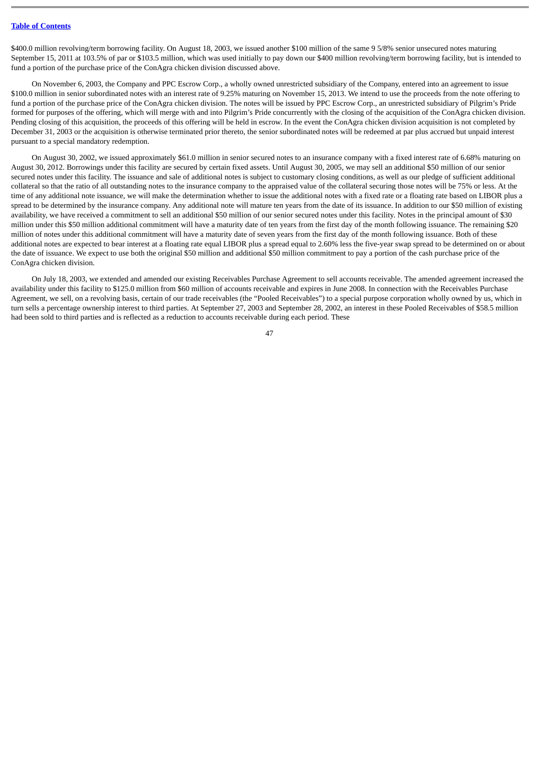\$400.0 million revolving/term borrowing facility. On August 18, 2003, we issued another \$100 million of the same 9 5/8% senior unsecured notes maturing September 15, 2011 at 103.5% of par or \$103.5 million, which was used initially to pay down our \$400 million revolving/term borrowing facility, but is intended to fund a portion of the purchase price of the ConAgra chicken division discussed above.

On November 6, 2003, the Company and PPC Escrow Corp., a wholly owned unrestricted subsidiary of the Company, entered into an agreement to issue \$100.0 million in senior subordinated notes with an interest rate of 9.25% maturing on November 15, 2013. We intend to use the proceeds from the note offering to fund a portion of the purchase price of the ConAgra chicken division. The notes will be issued by PPC Escrow Corp., an unrestricted subsidiary of Pilgrim's Pride formed for purposes of the offering, which will merge with and into Pilgrim's Pride concurrently with the closing of the acquisition of the ConAgra chicken division. Pending closing of this acquisition, the proceeds of this offering will be held in escrow. In the event the ConAgra chicken division acquisition is not completed by December 31, 2003 or the acquisition is otherwise terminated prior thereto, the senior subordinated notes will be redeemed at par plus accrued but unpaid interest pursuant to a special mandatory redemption.

On August 30, 2002, we issued approximately \$61.0 million in senior secured notes to an insurance company with a fixed interest rate of 6.68% maturing on August 30, 2012. Borrowings under this facility are secured by certain fixed assets. Until August 30, 2005, we may sell an additional \$50 million of our senior secured notes under this facility. The issuance and sale of additional notes is subject to customary closing conditions, as well as our pledge of sufficient additional collateral so that the ratio of all outstanding notes to the insurance company to the appraised value of the collateral securing those notes will be 75% or less. At the time of any additional note issuance, we will make the determination whether to issue the additional notes with a fixed rate or a floating rate based on LIBOR plus a spread to be determined by the insurance company. Any additional note will mature ten years from the date of its issuance. In addition to our \$50 million of existing availability, we have received a commitment to sell an additional \$50 million of our senior secured notes under this facility. Notes in the principal amount of \$30 million under this \$50 million additional commitment will have a maturity date of ten years from the first day of the month following issuance. The remaining \$20 million of notes under this additional commitment will have a maturity date of seven years from the first day of the month following issuance. Both of these additional notes are expected to bear interest at a floating rate equal LIBOR plus a spread equal to 2.60% less the five-year swap spread to be determined on or about the date of issuance. We expect to use both the original \$50 million and additional \$50 million commitment to pay a portion of the cash purchase price of the ConAgra chicken division.

On July 18, 2003, we extended and amended our existing Receivables Purchase Agreement to sell accounts receivable. The amended agreement increased the availability under this facility to \$125.0 million from \$60 million of accounts receivable and expires in June 2008. In connection with the Receivables Purchase Agreement, we sell, on a revolving basis, certain of our trade receivables (the "Pooled Receivables") to a special purpose corporation wholly owned by us, which in turn sells a percentage ownership interest to third parties. At September 27, 2003 and September 28, 2002, an interest in these Pooled Receivables of \$58.5 million had been sold to third parties and is reflected as a reduction to accounts receivable during each period. These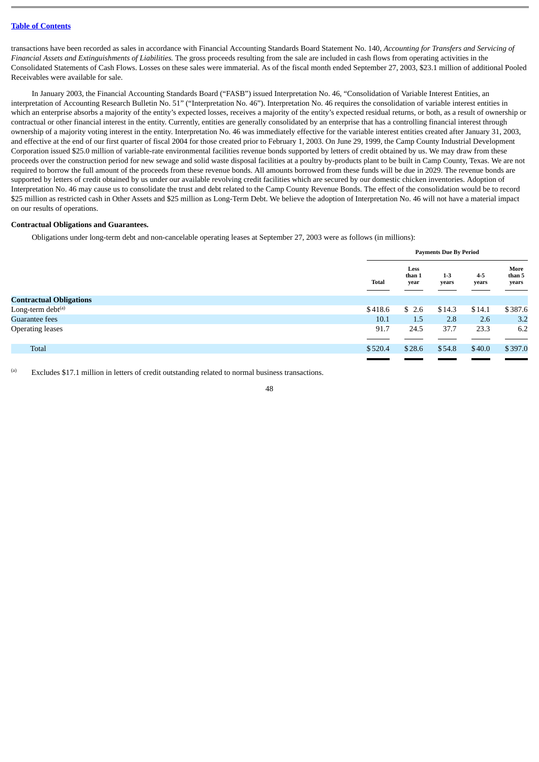transactions have been recorded as sales in accordance with Financial Accounting Standards Board Statement No. 140, *Accounting for Transfers and Servicing of Financial Assets and Extinguishments of Liabilities.* The gross proceeds resulting from the sale are included in cash flows from operating activities in the Consolidated Statements of Cash Flows. Losses on these sales were immaterial. As of the fiscal month ended September 27, 2003, \$23.1 million of additional Pooled Receivables were available for sale.

In January 2003, the Financial Accounting Standards Board ("FASB") issued Interpretation No. 46, "Consolidation of Variable Interest Entities, an interpretation of Accounting Research Bulletin No. 51" ("Interpretation No. 46"). Interpretation No. 46 requires the consolidation of variable interest entities in which an enterprise absorbs a majority of the entity's expected losses, receives a majority of the entity's expected residual returns, or both, as a result of ownership or contractual or other financial interest in the entity. Currently, entities are generally consolidated by an enterprise that has a controlling financial interest through ownership of a majority voting interest in the entity. Interpretation No. 46 was immediately effective for the variable interest entities created after January 31, 2003, and effective at the end of our first quarter of fiscal 2004 for those created prior to February 1, 2003. On June 29, 1999, the Camp County Industrial Development Corporation issued \$25.0 million of variable-rate environmental facilities revenue bonds supported by letters of credit obtained by us. We may draw from these proceeds over the construction period for new sewage and solid waste disposal facilities at a poultry by-products plant to be built in Camp County, Texas. We are not required to borrow the full amount of the proceeds from these revenue bonds. All amounts borrowed from these funds will be due in 2029. The revenue bonds are supported by letters of credit obtained by us under our available revolving credit facilities which are secured by our domestic chicken inventories. Adoption of Interpretation No. 46 may cause us to consolidate the trust and debt related to the Camp County Revenue Bonds. The effect of the consolidation would be to record \$25 million as restricted cash in Other Assets and \$25 million as Long-Term Debt. We believe the adoption of Interpretation No. 46 will not have a material impact on our results of operations.

#### **Contractual Obligations and Guarantees.**

Obligations under long-term debt and non-cancelable operating leases at September 27, 2003 were as follows (in millions):

|                                |              | <b>Payments Due By Period</b> |                  |                  |                         |
|--------------------------------|--------------|-------------------------------|------------------|------------------|-------------------------|
|                                | <b>Total</b> | Less<br>than 1<br>year        | $1 - 3$<br>years | $4 - 5$<br>years | More<br>than 5<br>years |
| <b>Contractual Obligations</b> |              |                               |                  |                  |                         |
| Long-term debt <sup>(a)</sup>  | \$418.6      | \$2.6                         | \$14.3           | \$14.1           | \$387.6                 |
| <b>Guarantee fees</b>          | 10.1         | 1.5                           | 2.8              | 2.6              | 3.2                     |
| <b>Operating leases</b>        | 91.7         | 24.5                          | 37.7             | 23.3             | 6.2                     |
|                                |              |                               |                  |                  |                         |
| Total                          | \$520.4      | \$28.6                        | \$54.8           | \$40.0           | \$397.0                 |
|                                |              |                               |                  |                  |                         |

Excludes \$17.1 million in letters of credit outstanding related to normal business transactions.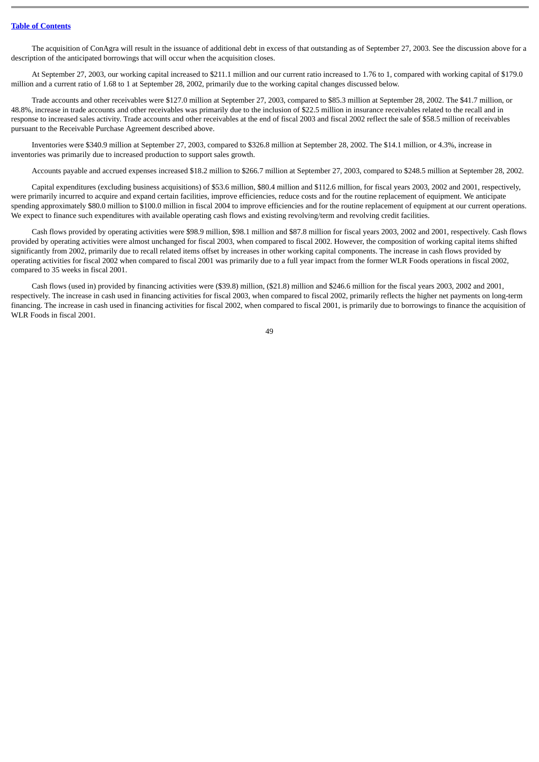The acquisition of ConAgra will result in the issuance of additional debt in excess of that outstanding as of September 27, 2003. See the discussion above for a description of the anticipated borrowings that will occur when the acquisition closes.

At September 27, 2003, our working capital increased to \$211.1 million and our current ratio increased to 1.76 to 1, compared with working capital of \$179.0 million and a current ratio of 1.68 to 1 at September 28, 2002, primarily due to the working capital changes discussed below.

Trade accounts and other receivables were \$127.0 million at September 27, 2003, compared to \$85.3 million at September 28, 2002. The \$41.7 million, or 48.8%, increase in trade accounts and other receivables was primarily due to the inclusion of \$22.5 million in insurance receivables related to the recall and in response to increased sales activity. Trade accounts and other receivables at the end of fiscal 2003 and fiscal 2002 reflect the sale of \$58.5 million of receivables pursuant to the Receivable Purchase Agreement described above.

Inventories were \$340.9 million at September 27, 2003, compared to \$326.8 million at September 28, 2002. The \$14.1 million, or 4.3%, increase in inventories was primarily due to increased production to support sales growth.

Accounts payable and accrued expenses increased \$18.2 million to \$266.7 million at September 27, 2003, compared to \$248.5 million at September 28, 2002.

Capital expenditures (excluding business acquisitions) of \$53.6 million, \$80.4 million and \$112.6 million, for fiscal years 2003, 2002 and 2001, respectively, were primarily incurred to acquire and expand certain facilities, improve efficiencies, reduce costs and for the routine replacement of equipment. We anticipate spending approximately \$80.0 million to \$100.0 million in fiscal 2004 to improve efficiencies and for the routine replacement of equipment at our current operations. We expect to finance such expenditures with available operating cash flows and existing revolving/term and revolving credit facilities.

Cash flows provided by operating activities were \$98.9 million, \$98.1 million and \$87.8 million for fiscal years 2003, 2002 and 2001, respectively. Cash flows provided by operating activities were almost unchanged for fiscal 2003, when compared to fiscal 2002. However, the composition of working capital items shifted significantly from 2002, primarily due to recall related items offset by increases in other working capital components. The increase in cash flows provided by operating activities for fiscal 2002 when compared to fiscal 2001 was primarily due to a full year impact from the former WLR Foods operations in fiscal 2002, compared to 35 weeks in fiscal 2001.

Cash flows (used in) provided by financing activities were (\$39.8) million, (\$21.8) million and \$246.6 million for the fiscal years 2003, 2002 and 2001, respectively. The increase in cash used in financing activities for fiscal 2003, when compared to fiscal 2002, primarily reflects the higher net payments on long-term financing. The increase in cash used in financing activities for fiscal 2002, when compared to fiscal 2001, is primarily due to borrowings to finance the acquisition of WLR Foods in fiscal 2001.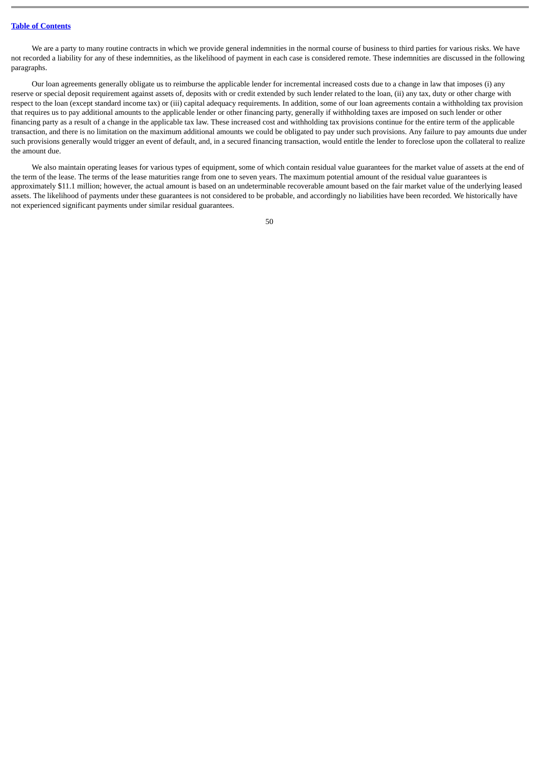We are a party to many routine contracts in which we provide general indemnities in the normal course of business to third parties for various risks. We have not recorded a liability for any of these indemnities, as the likelihood of payment in each case is considered remote. These indemnities are discussed in the following paragraphs.

Our loan agreements generally obligate us to reimburse the applicable lender for incremental increased costs due to a change in law that imposes (i) any reserve or special deposit requirement against assets of, deposits with or credit extended by such lender related to the loan, (ii) any tax, duty or other charge with respect to the loan (except standard income tax) or (iii) capital adequacy requirements. In addition, some of our loan agreements contain a withholding tax provision that requires us to pay additional amounts to the applicable lender or other financing party, generally if withholding taxes are imposed on such lender or other financing party as a result of a change in the applicable tax law. These increased cost and withholding tax provisions continue for the entire term of the applicable transaction, and there is no limitation on the maximum additional amounts we could be obligated to pay under such provisions. Any failure to pay amounts due under such provisions generally would trigger an event of default, and, in a secured financing transaction, would entitle the lender to foreclose upon the collateral to realize the amount due.

We also maintain operating leases for various types of equipment, some of which contain residual value guarantees for the market value of assets at the end of the term of the lease. The terms of the lease maturities range from one to seven years. The maximum potential amount of the residual value guarantees is approximately \$11.1 million; however, the actual amount is based on an undeterminable recoverable amount based on the fair market value of the underlying leased assets. The likelihood of payments under these guarantees is not considered to be probable, and accordingly no liabilities have been recorded. We historically have not experienced significant payments under similar residual guarantees.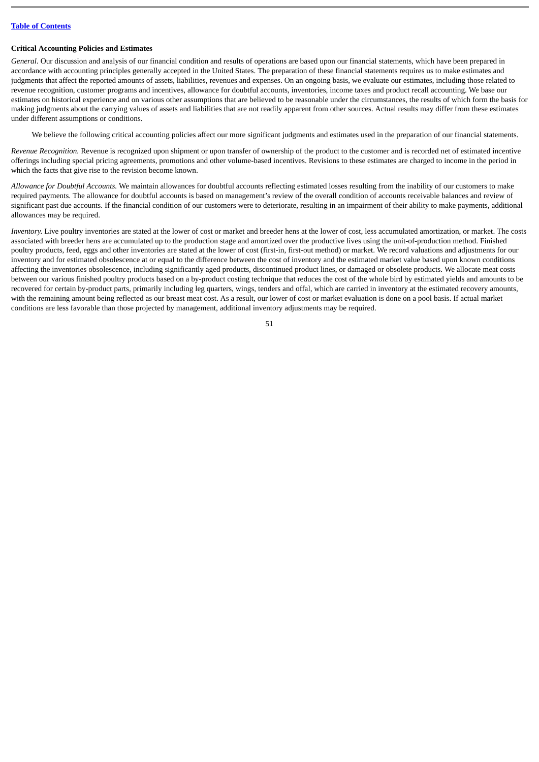#### **Critical Accounting Policies and Estimates**

*General*. Our discussion and analysis of our financial condition and results of operations are based upon our financial statements, which have been prepared in accordance with accounting principles generally accepted in the United States. The preparation of these financial statements requires us to make estimates and judgments that affect the reported amounts of assets, liabilities, revenues and expenses. On an ongoing basis, we evaluate our estimates, including those related to revenue recognition, customer programs and incentives, allowance for doubtful accounts, inventories, income taxes and product recall accounting. We base our estimates on historical experience and on various other assumptions that are believed to be reasonable under the circumstances, the results of which form the basis for making judgments about the carrying values of assets and liabilities that are not readily apparent from other sources. Actual results may differ from these estimates under different assumptions or conditions.

We believe the following critical accounting policies affect our more significant judgments and estimates used in the preparation of our financial statements.

*Revenue Recognition.* Revenue is recognized upon shipment or upon transfer of ownership of the product to the customer and is recorded net of estimated incentive offerings including special pricing agreements, promotions and other volume-based incentives. Revisions to these estimates are charged to income in the period in which the facts that give rise to the revision become known.

*Allowance for Doubtful Accounts.* We maintain allowances for doubtful accounts reflecting estimated losses resulting from the inability of our customers to make required payments. The allowance for doubtful accounts is based on management's review of the overall condition of accounts receivable balances and review of significant past due accounts. If the financial condition of our customers were to deteriorate, resulting in an impairment of their ability to make payments, additional allowances may be required.

*Inventory.* Live poultry inventories are stated at the lower of cost or market and breeder hens at the lower of cost, less accumulated amortization, or market. The costs associated with breeder hens are accumulated up to the production stage and amortized over the productive lives using the unit-of-production method. Finished poultry products, feed, eggs and other inventories are stated at the lower of cost (first-in, first-out method) or market. We record valuations and adjustments for our inventory and for estimated obsolescence at or equal to the difference between the cost of inventory and the estimated market value based upon known conditions affecting the inventories obsolescence, including significantly aged products, discontinued product lines, or damaged or obsolete products. We allocate meat costs between our various finished poultry products based on a by-product costing technique that reduces the cost of the whole bird by estimated yields and amounts to be recovered for certain by-product parts, primarily including leg quarters, wings, tenders and offal, which are carried in inventory at the estimated recovery amounts, with the remaining amount being reflected as our breast meat cost. As a result, our lower of cost or market evaluation is done on a pool basis. If actual market conditions are less favorable than those projected by management, additional inventory adjustments may be required.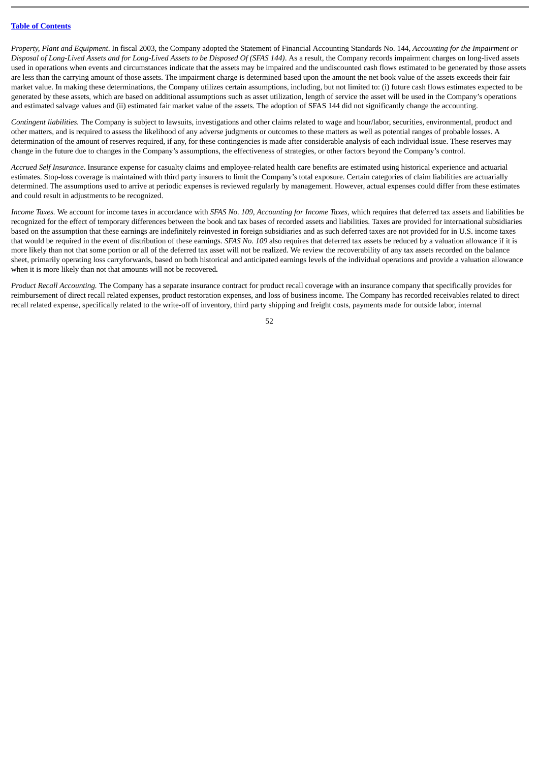*Property, Plant and Equipment*. In fiscal 2003, the Company adopted the Statement of Financial Accounting Standards No. 144, *Accounting for the Impairment or Disposal of Long-Lived Assets and for Long-Lived Assets to be Disposed Of (SFAS 144)*. As a result, the Company records impairment charges on long-lived assets used in operations when events and circumstances indicate that the assets may be impaired and the undiscounted cash flows estimated to be generated by those assets are less than the carrying amount of those assets. The impairment charge is determined based upon the amount the net book value of the assets exceeds their fair market value. In making these determinations, the Company utilizes certain assumptions, including, but not limited to: (i) future cash flows estimates expected to be generated by these assets, which are based on additional assumptions such as asset utilization, length of service the asset will be used in the Company's operations and estimated salvage values and (ii) estimated fair market value of the assets. The adoption of SFAS 144 did not significantly change the accounting.

*Contingent liabilities.* The Company is subject to lawsuits, investigations and other claims related to wage and hour/labor, securities, environmental, product and other matters, and is required to assess the likelihood of any adverse judgments or outcomes to these matters as well as potential ranges of probable losses. A determination of the amount of reserves required, if any, for these contingencies is made after considerable analysis of each individual issue. These reserves may change in the future due to changes in the Company's assumptions, the effectiveness of strategies, or other factors beyond the Company's control.

*Accrued Self Insurance*. Insurance expense for casualty claims and employee-related health care benefits are estimated using historical experience and actuarial estimates. Stop-loss coverage is maintained with third party insurers to limit the Company's total exposure. Certain categories of claim liabilities are actuarially determined. The assumptions used to arrive at periodic expenses is reviewed regularly by management. However, actual expenses could differ from these estimates and could result in adjustments to be recognized.

*Income Taxes.* We account for income taxes in accordance with *SFAS No. 109, Accounting for Income Taxes*, which requires that deferred tax assets and liabilities be recognized for the effect of temporary differences between the book and tax bases of recorded assets and liabilities. Taxes are provided for international subsidiaries based on the assumption that these earnings are indefinitely reinvested in foreign subsidiaries and as such deferred taxes are not provided for in U.S. income taxes that would be required in the event of distribution of these earnings. SFAS No. 109 also requires that deferred tax assets be reduced by a valuation allowance if it is more likely than not that some portion or all of the deferred tax asset will not be realized. We review the recoverability of any tax assets recorded on the balance sheet, primarily operating loss carryforwards, based on both historical and anticipated earnings levels of the individual operations and provide a valuation allowance when it is more likely than not that amounts will not be recovered**.**

*Product Recall Accounting.* The Company has a separate insurance contract for product recall coverage with an insurance company that specifically provides for reimbursement of direct recall related expenses, product restoration expenses, and loss of business income. The Company has recorded receivables related to direct recall related expense, specifically related to the write-off of inventory, third party shipping and freight costs, payments made for outside labor, internal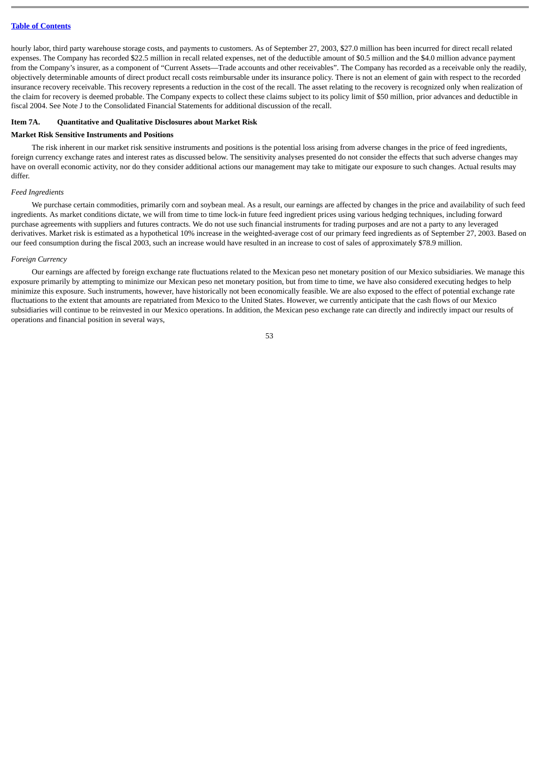hourly labor, third party warehouse storage costs, and payments to customers. As of September 27, 2003, \$27.0 million has been incurred for direct recall related expenses. The Company has recorded \$22.5 million in recall related expenses, net of the deductible amount of \$0.5 million and the \$4.0 million advance payment from the Company's insurer, as a component of "Current Assets—Trade accounts and other receivables". The Company has recorded as a receivable only the readily, objectively determinable amounts of direct product recall costs reimbursable under its insurance policy. There is not an element of gain with respect to the recorded insurance recovery receivable. This recovery represents a reduction in the cost of the recall. The asset relating to the recovery is recognized only when realization of the claim for recovery is deemed probable. The Company expects to collect these claims subject to its policy limit of \$50 million, prior advances and deductible in fiscal 2004. See Note J to the Consolidated Financial Statements for additional discussion of the recall.

#### **Item 7A. Quantitative and Qualitative Disclosures about Market Risk**

#### **Market Risk Sensitive Instruments and Positions**

The risk inherent in our market risk sensitive instruments and positions is the potential loss arising from adverse changes in the price of feed ingredients, foreign currency exchange rates and interest rates as discussed below. The sensitivity analyses presented do not consider the effects that such adverse changes may have on overall economic activity, nor do they consider additional actions our management may take to mitigate our exposure to such changes. Actual results may differ.

#### *Feed Ingredients*

We purchase certain commodities, primarily corn and soybean meal. As a result, our earnings are affected by changes in the price and availability of such feed ingredients. As market conditions dictate, we will from time to time lock-in future feed ingredient prices using various hedging techniques, including forward purchase agreements with suppliers and futures contracts. We do not use such financial instruments for trading purposes and are not a party to any leveraged derivatives. Market risk is estimated as a hypothetical 10% increase in the weighted-average cost of our primary feed ingredients as of September 27, 2003. Based on our feed consumption during the fiscal 2003, such an increase would have resulted in an increase to cost of sales of approximately \$78.9 million.

#### *Foreign Currency*

Our earnings are affected by foreign exchange rate fluctuations related to the Mexican peso net monetary position of our Mexico subsidiaries. We manage this exposure primarily by attempting to minimize our Mexican peso net monetary position, but from time to time, we have also considered executing hedges to help minimize this exposure. Such instruments, however, have historically not been economically feasible. We are also exposed to the effect of potential exchange rate fluctuations to the extent that amounts are repatriated from Mexico to the United States. However, we currently anticipate that the cash flows of our Mexico subsidiaries will continue to be reinvested in our Mexico operations. In addition, the Mexican peso exchange rate can directly and indirectly impact our results of operations and financial position in several ways,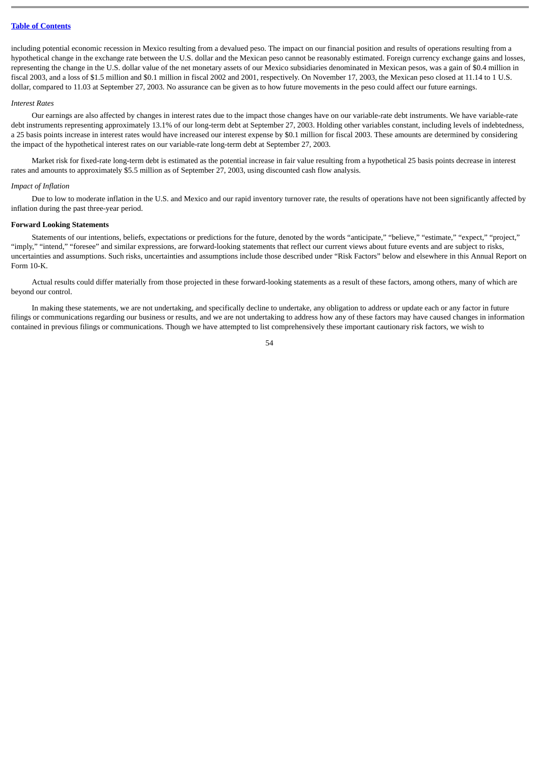including potential economic recession in Mexico resulting from a devalued peso. The impact on our financial position and results of operations resulting from a hypothetical change in the exchange rate between the U.S. dollar and the Mexican peso cannot be reasonably estimated. Foreign currency exchange gains and losses, representing the change in the U.S. dollar value of the net monetary assets of our Mexico subsidiaries denominated in Mexican pesos, was a gain of \$0.4 million in fiscal 2003, and a loss of \$1.5 million and \$0.1 million in fiscal 2002 and 2001, respectively. On November 17, 2003, the Mexican peso closed at 11.14 to 1 U.S. dollar, compared to 11.03 at September 27, 2003. No assurance can be given as to how future movements in the peso could affect our future earnings.

#### *Interest Rates*

Our earnings are also affected by changes in interest rates due to the impact those changes have on our variable-rate debt instruments. We have variable-rate debt instruments representing approximately 13.1% of our long-term debt at September 27, 2003. Holding other variables constant, including levels of indebtedness, a 25 basis points increase in interest rates would have increased our interest expense by \$0.1 million for fiscal 2003. These amounts are determined by considering the impact of the hypothetical interest rates on our variable-rate long-term debt at September 27, 2003.

Market risk for fixed-rate long-term debt is estimated as the potential increase in fair value resulting from a hypothetical 25 basis points decrease in interest rates and amounts to approximately \$5.5 million as of September 27, 2003, using discounted cash flow analysis.

#### *Impact of Inflation*

Due to low to moderate inflation in the U.S. and Mexico and our rapid inventory turnover rate, the results of operations have not been significantly affected by inflation during the past three-year period.

#### **Forward Looking Statements**

Statements of our intentions, beliefs, expectations or predictions for the future, denoted by the words "anticipate," "believe," "estimate," "expect," "project," "imply," "intend," "foresee" and similar expressions, are forward-looking statements that reflect our current views about future events and are subject to risks, uncertainties and assumptions. Such risks, uncertainties and assumptions include those described under "Risk Factors" below and elsewhere in this Annual Report on Form 10-K.

Actual results could differ materially from those projected in these forward-looking statements as a result of these factors, among others, many of which are beyond our control.

In making these statements, we are not undertaking, and specifically decline to undertake, any obligation to address or update each or any factor in future filings or communications regarding our business or results, and we are not undertaking to address how any of these factors may have caused changes in information contained in previous filings or communications. Though we have attempted to list comprehensively these important cautionary risk factors, we wish to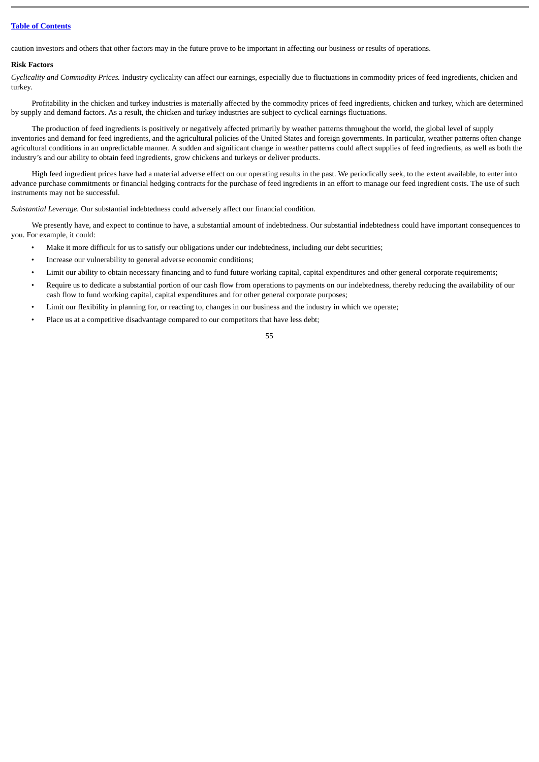caution investors and others that other factors may in the future prove to be important in affecting our business or results of operations.

#### **Risk Factors**

*Cyclicality and Commodity Prices.* Industry cyclicality can affect our earnings, especially due to fluctuations in commodity prices of feed ingredients, chicken and turkey.

Profitability in the chicken and turkey industries is materially affected by the commodity prices of feed ingredients, chicken and turkey, which are determined by supply and demand factors. As a result, the chicken and turkey industries are subject to cyclical earnings fluctuations.

The production of feed ingredients is positively or negatively affected primarily by weather patterns throughout the world, the global level of supply inventories and demand for feed ingredients, and the agricultural policies of the United States and foreign governments. In particular, weather patterns often change agricultural conditions in an unpredictable manner. A sudden and significant change in weather patterns could affect supplies of feed ingredients, as well as both the industry's and our ability to obtain feed ingredients, grow chickens and turkeys or deliver products.

High feed ingredient prices have had a material adverse effect on our operating results in the past. We periodically seek, to the extent available, to enter into advance purchase commitments or financial hedging contracts for the purchase of feed ingredients in an effort to manage our feed ingredient costs. The use of such instruments may not be successful.

*Substantial Leverage.* Our substantial indebtedness could adversely affect our financial condition.

We presently have, and expect to continue to have, a substantial amount of indebtedness. Our substantial indebtedness could have important consequences to you. For example, it could:

- Make it more difficult for us to satisfy our obligations under our indebtedness, including our debt securities;
- Increase our vulnerability to general adverse economic conditions;
- Limit our ability to obtain necessary financing and to fund future working capital, capital expenditures and other general corporate requirements;
- Require us to dedicate a substantial portion of our cash flow from operations to payments on our indebtedness, thereby reducing the availability of our cash flow to fund working capital, capital expenditures and for other general corporate purposes;
- Limit our flexibility in planning for, or reacting to, changes in our business and the industry in which we operate;
- Place us at a competitive disadvantage compared to our competitors that have less debt;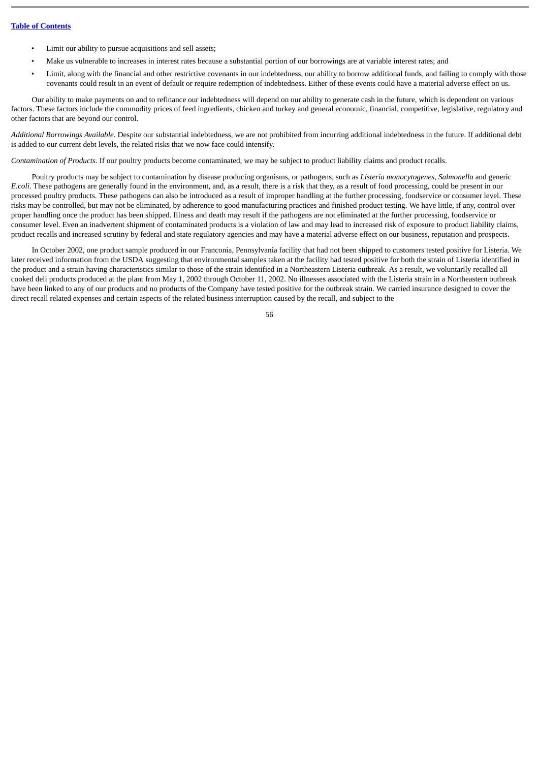- Limit our ability to pursue acquisitions and sell assets;
- Make us vulnerable to increases in interest rates because a substantial portion of our borrowings are at variable interest rates; and
- Limit, along with the financial and other restrictive covenants in our indebtedness, our ability to borrow additional funds, and failing to comply with those covenants could result in an event of default or require redemption of indebtedness. Either of these events could have a material adverse effect on us.

Our ability to make payments on and to refinance our indebtedness will depend on our ability to generate cash in the future, which is dependent on various factors. These factors include the commodity prices of feed ingredients, chicken and turkey and general economic, financial, competitive, legislative, regulatory and other factors that are beyond our control.

*Additional Borrowings Available*. Despite our substantial indebtedness, we are not prohibited from incurring additional indebtedness in the future. If additional debt is added to our current debt levels, the related risks that we now face could intensify.

*Contamination of Products*. If our poultry products become contaminated, we may be subject to product liability claims and product recalls.

Poultry products may be subject to contamination by disease producing organisms, or pathogens, such as *Listeria monocytogenes*, *Salmonella* and generic *E.coli*. These pathogens are generally found in the environment, and, as a result, there is a risk that they, as a result of food processing, could be present in our processed poultry products. These pathogens can also be introduced as a result of improper handling at the further processing, foodservice or consumer level. These risks may be controlled, but may not be eliminated, by adherence to good manufacturing practices and finished product testing. We have little, if any, control over proper handling once the product has been shipped. Illness and death may result if the pathogens are not eliminated at the further processing, foodservice or consumer level. Even an inadvertent shipment of contaminated products is a violation of law and may lead to increased risk of exposure to product liability claims, product recalls and increased scrutiny by federal and state regulatory agencies and may have a material adverse effect on our business, reputation and prospects.

In October 2002, one product sample produced in our Franconia, Pennsylvania facility that had not been shipped to customers tested positive for Listeria. We later received information from the USDA suggesting that environmental samples taken at the facility had tested positive for both the strain of Listeria identified in the product and a strain having characteristics similar to those of the strain identified in a Northeastern Listeria outbreak. As a result, we voluntarily recalled all cooked deli products produced at the plant from May 1, 2002 through October 11, 2002. No illnesses associated with the Listeria strain in a Northeastern outbreak have been linked to any of our products and no products of the Company have tested positive for the outbreak strain. We carried insurance designed to cover the direct recall related expenses and certain aspects of the related business interruption caused by the recall, and subject to the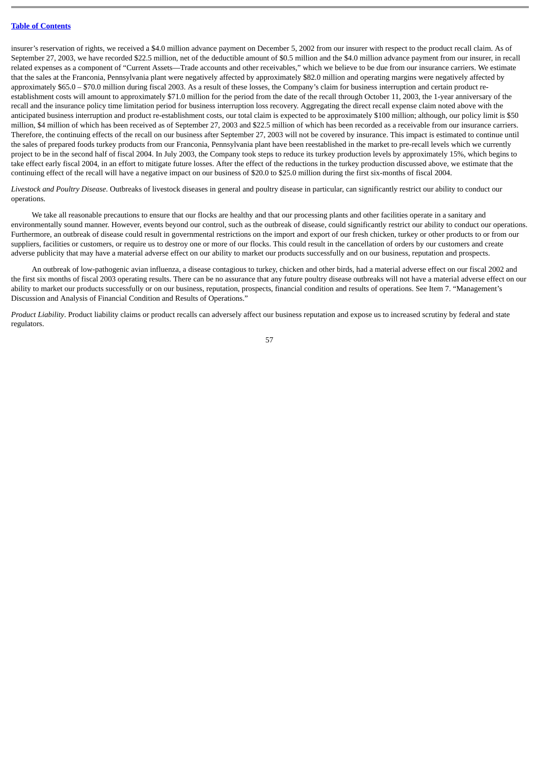insurer's reservation of rights, we received a \$4.0 million advance payment on December 5, 2002 from our insurer with respect to the product recall claim. As of September 27, 2003, we have recorded \$22.5 million, net of the deductible amount of \$0.5 million and the \$4.0 million advance payment from our insurer, in recall related expenses as a component of "Current Assets—Trade accounts and other receivables," which we believe to be due from our insurance carriers. We estimate that the sales at the Franconia, Pennsylvania plant were negatively affected by approximately \$82.0 million and operating margins were negatively affected by approximately \$65.0 – \$70.0 million during fiscal 2003. As a result of these losses, the Company's claim for business interruption and certain product reestablishment costs will amount to approximately \$71.0 million for the period from the date of the recall through October 11, 2003, the 1-year anniversary of the recall and the insurance policy time limitation period for business interruption loss recovery. Aggregating the direct recall expense claim noted above with the anticipated business interruption and product re-establishment costs, our total claim is expected to be approximately \$100 million; although, our policy limit is \$50 million, \$4 million of which has been received as of September 27, 2003 and \$22.5 million of which has been recorded as a receivable from our insurance carriers. Therefore, the continuing effects of the recall on our business after September 27, 2003 will not be covered by insurance. This impact is estimated to continue until the sales of prepared foods turkey products from our Franconia, Pennsylvania plant have been reestablished in the market to pre-recall levels which we currently project to be in the second half of fiscal 2004. In July 2003, the Company took steps to reduce its turkey production levels by approximately 15%, which begins to take effect early fiscal 2004, in an effort to mitigate future losses. After the effect of the reductions in the turkey production discussed above, we estimate that the continuing effect of the recall will have a negative impact on our business of \$20.0 to \$25.0 million during the first six-months of fiscal 2004.

*Livestock and Poultry Disease*. Outbreaks of livestock diseases in general and poultry disease in particular, can significantly restrict our ability to conduct our operations.

We take all reasonable precautions to ensure that our flocks are healthy and that our processing plants and other facilities operate in a sanitary and environmentally sound manner. However, events beyond our control, such as the outbreak of disease, could significantly restrict our ability to conduct our operations. Furthermore, an outbreak of disease could result in governmental restrictions on the import and export of our fresh chicken, turkey or other products to or from our suppliers, facilities or customers, or require us to destroy one or more of our flocks. This could result in the cancellation of orders by our customers and create adverse publicity that may have a material adverse effect on our ability to market our products successfully and on our business, reputation and prospects.

An outbreak of low-pathogenic avian influenza, a disease contagious to turkey, chicken and other birds, had a material adverse effect on our fiscal 2002 and the first six months of fiscal 2003 operating results. There can be no assurance that any future poultry disease outbreaks will not have a material adverse effect on our ability to market our products successfully or on our business, reputation, prospects, financial condition and results of operations. See Item 7. "Management's Discussion and Analysis of Financial Condition and Results of Operations."

*Product Liability*. Product liability claims or product recalls can adversely affect our business reputation and expose us to increased scrutiny by federal and state regulators.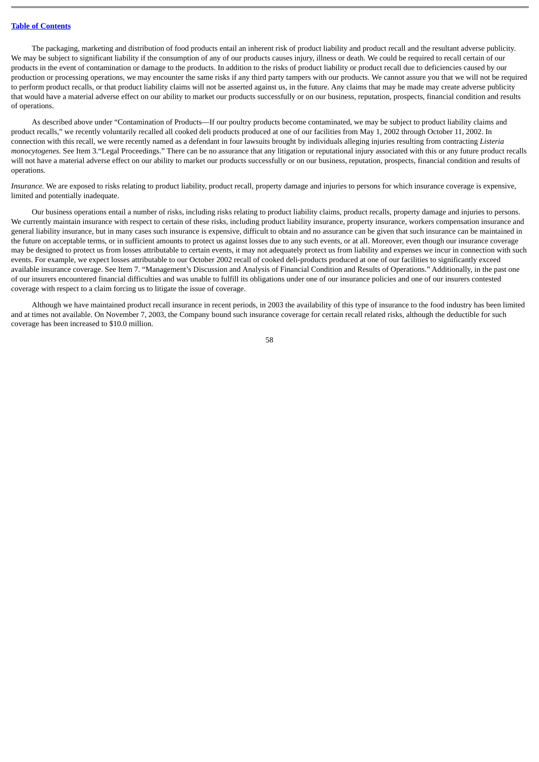The packaging, marketing and distribution of food products entail an inherent risk of product liability and product recall and the resultant adverse publicity. We may be subject to significant liability if the consumption of any of our products causes injury, illness or death. We could be required to recall certain of our products in the event of contamination or damage to the products. In addition to the risks of product liability or product recall due to deficiencies caused by our production or processing operations, we may encounter the same risks if any third party tampers with our products. We cannot assure you that we will not be required to perform product recalls, or that product liability claims will not be asserted against us, in the future. Any claims that may be made may create adverse publicity that would have a material adverse effect on our ability to market our products successfully or on our business, reputation, prospects, financial condition and results of operations.

As described above under "Contamination of Products—If our poultry products become contaminated, we may be subject to product liability claims and product recalls," we recently voluntarily recalled all cooked deli products produced at one of our facilities from May 1, 2002 through October 11, 2002. In connection with this recall, we were recently named as a defendant in four lawsuits brought by individuals alleging injuries resulting from contracting *Listeria monocytogenes.* See Item 3."Legal Proceedings." There can be no assurance that any litigation or reputational injury associated with this or any future product recalls will not have a material adverse effect on our ability to market our products successfully or on our business, reputation, prospects, financial condition and results of operations.

*Insurance.* We are exposed to risks relating to product liability, product recall, property damage and injuries to persons for which insurance coverage is expensive, limited and potentially inadequate.

Our business operations entail a number of risks, including risks relating to product liability claims, product recalls, property damage and injuries to persons. We currently maintain insurance with respect to certain of these risks, including product liability insurance, property insurance, workers compensation insurance and general liability insurance, but in many cases such insurance is expensive, difficult to obtain and no assurance can be given that such insurance can be maintained in the future on acceptable terms, or in sufficient amounts to protect us against losses due to any such events, or at all. Moreover, even though our insurance coverage may be designed to protect us from losses attributable to certain events, it may not adequately protect us from liability and expenses we incur in connection with such events. For example, we expect losses attributable to our October 2002 recall of cooked deli-products produced at one of our facilities to significantly exceed available insurance coverage. See Item 7. "Management's Discussion and Analysis of Financial Condition and Results of Operations." Additionally, in the past one of our insurers encountered financial difficulties and was unable to fulfill its obligations under one of our insurance policies and one of our insurers contested coverage with respect to a claim forcing us to litigate the issue of coverage.

Although we have maintained product recall insurance in recent periods, in 2003 the availability of this type of insurance to the food industry has been limited and at times not available. On November 7, 2003, the Company bound such insurance coverage for certain recall related risks, although the deductible for such coverage has been increased to \$10.0 million.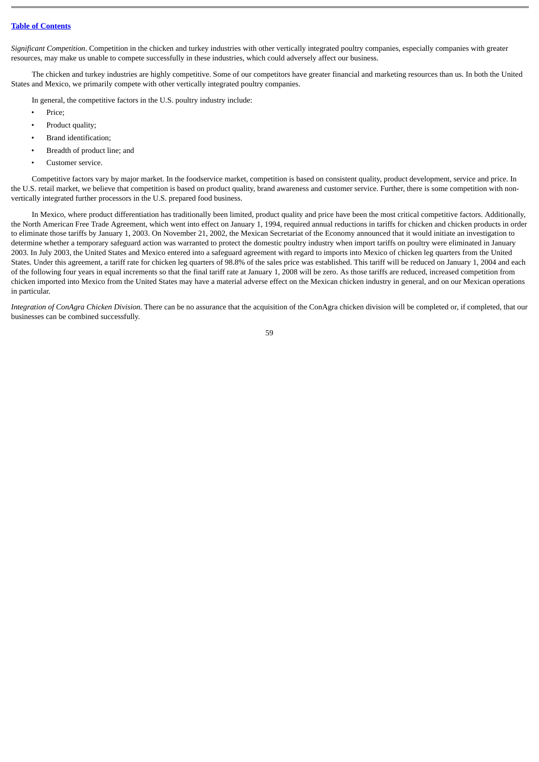*Significant Competition*. Competition in the chicken and turkey industries with other vertically integrated poultry companies, especially companies with greater resources, may make us unable to compete successfully in these industries, which could adversely affect our business.

The chicken and turkey industries are highly competitive. Some of our competitors have greater financial and marketing resources than us. In both the United States and Mexico, we primarily compete with other vertically integrated poultry companies.

In general, the competitive factors in the U.S. poultry industry include:

- Price;
- Product quality:
- Brand identification;
- Breadth of product line; and
- Customer service.

Competitive factors vary by major market. In the foodservice market, competition is based on consistent quality, product development, service and price. In the U.S. retail market, we believe that competition is based on product quality, brand awareness and customer service. Further, there is some competition with nonvertically integrated further processors in the U.S. prepared food business.

In Mexico, where product differentiation has traditionally been limited, product quality and price have been the most critical competitive factors. Additionally, the North American Free Trade Agreement, which went into effect on January 1, 1994, required annual reductions in tariffs for chicken and chicken products in order to eliminate those tariffs by January 1, 2003. On November 21, 2002, the Mexican Secretariat of the Economy announced that it would initiate an investigation to determine whether a temporary safeguard action was warranted to protect the domestic poultry industry when import tariffs on poultry were eliminated in January 2003. In July 2003, the United States and Mexico entered into a safeguard agreement with regard to imports into Mexico of chicken leg quarters from the United States. Under this agreement, a tariff rate for chicken leg quarters of 98.8% of the sales price was established. This tariff will be reduced on January 1, 2004 and each of the following four years in equal increments so that the final tariff rate at January 1, 2008 will be zero. As those tariffs are reduced, increased competition from chicken imported into Mexico from the United States may have a material adverse effect on the Mexican chicken industry in general, and on our Mexican operations in particular.

*Integration of ConAgra Chicken Division.* There can be no assurance that the acquisition of the ConAgra chicken division will be completed or, if completed, that our businesses can be combined successfully.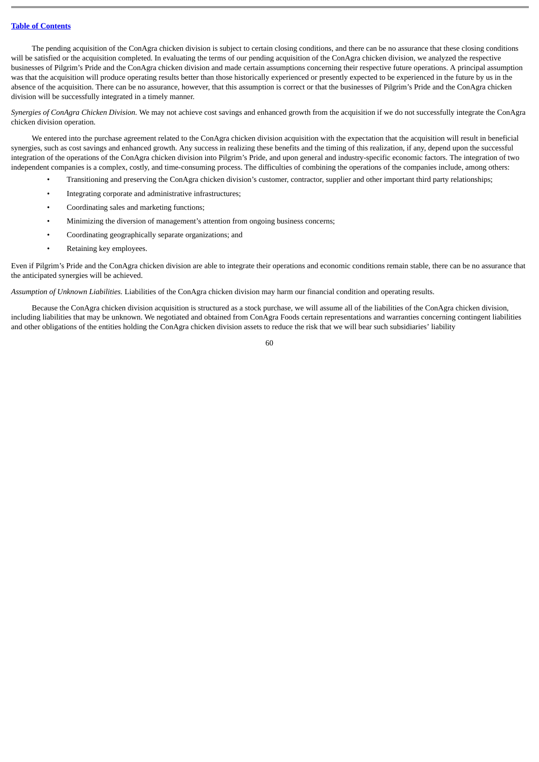The pending acquisition of the ConAgra chicken division is subject to certain closing conditions, and there can be no assurance that these closing conditions will be satisfied or the acquisition completed. In evaluating the terms of our pending acquisition of the ConAgra chicken division, we analyzed the respective businesses of Pilgrim's Pride and the ConAgra chicken division and made certain assumptions concerning their respective future operations. A principal assumption was that the acquisition will produce operating results better than those historically experienced or presently expected to be experienced in the future by us in the absence of the acquisition. There can be no assurance, however, that this assumption is correct or that the businesses of Pilgrim's Pride and the ConAgra chicken division will be successfully integrated in a timely manner.

*Synergies of ConAgra Chicken Division.* We may not achieve cost savings and enhanced growth from the acquisition if we do not successfully integrate the ConAgra chicken division operation.

We entered into the purchase agreement related to the ConAgra chicken division acquisition with the expectation that the acquisition will result in beneficial synergies, such as cost savings and enhanced growth. Any success in realizing these benefits and the timing of this realization, if any, depend upon the successful integration of the operations of the ConAgra chicken division into Pilgrim's Pride, and upon general and industry-specific economic factors. The integration of two independent companies is a complex, costly, and time-consuming process. The difficulties of combining the operations of the companies include, among others:

- Transitioning and preserving the ConAgra chicken division's customer, contractor, supplier and other important third party relationships;
- Integrating corporate and administrative infrastructures;
- Coordinating sales and marketing functions;
- Minimizing the diversion of management's attention from ongoing business concerns;
- Coordinating geographically separate organizations; and
- Retaining key employees.

Even if Pilgrim's Pride and the ConAgra chicken division are able to integrate their operations and economic conditions remain stable, there can be no assurance that the anticipated synergies will be achieved.

*Assumption of Unknown Liabilities.* Liabilities of the ConAgra chicken division may harm our financial condition and operating results.

Because the ConAgra chicken division acquisition is structured as a stock purchase, we will assume all of the liabilities of the ConAgra chicken division, including liabilities that may be unknown. We negotiated and obtained from ConAgra Foods certain representations and warranties concerning contingent liabilities and other obligations of the entities holding the ConAgra chicken division assets to reduce the risk that we will bear such subsidiaries' liability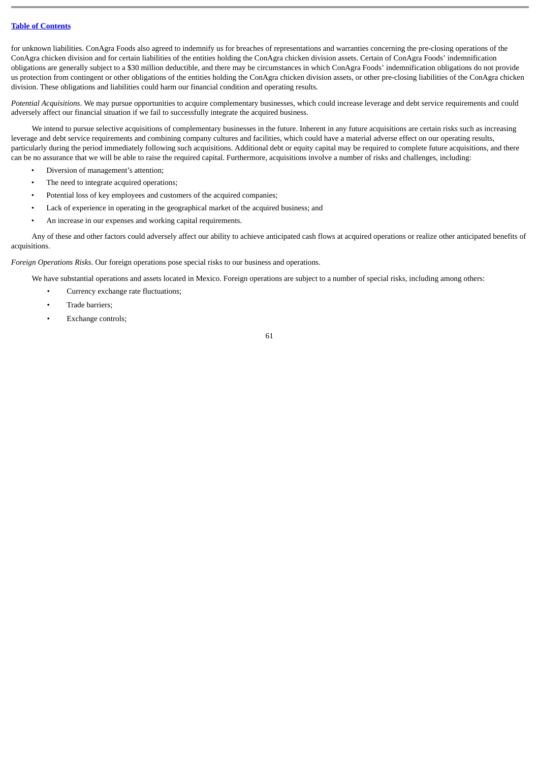for unknown liabilities. ConAgra Foods also agreed to indemnify us for breaches of representations and warranties concerning the pre-closing operations of the ConAgra chicken division and for certain liabilities of the entities holding the ConAgra chicken division assets. Certain of ConAgra Foods' indemnification obligations are generally subject to a \$30 million deductible, and there may be circumstances in which ConAgra Foods' indemnification obligations do not provide us protection from contingent or other obligations of the entities holding the ConAgra chicken division assets, or other pre-closing liabilities of the ConAgra chicken division. These obligations and liabilities could harm our financial condition and operating results.

*Potential Acquisitions*. We may pursue opportunities to acquire complementary businesses, which could increase leverage and debt service requirements and could adversely affect our financial situation if we fail to successfully integrate the acquired business.

We intend to pursue selective acquisitions of complementary businesses in the future. Inherent in any future acquisitions are certain risks such as increasing leverage and debt service requirements and combining company cultures and facilities, which could have a material adverse effect on our operating results, particularly during the period immediately following such acquisitions. Additional debt or equity capital may be required to complete future acquisitions, and there can be no assurance that we will be able to raise the required capital. Furthermore, acquisitions involve a number of risks and challenges, including:

- Diversion of management's attention;
- The need to integrate acquired operations;
- Potential loss of key employees and customers of the acquired companies;
- Lack of experience in operating in the geographical market of the acquired business; and
- An increase in our expenses and working capital requirements.

Any of these and other factors could adversely affect our ability to achieve anticipated cash flows at acquired operations or realize other anticipated benefits of acquisitions.

*Foreign Operations Risks*. Our foreign operations pose special risks to our business and operations.

We have substantial operations and assets located in Mexico. Foreign operations are subject to a number of special risks, including among others:

- Currency exchange rate fluctuations;
- Trade barriers;
- Exchange controls;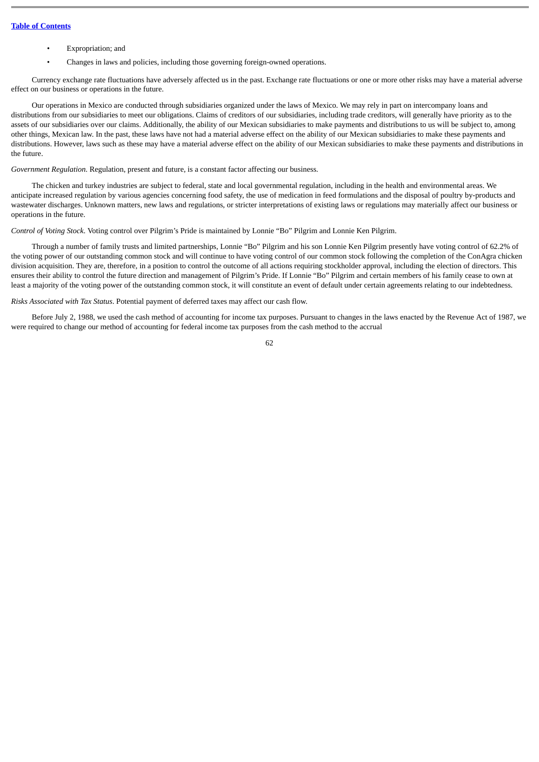- Expropriation; and
- Changes in laws and policies, including those governing foreign-owned operations.

Currency exchange rate fluctuations have adversely affected us in the past. Exchange rate fluctuations or one or more other risks may have a material adverse effect on our business or operations in the future.

Our operations in Mexico are conducted through subsidiaries organized under the laws of Mexico. We may rely in part on intercompany loans and distributions from our subsidiaries to meet our obligations. Claims of creditors of our subsidiaries, including trade creditors, will generally have priority as to the assets of our subsidiaries over our claims. Additionally, the ability of our Mexican subsidiaries to make payments and distributions to us will be subject to, among other things, Mexican law. In the past, these laws have not had a material adverse effect on the ability of our Mexican subsidiaries to make these payments and distributions. However, laws such as these may have a material adverse effect on the ability of our Mexican subsidiaries to make these payments and distributions in the future.

*Government Regulation*. Regulation, present and future, is a constant factor affecting our business.

The chicken and turkey industries are subject to federal, state and local governmental regulation, including in the health and environmental areas. We anticipate increased regulation by various agencies concerning food safety, the use of medication in feed formulations and the disposal of poultry by-products and wastewater discharges. Unknown matters, new laws and regulations, or stricter interpretations of existing laws or regulations may materially affect our business or operations in the future.

*Control of Voting Stock*. Voting control over Pilgrim's Pride is maintained by Lonnie "Bo" Pilgrim and Lonnie Ken Pilgrim.

Through a number of family trusts and limited partnerships, Lonnie "Bo" Pilgrim and his son Lonnie Ken Pilgrim presently have voting control of 62.2% of the voting power of our outstanding common stock and will continue to have voting control of our common stock following the completion of the ConAgra chicken division acquisition. They are, therefore, in a position to control the outcome of all actions requiring stockholder approval, including the election of directors. This ensures their ability to control the future direction and management of Pilgrim's Pride. If Lonnie "Bo" Pilgrim and certain members of his family cease to own at least a majority of the voting power of the outstanding common stock, it will constitute an event of default under certain agreements relating to our indebtedness.

*Risks Associated with Tax Status*. Potential payment of deferred taxes may affect our cash flow.

Before July 2, 1988, we used the cash method of accounting for income tax purposes. Pursuant to changes in the laws enacted by the Revenue Act of 1987, we were required to change our method of accounting for federal income tax purposes from the cash method to the accrual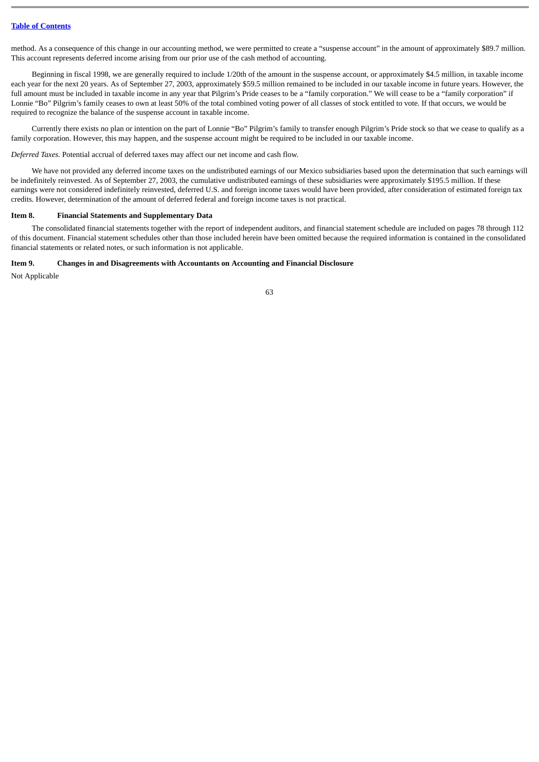method. As a consequence of this change in our accounting method, we were permitted to create a "suspense account" in the amount of approximately \$89.7 million. This account represents deferred income arising from our prior use of the cash method of accounting.

Beginning in fiscal 1998, we are generally required to include 1/20th of the amount in the suspense account, or approximately \$4.5 million, in taxable income each year for the next 20 years. As of September 27, 2003, approximately \$59.5 million remained to be included in our taxable income in future years. However, the full amount must be included in taxable income in any year that Pilgrim's Pride ceases to be a "family corporation." We will cease to be a "family corporation" if Lonnie "Bo" Pilgrim's family ceases to own at least 50% of the total combined voting power of all classes of stock entitled to vote. If that occurs, we would be required to recognize the balance of the suspense account in taxable income.

Currently there exists no plan or intention on the part of Lonnie "Bo" Pilgrim's family to transfer enough Pilgrim's Pride stock so that we cease to qualify as a family corporation. However, this may happen, and the suspense account might be required to be included in our taxable income.

*Deferred Taxes.* Potential accrual of deferred taxes may affect our net income and cash flow.

We have not provided any deferred income taxes on the undistributed earnings of our Mexico subsidiaries based upon the determination that such earnings will be indefinitely reinvested. As of September 27, 2003, the cumulative undistributed earnings of these subsidiaries were approximately \$195.5 million. If these earnings were not considered indefinitely reinvested, deferred U.S. and foreign income taxes would have been provided, after consideration of estimated foreign tax credits. However, determination of the amount of deferred federal and foreign income taxes is not practical.

## **Item 8. Financial Statements and Supplementary Data**

The consolidated financial statements together with the report of independent auditors, and financial statement schedule are included on pages 78 through 112 of this document. Financial statement schedules other than those included herein have been omitted because the required information is contained in the consolidated financial statements or related notes, or such information is not applicable.

#### **Item 9. Changes in and Disagreements with Accountants on Accounting and Financial Disclosure**

Not Applicable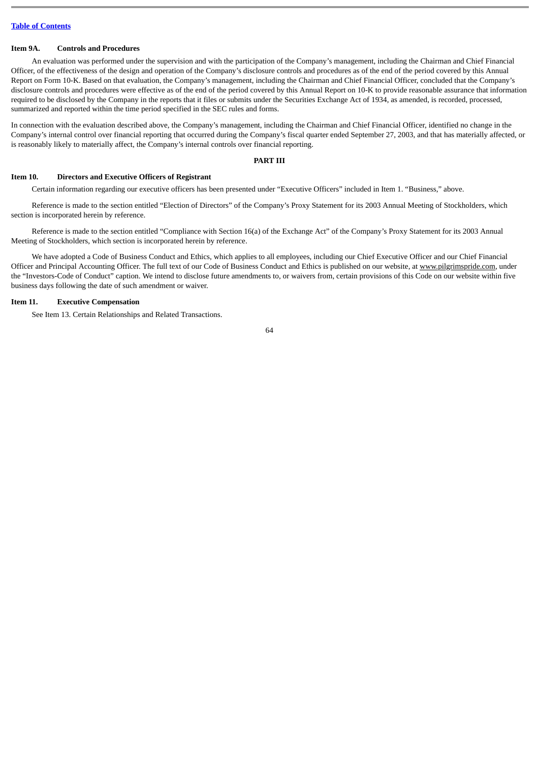### **Item 9A. Controls and Procedures**

An evaluation was performed under the supervision and with the participation of the Company's management, including the Chairman and Chief Financial Officer, of the effectiveness of the design and operation of the Company's disclosure controls and procedures as of the end of the period covered by this Annual Report on Form 10-K. Based on that evaluation, the Company's management, including the Chairman and Chief Financial Officer, concluded that the Company's disclosure controls and procedures were effective as of the end of the period covered by this Annual Report on 10-K to provide reasonable assurance that information required to be disclosed by the Company in the reports that it files or submits under the Securities Exchange Act of 1934, as amended, is recorded, processed, summarized and reported within the time period specified in the SEC rules and forms.

In connection with the evaluation described above, the Company's management, including the Chairman and Chief Financial Officer, identified no change in the Company's internal control over financial reporting that occurred during the Company's fiscal quarter ended September 27, 2003, and that has materially affected, or is reasonably likely to materially affect, the Company's internal controls over financial reporting.

#### **PART III**

#### **Item 10. Directors and Executive Officers of Registrant**

Certain information regarding our executive officers has been presented under "Executive Officers" included in Item 1. "Business," above.

Reference is made to the section entitled "Election of Directors" of the Company's Proxy Statement for its 2003 Annual Meeting of Stockholders, which section is incorporated herein by reference.

Reference is made to the section entitled "Compliance with Section 16(a) of the Exchange Act" of the Company's Proxy Statement for its 2003 Annual Meeting of Stockholders, which section is incorporated herein by reference.

We have adopted a Code of Business Conduct and Ethics, which applies to all employees, including our Chief Executive Officer and our Chief Financial Officer and Principal Accounting Officer. The full text of our Code of Business Conduct and Ethics is published on our website, at www.pilgrimspride.com, under the "Investors-Code of Conduct" caption. We intend to disclose future amendments to, or waivers from, certain provisions of this Code on our website within five business days following the date of such amendment or waiver.

# **Item 11. Executive Compensation**

See Item 13. Certain Relationships and Related Transactions.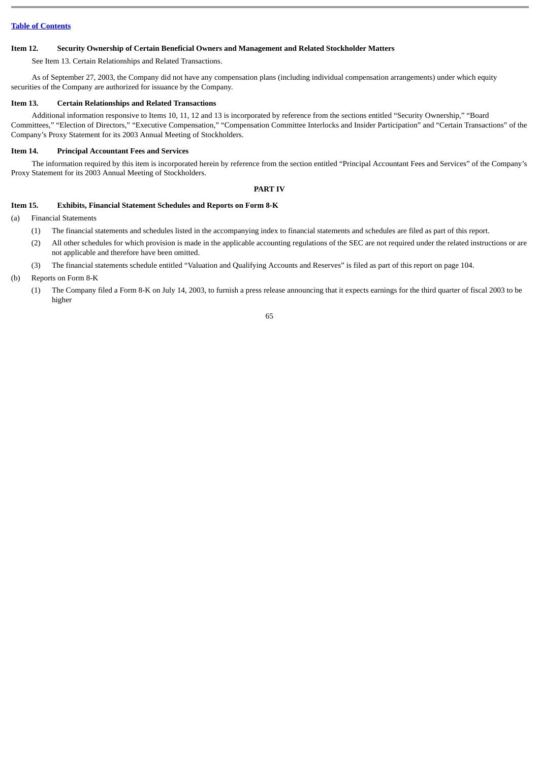### **Item 12. Security Ownership of Certain Beneficial Owners and Management and Related Stockholder Matters**

See Item 13. Certain Relationships and Related Transactions.

As of September 27, 2003, the Company did not have any compensation plans (including individual compensation arrangements) under which equity securities of the Company are authorized for issuance by the Company.

#### **Item 13. Certain Relationships and Related Transactions**

Additional information responsive to Items 10, 11, 12 and 13 is incorporated by reference from the sections entitled "Security Ownership," "Board Committees," "Election of Directors," "Executive Compensation," "Compensation Committee Interlocks and Insider Participation" and "Certain Transactions" of the Company's Proxy Statement for its 2003 Annual Meeting of Stockholders.

#### **Item 14. Principal Accountant Fees and Services**

The information required by this item is incorporated herein by reference from the section entitled "Principal Accountant Fees and Services" of the Company's Proxy Statement for its 2003 Annual Meeting of Stockholders.

#### **PART IV**

### **Item 15. Exhibits, Financial Statement Schedules and Reports on Form 8-K**

(a) Financial Statements

- (1) The financial statements and schedules listed in the accompanying index to financial statements and schedules are filed as part of this report.
- (2) All other schedules for which provision is made in the applicable accounting regulations of the SEC are not required under the related instructions or are not applicable and therefore have been omitted.
- (3) The financial statements schedule entitled "Valuation and Qualifying Accounts and Reserves" is filed as part of this report on page 104.

#### (b) Reports on Form 8-K

(1) The Company filed a Form 8-K on July 14, 2003, to furnish a press release announcing that it expects earnings for the third quarter of fiscal 2003 to be higher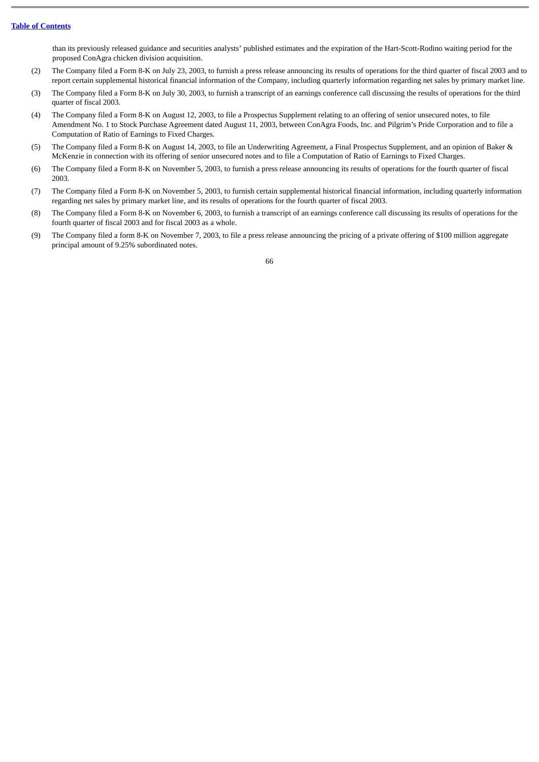than its previously released guidance and securities analysts' published estimates and the expiration of the Hart-Scott-Rodino waiting period for the proposed ConAgra chicken division acquisition.

- (2) The Company filed a Form 8-K on July 23, 2003, to furnish a press release announcing its results of operations for the third quarter of fiscal 2003 and to report certain supplemental historical financial information of the Company, including quarterly information regarding net sales by primary market line.
- (3) The Company filed a Form 8-K on July 30, 2003, to furnish a transcript of an earnings conference call discussing the results of operations for the third quarter of fiscal 2003.
- (4) The Company filed a Form 8-K on August 12, 2003, to file a Prospectus Supplement relating to an offering of senior unsecured notes, to file Amendment No. 1 to Stock Purchase Agreement dated August 11, 2003, between ConAgra Foods, Inc. and Pilgrim's Pride Corporation and to file a Computation of Ratio of Earnings to Fixed Charges.
- (5) The Company filed a Form 8-K on August 14, 2003, to file an Underwriting Agreement, a Final Prospectus Supplement, and an opinion of Baker & McKenzie in connection with its offering of senior unsecured notes and to file a Computation of Ratio of Earnings to Fixed Charges.
- (6) The Company filed a Form 8-K on November 5, 2003, to furnish a press release announcing its results of operations for the fourth quarter of fiscal 2003.
- (7) The Company filed a Form 8-K on November 5, 2003, to furnish certain supplemental historical financial information, including quarterly information regarding net sales by primary market line, and its results of operations for the fourth quarter of fiscal 2003.
- (8) The Company filed a Form 8-K on November 6, 2003, to furnish a transcript of an earnings conference call discussing its results of operations for the fourth quarter of fiscal 2003 and for fiscal 2003 as a whole.
- (9) The Company filed a form 8-K on November 7, 2003, to file a press release announcing the pricing of a private offering of \$100 million aggregate principal amount of 9.25% subordinated notes.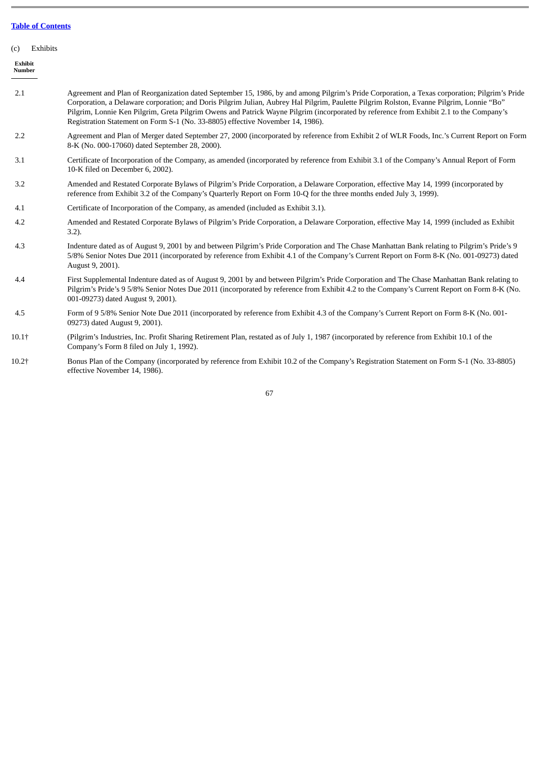| (c | Exhibits |
|----|----------|
|    |          |

**Exhibit Number**

- 2.1 Agreement and Plan of Reorganization dated September 15, 1986, by and among Pilgrim's Pride Corporation, a Texas corporation; Pilgrim's Pride Corporation, a Delaware corporation; and Doris Pilgrim Julian, Aubrey Hal Pilgrim, Paulette Pilgrim Rolston, Evanne Pilgrim, Lonnie "Bo" Pilgrim, Lonnie Ken Pilgrim, Greta Pilgrim Owens and Patrick Wayne Pilgrim (incorporated by reference from Exhibit 2.1 to the Company's Registration Statement on Form S-1 (No. 33-8805) effective November 14, 1986). 2.2 Agreement and Plan of Merger dated September 27, 2000 (incorporated by reference from Exhibit 2 of WLR Foods, Inc.'s Current Report on Form 8-K (No. 000-17060) dated September 28, 2000).
- 3.1 Certificate of Incorporation of the Company, as amended (incorporated by reference from Exhibit 3.1 of the Company's Annual Report of Form 10-K filed on December 6, 2002).
- 3.2 Amended and Restated Corporate Bylaws of Pilgrim's Pride Corporation, a Delaware Corporation, effective May 14, 1999 (incorporated by reference from Exhibit 3.2 of the Company's Quarterly Report on Form 10-Q for the three months ended July 3, 1999).
- 4.1 Certificate of Incorporation of the Company, as amended (included as Exhibit 3.1).
- $4.2$ Amended and Restated Corporate Bylaws of Pilgrim's Pride Corporation, a Delaware Corporation, effective May 14, 1999 (included as Exhibit 3.2).
- 4.3 Indenture dated as of August 9, 2001 by and between Pilgrim's Pride Corporation and The Chase Manhattan Bank relating to Pilgrim's Pride's 9 5/8% Senior Notes Due 2011 (incorporated by reference from Exhibit 4.1 of the Company's Current Report on Form 8-K (No. 001-09273) dated August 9, 2001).
- 4.4 First Supplemental Indenture dated as of August 9, 2001 by and between Pilgrim's Pride Corporation and The Chase Manhattan Bank relating to Pilgrim's Pride's 9 5/8% Senior Notes Due 2011 (incorporated by reference from Exhibit 4.2 to the Company's Current Report on Form 8-K (No. 001-09273) dated August 9, 2001).
- 4.5 Form of 9 5/8% Senior Note Due 2011 (incorporated by reference from Exhibit 4.3 of the Company's Current Report on Form 8-K (No. 001- 09273) dated August 9, 2001).
- 10.1† (Pilgrim's Industries, Inc. Profit Sharing Retirement Plan, restated as of July 1, 1987 (incorporated by reference from Exhibit 10.1 of the Company's Form 8 filed on July 1, 1992).
- 10.2† Bonus Plan of the Company (incorporated by reference from Exhibit 10.2 of the Company's Registration Statement on Form S-1 (No. 33-8805) effective November 14, 1986).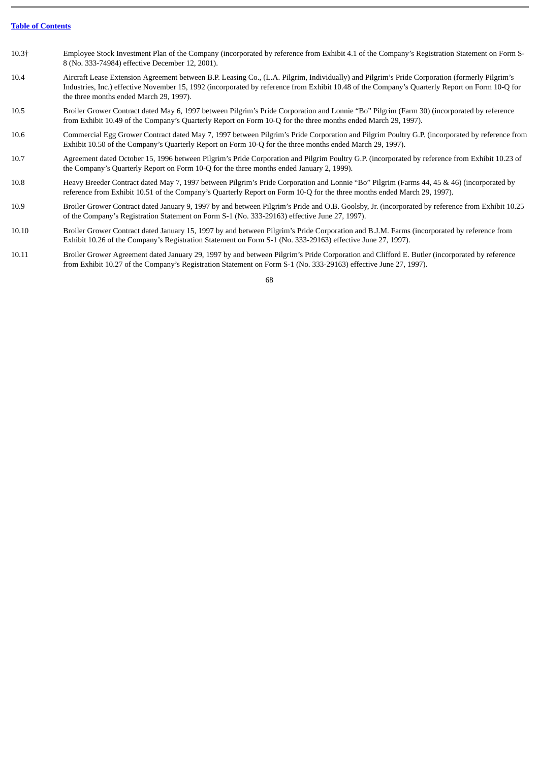| 10.3+ | Employee Stock Investment Plan of the Company (incorporated by reference from Exhibit 4.1 of the Company's Registration Statement on Form S- |
|-------|----------------------------------------------------------------------------------------------------------------------------------------------|
|       | 8 (No. 333-74984) effective December 12, 2001).                                                                                              |

- 10.4 Aircraft Lease Extension Agreement between B.P. Leasing Co., (L.A. Pilgrim, Individually) and Pilgrim's Pride Corporation (formerly Pilgrim's Industries, Inc.) effective November 15, 1992 (incorporated by reference from Exhibit 10.48 of the Company's Quarterly Report on Form 10-Q for the three months ended March 29, 1997).
- 10.5 Broiler Grower Contract dated May 6, 1997 between Pilgrim's Pride Corporation and Lonnie "Bo" Pilgrim (Farm 30) (incorporated by reference from Exhibit 10.49 of the Company's Quarterly Report on Form 10-Q for the three months ended March 29, 1997).
- 10.6 Commercial Egg Grower Contract dated May 7, 1997 between Pilgrim's Pride Corporation and Pilgrim Poultry G.P. (incorporated by reference from Exhibit 10.50 of the Company's Quarterly Report on Form 10-Q for the three months ended March 29, 1997).
- 10.7 Agreement dated October 15, 1996 between Pilgrim's Pride Corporation and Pilgrim Poultry G.P. (incorporated by reference from Exhibit 10.23 of the Company's Quarterly Report on Form 10-Q for the three months ended January 2, 1999).
- 10.8 Heavy Breeder Contract dated May 7, 1997 between Pilgrim's Pride Corporation and Lonnie "Bo" Pilgrim (Farms 44, 45 & 46) (incorporated by reference from Exhibit 10.51 of the Company's Quarterly Report on Form 10-Q for the three months ended March 29, 1997).
- 10.9 Broiler Grower Contract dated January 9, 1997 by and between Pilgrim's Pride and O.B. Goolsby, Jr. (incorporated by reference from Exhibit 10.25 of the Company's Registration Statement on Form S-1 (No. 333-29163) effective June 27, 1997).
- 10.10 Broiler Grower Contract dated January 15, 1997 by and between Pilgrim's Pride Corporation and B.J.M. Farms (incorporated by reference from Exhibit 10.26 of the Company's Registration Statement on Form S-1 (No. 333-29163) effective June 27, 1997).
- 10.11 Broiler Grower Agreement dated January 29, 1997 by and between Pilgrim's Pride Corporation and Clifford E. Butler (incorporated by reference from Exhibit 10.27 of the Company's Registration Statement on Form S-1 (No. 333-29163) effective June 27, 1997).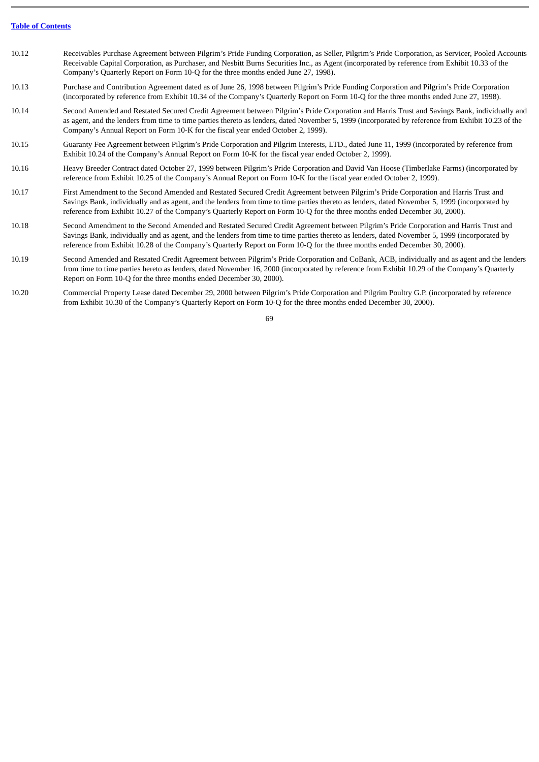- 10.12 Receivables Purchase Agreement between Pilgrim's Pride Funding Corporation, as Seller, Pilgrim's Pride Corporation, as Servicer, Pooled Accounts Receivable Capital Corporation, as Purchaser, and Nesbitt Burns Securities Inc., as Agent (incorporated by reference from Exhibit 10.33 of the Company's Quarterly Report on Form 10-Q for the three months ended June 27, 1998).
- 10.13 Purchase and Contribution Agreement dated as of June 26, 1998 between Pilgrim's Pride Funding Corporation and Pilgrim's Pride Corporation (incorporated by reference from Exhibit 10.34 of the Company's Quarterly Report on Form 10-Q for the three months ended June 27, 1998).
- 10.14 Second Amended and Restated Secured Credit Agreement between Pilgrim's Pride Corporation and Harris Trust and Savings Bank, individually and as agent, and the lenders from time to time parties thereto as lenders, dated November 5, 1999 (incorporated by reference from Exhibit 10.23 of the Company's Annual Report on Form 10-K for the fiscal year ended October 2, 1999).
- 10.15 Guaranty Fee Agreement between Pilgrim's Pride Corporation and Pilgrim Interests, LTD., dated June 11, 1999 (incorporated by reference from Exhibit 10.24 of the Company's Annual Report on Form 10-K for the fiscal year ended October 2, 1999).
- 10.16 Heavy Breeder Contract dated October 27, 1999 between Pilgrim's Pride Corporation and David Van Hoose (Timberlake Farms) (incorporated by reference from Exhibit 10.25 of the Company's Annual Report on Form 10-K for the fiscal year ended October 2, 1999).
- 10.17 First Amendment to the Second Amended and Restated Secured Credit Agreement between Pilgrim's Pride Corporation and Harris Trust and Savings Bank, individually and as agent, and the lenders from time to time parties thereto as lenders, dated November 5, 1999 (incorporated by reference from Exhibit 10.27 of the Company's Quarterly Report on Form 10-Q for the three months ended December 30, 2000).
- 10.18 Second Amendment to the Second Amended and Restated Secured Credit Agreement between Pilgrim's Pride Corporation and Harris Trust and Savings Bank, individually and as agent, and the lenders from time to time parties thereto as lenders, dated November 5, 1999 (incorporated by reference from Exhibit 10.28 of the Company's Quarterly Report on Form 10-Q for the three months ended December 30, 2000).
- 10.19 Second Amended and Restated Credit Agreement between Pilgrim's Pride Corporation and CoBank, ACB, individually and as agent and the lenders from time to time parties hereto as lenders, dated November 16, 2000 (incorporated by reference from Exhibit 10.29 of the Company's Quarterly Report on Form 10-Q for the three months ended December 30, 2000).
- 10.20 Commercial Property Lease dated December 29, 2000 between Pilgrim's Pride Corporation and Pilgrim Poultry G.P. (incorporated by reference from Exhibit 10.30 of the Company's Quarterly Report on Form 10-Q for the three months ended December 30, 2000).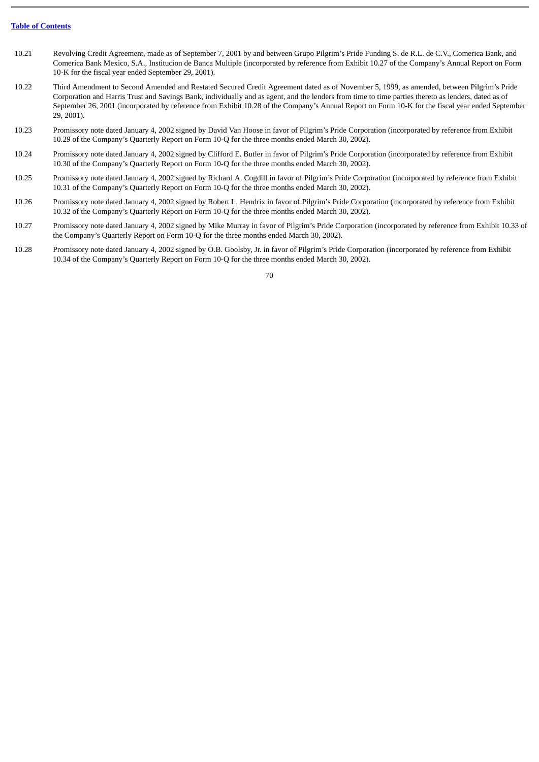- 10.21 Revolving Credit Agreement, made as of September 7, 2001 by and between Grupo Pilgrim's Pride Funding S. de R.L. de C.V., Comerica Bank, and Comerica Bank Mexico, S.A., Institucion de Banca Multiple (incorporated by reference from Exhibit 10.27 of the Company's Annual Report on Form 10-K for the fiscal year ended September 29, 2001).
- 10.22 Third Amendment to Second Amended and Restated Secured Credit Agreement dated as of November 5, 1999, as amended, between Pilgrim's Pride Corporation and Harris Trust and Savings Bank, individually and as agent, and the lenders from time to time parties thereto as lenders, dated as of September 26, 2001 (incorporated by reference from Exhibit 10.28 of the Company's Annual Report on Form 10-K for the fiscal year ended September 29, 2001).
- 10.23 Promissory note dated January 4, 2002 signed by David Van Hoose in favor of Pilgrim's Pride Corporation (incorporated by reference from Exhibit 10.29 of the Company's Quarterly Report on Form 10-Q for the three months ended March 30, 2002).
- 10.24 Promissory note dated January 4, 2002 signed by Clifford E. Butler in favor of Pilgrim's Pride Corporation (incorporated by reference from Exhibit 10.30 of the Company's Quarterly Report on Form 10-Q for the three months ended March 30, 2002).
- 10.25 Promissory note dated January 4, 2002 signed by Richard A. Cogdill in favor of Pilgrim's Pride Corporation (incorporated by reference from Exhibit 10.31 of the Company's Quarterly Report on Form 10-Q for the three months ended March 30, 2002).
- 10.26 Promissory note dated January 4, 2002 signed by Robert L. Hendrix in favor of Pilgrim's Pride Corporation (incorporated by reference from Exhibit 10.32 of the Company's Quarterly Report on Form 10-Q for the three months ended March 30, 2002).
- 10.27 Promissory note dated January 4, 2002 signed by Mike Murray in favor of Pilgrim's Pride Corporation (incorporated by reference from Exhibit 10.33 of the Company's Quarterly Report on Form 10-Q for the three months ended March 30, 2002).
- 10.28 Promissory note dated January 4, 2002 signed by O.B. Goolsby, Jr. in favor of Pilgrim's Pride Corporation (incorporated by reference from Exhibit 10.34 of the Company's Quarterly Report on Form 10-Q for the three months ended March 30, 2002).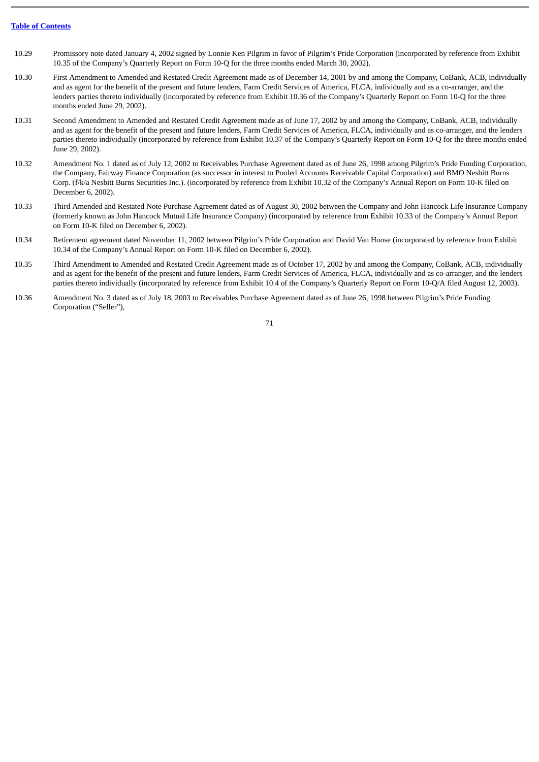- 10.29 Promissory note dated January 4, 2002 signed by Lonnie Ken Pilgrim in favor of Pilgrim's Pride Corporation (incorporated by reference from Exhibit 10.35 of the Company's Quarterly Report on Form 10-Q for the three months ended March 30, 2002).
- 10.30 First Amendment to Amended and Restated Credit Agreement made as of December 14, 2001 by and among the Company, CoBank, ACB, individually and as agent for the benefit of the present and future lenders, Farm Credit Services of America, FLCA, individually and as a co-arranger, and the lenders parties thereto individually (incorporated by reference from Exhibit 10.36 of the Company's Quarterly Report on Form 10-Q for the three months ended June 29, 2002).
- 10.31 Second Amendment to Amended and Restated Credit Agreement made as of June 17, 2002 by and among the Company, CoBank, ACB, individually and as agent for the benefit of the present and future lenders, Farm Credit Services of America, FLCA, individually and as co-arranger, and the lenders parties thereto individually (incorporated by reference from Exhibit 10.37 of the Company's Quarterly Report on Form 10-Q for the three months ended June 29, 2002).
- 10.32 Amendment No. 1 dated as of July 12, 2002 to Receivables Purchase Agreement dated as of June 26, 1998 among Pilgrim's Pride Funding Corporation, the Company, Fairway Finance Corporation (as successor in interest to Pooled Accounts Receivable Capital Corporation) and BMO Nesbitt Burns Corp. (f/k/a Nesbitt Burns Securities Inc.). (incorporated by reference from Exhibit 10.32 of the Company's Annual Report on Form 10-K filed on December 6, 2002).
- 10.33 Third Amended and Restated Note Purchase Agreement dated as of August 30, 2002 between the Company and John Hancock Life Insurance Company (formerly known as John Hancock Mutual Life Insurance Company) (incorporated by reference from Exhibit 10.33 of the Company's Annual Report on Form 10-K filed on December 6, 2002).
- 10.34 Retirement agreement dated November 11, 2002 between Pilgrim's Pride Corporation and David Van Hoose (incorporated by reference from Exhibit 10.34 of the Company's Annual Report on Form 10-K filed on December 6, 2002).
- 10.35 Third Amendment to Amended and Restated Credit Agreement made as of October 17, 2002 by and among the Company, CoBank, ACB, individually and as agent for the benefit of the present and future lenders, Farm Credit Services of America, FLCA, individually and as co-arranger, and the lenders parties thereto individually (incorporated by reference from Exhibit 10.4 of the Company's Quarterly Report on Form 10-Q/A filed August 12, 2003).
- 10.36 Amendment No. 3 dated as of July 18, 2003 to Receivables Purchase Agreement dated as of June 26, 1998 between Pilgrim's Pride Funding Corporation ("Seller"),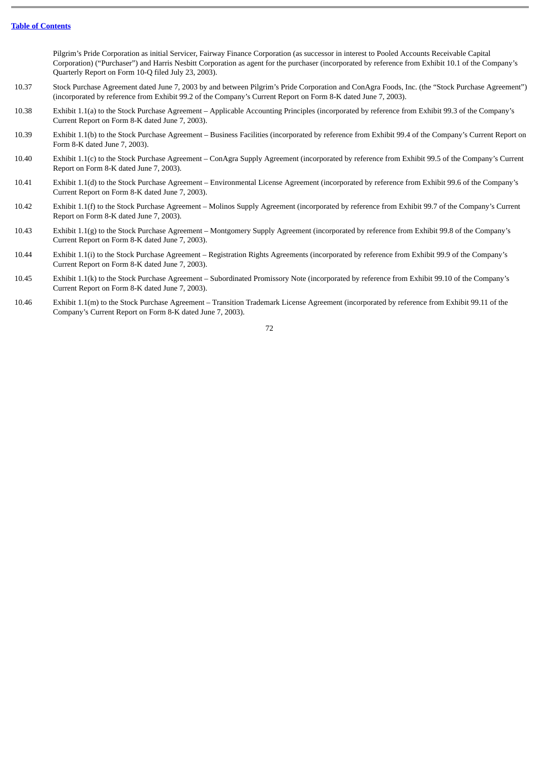Pilgrim's Pride Corporation as initial Servicer, Fairway Finance Corporation (as successor in interest to Pooled Accounts Receivable Capital Corporation) ("Purchaser") and Harris Nesbitt Corporation as agent for the purchaser (incorporated by reference from Exhibit 10.1 of the Company's Quarterly Report on Form 10-Q filed July 23, 2003).

- 10.37 Stock Purchase Agreement dated June 7, 2003 by and between Pilgrim's Pride Corporation and ConAgra Foods, Inc. (the "Stock Purchase Agreement") (incorporated by reference from Exhibit 99.2 of the Company's Current Report on Form 8-K dated June 7, 2003).
- 10.38 Exhibit 1.1(a) to the Stock Purchase Agreement – Applicable Accounting Principles (incorporated by reference from Exhibit 99.3 of the Company's Current Report on Form 8-K dated June 7, 2003).
- 10.39 Exhibit 1.1(b) to the Stock Purchase Agreement – Business Facilities (incorporated by reference from Exhibit 99.4 of the Company's Current Report on Form 8-K dated June 7, 2003).
- 10.40 Exhibit 1.1(c) to the Stock Purchase Agreement – ConAgra Supply Agreement (incorporated by reference from Exhibit 99.5 of the Company's Current Report on Form 8-K dated June 7, 2003).
- 10.41 Exhibit 1.1(d) to the Stock Purchase Agreement – Environmental License Agreement (incorporated by reference from Exhibit 99.6 of the Company's Current Report on Form 8-K dated June 7, 2003).
- 10.42 Exhibit 1.1(f) to the Stock Purchase Agreement – Molinos Supply Agreement (incorporated by reference from Exhibit 99.7 of the Company's Current Report on Form 8-K dated June 7, 2003).
- 10.43 Exhibit 1.1(g) to the Stock Purchase Agreement – Montgomery Supply Agreement (incorporated by reference from Exhibit 99.8 of the Company's Current Report on Form 8-K dated June 7, 2003).
- 10.44 Exhibit 1.1(i) to the Stock Purchase Agreement – Registration Rights Agreements (incorporated by reference from Exhibit 99.9 of the Company's Current Report on Form 8-K dated June 7, 2003).
- 10.45 Exhibit 1.1(k) to the Stock Purchase Agreement – Subordinated Promissory Note (incorporated by reference from Exhibit 99.10 of the Company's Current Report on Form 8-K dated June 7, 2003).
- 10.46 Exhibit 1.1(m) to the Stock Purchase Agreement – Transition Trademark License Agreement (incorporated by reference from Exhibit 99.11 of the Company's Current Report on Form 8-K dated June 7, 2003).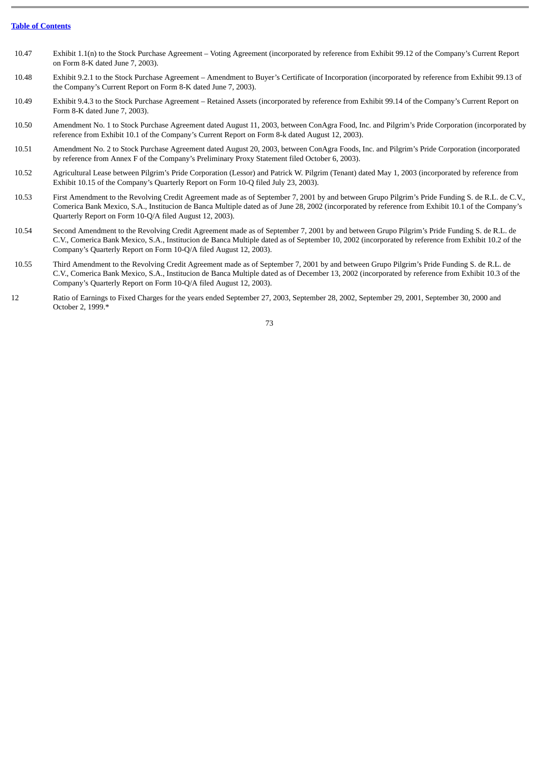- 10.47 Exhibit 1.1(n) to the Stock Purchase Agreement – Voting Agreement (incorporated by reference from Exhibit 99.12 of the Company's Current Report on Form 8-K dated June 7, 2003).
- 10.48 Exhibit 9.2.1 to the Stock Purchase Agreement – Amendment to Buyer's Certificate of Incorporation (incorporated by reference from Exhibit 99.13 of the Company's Current Report on Form 8-K dated June 7, 2003).
- 10.49 Exhibit 9.4.3 to the Stock Purchase Agreement – Retained Assets (incorporated by reference from Exhibit 99.14 of the Company's Current Report on Form 8-K dated June 7, 2003).
- 10.50 Amendment No. 1 to Stock Purchase Agreement dated August 11, 2003, between ConAgra Food, Inc. and Pilgrim's Pride Corporation (incorporated by reference from Exhibit 10.1 of the Company's Current Report on Form 8-k dated August 12, 2003).
- 10.51 Amendment No. 2 to Stock Purchase Agreement dated August 20, 2003, between ConAgra Foods, Inc. and Pilgrim's Pride Corporation (incorporated by reference from Annex F of the Company's Preliminary Proxy Statement filed October 6, 2003).
- 10.52 Agricultural Lease between Pilgrim's Pride Corporation (Lessor) and Patrick W. Pilgrim (Tenant) dated May 1, 2003 (incorporated by reference from Exhibit 10.15 of the Company's Quarterly Report on Form 10-Q filed July 23, 2003).
- 10.53 First Amendment to the Revolving Credit Agreement made as of September 7, 2001 by and between Grupo Pilgrim's Pride Funding S. de R.L. de C.V., Comerica Bank Mexico, S.A., Institucion de Banca Multiple dated as of June 28, 2002 (incorporated by reference from Exhibit 10.1 of the Company's Quarterly Report on Form 10-Q/A filed August 12, 2003).
- 10.54 Second Amendment to the Revolving Credit Agreement made as of September 7, 2001 by and between Grupo Pilgrim's Pride Funding S. de R.L. de C.V., Comerica Bank Mexico, S.A., Institucion de Banca Multiple dated as of September 10, 2002 (incorporated by reference from Exhibit 10.2 of the Company's Quarterly Report on Form 10-Q/A filed August 12, 2003).
- 10.55 Third Amendment to the Revolving Credit Agreement made as of September 7, 2001 by and between Grupo Pilgrim's Pride Funding S. de R.L. de C.V., Comerica Bank Mexico, S.A., Institucion de Banca Multiple dated as of December 13, 2002 (incorporated by reference from Exhibit 10.3 of the Company's Quarterly Report on Form 10-Q/A filed August 12, 2003).
- 12 Ratio of Earnings to Fixed Charges for the years ended September 27, 2003, September 28, 2002, September 29, 2001, September 30, 2000 and October 2, 1999.\*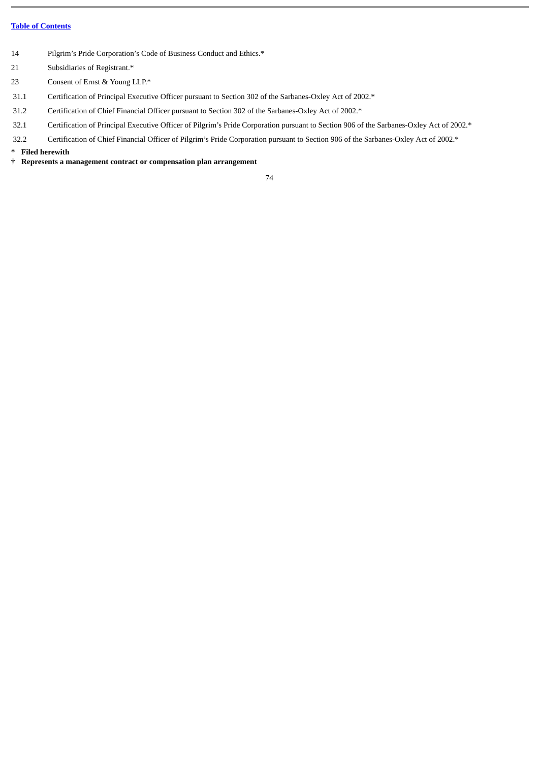- 14 Pilgrim's Pride Corporation's Code of Business Conduct and Ethics.\*
- 21 Subsidiaries of Registrant.\*
- 23 Consent of Ernst & Young LLP.\*
- 31.1 Certification of Principal Executive Officer pursuant to Section 302 of the Sarbanes-Oxley Act of 2002.\*
- 31.2 Certification of Chief Financial Officer pursuant to Section 302 of the Sarbanes-Oxley Act of 2002.\*
- 32.1 Certification of Principal Executive Officer of Pilgrim's Pride Corporation pursuant to Section 906 of the Sarbanes-Oxley Act of 2002.\*
- 32.2 Certification of Chief Financial Officer of Pilgrim's Pride Corporation pursuant to Section 906 of the Sarbanes-Oxley Act of 2002.\*

## **\* Filed herewith**

**† Represents a management contract or compensation plan arrangement**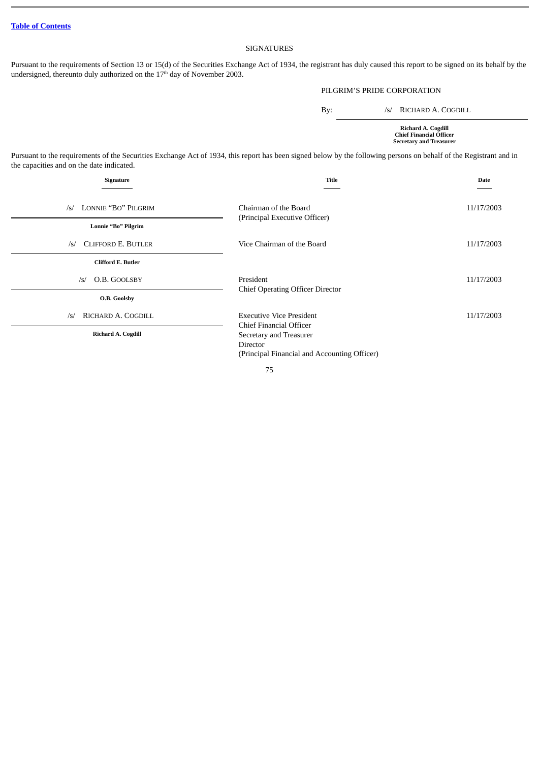## SIGNATURES

Pursuant to the requirements of Section 13 or 15(d) of the Securities Exchange Act of 1934, the registrant has duly caused this report to be signed on its behalf by the undersigned, thereunto duly authorized on the 17<sup>th</sup> day of November 2003.

## PILGRIM'S PRIDE CORPORATION

By: /s/ RICHARD A. COGDILL

**Richard A. Cogdill Chief Financial Officer Secretary and Treasurer**

Pursuant to the requirements of the Securities Exchange Act of 1934, this report has been signed below by the following persons on behalf of the Registrant and in the capacities and on the date indicated.

| Signature                                               | <b>Title</b>                                                                        | Date       |
|---------------------------------------------------------|-------------------------------------------------------------------------------------|------------|
| LONNIE "BO" PILGRIM<br>/s/                              | Chairman of the Board<br>(Principal Executive Officer)                              | 11/17/2003 |
| Lonnie "Bo" Pilgrim<br><b>CLIFFORD E. BUTLER</b><br>/s/ | Vice Chairman of the Board                                                          | 11/17/2003 |
| <b>Clifford E. Butler</b><br>O.B. GOOLSBY<br>$\sqrt{s}$ | President<br><b>Chief Operating Officer Director</b>                                | 11/17/2003 |
| O.B. Goolsby<br>RICHARD A. COGDILL<br>$\sqrt{s}$        | <b>Executive Vice President</b><br>Chief Financial Officer                          | 11/17/2003 |
| Richard A. Cogdill                                      | Secretary and Treasurer<br>Director<br>(Principal Financial and Accounting Officer) |            |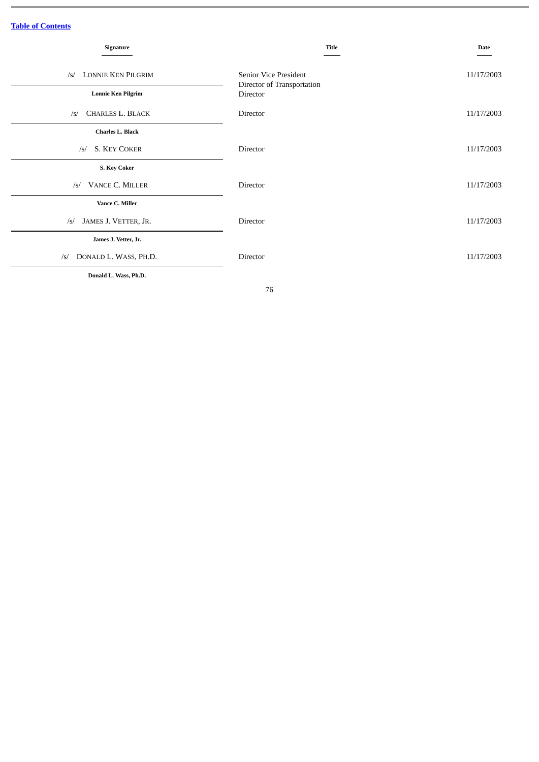| Signature                               | <b>Title</b>                                        | <b>Date</b> |
|-----------------------------------------|-----------------------------------------------------|-------------|
| <b>LONNIE KEN PILGRIM</b><br>$\sqrt{s}$ | Senior Vice President<br>Director of Transportation | 11/17/2003  |
| <b>Lonnie Ken Pilgrim</b>               | Director                                            |             |
| <b>CHARLES L. BLACK</b><br>$\sqrt{s}$   | Director                                            | 11/17/2003  |
| Charles L. Black                        |                                                     |             |
| <b>S. KEY COKER</b><br>/s/              | Director                                            | 11/17/2003  |
| <b>S. Key Coker</b>                     |                                                     |             |
| VANCE C. MILLER<br>/s/                  | Director                                            | 11/17/2003  |
| Vance C. Miller                         |                                                     |             |
| JAMES J. VETTER, JR.<br>$\sqrt{s}$      | Director                                            | 11/17/2003  |
| James J. Vetter, Jr.                    |                                                     |             |
| DONALD L. WASS, PH.D.<br>$\sqrt{s}$     | Director                                            | 11/17/2003  |
| Donald L. Wass, Ph.D.                   |                                                     |             |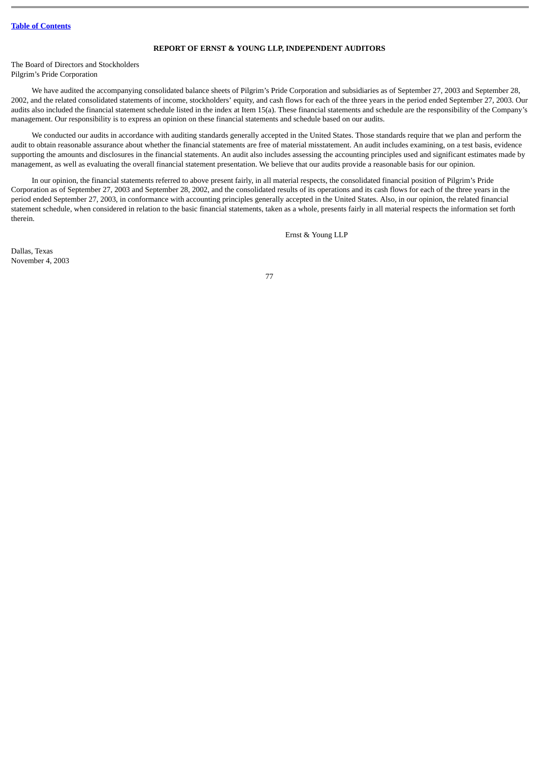### **REPORT OF ERNST & YOUNG LLP, INDEPENDENT AUDITORS**

The Board of Directors and Stockholders Pilgrim's Pride Corporation

We have audited the accompanying consolidated balance sheets of Pilgrim's Pride Corporation and subsidiaries as of September 27, 2003 and September 28, 2002, and the related consolidated statements of income, stockholders' equity, and cash flows for each of the three years in the period ended September 27, 2003. Our audits also included the financial statement schedule listed in the index at Item 15(a). These financial statements and schedule are the responsibility of the Company's management. Our responsibility is to express an opinion on these financial statements and schedule based on our audits.

We conducted our audits in accordance with auditing standards generally accepted in the United States. Those standards require that we plan and perform the audit to obtain reasonable assurance about whether the financial statements are free of material misstatement. An audit includes examining, on a test basis, evidence supporting the amounts and disclosures in the financial statements. An audit also includes assessing the accounting principles used and significant estimates made by management, as well as evaluating the overall financial statement presentation. We believe that our audits provide a reasonable basis for our opinion.

In our opinion, the financial statements referred to above present fairly, in all material respects, the consolidated financial position of Pilgrim's Pride Corporation as of September 27, 2003 and September 28, 2002, and the consolidated results of its operations and its cash flows for each of the three years in the period ended September 27, 2003, in conformance with accounting principles generally accepted in the United States. Also, in our opinion, the related financial statement schedule, when considered in relation to the basic financial statements, taken as a whole, presents fairly in all material respects the information set forth therein.

Ernst & Young LLP

Dallas, Texas November 4, 2003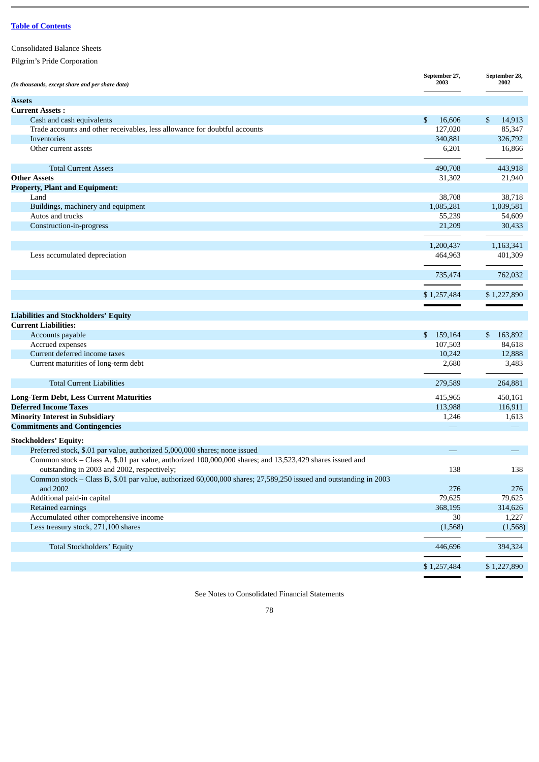| <b>Consolidated Balance Sheets</b> |
|------------------------------------|
| Pilgrim's Pride Corporation        |

| Cash and cash equivalents<br>\$<br>16,606<br>\$<br>14,913<br>Trade accounts and other receivables, less allowance for doubtful accounts<br>127,020<br>85,347<br>340,881<br>326,792<br>Inventories<br>Other current assets<br>6,201<br>16,866<br>443,918<br><b>Total Current Assets</b><br>490,708<br><b>Other Assets</b><br>31,302<br>21,940<br><b>Property, Plant and Equipment:</b><br>38,708<br>38,718<br>Land<br>1,085,281<br>1,039,581<br>Buildings, machinery and equipment<br>Autos and trucks<br>55,239<br>54,609<br>Construction-in-progress<br>21,209<br>30,433<br>1,163,341<br>1,200,437<br>Less accumulated depreciation<br>464,963<br>401,309<br>762,032<br>735,474<br>\$1,257,484<br>\$1,227,890<br>Accounts payable<br>\$159,164<br>\$163,892<br>84,618<br>Accrued expenses<br>107,503<br>Current deferred income taxes<br>10,242<br>12,888<br>Current maturities of long-term debt<br>3,483<br>2,680<br><b>Total Current Liabilities</b><br>279,589<br>264,881<br>450,161<br>415,965<br>113,988<br>116,911<br><b>Minority Interest in Subsidiary</b><br>1,613<br>1,246<br>Preferred stock, \$.01 par value, authorized 5,000,000 shares; none issued<br>Common stock - Class A, \$.01 par value, authorized 100,000,000 shares; and 13,523,429 shares issued and<br>outstanding in 2003 and 2002, respectively;<br>138<br>138<br>Common stock - Class B, \$.01 par value, authorized 60,000,000 shares; 27,589,250 issued and outstanding in 2003<br>and 2002<br>276<br>276<br>Additional paid-in capital<br>79,625<br>79,625<br>Retained earnings<br>368,195<br>314,626<br>Accumulated other comprehensive income<br>30<br>1,227<br>Less treasury stock, 271,100 shares<br>(1,568)<br>(1,568)<br>446,696 | (In thousands, except share and per share data) | September 27,<br>2003 | September 28,<br>2002 |
|---------------------------------------------------------------------------------------------------------------------------------------------------------------------------------------------------------------------------------------------------------------------------------------------------------------------------------------------------------------------------------------------------------------------------------------------------------------------------------------------------------------------------------------------------------------------------------------------------------------------------------------------------------------------------------------------------------------------------------------------------------------------------------------------------------------------------------------------------------------------------------------------------------------------------------------------------------------------------------------------------------------------------------------------------------------------------------------------------------------------------------------------------------------------------------------------------------------------------------------------------------------------------------------------------------------------------------------------------------------------------------------------------------------------------------------------------------------------------------------------------------------------------------------------------------------------------------------------------------------------------------------------------------------------------------------------------------------------------|-------------------------------------------------|-----------------------|-----------------------|
|                                                                                                                                                                                                                                                                                                                                                                                                                                                                                                                                                                                                                                                                                                                                                                                                                                                                                                                                                                                                                                                                                                                                                                                                                                                                                                                                                                                                                                                                                                                                                                                                                                                                                                                           | <b>Assets</b>                                   |                       |                       |
|                                                                                                                                                                                                                                                                                                                                                                                                                                                                                                                                                                                                                                                                                                                                                                                                                                                                                                                                                                                                                                                                                                                                                                                                                                                                                                                                                                                                                                                                                                                                                                                                                                                                                                                           | <b>Current Assets:</b>                          |                       |                       |
|                                                                                                                                                                                                                                                                                                                                                                                                                                                                                                                                                                                                                                                                                                                                                                                                                                                                                                                                                                                                                                                                                                                                                                                                                                                                                                                                                                                                                                                                                                                                                                                                                                                                                                                           |                                                 |                       |                       |
|                                                                                                                                                                                                                                                                                                                                                                                                                                                                                                                                                                                                                                                                                                                                                                                                                                                                                                                                                                                                                                                                                                                                                                                                                                                                                                                                                                                                                                                                                                                                                                                                                                                                                                                           |                                                 |                       |                       |
|                                                                                                                                                                                                                                                                                                                                                                                                                                                                                                                                                                                                                                                                                                                                                                                                                                                                                                                                                                                                                                                                                                                                                                                                                                                                                                                                                                                                                                                                                                                                                                                                                                                                                                                           |                                                 |                       |                       |
|                                                                                                                                                                                                                                                                                                                                                                                                                                                                                                                                                                                                                                                                                                                                                                                                                                                                                                                                                                                                                                                                                                                                                                                                                                                                                                                                                                                                                                                                                                                                                                                                                                                                                                                           |                                                 |                       |                       |
|                                                                                                                                                                                                                                                                                                                                                                                                                                                                                                                                                                                                                                                                                                                                                                                                                                                                                                                                                                                                                                                                                                                                                                                                                                                                                                                                                                                                                                                                                                                                                                                                                                                                                                                           |                                                 |                       |                       |
|                                                                                                                                                                                                                                                                                                                                                                                                                                                                                                                                                                                                                                                                                                                                                                                                                                                                                                                                                                                                                                                                                                                                                                                                                                                                                                                                                                                                                                                                                                                                                                                                                                                                                                                           |                                                 |                       |                       |
|                                                                                                                                                                                                                                                                                                                                                                                                                                                                                                                                                                                                                                                                                                                                                                                                                                                                                                                                                                                                                                                                                                                                                                                                                                                                                                                                                                                                                                                                                                                                                                                                                                                                                                                           |                                                 |                       |                       |
|                                                                                                                                                                                                                                                                                                                                                                                                                                                                                                                                                                                                                                                                                                                                                                                                                                                                                                                                                                                                                                                                                                                                                                                                                                                                                                                                                                                                                                                                                                                                                                                                                                                                                                                           |                                                 |                       |                       |
|                                                                                                                                                                                                                                                                                                                                                                                                                                                                                                                                                                                                                                                                                                                                                                                                                                                                                                                                                                                                                                                                                                                                                                                                                                                                                                                                                                                                                                                                                                                                                                                                                                                                                                                           |                                                 |                       |                       |
|                                                                                                                                                                                                                                                                                                                                                                                                                                                                                                                                                                                                                                                                                                                                                                                                                                                                                                                                                                                                                                                                                                                                                                                                                                                                                                                                                                                                                                                                                                                                                                                                                                                                                                                           |                                                 |                       |                       |
|                                                                                                                                                                                                                                                                                                                                                                                                                                                                                                                                                                                                                                                                                                                                                                                                                                                                                                                                                                                                                                                                                                                                                                                                                                                                                                                                                                                                                                                                                                                                                                                                                                                                                                                           |                                                 |                       |                       |
|                                                                                                                                                                                                                                                                                                                                                                                                                                                                                                                                                                                                                                                                                                                                                                                                                                                                                                                                                                                                                                                                                                                                                                                                                                                                                                                                                                                                                                                                                                                                                                                                                                                                                                                           |                                                 |                       |                       |
|                                                                                                                                                                                                                                                                                                                                                                                                                                                                                                                                                                                                                                                                                                                                                                                                                                                                                                                                                                                                                                                                                                                                                                                                                                                                                                                                                                                                                                                                                                                                                                                                                                                                                                                           |                                                 |                       |                       |
|                                                                                                                                                                                                                                                                                                                                                                                                                                                                                                                                                                                                                                                                                                                                                                                                                                                                                                                                                                                                                                                                                                                                                                                                                                                                                                                                                                                                                                                                                                                                                                                                                                                                                                                           |                                                 |                       |                       |
|                                                                                                                                                                                                                                                                                                                                                                                                                                                                                                                                                                                                                                                                                                                                                                                                                                                                                                                                                                                                                                                                                                                                                                                                                                                                                                                                                                                                                                                                                                                                                                                                                                                                                                                           |                                                 |                       |                       |
|                                                                                                                                                                                                                                                                                                                                                                                                                                                                                                                                                                                                                                                                                                                                                                                                                                                                                                                                                                                                                                                                                                                                                                                                                                                                                                                                                                                                                                                                                                                                                                                                                                                                                                                           |                                                 |                       |                       |
|                                                                                                                                                                                                                                                                                                                                                                                                                                                                                                                                                                                                                                                                                                                                                                                                                                                                                                                                                                                                                                                                                                                                                                                                                                                                                                                                                                                                                                                                                                                                                                                                                                                                                                                           |                                                 |                       |                       |
|                                                                                                                                                                                                                                                                                                                                                                                                                                                                                                                                                                                                                                                                                                                                                                                                                                                                                                                                                                                                                                                                                                                                                                                                                                                                                                                                                                                                                                                                                                                                                                                                                                                                                                                           | <b>Liabilities and Stockholders' Equity</b>     |                       |                       |
|                                                                                                                                                                                                                                                                                                                                                                                                                                                                                                                                                                                                                                                                                                                                                                                                                                                                                                                                                                                                                                                                                                                                                                                                                                                                                                                                                                                                                                                                                                                                                                                                                                                                                                                           | <b>Current Liabilities:</b>                     |                       |                       |
|                                                                                                                                                                                                                                                                                                                                                                                                                                                                                                                                                                                                                                                                                                                                                                                                                                                                                                                                                                                                                                                                                                                                                                                                                                                                                                                                                                                                                                                                                                                                                                                                                                                                                                                           |                                                 |                       |                       |
|                                                                                                                                                                                                                                                                                                                                                                                                                                                                                                                                                                                                                                                                                                                                                                                                                                                                                                                                                                                                                                                                                                                                                                                                                                                                                                                                                                                                                                                                                                                                                                                                                                                                                                                           |                                                 |                       |                       |
|                                                                                                                                                                                                                                                                                                                                                                                                                                                                                                                                                                                                                                                                                                                                                                                                                                                                                                                                                                                                                                                                                                                                                                                                                                                                                                                                                                                                                                                                                                                                                                                                                                                                                                                           |                                                 |                       |                       |
|                                                                                                                                                                                                                                                                                                                                                                                                                                                                                                                                                                                                                                                                                                                                                                                                                                                                                                                                                                                                                                                                                                                                                                                                                                                                                                                                                                                                                                                                                                                                                                                                                                                                                                                           |                                                 |                       |                       |
|                                                                                                                                                                                                                                                                                                                                                                                                                                                                                                                                                                                                                                                                                                                                                                                                                                                                                                                                                                                                                                                                                                                                                                                                                                                                                                                                                                                                                                                                                                                                                                                                                                                                                                                           |                                                 |                       |                       |
|                                                                                                                                                                                                                                                                                                                                                                                                                                                                                                                                                                                                                                                                                                                                                                                                                                                                                                                                                                                                                                                                                                                                                                                                                                                                                                                                                                                                                                                                                                                                                                                                                                                                                                                           | <b>Long-Term Debt, Less Current Maturities</b>  |                       |                       |
|                                                                                                                                                                                                                                                                                                                                                                                                                                                                                                                                                                                                                                                                                                                                                                                                                                                                                                                                                                                                                                                                                                                                                                                                                                                                                                                                                                                                                                                                                                                                                                                                                                                                                                                           | <b>Deferred Income Taxes</b>                    |                       |                       |
|                                                                                                                                                                                                                                                                                                                                                                                                                                                                                                                                                                                                                                                                                                                                                                                                                                                                                                                                                                                                                                                                                                                                                                                                                                                                                                                                                                                                                                                                                                                                                                                                                                                                                                                           |                                                 |                       |                       |
|                                                                                                                                                                                                                                                                                                                                                                                                                                                                                                                                                                                                                                                                                                                                                                                                                                                                                                                                                                                                                                                                                                                                                                                                                                                                                                                                                                                                                                                                                                                                                                                                                                                                                                                           | <b>Commitments and Contingencies</b>            |                       |                       |
|                                                                                                                                                                                                                                                                                                                                                                                                                                                                                                                                                                                                                                                                                                                                                                                                                                                                                                                                                                                                                                                                                                                                                                                                                                                                                                                                                                                                                                                                                                                                                                                                                                                                                                                           | <b>Stockholders' Equity:</b>                    |                       |                       |
|                                                                                                                                                                                                                                                                                                                                                                                                                                                                                                                                                                                                                                                                                                                                                                                                                                                                                                                                                                                                                                                                                                                                                                                                                                                                                                                                                                                                                                                                                                                                                                                                                                                                                                                           |                                                 |                       |                       |
|                                                                                                                                                                                                                                                                                                                                                                                                                                                                                                                                                                                                                                                                                                                                                                                                                                                                                                                                                                                                                                                                                                                                                                                                                                                                                                                                                                                                                                                                                                                                                                                                                                                                                                                           |                                                 |                       |                       |
|                                                                                                                                                                                                                                                                                                                                                                                                                                                                                                                                                                                                                                                                                                                                                                                                                                                                                                                                                                                                                                                                                                                                                                                                                                                                                                                                                                                                                                                                                                                                                                                                                                                                                                                           |                                                 |                       |                       |
|                                                                                                                                                                                                                                                                                                                                                                                                                                                                                                                                                                                                                                                                                                                                                                                                                                                                                                                                                                                                                                                                                                                                                                                                                                                                                                                                                                                                                                                                                                                                                                                                                                                                                                                           |                                                 |                       |                       |
|                                                                                                                                                                                                                                                                                                                                                                                                                                                                                                                                                                                                                                                                                                                                                                                                                                                                                                                                                                                                                                                                                                                                                                                                                                                                                                                                                                                                                                                                                                                                                                                                                                                                                                                           |                                                 |                       |                       |
|                                                                                                                                                                                                                                                                                                                                                                                                                                                                                                                                                                                                                                                                                                                                                                                                                                                                                                                                                                                                                                                                                                                                                                                                                                                                                                                                                                                                                                                                                                                                                                                                                                                                                                                           |                                                 |                       |                       |
|                                                                                                                                                                                                                                                                                                                                                                                                                                                                                                                                                                                                                                                                                                                                                                                                                                                                                                                                                                                                                                                                                                                                                                                                                                                                                                                                                                                                                                                                                                                                                                                                                                                                                                                           |                                                 |                       |                       |
|                                                                                                                                                                                                                                                                                                                                                                                                                                                                                                                                                                                                                                                                                                                                                                                                                                                                                                                                                                                                                                                                                                                                                                                                                                                                                                                                                                                                                                                                                                                                                                                                                                                                                                                           |                                                 |                       |                       |
|                                                                                                                                                                                                                                                                                                                                                                                                                                                                                                                                                                                                                                                                                                                                                                                                                                                                                                                                                                                                                                                                                                                                                                                                                                                                                                                                                                                                                                                                                                                                                                                                                                                                                                                           | Total Stockholders' Equity                      |                       | 394,324               |
| \$1,227,890<br>\$1,257,484                                                                                                                                                                                                                                                                                                                                                                                                                                                                                                                                                                                                                                                                                                                                                                                                                                                                                                                                                                                                                                                                                                                                                                                                                                                                                                                                                                                                                                                                                                                                                                                                                                                                                                |                                                 |                       |                       |

See Notes to Consolidated Financial Statements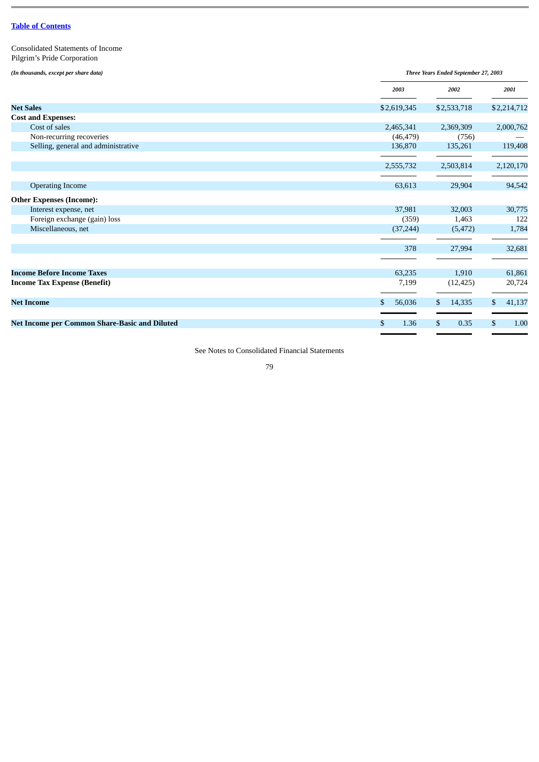Consolidated Statements of Income Pilgrim's Pride Corporation

*(In thousands, except per share data)*

| (In thousands, except per share data)         | Three Years Ended September 27, 2003 |             |    |             |    |             |  |
|-----------------------------------------------|--------------------------------------|-------------|----|-------------|----|-------------|--|
|                                               |                                      | 2003        |    | 2002        |    | 2001        |  |
| <b>Net Sales</b>                              |                                      | \$2,619,345 |    | \$2,533,718 |    | \$2,214,712 |  |
| <b>Cost and Expenses:</b>                     |                                      |             |    |             |    |             |  |
| Cost of sales                                 |                                      | 2,465,341   |    | 2,369,309   |    | 2,000,762   |  |
| Non-recurring recoveries                      |                                      | (46, 479)   |    | (756)       |    |             |  |
| Selling, general and administrative           |                                      | 136,870     |    | 135,261     |    | 119,408     |  |
|                                               |                                      | 2,555,732   |    | 2,503,814   |    | 2,120,170   |  |
| <b>Operating Income</b>                       |                                      | 63,613      |    | 29,904      |    | 94,542      |  |
| <b>Other Expenses (Income):</b>               |                                      |             |    |             |    |             |  |
| Interest expense, net                         |                                      | 37,981      |    | 32,003      |    | 30,775      |  |
| Foreign exchange (gain) loss                  |                                      | (359)       |    | 1,463       |    | 122         |  |
| Miscellaneous, net                            |                                      | (37, 244)   |    | (5, 472)    |    | 1,784       |  |
|                                               |                                      | 378         |    | 27,994      |    | 32,681      |  |
|                                               |                                      |             |    |             |    |             |  |
| <b>Income Before Income Taxes</b>             |                                      | 63,235      |    | 1,910       |    | 61,861      |  |
| <b>Income Tax Expense (Benefit)</b>           |                                      | 7,199       |    | (12, 425)   |    | 20,724      |  |
| <b>Net Income</b>                             | \$                                   | 56,036      | \$ | 14,335      | \$ | 41,137      |  |
| Net Income per Common Share-Basic and Diluted | \$                                   | 1.36        | \$ | 0.35        | \$ | 1.00        |  |

See Notes to Consolidated Financial Statements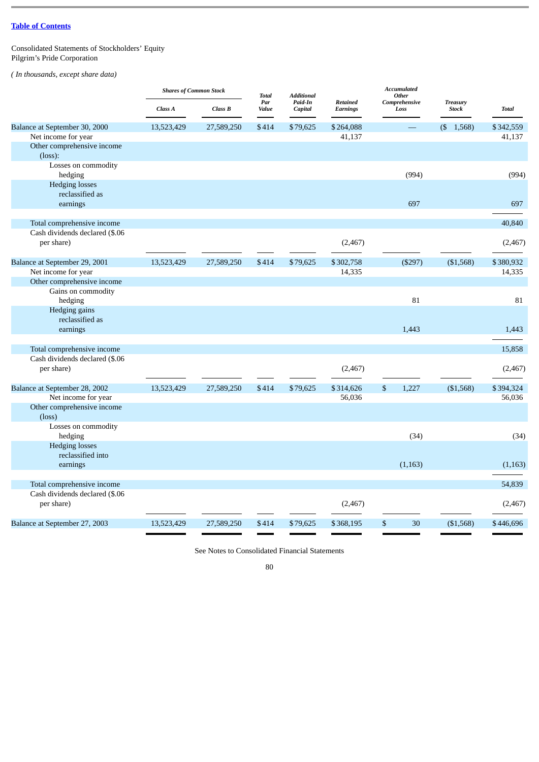Consolidated Statements of Stockholders' Equity Pilgrim's Pride Corporation

*( In thousands, except share data)*

|                                | <b>Shares of Common Stock</b> |            | <b>Total</b> | <b>Additional</b>  |                                    | <b>Accumulated</b><br>Other |                                 |              |
|--------------------------------|-------------------------------|------------|--------------|--------------------|------------------------------------|-----------------------------|---------------------------------|--------------|
|                                | Class A                       | Class B    | Par<br>Value | Paid-In<br>Capital | <b>Retained</b><br><b>Earnings</b> | Comprehensive<br>Loss       | <b>Treasury</b><br><b>Stock</b> | <b>Total</b> |
| Balance at September 30, 2000  | 13,523,429                    | 27,589,250 | \$414        | \$79,625           | \$264,088                          |                             | $($ \$ 1,568)                   | \$342,559    |
| Net income for year            |                               |            |              |                    | 41,137                             |                             |                                 | 41,137       |
| Other comprehensive income     |                               |            |              |                    |                                    |                             |                                 |              |
| $(\text{loss})$ :              |                               |            |              |                    |                                    |                             |                                 |              |
| Losses on commodity            |                               |            |              |                    |                                    |                             |                                 |              |
| hedging                        |                               |            |              |                    |                                    | (994)                       |                                 | (994)        |
| <b>Hedging losses</b>          |                               |            |              |                    |                                    |                             |                                 |              |
| reclassified as                |                               |            |              |                    |                                    |                             |                                 |              |
| earnings                       |                               |            |              |                    |                                    | 697                         |                                 | 697          |
|                                |                               |            |              |                    |                                    |                             |                                 |              |
| Total comprehensive income     |                               |            |              |                    |                                    |                             |                                 | 40,840       |
| Cash dividends declared (\$.06 |                               |            |              |                    |                                    |                             |                                 |              |
| per share)                     |                               |            |              |                    | (2, 467)                           |                             |                                 | (2, 467)     |
| Balance at September 29, 2001  | 13,523,429                    | 27,589,250 | \$414        | \$79,625           | \$302,758                          | (\$297)                     | (\$1,568)                       | \$380,932    |
| Net income for year            |                               |            |              |                    | 14,335                             |                             |                                 | 14,335       |
| Other comprehensive income     |                               |            |              |                    |                                    |                             |                                 |              |
| Gains on commodity             |                               |            |              |                    |                                    |                             |                                 |              |
| hedging                        |                               |            |              |                    |                                    | 81                          |                                 | 81           |
| Hedging gains                  |                               |            |              |                    |                                    |                             |                                 |              |
| reclassified as                |                               |            |              |                    |                                    |                             |                                 |              |
| earnings                       |                               |            |              |                    |                                    | 1,443                       |                                 | 1,443        |
|                                |                               |            |              |                    |                                    |                             |                                 |              |
| Total comprehensive income     |                               |            |              |                    |                                    |                             |                                 | 15,858       |
| Cash dividends declared (\$.06 |                               |            |              |                    |                                    |                             |                                 |              |
| per share)                     |                               |            |              |                    | (2, 467)                           |                             |                                 | (2, 467)     |
|                                |                               |            |              |                    |                                    |                             |                                 |              |
| Balance at September 28, 2002  | 13,523,429                    | 27,589,250 | \$414        | \$79,625           | \$314,626                          | \$<br>1,227                 | (\$1,568)                       | \$394,324    |
| Net income for year            |                               |            |              |                    | 56,036                             |                             |                                 | 56,036       |
| Other comprehensive income     |                               |            |              |                    |                                    |                             |                                 |              |
| $(\text{loss})$                |                               |            |              |                    |                                    |                             |                                 |              |
| Losses on commodity<br>hedging |                               |            |              |                    |                                    | (34)                        |                                 | (34)         |
| <b>Hedging losses</b>          |                               |            |              |                    |                                    |                             |                                 |              |
| reclassified into              |                               |            |              |                    |                                    |                             |                                 |              |
| earnings                       |                               |            |              |                    |                                    | (1, 163)                    |                                 | (1, 163)     |
|                                |                               |            |              |                    |                                    |                             |                                 |              |
| Total comprehensive income     |                               |            |              |                    |                                    |                             |                                 | 54,839       |
| Cash dividends declared (\$.06 |                               |            |              |                    |                                    |                             |                                 |              |
| per share)                     |                               |            |              |                    | (2,467)                            |                             |                                 | (2,467)      |
|                                |                               |            |              |                    |                                    |                             |                                 |              |
| Balance at September 27, 2003  | 13,523,429                    | 27,589,250 | \$414        | \$79,625           | \$368,195                          | \$<br>30                    | (\$1,568)                       | \$446,696    |

See Notes to Consolidated Financial Statements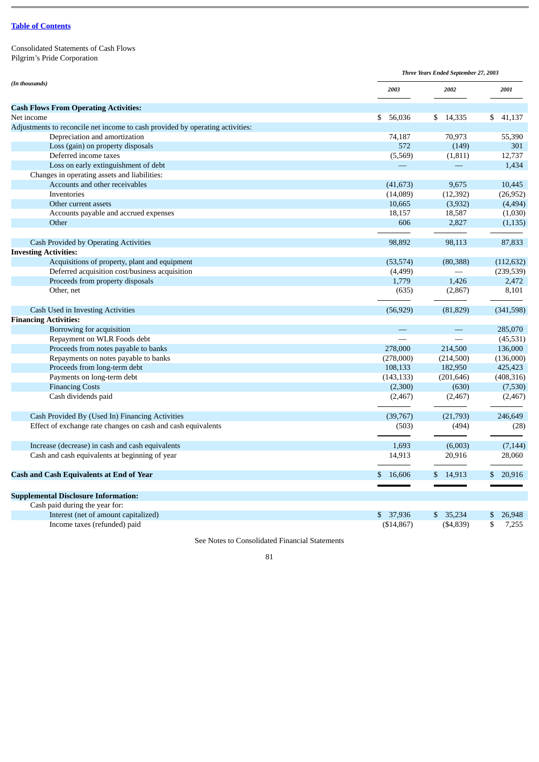Consolidated Statements of Cash Flows Pilgrim's Pride Corporation

|                                                                                                                                                       |                         | Three Years Ended September 27, 2003 |              |  |
|-------------------------------------------------------------------------------------------------------------------------------------------------------|-------------------------|--------------------------------------|--------------|--|
| (In thousands)                                                                                                                                        | 2003                    | 2002                                 | 2001         |  |
| <b>Cash Flows From Operating Activities:</b>                                                                                                          |                         |                                      |              |  |
| Net income                                                                                                                                            | \$<br>56,036            | 14,335<br>\$                         | 41,137<br>S. |  |
| Adjustments to reconcile net income to cash provided by operating activities:                                                                         |                         |                                      |              |  |
| Depreciation and amortization                                                                                                                         | 74,187                  | 70,973                               | 55,390       |  |
| Loss (gain) on property disposals                                                                                                                     | 572                     | (149)                                | 301          |  |
| Deferred income taxes                                                                                                                                 | (5,569)                 | (1,811)                              | 12,737       |  |
| Loss on early extinguishment of debt                                                                                                                  |                         |                                      | 1,434        |  |
| Changes in operating assets and liabilities:                                                                                                          |                         |                                      |              |  |
| Accounts and other receivables                                                                                                                        | (41, 673)               | 9,675                                | 10,445       |  |
| Inventories                                                                                                                                           | (14,089)                | (12, 392)                            | (26,952)     |  |
| Other current assets                                                                                                                                  | 10,665                  | (3,932)                              | (4, 494)     |  |
| Accounts payable and accrued expenses                                                                                                                 | 18,157                  | 18,587                               | (1,030)      |  |
| Other                                                                                                                                                 | 606                     | 2,827                                | (1, 135)     |  |
|                                                                                                                                                       | 98,892                  | 98,113                               | 87,833       |  |
| <b>Cash Provided by Operating Activities</b>                                                                                                          |                         |                                      |              |  |
| <b>Investing Activities:</b><br>Acquisitions of property, plant and equipment                                                                         | (53, 574)               | (80, 388)                            | (112, 632)   |  |
| Deferred acquisition cost/business acquisition                                                                                                        |                         |                                      |              |  |
|                                                                                                                                                       | (4, 499)                |                                      | (239, 539)   |  |
| Proceeds from property disposals                                                                                                                      | 1,779                   | 1,426                                | 2,472        |  |
| Other, net                                                                                                                                            | (635)                   | (2,867)                              | 8,101        |  |
| Cash Used in Investing Activities                                                                                                                     | (56, 929)               | (81, 829)                            | (341,598)    |  |
| <b>Financing Activities:</b>                                                                                                                          |                         |                                      |              |  |
| Borrowing for acquisition                                                                                                                             |                         |                                      | 285,070      |  |
| Repayment on WLR Foods debt                                                                                                                           |                         |                                      | (45, 531)    |  |
| Proceeds from notes payable to banks                                                                                                                  | 278,000                 | 214,500                              | 136,000      |  |
| Repayments on notes payable to banks                                                                                                                  | (278,000)               | (214,500)                            | (136,000)    |  |
| Proceeds from long-term debt                                                                                                                          | 108,133                 | 182,950                              | 425,423      |  |
| Payments on long-term debt                                                                                                                            | (143, 133)              | (201, 646)                           | (408, 316)   |  |
| <b>Financing Costs</b>                                                                                                                                | (2,300)                 | (630)                                | (7,530)      |  |
| Cash dividends paid                                                                                                                                   | (2,467)                 | (2,467)                              | (2,467)      |  |
| Cash Provided By (Used In) Financing Activities                                                                                                       | (39,767)                | (21,793)                             | 246,649      |  |
| Effect of exchange rate changes on cash and cash equivalents                                                                                          | (503)                   | (494)                                | (28)         |  |
| Increase (decrease) in cash and cash equivalents                                                                                                      | 1,693                   | (6,003)                              | (7, 144)     |  |
| Cash and cash equivalents at beginning of year                                                                                                        | 14,913                  | 20,916                               | 28,060       |  |
|                                                                                                                                                       |                         |                                      |              |  |
| <b>Cash and Cash Equivalents at End of Year</b>                                                                                                       | 16,606<br>\$            | \$14,913                             | 20,916<br>\$ |  |
|                                                                                                                                                       |                         |                                      |              |  |
|                                                                                                                                                       |                         |                                      |              |  |
|                                                                                                                                                       |                         |                                      |              |  |
|                                                                                                                                                       |                         |                                      | \$<br>7,255  |  |
| <b>Supplemental Disclosure Information:</b><br>Cash paid during the year for:<br>Interest (net of amount capitalized)<br>Income taxes (refunded) paid | \$ 37,936<br>(\$14,867) | \$35,234<br>( \$4,839)               | 26,948<br>S  |  |

See Notes to Consolidated Financial Statements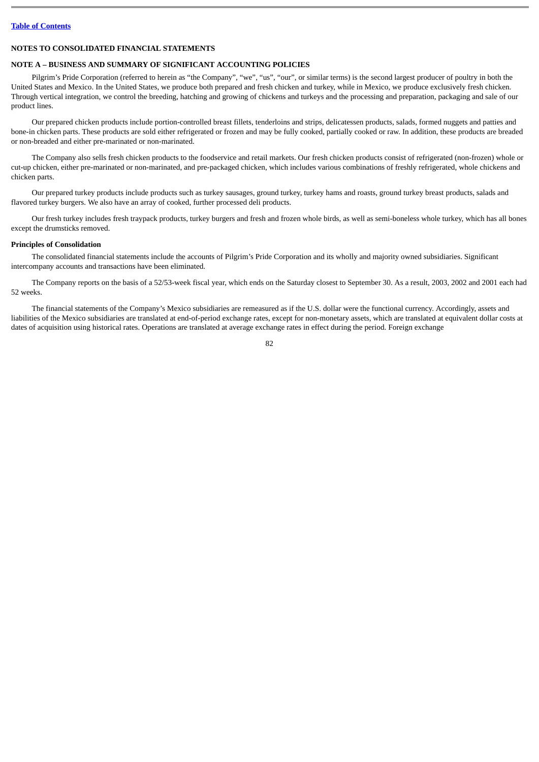### **NOTES TO CONSOLIDATED FINANCIAL STATEMENTS**

### **NOTE A – BUSINESS AND SUMMARY OF SIGNIFICANT ACCOUNTING POLICIES**

Pilgrim's Pride Corporation (referred to herein as "the Company", "we", "us", "our", or similar terms) is the second largest producer of poultry in both the United States and Mexico. In the United States, we produce both prepared and fresh chicken and turkey, while in Mexico, we produce exclusively fresh chicken. Through vertical integration, we control the breeding, hatching and growing of chickens and turkeys and the processing and preparation, packaging and sale of our product lines.

Our prepared chicken products include portion-controlled breast fillets, tenderloins and strips, delicatessen products, salads, formed nuggets and patties and bone-in chicken parts. These products are sold either refrigerated or frozen and may be fully cooked, partially cooked or raw. In addition, these products are breaded or non-breaded and either pre-marinated or non-marinated.

The Company also sells fresh chicken products to the foodservice and retail markets. Our fresh chicken products consist of refrigerated (non-frozen) whole or cut-up chicken, either pre-marinated or non-marinated, and pre-packaged chicken, which includes various combinations of freshly refrigerated, whole chickens and chicken parts.

Our prepared turkey products include products such as turkey sausages, ground turkey, turkey hams and roasts, ground turkey breast products, salads and flavored turkey burgers. We also have an array of cooked, further processed deli products.

Our fresh turkey includes fresh traypack products, turkey burgers and fresh and frozen whole birds, as well as semi-boneless whole turkey, which has all bones except the drumsticks removed.

### **Principles of Consolidation**

The consolidated financial statements include the accounts of Pilgrim's Pride Corporation and its wholly and majority owned subsidiaries. Significant intercompany accounts and transactions have been eliminated.

The Company reports on the basis of a 52/53-week fiscal year, which ends on the Saturday closest to September 30. As a result, 2003, 2002 and 2001 each had 52 weeks.

The financial statements of the Company's Mexico subsidiaries are remeasured as if the U.S. dollar were the functional currency. Accordingly, assets and liabilities of the Mexico subsidiaries are translated at end-of-period exchange rates, except for non-monetary assets, which are translated at equivalent dollar costs at dates of acquisition using historical rates. Operations are translated at average exchange rates in effect during the period. Foreign exchange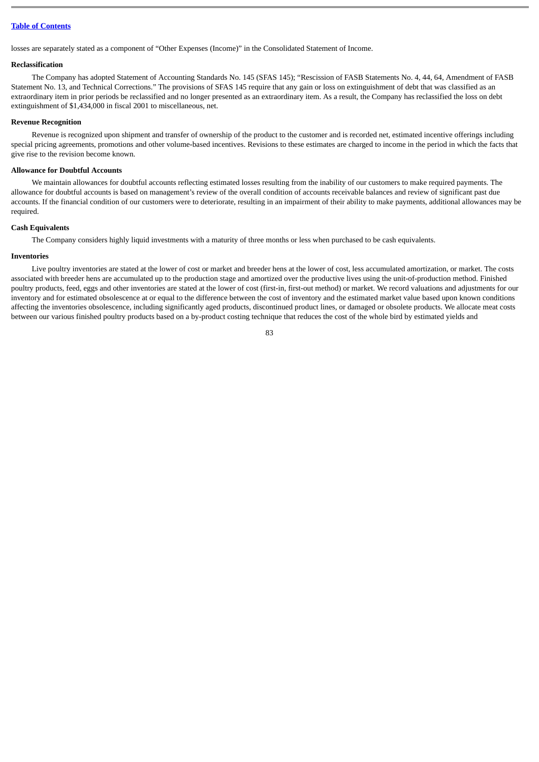losses are separately stated as a component of "Other Expenses (Income)" in the Consolidated Statement of Income.

## **Reclassification**

The Company has adopted Statement of Accounting Standards No. 145 (SFAS 145); "Rescission of FASB Statements No. 4, 44, 64, Amendment of FASB Statement No. 13, and Technical Corrections." The provisions of SFAS 145 require that any gain or loss on extinguishment of debt that was classified as an extraordinary item in prior periods be reclassified and no longer presented as an extraordinary item. As a result, the Company has reclassified the loss on debt extinguishment of \$1,434,000 in fiscal 2001 to miscellaneous, net.

#### **Revenue Recognition**

Revenue is recognized upon shipment and transfer of ownership of the product to the customer and is recorded net, estimated incentive offerings including special pricing agreements, promotions and other volume-based incentives. Revisions to these estimates are charged to income in the period in which the facts that give rise to the revision become known.

### **Allowance for Doubtful Accounts**

We maintain allowances for doubtful accounts reflecting estimated losses resulting from the inability of our customers to make required payments. The allowance for doubtful accounts is based on management's review of the overall condition of accounts receivable balances and review of significant past due accounts. If the financial condition of our customers were to deteriorate, resulting in an impairment of their ability to make payments, additional allowances may be required.

### **Cash Equivalents**

The Company considers highly liquid investments with a maturity of three months or less when purchased to be cash equivalents.

#### **Inventories**

Live poultry inventories are stated at the lower of cost or market and breeder hens at the lower of cost, less accumulated amortization, or market. The costs associated with breeder hens are accumulated up to the production stage and amortized over the productive lives using the unit-of-production method. Finished poultry products, feed, eggs and other inventories are stated at the lower of cost (first-in, first-out method) or market. We record valuations and adjustments for our inventory and for estimated obsolescence at or equal to the difference between the cost of inventory and the estimated market value based upon known conditions affecting the inventories obsolescence, including significantly aged products, discontinued product lines, or damaged or obsolete products. We allocate meat costs between our various finished poultry products based on a by-product costing technique that reduces the cost of the whole bird by estimated yields and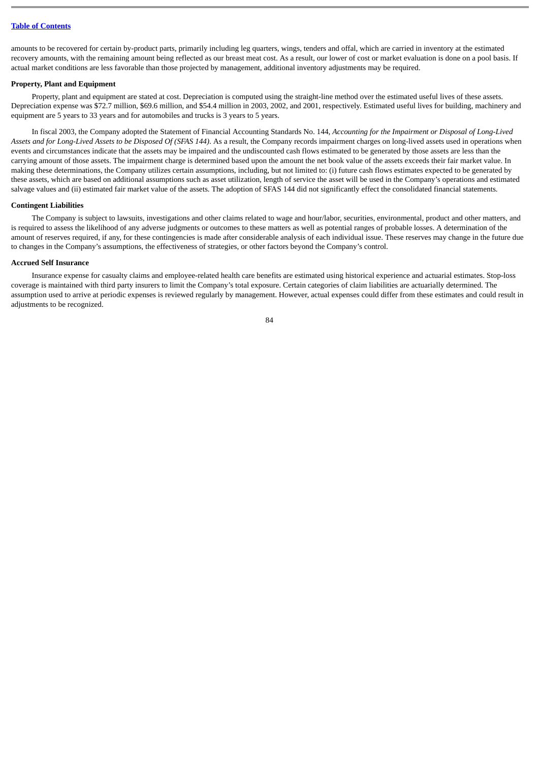amounts to be recovered for certain by-product parts, primarily including leg quarters, wings, tenders and offal, which are carried in inventory at the estimated recovery amounts, with the remaining amount being reflected as our breast meat cost. As a result, our lower of cost or market evaluation is done on a pool basis. If actual market conditions are less favorable than those projected by management, additional inventory adjustments may be required.

### **Property, Plant and Equipment**

Property, plant and equipment are stated at cost. Depreciation is computed using the straight-line method over the estimated useful lives of these assets. Depreciation expense was \$72.7 million, \$69.6 million, and \$54.4 million in 2003, 2002, and 2001, respectively. Estimated useful lives for building, machinery and equipment are 5 years to 33 years and for automobiles and trucks is 3 years to 5 years.

In fiscal 2003, the Company adopted the Statement of Financial Accounting Standards No. 144, *Accounting for the Impairment or Disposal of Long-Lived Assets and for Long-Lived Assets to be Disposed Of (SFAS 144)*. As a result, the Company records impairment charges on long-lived assets used in operations when events and circumstances indicate that the assets may be impaired and the undiscounted cash flows estimated to be generated by those assets are less than the carrying amount of those assets. The impairment charge is determined based upon the amount the net book value of the assets exceeds their fair market value. In making these determinations, the Company utilizes certain assumptions, including, but not limited to: (i) future cash flows estimates expected to be generated by these assets, which are based on additional assumptions such as asset utilization, length of service the asset will be used in the Company's operations and estimated salvage values and (ii) estimated fair market value of the assets. The adoption of SFAS 144 did not significantly effect the consolidated financial statements.

#### **Contingent Liabilities**

The Company is subject to lawsuits, investigations and other claims related to wage and hour/labor, securities, environmental, product and other matters, and is required to assess the likelihood of any adverse judgments or outcomes to these matters as well as potential ranges of probable losses. A determination of the amount of reserves required, if any, for these contingencies is made after considerable analysis of each individual issue. These reserves may change in the future due to changes in the Company's assumptions, the effectiveness of strategies, or other factors beyond the Company's control.

#### **Accrued Self Insurance**

Insurance expense for casualty claims and employee-related health care benefits are estimated using historical experience and actuarial estimates. Stop-loss coverage is maintained with third party insurers to limit the Company's total exposure. Certain categories of claim liabilities are actuarially determined. The assumption used to arrive at periodic expenses is reviewed regularly by management. However, actual expenses could differ from these estimates and could result in adjustments to be recognized.

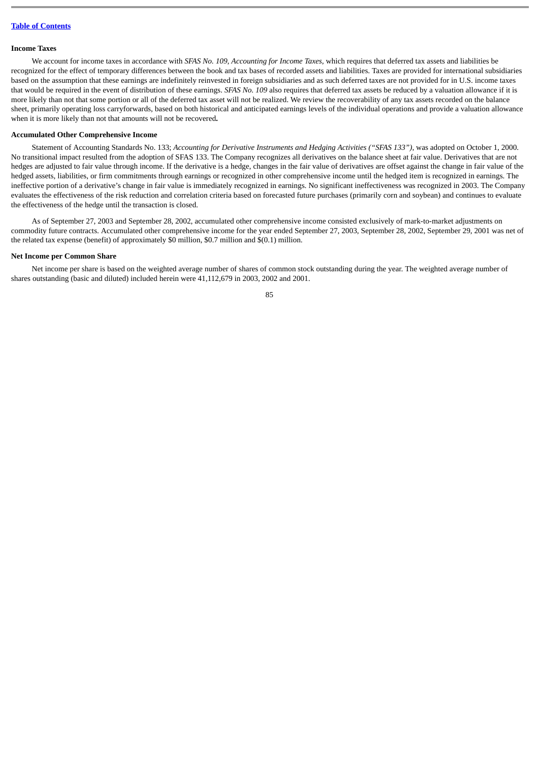## **Income Taxes**

We account for income taxes in accordance with *SFAS No. 109, Accounting for Income Taxes*, which requires that deferred tax assets and liabilities be recognized for the effect of temporary differences between the book and tax bases of recorded assets and liabilities. Taxes are provided for international subsidiaries based on the assumption that these earnings are indefinitely reinvested in foreign subsidiaries and as such deferred taxes are not provided for in U.S. income taxes that would be required in the event of distribution of these earnings. *SFAS No. 109* also requires that deferred tax assets be reduced by a valuation allowance if it is more likely than not that some portion or all of the deferred tax asset will not be realized. We review the recoverability of any tax assets recorded on the balance sheet, primarily operating loss carryforwards, based on both historical and anticipated earnings levels of the individual operations and provide a valuation allowance when it is more likely than not that amounts will not be recovered**.**

## **Accumulated Other Comprehensive Income**

Statement of Accounting Standards No. 133; *Accounting for Derivative Instruments and Hedging Activities ("SFAS 133")*, was adopted on October 1, 2000. No transitional impact resulted from the adoption of SFAS 133. The Company recognizes all derivatives on the balance sheet at fair value. Derivatives that are not hedges are adjusted to fair value through income. If the derivative is a hedge, changes in the fair value of derivatives are offset against the change in fair value of the hedged assets, liabilities, or firm commitments through earnings or recognized in other comprehensive income until the hedged item is recognized in earnings. The ineffective portion of a derivative's change in fair value is immediately recognized in earnings. No significant ineffectiveness was recognized in 2003. The Company evaluates the effectiveness of the risk reduction and correlation criteria based on forecasted future purchases (primarily corn and soybean) and continues to evaluate the effectiveness of the hedge until the transaction is closed.

As of September 27, 2003 and September 28, 2002, accumulated other comprehensive income consisted exclusively of mark-to-market adjustments on commodity future contracts. Accumulated other comprehensive income for the year ended September 27, 2003, September 28, 2002, September 29, 2001 was net of the related tax expense (benefit) of approximately \$0 million, \$0.7 million and \$(0.1) million.

### **Net Income per Common Share**

Net income per share is based on the weighted average number of shares of common stock outstanding during the year. The weighted average number of shares outstanding (basic and diluted) included herein were 41,112,679 in 2003, 2002 and 2001.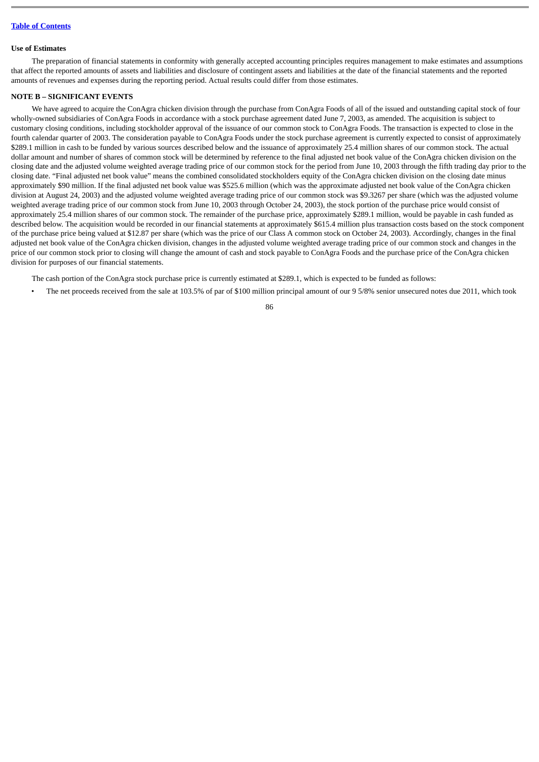### **Use of Estimates**

The preparation of financial statements in conformity with generally accepted accounting principles requires management to make estimates and assumptions that affect the reported amounts of assets and liabilities and disclosure of contingent assets and liabilities at the date of the financial statements and the reported amounts of revenues and expenses during the reporting period. Actual results could differ from those estimates.

## **NOTE B – SIGNIFICANT EVENTS**

We have agreed to acquire the ConAgra chicken division through the purchase from ConAgra Foods of all of the issued and outstanding capital stock of four wholly-owned subsidiaries of ConAgra Foods in accordance with a stock purchase agreement dated June 7, 2003, as amended. The acquisition is subject to customary closing conditions, including stockholder approval of the issuance of our common stock to ConAgra Foods. The transaction is expected to close in the fourth calendar quarter of 2003. The consideration payable to ConAgra Foods under the stock purchase agreement is currently expected to consist of approximately \$289.1 million in cash to be funded by various sources described below and the issuance of approximately 25.4 million shares of our common stock. The actual dollar amount and number of shares of common stock will be determined by reference to the final adjusted net book value of the ConAgra chicken division on the closing date and the adjusted volume weighted average trading price of our common stock for the period from June 10, 2003 through the fifth trading day prior to the closing date. "Final adjusted net book value" means the combined consolidated stockholders equity of the ConAgra chicken division on the closing date minus approximately \$90 million. If the final adjusted net book value was \$525.6 million (which was the approximate adjusted net book value of the ConAgra chicken division at August 24, 2003) and the adjusted volume weighted average trading price of our common stock was \$9.3267 per share (which was the adjusted volume weighted average trading price of our common stock from June 10, 2003 through October 24, 2003), the stock portion of the purchase price would consist of approximately 25.4 million shares of our common stock. The remainder of the purchase price, approximately \$289.1 million, would be payable in cash funded as described below. The acquisition would be recorded in our financial statements at approximately \$615.4 million plus transaction costs based on the stock component of the purchase price being valued at \$12.87 per share (which was the price of our Class A common stock on October 24, 2003). Accordingly, changes in the final adjusted net book value of the ConAgra chicken division, changes in the adjusted volume weighted average trading price of our common stock and changes in the price of our common stock prior to closing will change the amount of cash and stock payable to ConAgra Foods and the purchase price of the ConAgra chicken division for purposes of our financial statements.

The cash portion of the ConAgra stock purchase price is currently estimated at \$289.1, which is expected to be funded as follows:

• The net proceeds received from the sale at 103.5% of par of \$100 million principal amount of our 9 5/8% senior unsecured notes due 2011, which took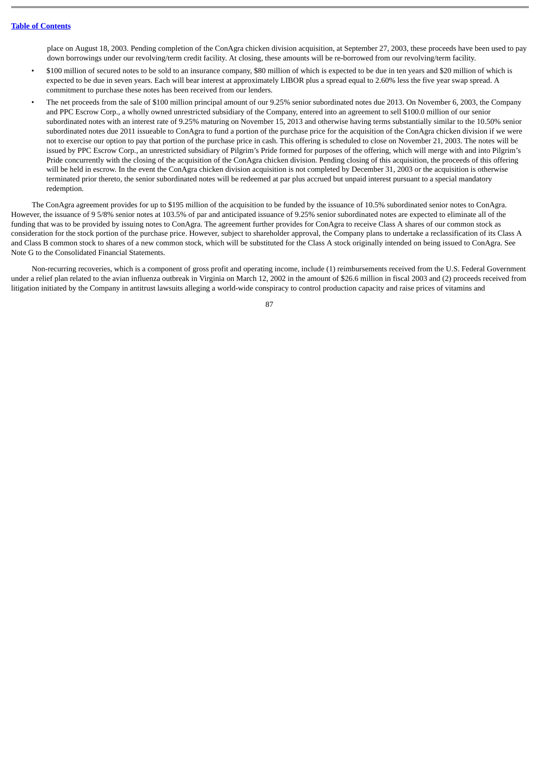place on August 18, 2003. Pending completion of the ConAgra chicken division acquisition, at September 27, 2003, these proceeds have been used to pay down borrowings under our revolving/term credit facility. At closing, these amounts will be re-borrowed from our revolving/term facility.

- \$100 million of secured notes to be sold to an insurance company, \$80 million of which is expected to be due in ten years and \$20 million of which is expected to be due in seven years. Each will bear interest at approximately LIBOR plus a spread equal to 2.60% less the five year swap spread. A commitment to purchase these notes has been received from our lenders.
- The net proceeds from the sale of \$100 million principal amount of our 9.25% senior subordinated notes due 2013. On November 6, 2003, the Company and PPC Escrow Corp., a wholly owned unrestricted subsidiary of the Company, entered into an agreement to sell \$100.0 million of our senior subordinated notes with an interest rate of 9.25% maturing on November 15, 2013 and otherwise having terms substantially similar to the 10.50% senior subordinated notes due 2011 issueable to ConAgra to fund a portion of the purchase price for the acquisition of the ConAgra chicken division if we were not to exercise our option to pay that portion of the purchase price in cash. This offering is scheduled to close on November 21, 2003. The notes will be issued by PPC Escrow Corp., an unrestricted subsidiary of Pilgrim's Pride formed for purposes of the offering, which will merge with and into Pilgrim's Pride concurrently with the closing of the acquisition of the ConAgra chicken division. Pending closing of this acquisition, the proceeds of this offering will be held in escrow. In the event the ConAgra chicken division acquisition is not completed by December 31, 2003 or the acquisition is otherwise terminated prior thereto, the senior subordinated notes will be redeemed at par plus accrued but unpaid interest pursuant to a special mandatory redemption.

The ConAgra agreement provides for up to \$195 million of the acquisition to be funded by the issuance of 10.5% subordinated senior notes to ConAgra. However, the issuance of 9 5/8% senior notes at 103.5% of par and anticipated issuance of 9.25% senior subordinated notes are expected to eliminate all of the funding that was to be provided by issuing notes to ConAgra. The agreement further provides for ConAgra to receive Class A shares of our common stock as consideration for the stock portion of the purchase price. However, subject to shareholder approval, the Company plans to undertake a reclassification of its Class A and Class B common stock to shares of a new common stock, which will be substituted for the Class A stock originally intended on being issued to ConAgra. See Note G to the Consolidated Financial Statements.

Non-recurring recoveries, which is a component of gross profit and operating income, include (1) reimbursements received from the U.S. Federal Government under a relief plan related to the avian influenza outbreak in Virginia on March 12, 2002 in the amount of \$26.6 million in fiscal 2003 and (2) proceeds received from litigation initiated by the Company in antitrust lawsuits alleging a world-wide conspiracy to control production capacity and raise prices of vitamins and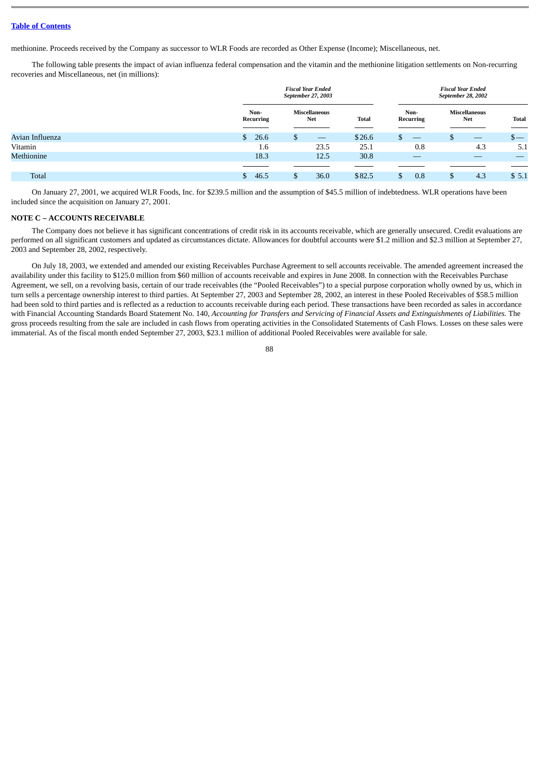methionine. Proceeds received by the Company as successor to WLR Foods are recorded as Other Expense (Income); Miscellaneous, net.

The following table presents the impact of avian influenza federal compensation and the vitamin and the methionine litigation settlements on Non-recurring recoveries and Miscellaneous, net (in millions):

|                 | <b>Fiscal Year Ended</b><br>September 27, 2003 |   |                                                                                                                                                                                                                                                                                                                                                                                                                                                                            |              | <b>Fiscal Year Ended</b><br>September 28, 2002 |                             |              |
|-----------------|------------------------------------------------|---|----------------------------------------------------------------------------------------------------------------------------------------------------------------------------------------------------------------------------------------------------------------------------------------------------------------------------------------------------------------------------------------------------------------------------------------------------------------------------|--------------|------------------------------------------------|-----------------------------|--------------|
|                 | Non-<br>Recurring                              |   | Miscellaneous<br><b>Net</b>                                                                                                                                                                                                                                                                                                                                                                                                                                                | <b>Total</b> | Non-<br>Recurring                              | Miscellaneous<br><b>Net</b> | <b>Total</b> |
| Avian Influenza | \$26.6                                         | D | $\frac{1}{2} \left( \frac{1}{2} \right) \left( \frac{1}{2} \right) \left( \frac{1}{2} \right) \left( \frac{1}{2} \right) \left( \frac{1}{2} \right) \left( \frac{1}{2} \right) \left( \frac{1}{2} \right) \left( \frac{1}{2} \right) \left( \frac{1}{2} \right) \left( \frac{1}{2} \right) \left( \frac{1}{2} \right) \left( \frac{1}{2} \right) \left( \frac{1}{2} \right) \left( \frac{1}{2} \right) \left( \frac{1}{2} \right) \left( \frac{1}{2} \right) \left( \frac$ | \$26.6       | --                                             | $\frac{1}{2}$               | $S-$         |
| Vitamin         | 1.6                                            |   | 23.5                                                                                                                                                                                                                                                                                                                                                                                                                                                                       | 25.1         | 0.8                                            | 4.3                         | 5.1          |
| Methionine      | 18.3                                           |   | 12.5                                                                                                                                                                                                                                                                                                                                                                                                                                                                       | 30.8         | __                                             |                             |              |
|                 |                                                |   |                                                                                                                                                                                                                                                                                                                                                                                                                                                                            |              |                                                |                             |              |
| <b>Total</b>    | 46.5<br>S.                                     |   | 36.0                                                                                                                                                                                                                                                                                                                                                                                                                                                                       | \$82.5       | 0.8                                            | 4.3                         | \$5.1        |

On January 27, 2001, we acquired WLR Foods, Inc. for \$239.5 million and the assumption of \$45.5 million of indebtedness. WLR operations have been included since the acquisition on January 27, 2001.

#### **NOTE C – ACCOUNTS RECEIVABLE**

The Company does not believe it has significant concentrations of credit risk in its accounts receivable, which are generally unsecured. Credit evaluations are performed on all significant customers and updated as circumstances dictate. Allowances for doubtful accounts were \$1.2 million and \$2.3 million at September 27, 2003 and September 28, 2002, respectively.

On July 18, 2003, we extended and amended our existing Receivables Purchase Agreement to sell accounts receivable. The amended agreement increased the availability under this facility to \$125.0 million from \$60 million of accounts receivable and expires in June 2008. In connection with the Receivables Purchase Agreement, we sell, on a revolving basis, certain of our trade receivables (the "Pooled Receivables") to a special purpose corporation wholly owned by us, which in turn sells a percentage ownership interest to third parties. At September 27, 2003 and September 28, 2002, an interest in these Pooled Receivables of \$58.5 million had been sold to third parties and is reflected as a reduction to accounts receivable during each period. These transactions have been recorded as sales in accordance with Financial Accounting Standards Board Statement No. 140, *Accounting for Transfers and Servicing of Financial Assets and Extinguishments of Liabilities.* The gross proceeds resulting from the sale are included in cash flows from operating activities in the Consolidated Statements of Cash Flows. Losses on these sales were immaterial. As of the fiscal month ended September 27, 2003, \$23.1 million of additional Pooled Receivables were available for sale.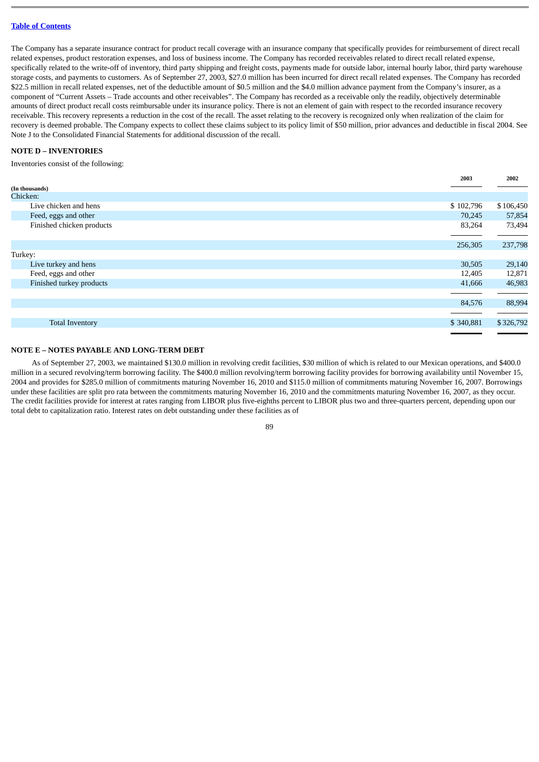The Company has a separate insurance contract for product recall coverage with an insurance company that specifically provides for reimbursement of direct recall related expenses, product restoration expenses, and loss of business income. The Company has recorded receivables related to direct recall related expense, specifically related to the write-off of inventory, third party shipping and freight costs, payments made for outside labor, internal hourly labor, third party warehouse storage costs, and payments to customers. As of September 27, 2003, \$27.0 million has been incurred for direct recall related expenses. The Company has recorded \$22.5 million in recall related expenses, net of the deductible amount of \$0.5 million and the \$4.0 million advance payment from the Company's insurer, as a component of "Current Assets – Trade accounts and other receivables". The Company has recorded as a receivable only the readily, objectively determinable amounts of direct product recall costs reimbursable under its insurance policy. There is not an element of gain with respect to the recorded insurance recovery receivable. This recovery represents a reduction in the cost of the recall. The asset relating to the recovery is recognized only when realization of the claim for recovery is deemed probable. The Company expects to collect these claims subject to its policy limit of \$50 million, prior advances and deductible in fiscal 2004. See Note J to the Consolidated Financial Statements for additional discussion of the recall.

## **NOTE D – INVENTORIES**

Inventories consist of the following:

|                           | 2003      | 2002      |
|---------------------------|-----------|-----------|
| (In thousands)            |           |           |
| Chicken:                  |           |           |
| Live chicken and hens     | \$102,796 | \$106,450 |
| Feed, eggs and other      | 70,245    | 57,854    |
| Finished chicken products | 83,264    | 73,494    |
|                           |           |           |
|                           | 256,305   | 237,798   |
| Turkey:                   |           |           |
| Live turkey and hens      | 30,505    | 29,140    |
| Feed, eggs and other      | 12,405    | 12,871    |
| Finished turkey products  | 41,666    | 46,983    |
|                           |           |           |
|                           | 84,576    | 88,994    |
|                           |           |           |
| <b>Total Inventory</b>    | \$340,881 | \$326,792 |
|                           |           |           |

### **NOTE E – NOTES PAYABLE AND LONG-TERM DEBT**

As of September 27, 2003, we maintained \$130.0 million in revolving credit facilities, \$30 million of which is related to our Mexican operations, and \$400.0 million in a secured revolving/term borrowing facility. The \$400.0 million revolving/term borrowing facility provides for borrowing availability until November 15, 2004 and provides for \$285.0 million of commitments maturing November 16, 2010 and \$115.0 million of commitments maturing November 16, 2007. Borrowings under these facilities are split pro rata between the commitments maturing November 16, 2010 and the commitments maturing November 16, 2007, as they occur. The credit facilities provide for interest at rates ranging from LIBOR plus five-eighths percent to LIBOR plus two and three-quarters percent, depending upon our total debt to capitalization ratio. Interest rates on debt outstanding under these facilities as of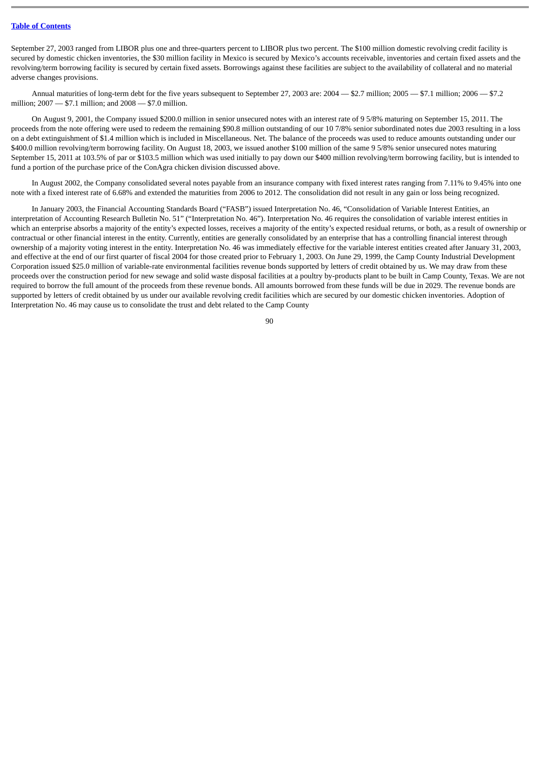September 27, 2003 ranged from LIBOR plus one and three-quarters percent to LIBOR plus two percent. The \$100 million domestic revolving credit facility is secured by domestic chicken inventories, the \$30 million facility in Mexico is secured by Mexico's accounts receivable, inventories and certain fixed assets and the revolving/term borrowing facility is secured by certain fixed assets. Borrowings against these facilities are subject to the availability of collateral and no material adverse changes provisions.

Annual maturities of long-term debt for the five years subsequent to September 27, 2003 are: 2004 — \$2.7 million; 2005 — \$7.1 million; 2006 — \$7.2 million; 2007 — \$7.1 million; and 2008 — \$7.0 million.

On August 9, 2001, the Company issued \$200.0 million in senior unsecured notes with an interest rate of 9 5/8% maturing on September 15, 2011. The proceeds from the note offering were used to redeem the remaining \$90.8 million outstanding of our 10 7/8% senior subordinated notes due 2003 resulting in a loss on a debt extinguishment of \$1.4 million which is included in Miscellaneous. Net. The balance of the proceeds was used to reduce amounts outstanding under our \$400.0 million revolving/term borrowing facility. On August 18, 2003, we issued another \$100 million of the same 9 5/8% senior unsecured notes maturing September 15, 2011 at 103.5% of par or \$103.5 million which was used initially to pay down our \$400 million revolving/term borrowing facility, but is intended to fund a portion of the purchase price of the ConAgra chicken division discussed above.

In August 2002, the Company consolidated several notes payable from an insurance company with fixed interest rates ranging from 7.11% to 9.45% into one note with a fixed interest rate of 6.68% and extended the maturities from 2006 to 2012. The consolidation did not result in any gain or loss being recognized.

In January 2003, the Financial Accounting Standards Board ("FASB") issued Interpretation No. 46, "Consolidation of Variable Interest Entities, an interpretation of Accounting Research Bulletin No. 51" ("Interpretation No. 46"). Interpretation No. 46 requires the consolidation of variable interest entities in which an enterprise absorbs a majority of the entity's expected losses, receives a majority of the entity's expected residual returns, or both, as a result of ownership or contractual or other financial interest in the entity. Currently, entities are generally consolidated by an enterprise that has a controlling financial interest through ownership of a majority voting interest in the entity. Interpretation No. 46 was immediately effective for the variable interest entities created after January 31, 2003, and effective at the end of our first quarter of fiscal 2004 for those created prior to February 1, 2003. On June 29, 1999, the Camp County Industrial Development Corporation issued \$25.0 million of variable-rate environmental facilities revenue bonds supported by letters of credit obtained by us. We may draw from these proceeds over the construction period for new sewage and solid waste disposal facilities at a poultry by-products plant to be built in Camp County, Texas. We are not required to borrow the full amount of the proceeds from these revenue bonds. All amounts borrowed from these funds will be due in 2029. The revenue bonds are supported by letters of credit obtained by us under our available revolving credit facilities which are secured by our domestic chicken inventories. Adoption of Interpretation No. 46 may cause us to consolidate the trust and debt related to the Camp County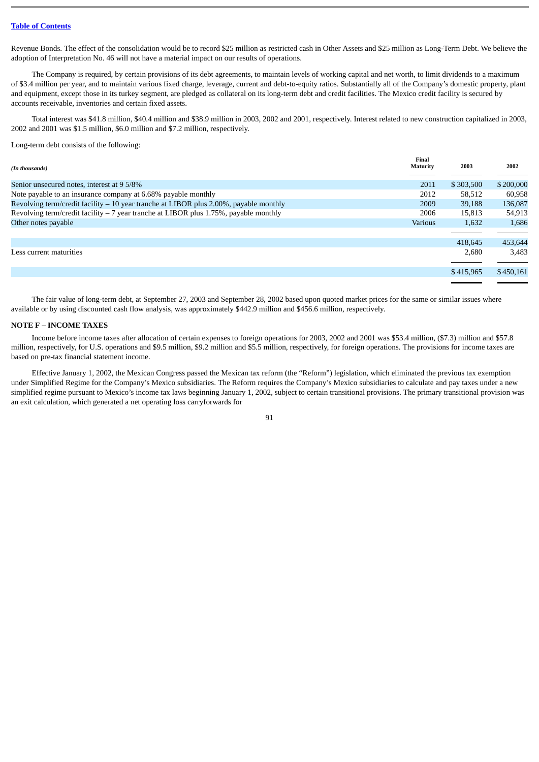Revenue Bonds. The effect of the consolidation would be to record \$25 million as restricted cash in Other Assets and \$25 million as Long-Term Debt. We believe the adoption of Interpretation No. 46 will not have a material impact on our results of operations.

The Company is required, by certain provisions of its debt agreements, to maintain levels of working capital and net worth, to limit dividends to a maximum of \$3.4 million per year, and to maintain various fixed charge, leverage, current and debt-to-equity ratios. Substantially all of the Company's domestic property, plant and equipment, except those in its turkey segment, are pledged as collateral on its long-term debt and credit facilities. The Mexico credit facility is secured by accounts receivable, inventories and certain fixed assets.

Total interest was \$41.8 million, \$40.4 million and \$38.9 million in 2003, 2002 and 2001, respectively. Interest related to new construction capitalized in 2003, 2002 and 2001 was \$1.5 million, \$6.0 million and \$7.2 million, respectively.

Long-term debt consists of the following:

| (In thousands)                                                                         | Final<br>Maturity | 2003      | 2002      |
|----------------------------------------------------------------------------------------|-------------------|-----------|-----------|
| Senior unsecured notes, interest at 9 5/8%                                             | 2011              | \$303,500 | \$200,000 |
| Note payable to an insurance company at 6.68% payable monthly                          | 2012              | 58,512    | 60,958    |
| Revolving term/credit facility $-10$ year tranche at LIBOR plus 2.00%, payable monthly | 2009              | 39,188    | 136,087   |
| Revolving term/credit facility $-7$ year tranche at LIBOR plus 1.75%, payable monthly  | 2006              | 15.813    | 54,913    |
| Other notes payable                                                                    | <b>Various</b>    | 1,632     | 1,686     |
|                                                                                        |                   |           |           |
|                                                                                        |                   | 418,645   | 453,644   |
| Less current maturities                                                                |                   | 2,680     | 3,483     |
|                                                                                        |                   |           |           |
|                                                                                        |                   | \$415,965 | \$450,161 |
|                                                                                        |                   |           |           |

The fair value of long-term debt, at September 27, 2003 and September 28, 2002 based upon quoted market prices for the same or similar issues where available or by using discounted cash flow analysis, was approximately \$442.9 million and \$456.6 million, respectively.

### **NOTE F – INCOME TAXES**

Income before income taxes after allocation of certain expenses to foreign operations for 2003, 2002 and 2001 was \$53.4 million, (\$7.3) million and \$57.8 million, respectively, for U.S. operations and \$9.5 million, \$9.2 million and \$5.5 million, respectively, for foreign operations. The provisions for income taxes are based on pre-tax financial statement income.

Effective January 1, 2002, the Mexican Congress passed the Mexican tax reform (the "Reform") legislation, which eliminated the previous tax exemption under Simplified Regime for the Company's Mexico subsidiaries. The Reform requires the Company's Mexico subsidiaries to calculate and pay taxes under a new simplified regime pursuant to Mexico's income tax laws beginning January 1, 2002, subject to certain transitional provisions. The primary transitional provision was an exit calculation, which generated a net operating loss carryforwards for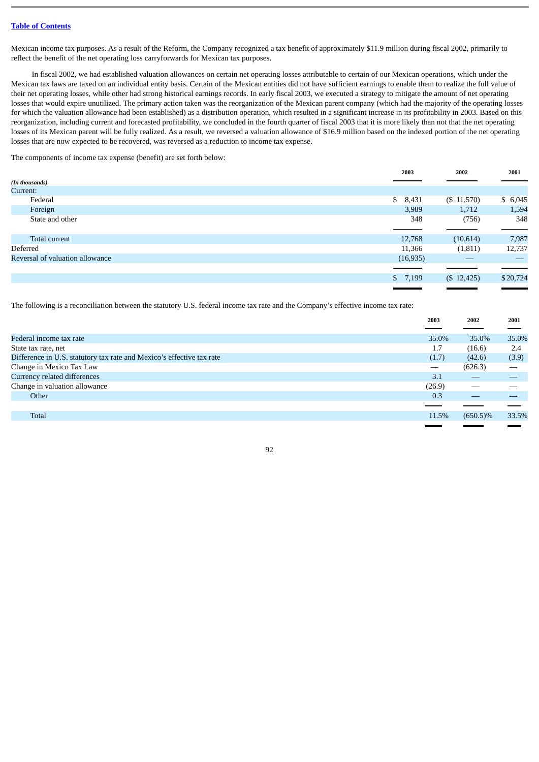Mexican income tax purposes. As a result of the Reform, the Company recognized a tax benefit of approximately \$11.9 million during fiscal 2002, primarily to reflect the benefit of the net operating loss carryforwards for Mexican tax purposes.

In fiscal 2002, we had established valuation allowances on certain net operating losses attributable to certain of our Mexican operations, which under the Mexican tax laws are taxed on an individual entity basis. Certain of the Mexican entities did not have sufficient earnings to enable them to realize the full value of their net operating losses, while other had strong historical earnings records. In early fiscal 2003, we executed a strategy to mitigate the amount of net operating losses that would expire unutilized. The primary action taken was the reorganization of the Mexican parent company (which had the majority of the operating losses for which the valuation allowance had been established) as a distribution operation, which resulted in a significant increase in its profitability in 2003. Based on this reorganization, including current and forecasted profitability, we concluded in the fourth quarter of fiscal 2003 that it is more likely than not that the net operating losses of its Mexican parent will be fully realized. As a result, we reversed a valuation allowance of \$16.9 million based on the indexed portion of the net operating losses that are now expected to be recovered, was reversed as a reduction to income tax expense.

The components of income tax expense (benefit) are set forth below:

|                                 | 2003      | 2002           | 2001          |
|---------------------------------|-----------|----------------|---------------|
| (In thousands)                  |           |                |               |
| Current:                        |           |                |               |
| Federal                         | \$8,431   | $($ \$ 11,570) | \$6,045       |
| Foreign                         | 3,989     | 1,712          | 1,594         |
| State and other                 | 348       | (756)          | 348           |
|                                 |           |                |               |
| Total current                   | 12,768    | (10,614)       | 7,987         |
| Deferred                        | 11,366    | (1, 811)       | 12,737        |
| Reversal of valuation allowance | (16, 935) | __             | $\frac{1}{2}$ |
|                                 |           |                |               |
|                                 | \$7,199   | (\$12,425)     | \$20,724      |
|                                 |           |                |               |

The following is a reconciliation between the statutory U.S. federal income tax rate and the Company's effective income tax rate:

|                                                                       | 2003   | 2002        | 2001                     |
|-----------------------------------------------------------------------|--------|-------------|--------------------------|
|                                                                       |        |             |                          |
| Federal income tax rate                                               | 35.0%  | 35.0%       | 35.0%                    |
| State tax rate, net                                                   | 1.7    | (16.6)      | 2.4                      |
| Difference in U.S. statutory tax rate and Mexico's effective tax rate | (1.7)  | (42.6)      | (3.9)                    |
| Change in Mexico Tax Law                                              |        | (626.3)     | $\overline{\phantom{m}}$ |
| Currency related differences                                          | 3.1    |             |                          |
| Change in valuation allowance                                         | (26.9) |             |                          |
| Other                                                                 | 0.3    |             |                          |
|                                                                       |        |             |                          |
| Total                                                                 | 11.5%  | $(650.5)\%$ | 33.5%                    |
|                                                                       |        |             |                          |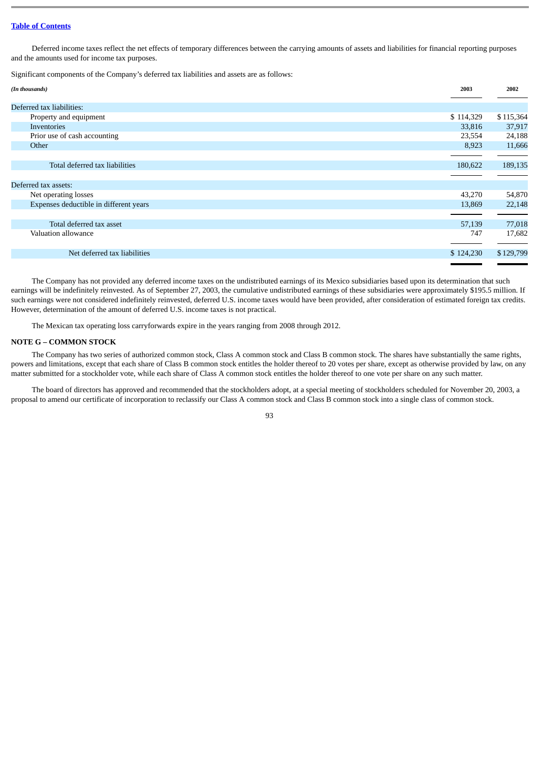Deferred income taxes reflect the net effects of temporary differences between the carrying amounts of assets and liabilities for financial reporting purposes and the amounts used for income tax purposes.

Significant components of the Company's deferred tax liabilities and assets are as follows:

| (In thousands)                         | 2003      | 2002      |
|----------------------------------------|-----------|-----------|
| Deferred tax liabilities:              |           |           |
| Property and equipment                 | \$114,329 | \$115,364 |
| Inventories                            | 33,816    | 37,917    |
| Prior use of cash accounting           | 23,554    | 24,188    |
| Other                                  | 8,923     | 11,666    |
|                                        |           |           |
| Total deferred tax liabilities         | 180,622   | 189,135   |
|                                        |           |           |
| Deferred tax assets:                   |           |           |
| Net operating losses                   | 43,270    | 54,870    |
| Expenses deductible in different years | 13,869    | 22,148    |
|                                        |           |           |
| Total deferred tax asset               | 57,139    | 77,018    |
| Valuation allowance                    | 747       | 17,682    |
|                                        |           |           |
| Net deferred tax liabilities           | \$124,230 | \$129,799 |
|                                        |           |           |

The Company has not provided any deferred income taxes on the undistributed earnings of its Mexico subsidiaries based upon its determination that such earnings will be indefinitely reinvested. As of September 27, 2003, the cumulative undistributed earnings of these subsidiaries were approximately \$195.5 million. If such earnings were not considered indefinitely reinvested, deferred U.S. income taxes would have been provided, after consideration of estimated foreign tax credits. However, determination of the amount of deferred U.S. income taxes is not practical.

The Mexican tax operating loss carryforwards expire in the years ranging from 2008 through 2012.

### **NOTE G – COMMON STOCK**

The Company has two series of authorized common stock, Class A common stock and Class B common stock. The shares have substantially the same rights, powers and limitations, except that each share of Class B common stock entitles the holder thereof to 20 votes per share, except as otherwise provided by law, on any matter submitted for a stockholder vote, while each share of Class A common stock entitles the holder thereof to one vote per share on any such matter.

The board of directors has approved and recommended that the stockholders adopt, at a special meeting of stockholders scheduled for November 20, 2003, a proposal to amend our certificate of incorporation to reclassify our Class A common stock and Class B common stock into a single class of common stock.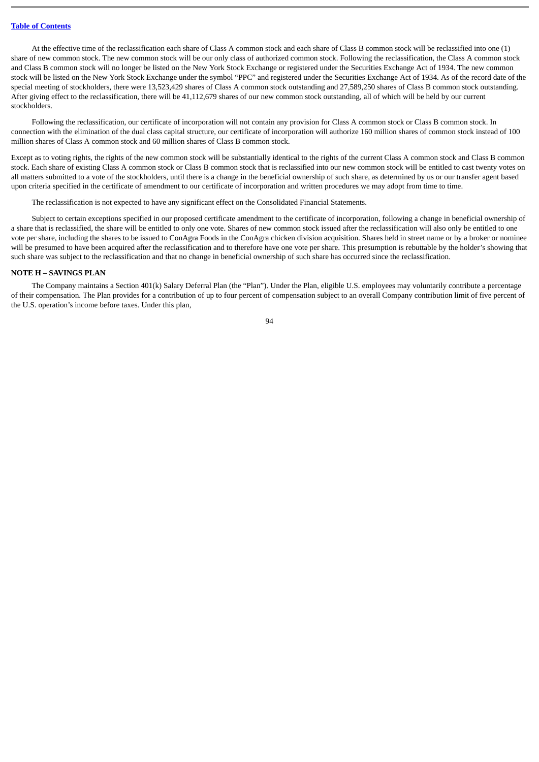At the effective time of the reclassification each share of Class A common stock and each share of Class B common stock will be reclassified into one (1) share of new common stock. The new common stock will be our only class of authorized common stock. Following the reclassification, the Class A common stock and Class B common stock will no longer be listed on the New York Stock Exchange or registered under the Securities Exchange Act of 1934. The new common stock will be listed on the New York Stock Exchange under the symbol "PPC" and registered under the Securities Exchange Act of 1934. As of the record date of the special meeting of stockholders, there were 13,523,429 shares of Class A common stock outstanding and 27,589,250 shares of Class B common stock outstanding. After giving effect to the reclassification, there will be 41,112,679 shares of our new common stock outstanding, all of which will be held by our current stockholders.

Following the reclassification, our certificate of incorporation will not contain any provision for Class A common stock or Class B common stock. In connection with the elimination of the dual class capital structure, our certificate of incorporation will authorize 160 million shares of common stock instead of 100 million shares of Class A common stock and 60 million shares of Class B common stock.

Except as to voting rights, the rights of the new common stock will be substantially identical to the rights of the current Class A common stock and Class B common stock. Each share of existing Class A common stock or Class B common stock that is reclassified into our new common stock will be entitled to cast twenty votes on all matters submitted to a vote of the stockholders, until there is a change in the beneficial ownership of such share, as determined by us or our transfer agent based upon criteria specified in the certificate of amendment to our certificate of incorporation and written procedures we may adopt from time to time.

The reclassification is not expected to have any significant effect on the Consolidated Financial Statements.

Subject to certain exceptions specified in our proposed certificate amendment to the certificate of incorporation, following a change in beneficial ownership of a share that is reclassified, the share will be entitled to only one vote. Shares of new common stock issued after the reclassification will also only be entitled to one vote per share, including the shares to be issued to ConAgra Foods in the ConAgra chicken division acquisition. Shares held in street name or by a broker or nominee will be presumed to have been acquired after the reclassification and to therefore have one vote per share. This presumption is rebuttable by the holder's showing that such share was subject to the reclassification and that no change in beneficial ownership of such share has occurred since the reclassification.

## **NOTE H – SAVINGS PLAN**

The Company maintains a Section 401(k) Salary Deferral Plan (the "Plan"). Under the Plan, eligible U.S. employees may voluntarily contribute a percentage of their compensation. The Plan provides for a contribution of up to four percent of compensation subject to an overall Company contribution limit of five percent of the U.S. operation's income before taxes. Under this plan,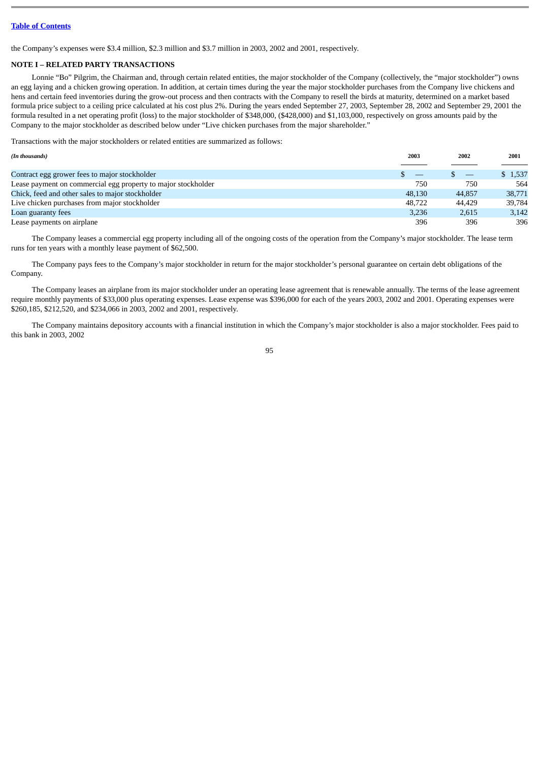the Company's expenses were \$3.4 million, \$2.3 million and \$3.7 million in 2003, 2002 and 2001, respectively.

## **NOTE I – RELATED PARTY TRANSACTIONS**

Lonnie "Bo" Pilgrim, the Chairman and, through certain related entities, the major stockholder of the Company (collectively, the "major stockholder") owns an egg laying and a chicken growing operation. In addition, at certain times during the year the major stockholder purchases from the Company live chickens and hens and certain feed inventories during the grow-out process and then contracts with the Company to resell the birds at maturity, determined on a market based formula price subject to a ceiling price calculated at his cost plus 2%. During the years ended September 27, 2003, September 28, 2002 and September 29, 2001 the formula resulted in a net operating profit (loss) to the major stockholder of \$348,000, (\$428,000) and \$1,103,000, respectively on gross amounts paid by the Company to the major stockholder as described below under "Live chicken purchases from the major shareholder."

Transactions with the major stockholders or related entities are summarized as follows:

| (In thousands)                                                | 2003   | 2002   | 2001    |
|---------------------------------------------------------------|--------|--------|---------|
|                                                               |        |        |         |
| Contract egg grower fees to major stockholder                 |        |        | \$1,537 |
| Lease payment on commercial egg property to major stockholder | 750    | 750    | 564     |
| Chick, feed and other sales to major stockholder              | 48.130 | 44,857 | 38,771  |
| Live chicken purchases from major stockholder                 | 48.722 | 44.429 | 39,784  |
| Loan guaranty fees                                            | 3.236  | 2.615  | 3,142   |
| Lease payments on airplane                                    | 396    | 396    | 396     |

The Company leases a commercial egg property including all of the ongoing costs of the operation from the Company's major stockholder. The lease term runs for ten years with a monthly lease payment of \$62,500.

The Company pays fees to the Company's major stockholder in return for the major stockholder's personal guarantee on certain debt obligations of the Company.

The Company leases an airplane from its major stockholder under an operating lease agreement that is renewable annually. The terms of the lease agreement require monthly payments of \$33,000 plus operating expenses. Lease expense was \$396,000 for each of the years 2003, 2002 and 2001. Operating expenses were \$260,185, \$212,520, and \$234,066 in 2003, 2002 and 2001, respectively.

The Company maintains depository accounts with a financial institution in which the Company's major stockholder is also a major stockholder. Fees paid to this bank in 2003, 2002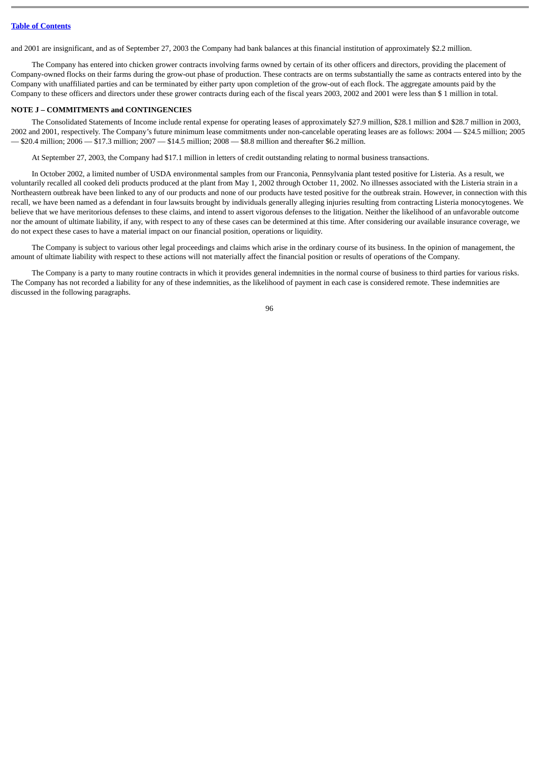and 2001 are insignificant, and as of September 27, 2003 the Company had bank balances at this financial institution of approximately \$2.2 million.

The Company has entered into chicken grower contracts involving farms owned by certain of its other officers and directors, providing the placement of Company-owned flocks on their farms during the grow-out phase of production. These contracts are on terms substantially the same as contracts entered into by the Company with unaffiliated parties and can be terminated by either party upon completion of the grow-out of each flock. The aggregate amounts paid by the Company to these officers and directors under these grower contracts during each of the fiscal years 2003, 2002 and 2001 were less than \$ 1 million in total.

### **NOTE J – COMMITMENTS and CONTINGENCIES**

The Consolidated Statements of Income include rental expense for operating leases of approximately \$27.9 million, \$28.1 million and \$28.7 million in 2003, 2002 and 2001, respectively. The Company's future minimum lease commitments under non-cancelable operating leases are as follows: 2004 — \$24.5 million; 2005 — \$20.4 million; 2006 — \$17.3 million; 2007 — \$14.5 million; 2008 — \$8.8 million and thereafter \$6.2 million.

At September 27, 2003, the Company had \$17.1 million in letters of credit outstanding relating to normal business transactions.

In October 2002, a limited number of USDA environmental samples from our Franconia, Pennsylvania plant tested positive for Listeria. As a result, we voluntarily recalled all cooked deli products produced at the plant from May 1, 2002 through October 11, 2002. No illnesses associated with the Listeria strain in a Northeastern outbreak have been linked to any of our products and none of our products have tested positive for the outbreak strain. However, in connection with this recall, we have been named as a defendant in four lawsuits brought by individuals generally alleging injuries resulting from contracting Listeria monocytogenes. We believe that we have meritorious defenses to these claims, and intend to assert vigorous defenses to the litigation. Neither the likelihood of an unfavorable outcome nor the amount of ultimate liability, if any, with respect to any of these cases can be determined at this time. After considering our available insurance coverage, we do not expect these cases to have a material impact on our financial position, operations or liquidity.

The Company is subject to various other legal proceedings and claims which arise in the ordinary course of its business. In the opinion of management, the amount of ultimate liability with respect to these actions will not materially affect the financial position or results of operations of the Company.

The Company is a party to many routine contracts in which it provides general indemnities in the normal course of business to third parties for various risks. The Company has not recorded a liability for any of these indemnities, as the likelihood of payment in each case is considered remote. These indemnities are discussed in the following paragraphs.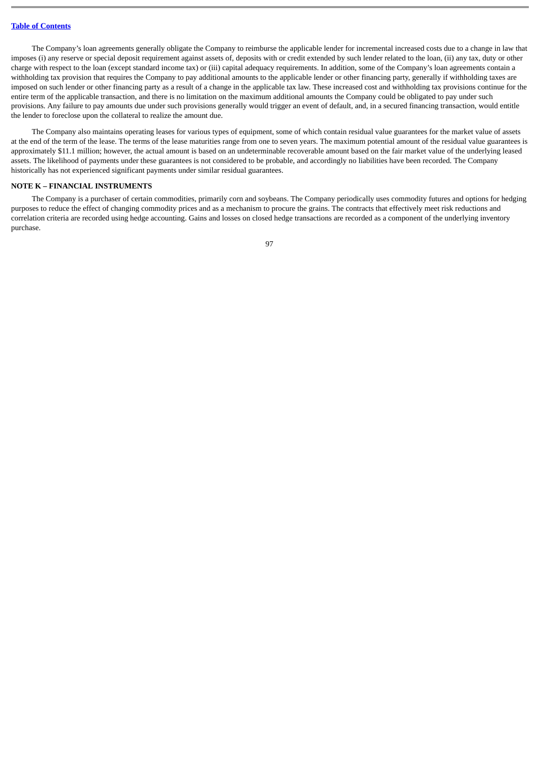The Company's loan agreements generally obligate the Company to reimburse the applicable lender for incremental increased costs due to a change in law that imposes (i) any reserve or special deposit requirement against assets of, deposits with or credit extended by such lender related to the loan, (ii) any tax, duty or other charge with respect to the loan (except standard income tax) or (iii) capital adequacy requirements. In addition, some of the Company's loan agreements contain a withholding tax provision that requires the Company to pay additional amounts to the applicable lender or other financing party, generally if withholding taxes are imposed on such lender or other financing party as a result of a change in the applicable tax law. These increased cost and withholding tax provisions continue for the entire term of the applicable transaction, and there is no limitation on the maximum additional amounts the Company could be obligated to pay under such provisions. Any failure to pay amounts due under such provisions generally would trigger an event of default, and, in a secured financing transaction, would entitle the lender to foreclose upon the collateral to realize the amount due.

The Company also maintains operating leases for various types of equipment, some of which contain residual value guarantees for the market value of assets at the end of the term of the lease. The terms of the lease maturities range from one to seven years. The maximum potential amount of the residual value guarantees is approximately \$11.1 million; however, the actual amount is based on an undeterminable recoverable amount based on the fair market value of the underlying leased assets. The likelihood of payments under these guarantees is not considered to be probable, and accordingly no liabilities have been recorded. The Company historically has not experienced significant payments under similar residual guarantees.

### **NOTE K – FINANCIAL INSTRUMENTS**

The Company is a purchaser of certain commodities, primarily corn and soybeans. The Company periodically uses commodity futures and options for hedging purposes to reduce the effect of changing commodity prices and as a mechanism to procure the grains. The contracts that effectively meet risk reductions and correlation criteria are recorded using hedge accounting. Gains and losses on closed hedge transactions are recorded as a component of the underlying inventory purchase.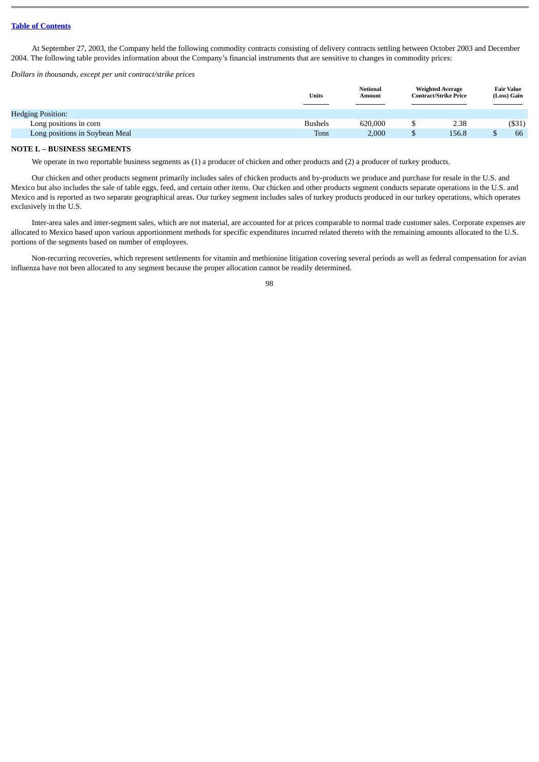At September 27, 2003, the Company held the following commodity contracts consisting of delivery contracts settling between October 2003 and December 2004. The following table provides information about the Company's financial instruments that are sensitive to changes in commodity prices:

*Dollars in thousands, except per unit contract/strike prices*

|                                | <b>Units</b>   | <b>Notional</b><br>Amount | <b>Weighted Average</b><br>Contract/Strike Price |  | <b>Fair Value</b><br>(Loss) Gain |  |
|--------------------------------|----------------|---------------------------|--------------------------------------------------|--|----------------------------------|--|
| <b>Hedging Position:</b>       |                |                           |                                                  |  |                                  |  |
| Long positions in corn         | <b>Bushels</b> | 620,000                   | 2.38                                             |  | $($ \$31)                        |  |
| Long positions in Soybean Meal | Tons           | 2,000                     | 156.8                                            |  | 66                               |  |

### **NOTE L – BUSINESS SEGMENTS**

We operate in two reportable business segments as (1) a producer of chicken and other products and (2) a producer of turkey products.

Our chicken and other products segment primarily includes sales of chicken products and by-products we produce and purchase for resale in the U.S. and Mexico but also includes the sale of table eggs, feed, and certain other items. Our chicken and other products segment conducts separate operations in the U.S. and Mexico and is reported as two separate geographical areas. Our turkey segment includes sales of turkey products produced in our turkey operations, which operates exclusively in the U.S.

Inter-area sales and inter-segment sales, which are not material, are accounted for at prices comparable to normal trade customer sales. Corporate expenses are allocated to Mexico based upon various apportionment methods for specific expenditures incurred related thereto with the remaining amounts allocated to the U.S. portions of the segments based on number of employees.

Non-recurring recoveries, which represent settlements for vitamin and methionine litigation covering several periods as well as federal compensation for avian influenza have not been allocated to any segment because the proper allocation cannot be readily determined.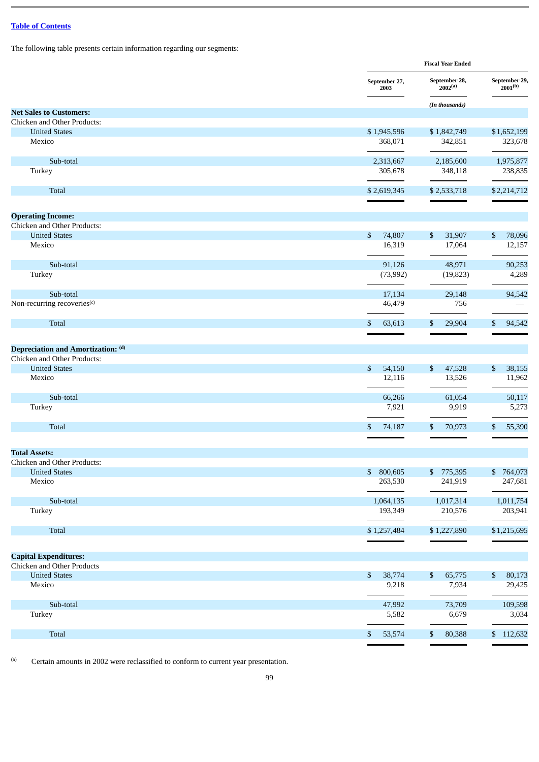The following table presents certain information regarding our segments:

|                                         |                        | <b>Fiscal Year Ended</b>      |                               |  |  |
|-----------------------------------------|------------------------|-------------------------------|-------------------------------|--|--|
|                                         | September 27,<br>2003  | September 28,<br>$2002^{(a)}$ | September 29,<br>$2001^{(b)}$ |  |  |
|                                         |                        | (In thousands)                |                               |  |  |
| <b>Net Sales to Customers:</b>          |                        |                               |                               |  |  |
| Chicken and Other Products:             |                        |                               |                               |  |  |
| <b>United States</b><br>Mexico          | \$1,945,596<br>368,071 | \$1,842,749<br>342,851        | \$1,652,199<br>323,678        |  |  |
|                                         |                        |                               |                               |  |  |
| Sub-total                               | 2,313,667              | 2,185,600                     | 1,975,877                     |  |  |
| Turkey                                  | 305,678                | 348,118                       | 238,835                       |  |  |
| Total                                   | \$2,619,345            | \$2,533,718                   | \$2,214,712                   |  |  |
|                                         |                        |                               |                               |  |  |
| <b>Operating Income:</b>                |                        |                               |                               |  |  |
| Chicken and Other Products:             |                        |                               |                               |  |  |
| <b>United States</b>                    | \$<br>74,807           | \$<br>31,907                  | \$<br>78,096                  |  |  |
| Mexico                                  | 16,319                 | 17,064                        | 12,157                        |  |  |
| Sub-total                               | 91,126                 | 48,971                        | 90,253                        |  |  |
| Turkey                                  | (73,992)               | (19, 823)                     | 4,289                         |  |  |
| Sub-total                               | 17,134                 | 29,148                        | 94,542                        |  |  |
| Non-recurring recoveries <sup>(c)</sup> | 46,479                 | 756                           |                               |  |  |
| Total                                   | 63,613<br>\$           | \$<br>29,904                  | 94,542<br>\$                  |  |  |
|                                         |                        |                               |                               |  |  |
| Depreciation and Amortization: (d)      |                        |                               |                               |  |  |
| Chicken and Other Products:             |                        |                               |                               |  |  |
| <b>United States</b>                    | \$<br>54,150           | \$<br>47,528                  | \$<br>38,155                  |  |  |
| Mexico                                  | 12,116                 | 13,526                        | 11,962                        |  |  |
| Sub-total                               | 66,266                 | 61,054                        | 50,117                        |  |  |
| Turkey                                  | 7,921                  | 9,919                         | 5,273                         |  |  |
| <b>Total</b>                            | 74,187<br>\$           | \$<br>70,973                  | 55,390<br>\$                  |  |  |
|                                         |                        |                               |                               |  |  |
| <b>Total Assets:</b>                    |                        |                               |                               |  |  |
| Chicken and Other Products:             |                        |                               |                               |  |  |
| <b>United States</b>                    | \$800,605              | \$775,395                     | \$764,073                     |  |  |
| Mexico                                  | 263,530                | 241,919                       | 247,681                       |  |  |
| Sub-total                               | 1,064,135              | 1,017,314                     | 1,011,754                     |  |  |
| Turkey                                  | 193,349                | 210,576                       | 203,941                       |  |  |
| Total                                   | \$1,257,484            | \$1,227,890                   | \$1,215,695                   |  |  |
|                                         |                        |                               |                               |  |  |
| <b>Capital Expenditures:</b>            |                        |                               |                               |  |  |
| Chicken and Other Products              |                        |                               |                               |  |  |
| <b>United States</b>                    | 38,774<br>\$           | 65,775<br>\$                  | $\mathbb{S}$<br>80,173        |  |  |
| Mexico                                  | 9,218                  | 7,934                         | 29,425                        |  |  |
| Sub-total                               | 47,992                 | 73,709                        | 109,598                       |  |  |
| Turkey                                  | 5,582                  | 6,679                         | 3,034                         |  |  |
| Total                                   | 53,574<br>\$           | \$<br>80,388                  | \$112,632                     |  |  |

(a) Certain amounts in 2002 were reclassified to conform to current year presentation.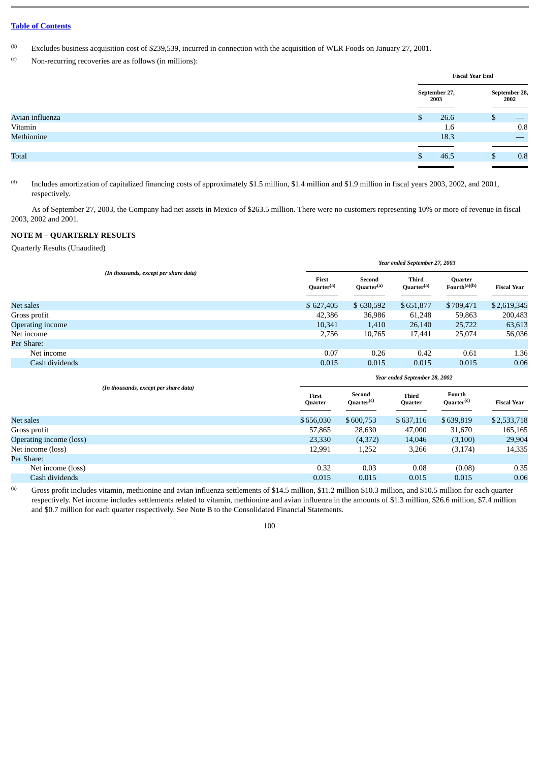(b) Excludes business acquisition cost of \$239,539, incurred in connection with the acquisition of WLR Foods on January 27, 2001.

 $(c)$  Non-recurring recoveries are as follows (in millions):

|                 |                       | <b>Fiscal Year End</b> |
|-----------------|-----------------------|------------------------|
|                 | September 27,<br>2003 | September 28,<br>2002  |
| Avian influenza | 26.6<br>\$.           | D                      |
| Vitamin         | 1.6                   | 0.8                    |
| Methionine      | 18.3                  | __                     |
|                 |                       |                        |
| Total           | 46.5                  | 0.8<br>w               |
|                 |                       |                        |

(d) Includes amortization of capitalized financing costs of approximately \$1.5 million, \$1.4 million and \$1.9 million in fiscal years 2003, 2002, and 2001, respectively.

As of September 27, 2003, the Company had net assets in Mexico of \$263.5 million. There were no customers representing 10% or more of revenue in fiscal 2003, 2002 and 2001.

## **NOTE M – QUARTERLY RESULTS**

Quarterly Results (Unaudited)

|                                       |                                 | Year ended September 27, 2003    |                                 |                                     |                    |  |  |  |
|---------------------------------------|---------------------------------|----------------------------------|---------------------------------|-------------------------------------|--------------------|--|--|--|
| (In thousands, except per share data) | First<br>Quarter <sup>(a)</sup> | Second<br>Quarter <sup>(a)</sup> | Third<br>Quarter <sup>(a)</sup> | Quarter<br>Fourth <sup>(a)(b)</sup> | <b>Fiscal Year</b> |  |  |  |
| Net sales                             | \$627,405                       | \$630,592                        | \$651,877                       | \$709,471                           | \$2,619,345        |  |  |  |
| Gross profit                          | 42,386                          | 36,986                           | 61,248                          | 59,863                              | 200,483            |  |  |  |
| Operating income                      | 10,341                          | 1,410                            | 26,140                          | 25,722                              | 63,613             |  |  |  |
| Net income                            | 2,756                           | 10,765                           | 17,441                          | 25,074                              | 56,036             |  |  |  |
| Per Share:                            |                                 |                                  |                                 |                                     |                    |  |  |  |
| Net income                            | 0.07                            | 0.26                             | 0.42                            | 0.61                                | 1.36               |  |  |  |
| Cash dividends                        | 0.015                           | 0.015                            | 0.015                           | 0.015                               | 0.06               |  |  |  |
|                                       |                                 |                                  | Vear ended Sentember 28, 2002   |                                     |                    |  |  |  |

|                         |                                       |                  | Ieur enueu september 20, 2002    |                  |                                  |                    |  |  |  |
|-------------------------|---------------------------------------|------------------|----------------------------------|------------------|----------------------------------|--------------------|--|--|--|
|                         | (In thousands, except per share data) | First<br>Quarter | Second<br>Quarter <sup>(c)</sup> | Third<br>Quarter | Fourth<br>Quarter <sup>(c)</sup> | <b>Fiscal Year</b> |  |  |  |
| Net sales               |                                       | \$656,030        | \$600,753                        | \$637,116        | \$639,819                        | \$2,533,718        |  |  |  |
| Gross profit            |                                       | 57,865           | 28,630                           | 47,000           | 31,670                           | 165,165            |  |  |  |
| Operating income (loss) |                                       | 23,330           | (4,372)                          | 14,046           | (3,100)                          | 29,904             |  |  |  |
| Net income (loss)       |                                       | 12,991           | 1,252                            | 3,266            | (3, 174)                         | 14,335             |  |  |  |
| Per Share:              |                                       |                  |                                  |                  |                                  |                    |  |  |  |
| Net income (loss)       |                                       | 0.32             | 0.03                             | 0.08             | (0.08)                           | 0.35               |  |  |  |
| Cash dividends          |                                       | 0.015            | 0.015                            | 0.015            | 0.015                            | 0.06               |  |  |  |

(a) Gross profit includes vitamin, methionine and avian influenza settlements of \$14.5 million, \$11.2 million \$10.3 million, and \$10.5 million for each quarter respectively. Net income includes settlements related to vitamin, methionine and avian influenza in the amounts of \$1.3 million, \$26.6 million, \$7.4 million and \$0.7 million for each quarter respectively. See Note B to the Consolidated Financial Statements.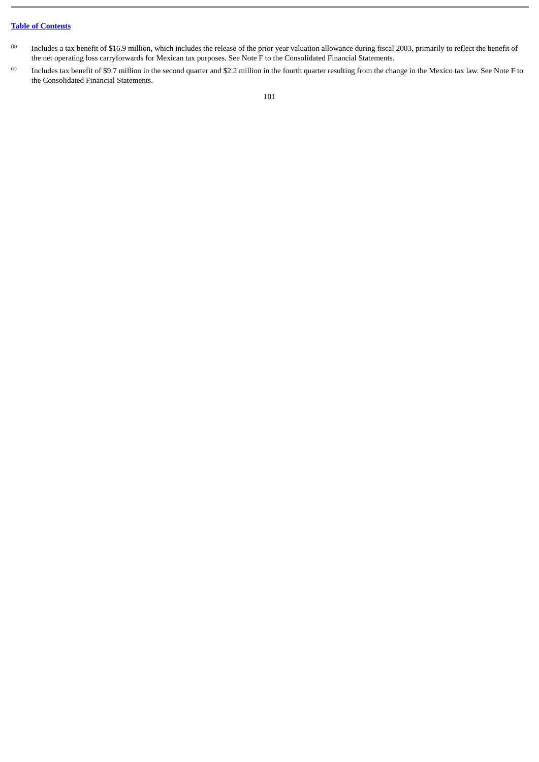- (b) Includes a tax benefit of \$16.9 million, which includes the release of the prior year valuation allowance during fiscal 2003, primarily to reflect the benefit of the net operating loss carryforwards for Mexican tax purposes. See Note F to the Consolidated Financial Statements.
- (c) Includes tax benefit of \$9.7 million in the second quarter and \$2.2 million in the fourth quarter resulting from the change in the Mexico tax law. See Note F to the Consolidated Financial Statements.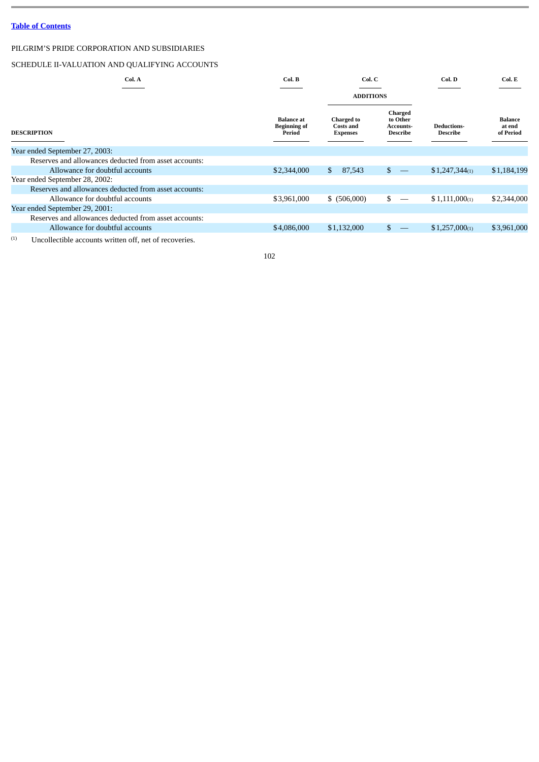## PILGRIM'S PRIDE CORPORATION AND SUBSIDIARIES

## SCHEDULE II-VALUATION AND QUALIFYING ACCOUNTS

| Col. A                                                | Col. B                                             | Col. C                                                   |                                                            | Col. D                                | Col. E                                |
|-------------------------------------------------------|----------------------------------------------------|----------------------------------------------------------|------------------------------------------------------------|---------------------------------------|---------------------------------------|
|                                                       |                                                    | <b>ADDITIONS</b>                                         |                                                            |                                       |                                       |
| <b>DESCRIPTION</b>                                    | <b>Balance</b> at<br><b>Beginning of</b><br>Period | <b>Charged</b> to<br><b>Costs and</b><br><b>Expenses</b> | Charged<br>to Other<br><b>Accounts-</b><br><b>Describe</b> | <b>Deductions-</b><br><b>Describe</b> | <b>Balance</b><br>at end<br>of Period |
| Year ended September 27, 2003:                        |                                                    |                                                          |                                                            |                                       |                                       |
| Reserves and allowances deducted from asset accounts: |                                                    |                                                          |                                                            |                                       |                                       |
| Allowance for doubtful accounts                       | \$2,344,000                                        | 87,543<br>\$                                             | \$<br>$\longrightarrow$                                    | $$1,247,344_{(1)}$                    | \$1,184,199                           |
| Year ended September 28, 2002:                        |                                                    |                                                          |                                                            |                                       |                                       |
| Reserves and allowances deducted from asset accounts: |                                                    |                                                          |                                                            |                                       |                                       |
| Allowance for doubtful accounts                       | \$3,961,000                                        | \$ (506,000)                                             | \$                                                         | $$1,111,000_{(1)}$                    | \$2,344,000                           |
| Year ended September 29, 2001:                        |                                                    |                                                          |                                                            |                                       |                                       |
| Reserves and allowances deducted from asset accounts: |                                                    |                                                          |                                                            |                                       |                                       |
| Allowance for doubtful accounts                       | \$4,086,000                                        | \$1,132,000                                              |                                                            | $$1,257,000_{(1)}$                    | \$3,961,000                           |
|                                                       |                                                    |                                                          |                                                            |                                       |                                       |

 $(1)$  Uncollectible accounts written off, net of recoveries.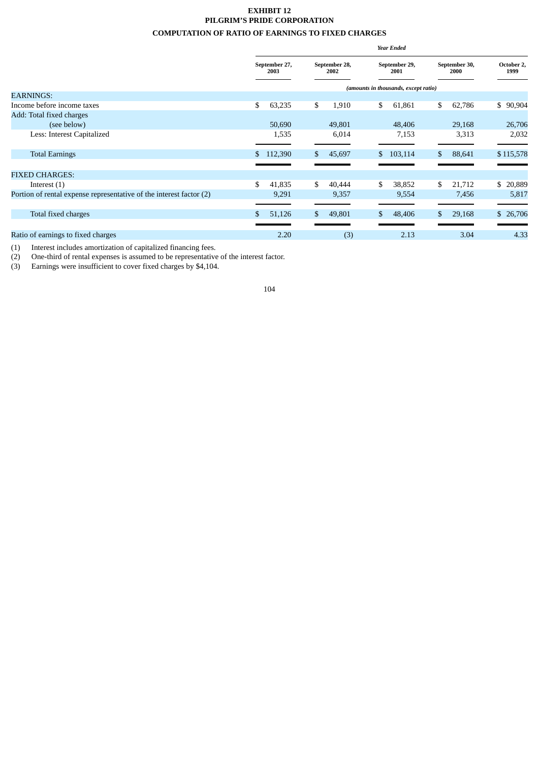## **EXHIBIT 12 PILGRIM'S PRIDE CORPORATION COMPUTATION OF RATIO OF EARNINGS TO FIXED CHARGES**

|                                                                     | <b>Year Ended</b>     |         |                       |                                      |                       |         |                       |        |                    |  |
|---------------------------------------------------------------------|-----------------------|---------|-----------------------|--------------------------------------|-----------------------|---------|-----------------------|--------|--------------------|--|
|                                                                     | September 27,<br>2003 |         | September 28,<br>2002 |                                      | September 29,<br>2001 |         | September 30,<br>2000 |        | October 2,<br>1999 |  |
|                                                                     |                       |         |                       | (amounts in thousands, except ratio) |                       |         |                       |        |                    |  |
| <b>EARNINGS:</b>                                                    |                       |         |                       |                                      |                       |         |                       |        |                    |  |
| Income before income taxes                                          | \$                    | 63,235  | \$                    | 1,910                                | \$                    | 61,861  | \$                    | 62,786 | \$90,904           |  |
| Add: Total fixed charges                                            |                       |         |                       |                                      |                       |         |                       |        |                    |  |
| (see below)                                                         |                       | 50,690  |                       | 49,801                               |                       | 48,406  |                       | 29,168 | 26,706             |  |
| Less: Interest Capitalized                                          |                       | 1,535   |                       | 6,014                                |                       | 7,153   |                       | 3,313  | 2,032              |  |
|                                                                     |                       |         |                       |                                      |                       |         |                       |        |                    |  |
| <b>Total Earnings</b>                                               | \$                    | 112,390 | \$                    | 45,697                               | \$                    | 103,114 | $\mathbf{s}$          | 88,641 | \$115,578          |  |
|                                                                     |                       |         |                       |                                      |                       |         |                       |        |                    |  |
| <b>FIXED CHARGES:</b>                                               |                       |         |                       |                                      |                       |         |                       |        |                    |  |
| Interest $(1)$                                                      | \$                    | 41,835  | \$                    | 40,444                               | \$                    | 38,852  | \$                    | 21,712 | \$<br>20,889       |  |
| Portion of rental expense representative of the interest factor (2) |                       | 9,291   |                       | 9,357                                |                       | 9,554   |                       | 7,456  | 5,817              |  |
|                                                                     |                       |         |                       |                                      |                       |         |                       |        |                    |  |
| Total fixed charges                                                 |                       | 51,126  | \$                    | 49,801                               | \$                    | 48,406  |                       | 29,168 | \$ 26,706          |  |
|                                                                     |                       |         |                       |                                      |                       |         |                       |        |                    |  |
| Ratio of earnings to fixed charges                                  |                       | 2.20    |                       | (3)                                  |                       | 2.13    |                       | 3.04   | 4.33               |  |

(1) Interest includes amortization of capitalized financing fees.

(2) One-third of rental expenses is assumed to be representative of the interest factor.

(3) Earnings were insufficient to cover fixed charges by \$4,104.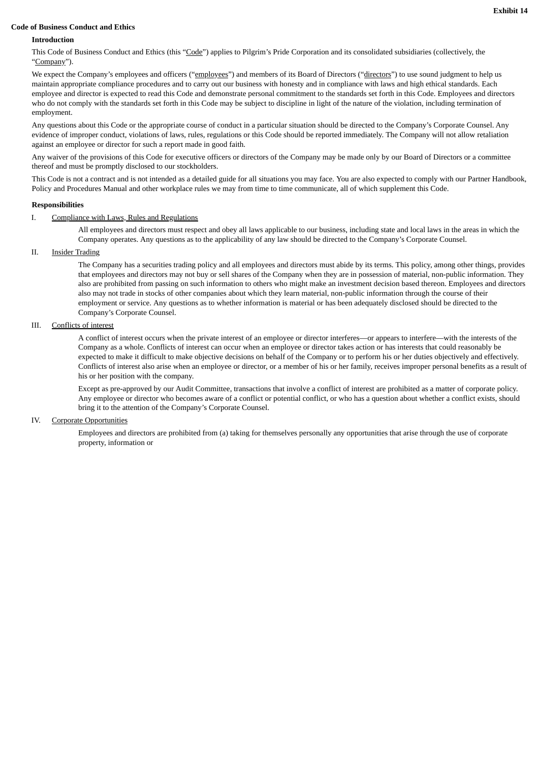### **Code of Business Conduct and Ethics**

## **Introduction**

This Code of Business Conduct and Ethics (this "Code") applies to Pilgrim's Pride Corporation and its consolidated subsidiaries (collectively, the "Company").

We expect the Company's employees and officers ("employees") and members of its Board of Directors ("directors") to use sound judgment to help us maintain appropriate compliance procedures and to carry out our business with honesty and in compliance with laws and high ethical standards. Each employee and director is expected to read this Code and demonstrate personal commitment to the standards set forth in this Code. Employees and directors who do not comply with the standards set forth in this Code may be subject to discipline in light of the nature of the violation, including termination of employment.

Any questions about this Code or the appropriate course of conduct in a particular situation should be directed to the Company's Corporate Counsel. Any evidence of improper conduct, violations of laws, rules, regulations or this Code should be reported immediately. The Company will not allow retaliation against an employee or director for such a report made in good faith.

Any waiver of the provisions of this Code for executive officers or directors of the Company may be made only by our Board of Directors or a committee thereof and must be promptly disclosed to our stockholders.

This Code is not a contract and is not intended as a detailed guide for all situations you may face. You are also expected to comply with our Partner Handbook, Policy and Procedures Manual and other workplace rules we may from time to time communicate, all of which supplement this Code.

## **Responsibilities**

### I. Compliance with Laws, Rules and Regulations

All employees and directors must respect and obey all laws applicable to our business, including state and local laws in the areas in which the Company operates. Any questions as to the applicability of any law should be directed to the Company's Corporate Counsel.

## II. Insider Trading

The Company has a securities trading policy and all employees and directors must abide by its terms. This policy, among other things, provides that employees and directors may not buy or sell shares of the Company when they are in possession of material, non-public information. They also are prohibited from passing on such information to others who might make an investment decision based thereon. Employees and directors also may not trade in stocks of other companies about which they learn material, non-public information through the course of their employment or service. Any questions as to whether information is material or has been adequately disclosed should be directed to the Company's Corporate Counsel.

## III. Conflicts of interest

A conflict of interest occurs when the private interest of an employee or director interferes—or appears to interfere—with the interests of the Company as a whole. Conflicts of interest can occur when an employee or director takes action or has interests that could reasonably be expected to make it difficult to make objective decisions on behalf of the Company or to perform his or her duties objectively and effectively. Conflicts of interest also arise when an employee or director, or a member of his or her family, receives improper personal benefits as a result of his or her position with the company.

Except as pre-approved by our Audit Committee, transactions that involve a conflict of interest are prohibited as a matter of corporate policy. Any employee or director who becomes aware of a conflict or potential conflict, or who has a question about whether a conflict exists, should bring it to the attention of the Company's Corporate Counsel.

## IV. Corporate Opportunities

Employees and directors are prohibited from (a) taking for themselves personally any opportunities that arise through the use of corporate property, information or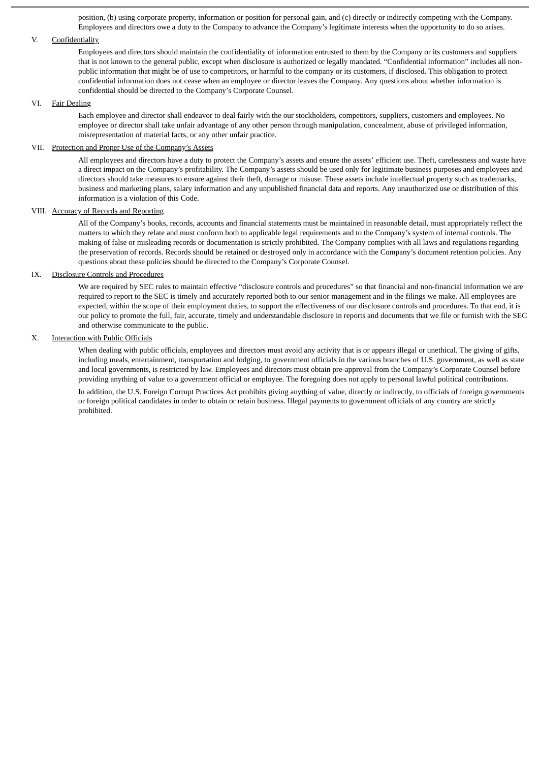position, (b) using corporate property, information or position for personal gain, and (c) directly or indirectly competing with the Company. Employees and directors owe a duty to the Company to advance the Company's legitimate interests when the opportunity to do so arises.

#### V. Confidentiality

Employees and directors should maintain the confidentiality of information entrusted to them by the Company or its customers and suppliers that is not known to the general public, except when disclosure is authorized or legally mandated. "Confidential information" includes all nonpublic information that might be of use to competitors, or harmful to the company or its customers, if disclosed. This obligation to protect confidential information does not cease when an employee or director leaves the Company. Any questions about whether information is confidential should be directed to the Company's Corporate Counsel.

### VI. Fair Dealing

Each employee and director shall endeavor to deal fairly with the our stockholders, competitors, suppliers, customers and employees. No employee or director shall take unfair advantage of any other person through manipulation, concealment, abuse of privileged information, misrepresentation of material facts, or any other unfair practice.

### VII. Protection and Proper Use of the Company's Assets

All employees and directors have a duty to protect the Company's assets and ensure the assets' efficient use. Theft, carelessness and waste have a direct impact on the Company's profitability. The Company's assets should be used only for legitimate business purposes and employees and directors should take measures to ensure against their theft, damage or misuse. These assets include intellectual property such as trademarks, business and marketing plans, salary information and any unpublished financial data and reports. Any unauthorized use or distribution of this information is a violation of this Code.

## VIII. Accuracy of Records and Reporting

All of the Company's books, records, accounts and financial statements must be maintained in reasonable detail, must appropriately reflect the matters to which they relate and must conform both to applicable legal requirements and to the Company's system of internal controls. The making of false or misleading records or documentation is strictly prohibited. The Company complies with all laws and regulations regarding the preservation of records. Records should be retained or destroyed only in accordance with the Company's document retention policies. Any questions about these policies should be directed to the Company's Corporate Counsel.

## IX. Disclosure Controls and Procedures

We are required by SEC rules to maintain effective "disclosure controls and procedures" so that financial and non-financial information we are required to report to the SEC is timely and accurately reported both to our senior management and in the filings we make. All employees are expected, within the scope of their employment duties, to support the effectiveness of our disclosure controls and procedures. To that end, it is our policy to promote the full, fair, accurate, timely and understandable disclosure in reports and documents that we file or furnish with the SEC and otherwise communicate to the public.

### X. Interaction with Public Officials

When dealing with public officials, employees and directors must avoid any activity that is or appears illegal or unethical. The giving of gifts, including meals, entertainment, transportation and lodging, to government officials in the various branches of U.S. government, as well as state and local governments, is restricted by law. Employees and directors must obtain pre-approval from the Company's Corporate Counsel before providing anything of value to a government official or employee. The foregoing does not apply to personal lawful political contributions.

In addition, the U.S. Foreign Corrupt Practices Act prohibits giving anything of value, directly or indirectly, to officials of foreign governments or foreign political candidates in order to obtain or retain business. Illegal payments to government officials of any country are strictly prohibited.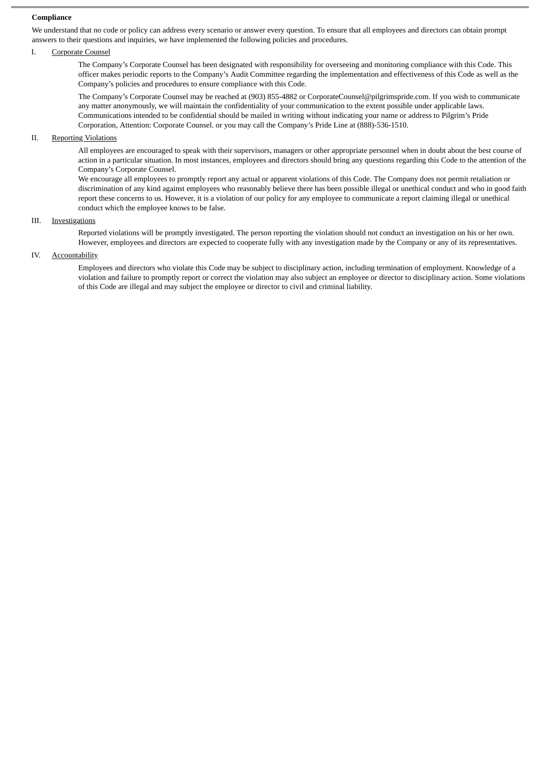## **Compliance**

We understand that no code or policy can address every scenario or answer every question. To ensure that all employees and directors can obtain prompt answers to their questions and inquiries, we have implemented the following policies and procedures.

### I. Corporate Counsel

The Company's Corporate Counsel has been designated with responsibility for overseeing and monitoring compliance with this Code. This officer makes periodic reports to the Company's Audit Committee regarding the implementation and effectiveness of this Code as well as the Company's policies and procedures to ensure compliance with this Code.

The Company's Corporate Counsel may be reached at (903) 855-4882 or CorporateCounsel@pilgrimspride.com. If you wish to communicate any matter anonymously, we will maintain the confidentiality of your communication to the extent possible under applicable laws. Communications intended to be confidential should be mailed in writing without indicating your name or address to Pilgrim's Pride Corporation, Attention: Corporate Counsel. or you may call the Company's Pride Line at (888)-536-1510.

### II. Reporting Violations

All employees are encouraged to speak with their supervisors, managers or other appropriate personnel when in doubt about the best course of action in a particular situation. In most instances, employees and directors should bring any questions regarding this Code to the attention of the Company's Corporate Counsel.

We encourage all employees to promptly report any actual or apparent violations of this Code. The Company does not permit retaliation or discrimination of any kind against employees who reasonably believe there has been possible illegal or unethical conduct and who in good faith report these concerns to us. However, it is a violation of our policy for any employee to communicate a report claiming illegal or unethical conduct which the employee knows to be false.

## III. Investigations

Reported violations will be promptly investigated. The person reporting the violation should not conduct an investigation on his or her own. However, employees and directors are expected to cooperate fully with any investigation made by the Company or any of its representatives.

## IV. Accountability

Employees and directors who violate this Code may be subject to disciplinary action, including termination of employment. Knowledge of a violation and failure to promptly report or correct the violation may also subject an employee or director to disciplinary action. Some violations of this Code are illegal and may subject the employee or director to civil and criminal liability.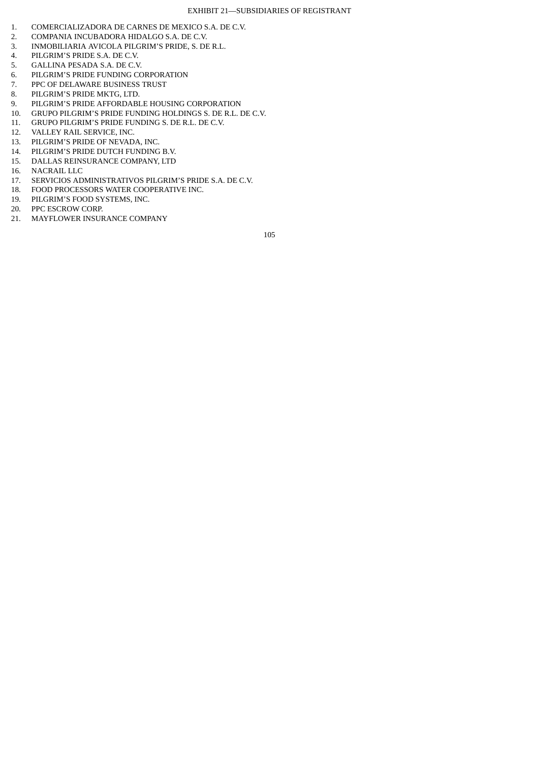- 1. COMERCIALIZADORA DE CARNES DE MEXICO S.A. DE C.V.<br>2. COMPANIA INCUBADORA HIDALGO S.A. DE C.V.
- 2. COMPANIA INCUBADORA HIDALGO S.A. DE C.V.<br>3. INMOBILIARIA AVICOLA PILGRIM'S PRIDE. S. DE
- 3. INMOBILIARIA AVICOLA PILGRIM'S PRIDE, S. DE R.L.
- 4. PILGRIM'S PRIDE S.A. DE C.V.
- 5. GALLINA PESADA S.A. DE C.V.
- 6. PILGRIM'S PRIDE FUNDING CORPORATION<br>7. PPC OF DELAWARE BUSINESS TRUST
- PPC OF DELAWARE BUSINESS TRUST
- 8. PILGRIM'S PRIDE MKTG, LTD.
- 9. PILGRIM'S PRIDE AFFORDABLE HOUSING CORPORATION
- 10. GRUPO PILGRIM'S PRIDE FUNDING HOLDINGS S. DE R.L. DE C.V.
- 11. GRUPO PILGRIM'S PRIDE FUNDING S. DE R.L. DE C.V.
- 12. VALLEY RAIL SERVICE, INC.
- 13. PILGRIM'S PRIDE OF NEVADA, INC.
- 14. PILGRIM'S PRIDE DUTCH FUNDING B.V.
- 15. DALLAS REINSURANCE COMPANY, LTD
- 16. NACRAIL LLC
- 17. SERVICIOS ADMINISTRATIVOS PILGRIM'S PRIDE S.A. DE C.V.
- 18. FOOD PROCESSORS WATER COOPERATIVE INC.
- 19. PILGRIM'S FOOD SYSTEMS, INC.
- 20. PPC ESCROW CORP.
- 21. MAYFLOWER INSURANCE COMPANY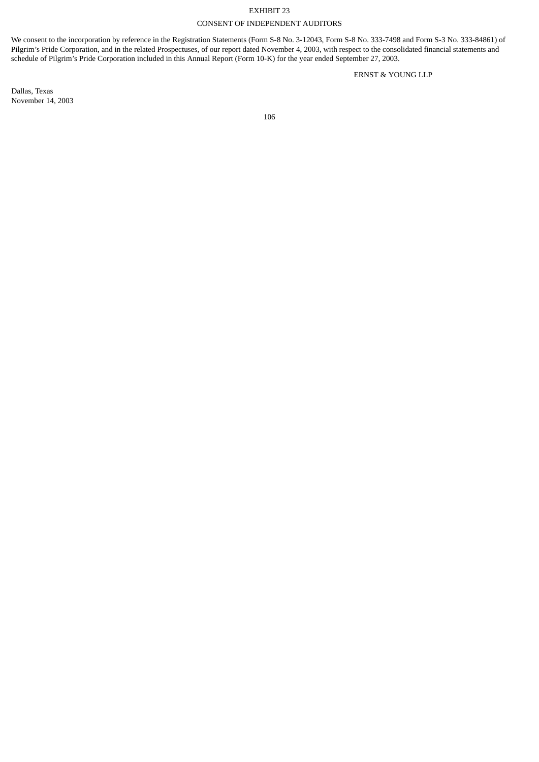# EXHIBIT 23 CONSENT OF INDEPENDENT AUDITORS

We consent to the incorporation by reference in the Registration Statements (Form S-8 No. 3-12043, Form S-8 No. 333-7498 and Form S-3 No. 333-84861) of Pilgrim's Pride Corporation, and in the related Prospectuses, of our report dated November 4, 2003, with respect to the consolidated financial statements and schedule of Pilgrim's Pride Corporation included in this Annual Report (Form 10-K) for the year ended September 27, 2003.

ERNST & YOUNG LLP

Dallas, Texas November 14, 2003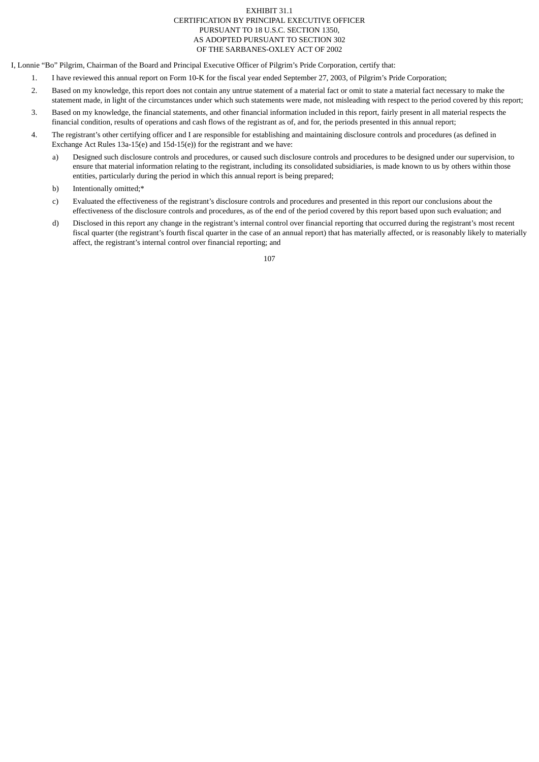## EXHIBIT 31.1 CERTIFICATION BY PRINCIPAL EXECUTIVE OFFICER PURSUANT TO 18 U.S.C. SECTION 1350, AS ADOPTED PURSUANT TO SECTION 302 OF THE SARBANES-OXLEY ACT OF 2002

I, Lonnie "Bo" Pilgrim, Chairman of the Board and Principal Executive Officer of Pilgrim's Pride Corporation, certify that:

- 1. I have reviewed this annual report on Form 10-K for the fiscal year ended September 27, 2003, of Pilgrim's Pride Corporation;
- 2. Based on my knowledge, this report does not contain any untrue statement of a material fact or omit to state a material fact necessary to make the statement made, in light of the circumstances under which such statements were made, not misleading with respect to the period covered by this report;
- 3. Based on my knowledge, the financial statements, and other financial information included in this report, fairly present in all material respects the financial condition, results of operations and cash flows of the registrant as of, and for, the periods presented in this annual report;
- 4. The registrant's other certifying officer and I are responsible for establishing and maintaining disclosure controls and procedures (as defined in Exchange Act Rules 13a-15(e) and 15d-15(e)) for the registrant and we have:
	- a) Designed such disclosure controls and procedures, or caused such disclosure controls and procedures to be designed under our supervision, to ensure that material information relating to the registrant, including its consolidated subsidiaries, is made known to us by others within those entities, particularly during the period in which this annual report is being prepared;
	- b) Intentionally omitted;\*
	- c) Evaluated the effectiveness of the registrant's disclosure controls and procedures and presented in this report our conclusions about the effectiveness of the disclosure controls and procedures, as of the end of the period covered by this report based upon such evaluation; and
	- d) Disclosed in this report any change in the registrant's internal control over financial reporting that occurred during the registrant's most recent fiscal quarter (the registrant's fourth fiscal quarter in the case of an annual report) that has materially affected, or is reasonably likely to materially affect, the registrant's internal control over financial reporting; and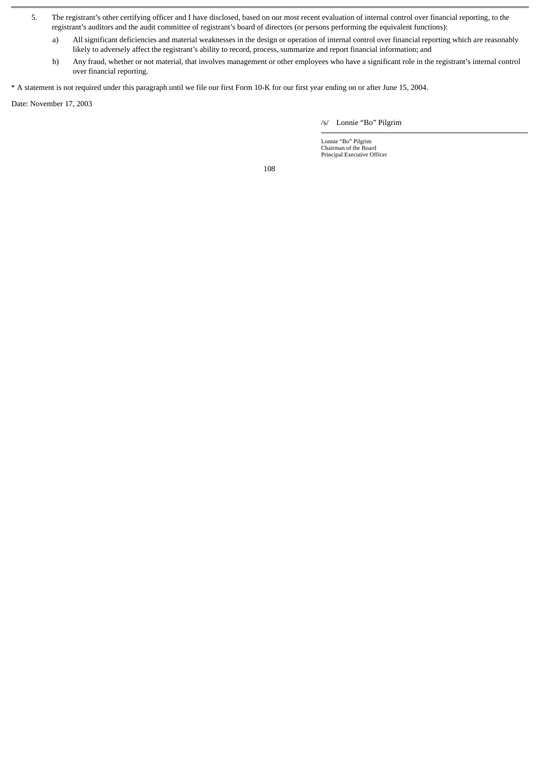- 5. The registrant's other certifying officer and I have disclosed, based on our most recent evaluation of internal control over financial reporting, to the registrant's auditors and the audit committee of registrant's board of directors (or persons performing the equivalent functions):
	- a) All significant deficiencies and material weaknesses in the design or operation of internal control over financial reporting which are reasonably likely to adversely affect the registrant's ability to record, process, summarize and report financial information; and
	- b) Any fraud, whether or not material, that involves management or other employees who have a significant role in the registrant's internal control over financial reporting.

\* A statement is not required under this paragraph until we file our first Form 10-K for our first year ending on or after June 15, 2004.

Date: November 17, 2003

/s/ Lonnie "Bo" Pilgrim

Lonnie "Bo" Pilgrim Chairman of the Board Principal Executive Officer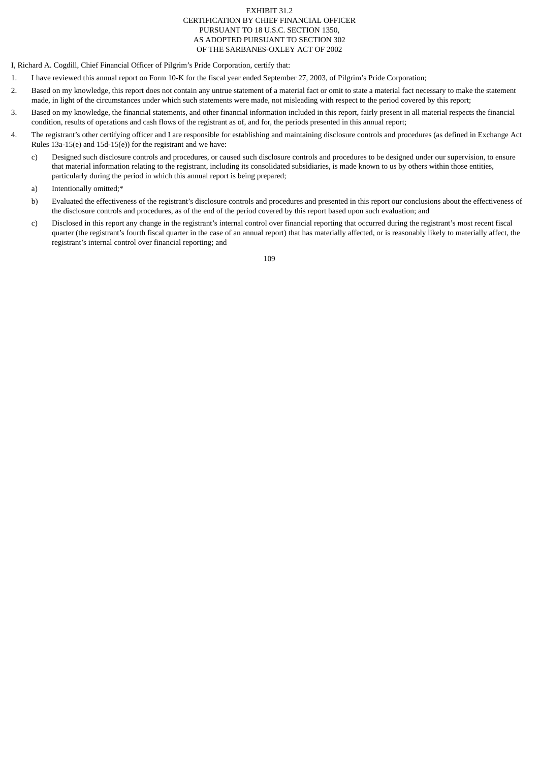## EXHIBIT 31.2 CERTIFICATION BY CHIEF FINANCIAL OFFICER PURSUANT TO 18 U.S.C. SECTION 1350, AS ADOPTED PURSUANT TO SECTION 302 OF THE SARBANES-OXLEY ACT OF 2002

I, Richard A. Cogdill, Chief Financial Officer of Pilgrim's Pride Corporation, certify that:

- 1. I have reviewed this annual report on Form 10-K for the fiscal year ended September 27, 2003, of Pilgrim's Pride Corporation;
- 2. Based on my knowledge, this report does not contain any untrue statement of a material fact or omit to state a material fact necessary to make the statement made, in light of the circumstances under which such statements were made, not misleading with respect to the period covered by this report;
- 3. Based on my knowledge, the financial statements, and other financial information included in this report, fairly present in all material respects the financial condition, results of operations and cash flows of the registrant as of, and for, the periods presented in this annual report;
- 4. The registrant's other certifying officer and I are responsible for establishing and maintaining disclosure controls and procedures (as defined in Exchange Act Rules 13a-15(e) and 15d-15(e)) for the registrant and we have:
	- c) Designed such disclosure controls and procedures, or caused such disclosure controls and procedures to be designed under our supervision, to ensure that material information relating to the registrant, including its consolidated subsidiaries, is made known to us by others within those entities, particularly during the period in which this annual report is being prepared;
	- a) Intentionally omitted;\*
	- b) Evaluated the effectiveness of the registrant's disclosure controls and procedures and presented in this report our conclusions about the effectiveness of the disclosure controls and procedures, as of the end of the period covered by this report based upon such evaluation; and
	- c) Disclosed in this report any change in the registrant's internal control over financial reporting that occurred during the registrant's most recent fiscal quarter (the registrant's fourth fiscal quarter in the case of an annual report) that has materially affected, or is reasonably likely to materially affect, the registrant's internal control over financial reporting; and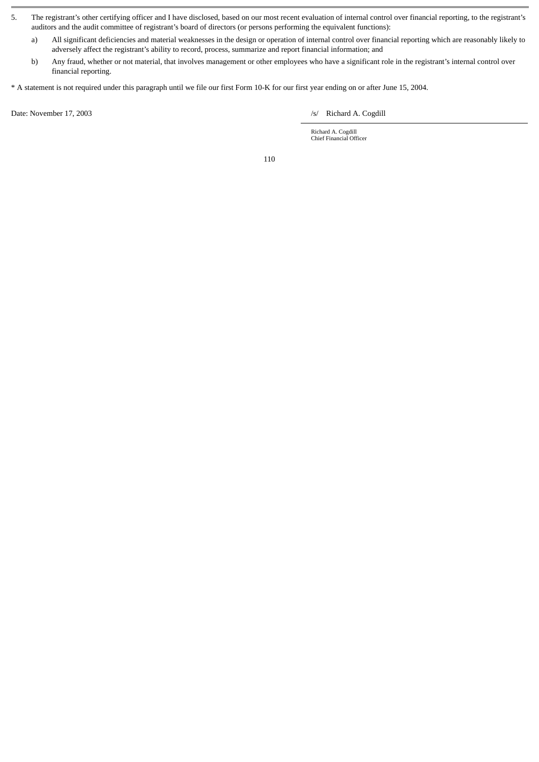- 5. The registrant's other certifying officer and I have disclosed, based on our most recent evaluation of internal control over financial reporting, to the registrant's auditors and the audit committee of registrant's board of directors (or persons performing the equivalent functions):
	- a) All significant deficiencies and material weaknesses in the design or operation of internal control over financial reporting which are reasonably likely to adversely affect the registrant's ability to record, process, summarize and report financial information; and
	- b) Any fraud, whether or not material, that involves management or other employees who have a significant role in the registrant's internal control over financial reporting.
- \* A statement is not required under this paragraph until we file our first Form 10-K for our first year ending on or after June 15, 2004.

Date: November 17, 2003 */s/* Richard A. Cogdill

Richard A. Cogdill Chief Financial Officer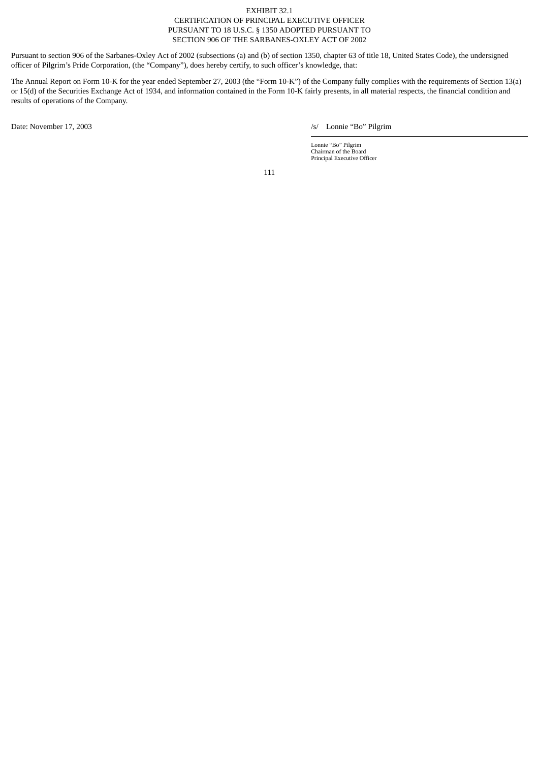## EXHIBIT 32.1 CERTIFICATION OF PRINCIPAL EXECUTIVE OFFICER PURSUANT TO 18 U.S.C. § 1350 ADOPTED PURSUANT TO SECTION 906 OF THE SARBANES-OXLEY ACT OF 2002

Pursuant to section 906 of the Sarbanes-Oxley Act of 2002 (subsections (a) and (b) of section 1350, chapter 63 of title 18, United States Code), the undersigned officer of Pilgrim's Pride Corporation, (the "Company"), does hereby certify, to such officer's knowledge, that:

The Annual Report on Form 10-K for the year ended September 27, 2003 (the "Form 10-K") of the Company fully complies with the requirements of Section 13(a) or 15(d) of the Securities Exchange Act of 1934, and information contained in the Form 10-K fairly presents, in all material respects, the financial condition and results of operations of the Company.

Date: November 17, 2003 /s/ Lonnie "Bo" Pilgrim

Lonnie "Bo" Pilgrim Chairman of the Board Principal Executive Officer